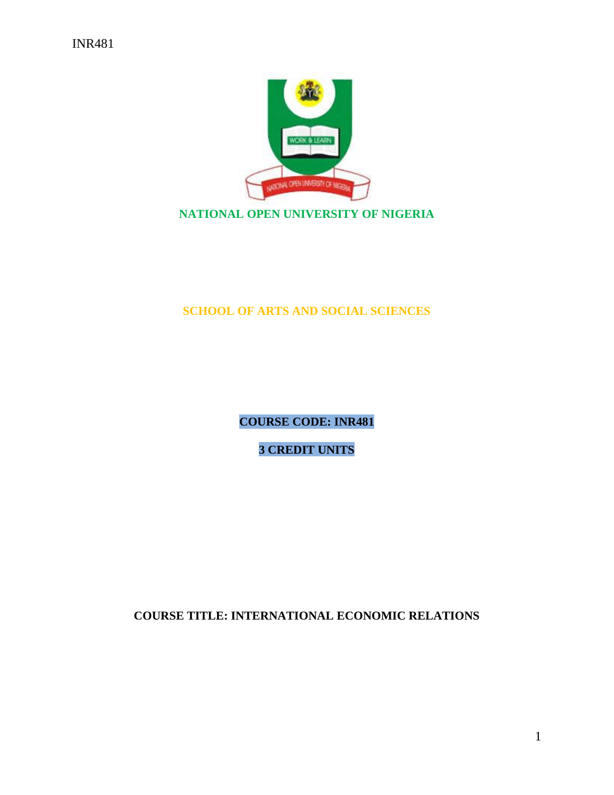

## **SCHOOL OF ARTS AND SOCIAL SCIENCES**

**COURSE CODE: INR481**

**3 CREDIT UNITS**

**COURSE TITLE: INTERNATIONAL ECONOMIC RELATIONS**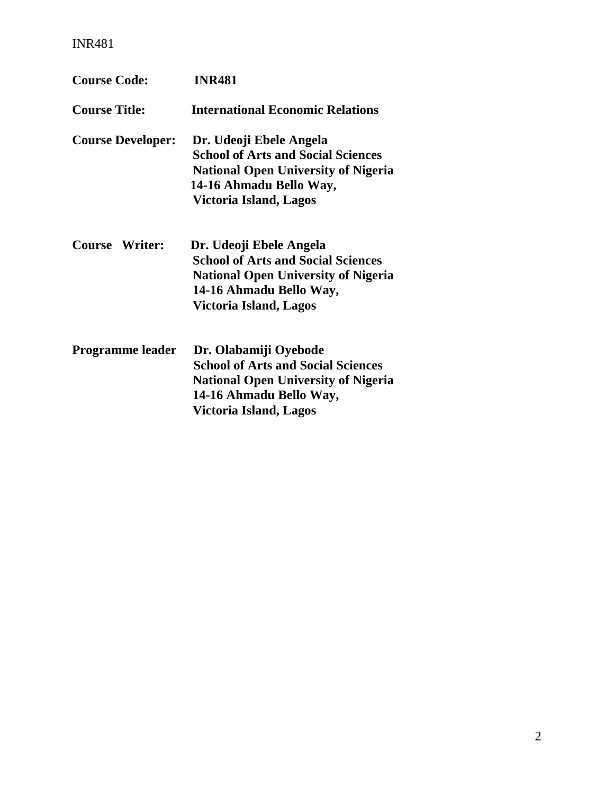| <b>Course Code:</b>      | <b>INR481</b><br><b>International Economic Relations</b>                                                                                                                |  |  |
|--------------------------|-------------------------------------------------------------------------------------------------------------------------------------------------------------------------|--|--|
| <b>Course Title:</b>     |                                                                                                                                                                         |  |  |
| <b>Course Developer:</b> | Dr. Udeoji Ebele Angela<br><b>School of Arts and Social Sciences</b><br><b>National Open University of Nigeria</b><br>14-16 Ahmadu Bello Way,<br>Victoria Island, Lagos |  |  |
| <b>Course Writer:</b>    | Dr. Udeoji Ebele Angela<br><b>School of Arts and Social Sciences</b><br><b>National Open University of Nigeria</b><br>14-16 Ahmadu Bello Way,<br>Victoria Island, Lagos |  |  |
| <b>Programme leader</b>  | Dr. Olabamiji Oyebode<br><b>School of Arts and Social Sciences</b><br><b>National Open University of Nigeria</b><br>14-16 Ahmadu Bello Way,<br>Victoria Island, Lagos   |  |  |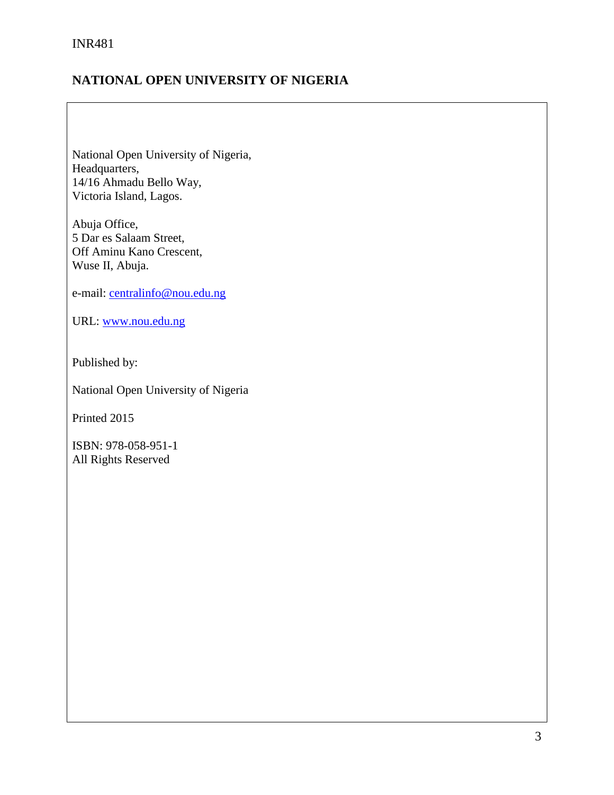## **NATIONAL OPEN UNIVERSITY OF NIGERIA**

National Open University of Nigeria, Headquarters, 14/16 Ahmadu Bello Way, Victoria Island, Lagos.

Abuja Office, 5 Dar es Salaam Street, Off Aminu Kano Crescent, Wuse II, Abuja.

e-mail: [centralinfo@nou.edu.ng](mailto:centralinfo@nou.edu.ng)

URL: [www.nou.edu.ng](http://www.nou.edu.ng/)

Published by:

National Open University of Nigeria

Printed 2015

ISBN: 978-058-951-1 All Rights Reserved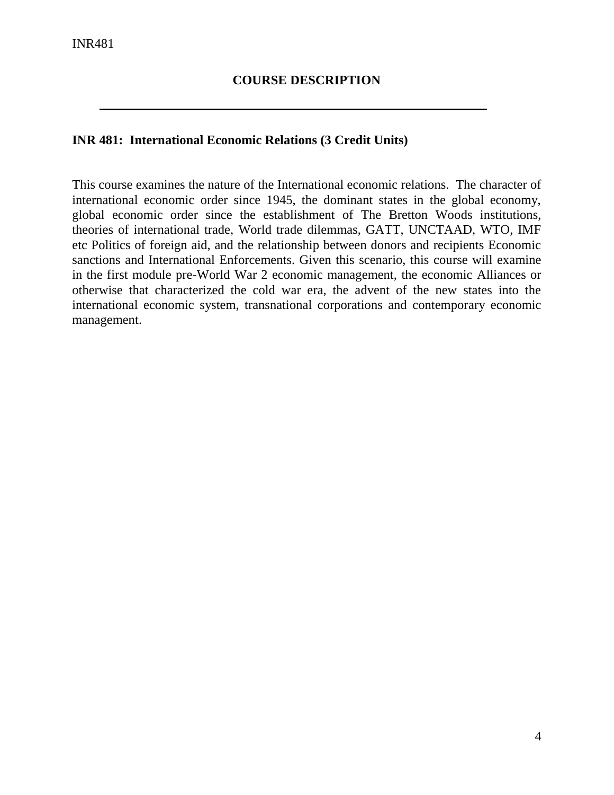## **INR 481: International Economic Relations (3 Credit Units)**

This course examines the nature of the International economic relations. The character of international economic order since 1945, the dominant states in the global economy, global economic order since the establishment of The Bretton Woods institutions, theories of international trade, World trade dilemmas, GATT, UNCTAAD, WTO, IMF etc Politics of foreign aid, and the relationship between donors and recipients Economic sanctions and International Enforcements. Given this scenario, this course will examine in the first module pre-World War 2 economic management, the economic Alliances or otherwise that characterized the cold war era, the advent of the new states into the international economic system, transnational corporations and contemporary economic management.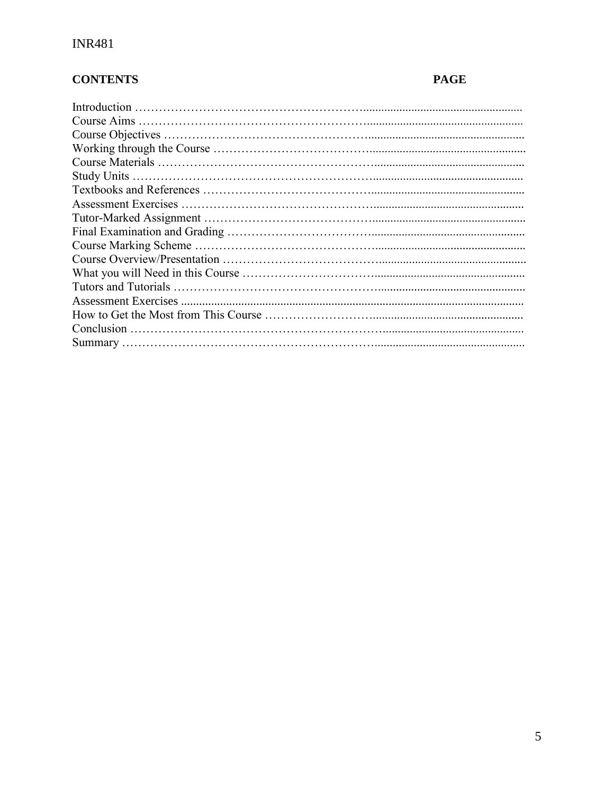## **CONTENTS**

## **PAGE**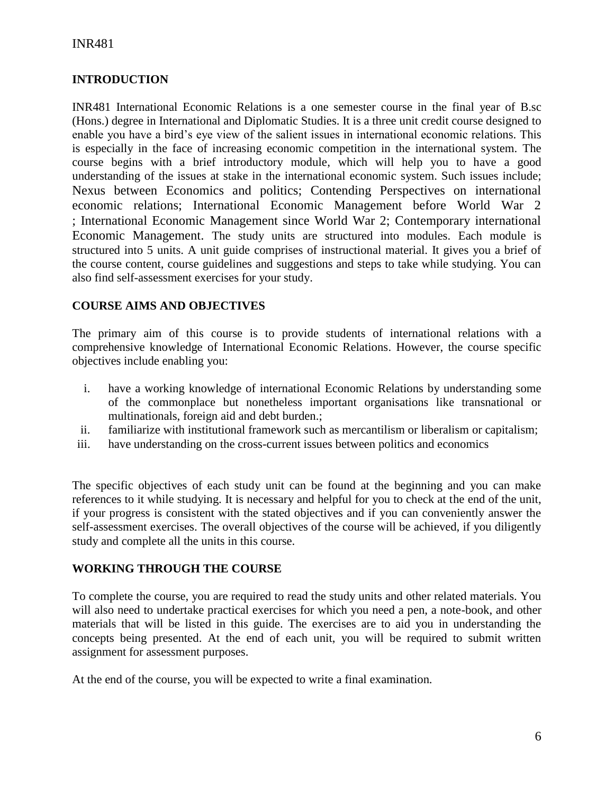#### **INTRODUCTION**

INR481 International Economic Relations is a one semester course in the final year of B.sc (Hons.) degree in International and Diplomatic Studies. It is a three unit credit course designed to enable you have a bird's eye view of the salient issues in international economic relations. This is especially in the face of increasing economic competition in the international system. The course begins with a brief introductory module, which will help you to have a good understanding of the issues at stake in the international economic system. Such issues include; Nexus between Economics and politics; Contending Perspectives on international economic relations; International Economic Management before World War 2 ; International Economic Management since World War 2; Contemporary international Economic Management. The study units are structured into modules. Each module is structured into 5 units. A unit guide comprises of instructional material. It gives you a brief of the course content, course guidelines and suggestions and steps to take while studying. You can also find self-assessment exercises for your study.

#### **COURSE AIMS AND OBJECTIVES**

The primary aim of this course is to provide students of international relations with a comprehensive knowledge of International Economic Relations. However, the course specific objectives include enabling you:

- i. have a working knowledge of international Economic Relations by understanding some of the commonplace but nonetheless important organisations like transnational or multinationals, foreign aid and debt burden.;
- ii. familiarize with institutional framework such as mercantilism or liberalism or capitalism;
- iii. have understanding on the cross-current issues between politics and economics

The specific objectives of each study unit can be found at the beginning and you can make references to it while studying. It is necessary and helpful for you to check at the end of the unit, if your progress is consistent with the stated objectives and if you can conveniently answer the self-assessment exercises. The overall objectives of the course will be achieved, if you diligently study and complete all the units in this course.

#### **WORKING THROUGH THE COURSE**

To complete the course, you are required to read the study units and other related materials. You will also need to undertake practical exercises for which you need a pen, a note-book, and other materials that will be listed in this guide. The exercises are to aid you in understanding the concepts being presented. At the end of each unit, you will be required to submit written assignment for assessment purposes.

At the end of the course, you will be expected to write a final examination.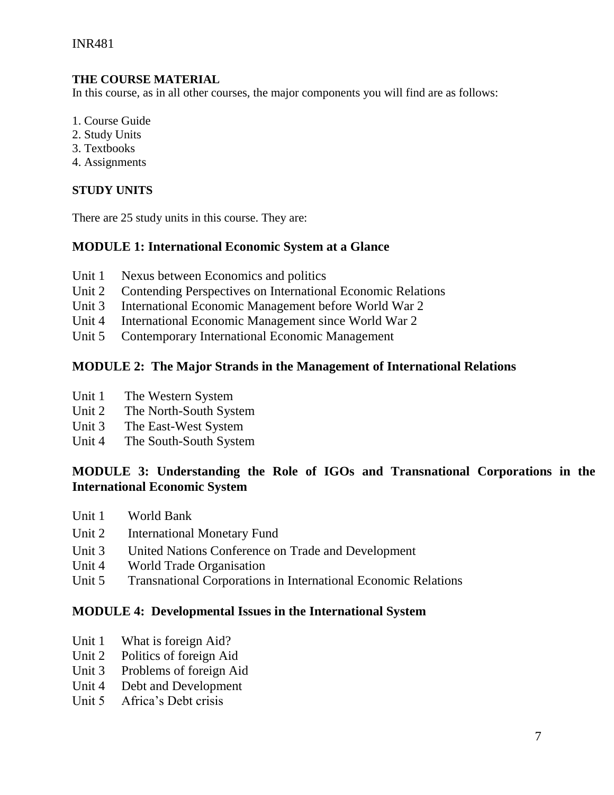#### **THE COURSE MATERIAL**

In this course, as in all other courses, the major components you will find are as follows:

- 1. Course Guide
- 2. Study Units
- 3. Textbooks
- 4. Assignments

#### **STUDY UNITS**

There are 25 study units in this course. They are:

#### **MODULE 1: International Economic System at a Glance**

- Unit 1 Nexus between Economics and politics
- Unit 2 Contending Perspectives on International Economic Relations
- Unit 3 International Economic Management before World War 2
- Unit 4 International Economic Management since World War 2
- Unit 5 Contemporary International Economic Management

#### **MODULE 2: The Major Strands in the Management of International Relations**

- Unit 1 The Western System
- Unit 2 The North-South System
- Unit 3 The East-West System
- Unit 4 The South-South System

### **MODULE 3: Understanding the Role of IGOs and Transnational Corporations in the International Economic System**

- Unit 1 World Bank
- Unit 2 International Monetary Fund
- Unit 3 United Nations Conference on Trade and Development
- Unit 4 World Trade Organisation
- Unit 5 Transnational Corporations in International Economic Relations

#### **MODULE 4: Developmental Issues in the International System**

- Unit 1 What is foreign Aid?
- Unit 2 Politics of foreign Aid
- Unit 3 Problems of foreign Aid
- Unit 4 Debt and Development
- Unit 5 Africa's Debt crisis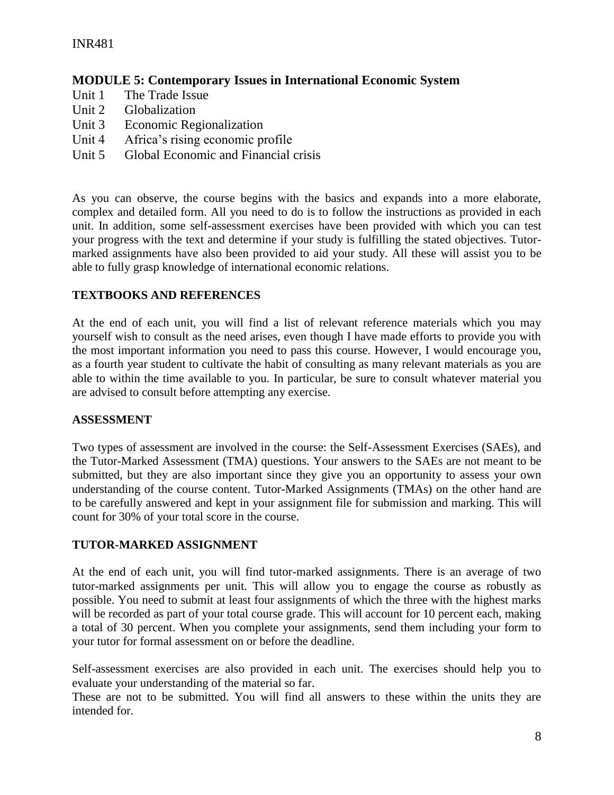### **MODULE 5: Contemporary Issues in International Economic System**

- Unit 1 The Trade Issue
- Unit 2 Globalization
- Unit 3 Economic Regionalization
- Unit 4 Africa's rising economic profile
- Unit 5 Global Economic and Financial crisis

As you can observe, the course begins with the basics and expands into a more elaborate, complex and detailed form. All you need to do is to follow the instructions as provided in each unit. In addition, some self-assessment exercises have been provided with which you can test your progress with the text and determine if your study is fulfilling the stated objectives. Tutormarked assignments have also been provided to aid your study. All these will assist you to be able to fully grasp knowledge of international economic relations.

#### **TEXTBOOKS AND REFERENCES**

At the end of each unit, you will find a list of relevant reference materials which you may yourself wish to consult as the need arises, even though I have made efforts to provide you with the most important information you need to pass this course. However, I would encourage you, as a fourth year student to cultivate the habit of consulting as many relevant materials as you are able to within the time available to you. In particular, be sure to consult whatever material you are advised to consult before attempting any exercise.

#### **ASSESSMENT**

Two types of assessment are involved in the course: the Self-Assessment Exercises (SAEs), and the Tutor-Marked Assessment (TMA) questions. Your answers to the SAEs are not meant to be submitted, but they are also important since they give you an opportunity to assess your own understanding of the course content. Tutor-Marked Assignments (TMAs) on the other hand are to be carefully answered and kept in your assignment file for submission and marking. This will count for 30% of your total score in the course.

#### **TUTOR-MARKED ASSIGNMENT**

At the end of each unit, you will find tutor-marked assignments. There is an average of two tutor-marked assignments per unit. This will allow you to engage the course as robustly as possible. You need to submit at least four assignments of which the three with the highest marks will be recorded as part of your total course grade. This will account for 10 percent each, making a total of 30 percent. When you complete your assignments, send them including your form to your tutor for formal assessment on or before the deadline.

Self-assessment exercises are also provided in each unit. The exercises should help you to evaluate your understanding of the material so far.

These are not to be submitted. You will find all answers to these within the units they are intended for.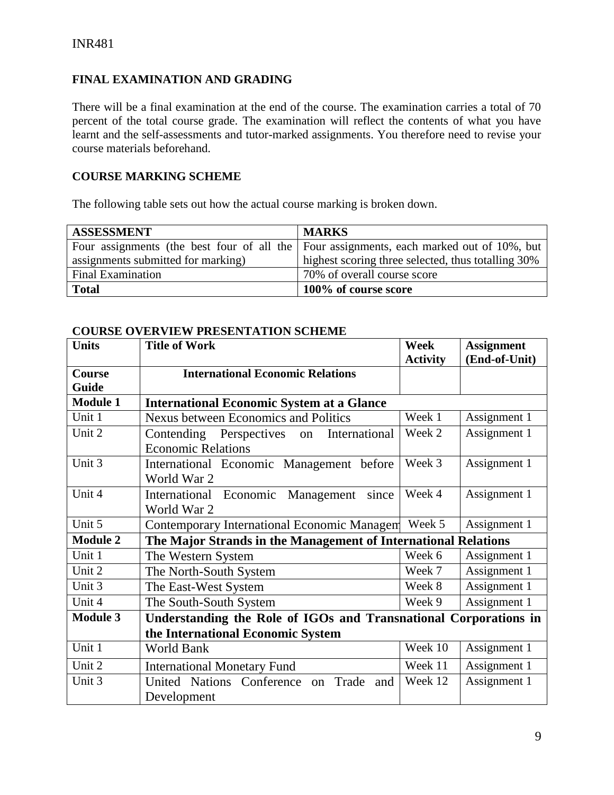#### **FINAL EXAMINATION AND GRADING**

There will be a final examination at the end of the course. The examination carries a total of 70 percent of the total course grade. The examination will reflect the contents of what you have learnt and the self-assessments and tutor-marked assignments. You therefore need to revise your course materials beforehand.

#### **COURSE MARKING SCHEME**

The following table sets out how the actual course marking is broken down.

| <b>ASSESSMENT</b>                          | <b>MARKS</b>                                       |
|--------------------------------------------|----------------------------------------------------|
| Four assignments (the best four of all the | Four assignments, each marked out of 10%, but      |
| assignments submitted for marking)         | highest scoring three selected, thus totalling 30% |
| <b>Final Examination</b>                   | 70% of overall course score                        |
| <b>Total</b>                               | 100% of course score                               |

| <b>Units</b>           | <b>Title of Work</b>                                                                                    | Week<br><b>Activity</b> | <b>Assignment</b><br>(End-of-Unit) |  |
|------------------------|---------------------------------------------------------------------------------------------------------|-------------------------|------------------------------------|--|
| <b>Course</b><br>Guide | <b>International Economic Relations</b>                                                                 |                         |                                    |  |
| <b>Module 1</b>        | <b>International Economic System at a Glance</b>                                                        |                         |                                    |  |
| Unit 1                 | <b>Nexus between Economics and Politics</b>                                                             | Week 1                  | Assignment 1                       |  |
| Unit 2                 | Contending<br>International<br>Perspectives<br>on<br><b>Economic Relations</b>                          | Week 2                  | Assignment 1                       |  |
| Unit 3                 | International Economic Management before<br>World War 2                                                 | Week 3                  | Assignment 1                       |  |
| Unit 4                 | International<br>since<br>Economic<br>Management<br>World War 2                                         | Week 4                  | Assignment 1                       |  |
| Unit 5                 | Contemporary International Economic Managem<br>Assignment 1<br>Week 5                                   |                         |                                    |  |
| <b>Module 2</b>        | The Major Strands in the Management of International Relations                                          |                         |                                    |  |
| Unit 1                 | The Western System                                                                                      | Week 6                  | Assignment 1                       |  |
| Unit 2                 | Week 7<br>The North-South System                                                                        |                         | Assignment 1                       |  |
| Unit 3                 | Week 8<br>The East-West System                                                                          |                         | Assignment 1                       |  |
| Unit 4                 | Assignment 1<br>The South-South System<br>Week 9                                                        |                         |                                    |  |
| <b>Module 3</b>        | Understanding the Role of IGOs and Transnational Corporations in<br>the International Economic System   |                         |                                    |  |
| Unit 1                 | World Bank                                                                                              | Week 10                 | Assignment 1                       |  |
| Unit 2                 | Week 11<br><b>International Monetary Fund</b>                                                           |                         | Assignment 1                       |  |
| Unit 3                 | $\overline{A}$ ssignment 1<br>Week 12<br>United Nations Conference<br>Trade<br>and<br>on<br>Development |                         |                                    |  |

#### **COURSE OVERVIEW PRESENTATION SCHEME**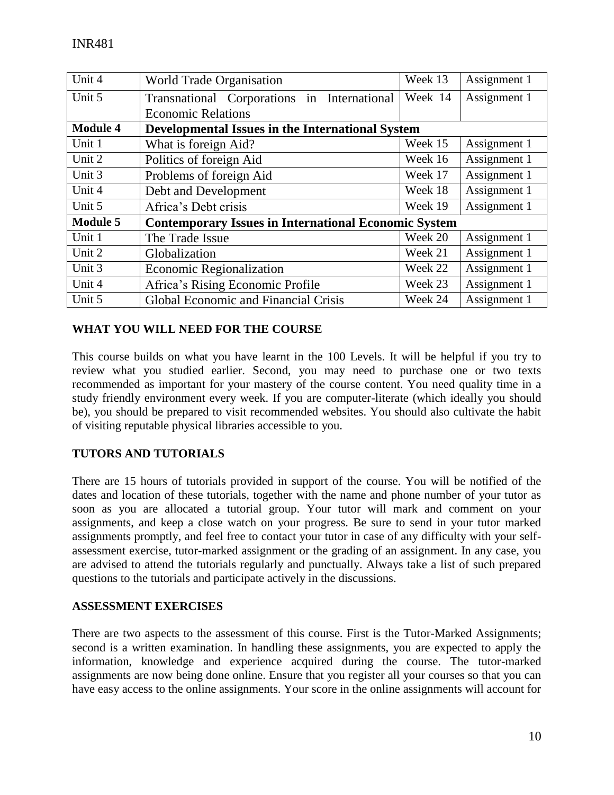| Unit 4          | World Trade Organisation                                    | Week 13 | Assignment 1 |
|-----------------|-------------------------------------------------------------|---------|--------------|
| Unit 5          | Transnational Corporations in International                 | Week 14 | Assignment 1 |
|                 | <b>Economic Relations</b>                                   |         |              |
| <b>Module 4</b> | Developmental Issues in the International System            |         |              |
| Unit 1          | What is foreign Aid?                                        | Week 15 | Assignment 1 |
| Unit 2          | Politics of foreign Aid                                     | Week 16 | Assignment 1 |
| Unit 3          | Problems of foreign Aid                                     | Week 17 | Assignment 1 |
| Unit 4          | Debt and Development                                        | Week 18 | Assignment 1 |
| Unit 5          | Africa's Debt crisis                                        | Week 19 | Assignment 1 |
| <b>Module 5</b> | <b>Contemporary Issues in International Economic System</b> |         |              |
| Unit 1          | The Trade Issue                                             | Week 20 | Assignment 1 |
| Unit 2          | Globalization                                               | Week 21 | Assignment 1 |
| Unit 3          | <b>Economic Regionalization</b>                             | Week 22 | Assignment 1 |
| Unit 4          | Africa's Rising Economic Profile                            | Week 23 | Assignment 1 |
| Unit 5          | Global Economic and Financial Crisis                        | Week 24 | Assignment 1 |

#### **WHAT YOU WILL NEED FOR THE COURSE**

This course builds on what you have learnt in the 100 Levels. It will be helpful if you try to review what you studied earlier. Second, you may need to purchase one or two texts recommended as important for your mastery of the course content. You need quality time in a study friendly environment every week. If you are computer-literate (which ideally you should be), you should be prepared to visit recommended websites. You should also cultivate the habit of visiting reputable physical libraries accessible to you.

#### **TUTORS AND TUTORIALS**

There are 15 hours of tutorials provided in support of the course. You will be notified of the dates and location of these tutorials, together with the name and phone number of your tutor as soon as you are allocated a tutorial group. Your tutor will mark and comment on your assignments, and keep a close watch on your progress. Be sure to send in your tutor marked assignments promptly, and feel free to contact your tutor in case of any difficulty with your selfassessment exercise, tutor-marked assignment or the grading of an assignment. In any case, you are advised to attend the tutorials regularly and punctually. Always take a list of such prepared questions to the tutorials and participate actively in the discussions.

#### **ASSESSMENT EXERCISES**

There are two aspects to the assessment of this course. First is the Tutor-Marked Assignments; second is a written examination. In handling these assignments, you are expected to apply the information, knowledge and experience acquired during the course. The tutor-marked assignments are now being done online. Ensure that you register all your courses so that you can have easy access to the online assignments. Your score in the online assignments will account for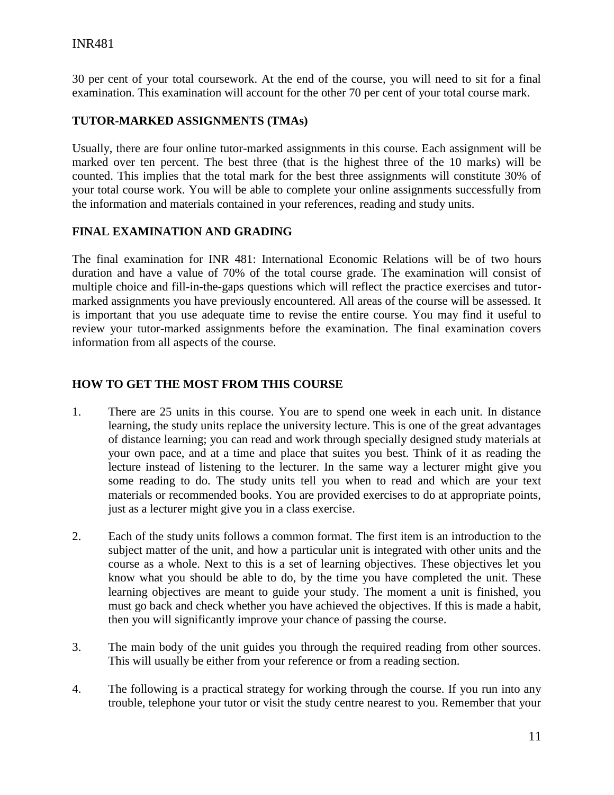30 per cent of your total coursework. At the end of the course, you will need to sit for a final examination. This examination will account for the other 70 per cent of your total course mark.

#### **TUTOR-MARKED ASSIGNMENTS (TMAs)**

Usually, there are four online tutor-marked assignments in this course. Each assignment will be marked over ten percent. The best three (that is the highest three of the 10 marks) will be counted. This implies that the total mark for the best three assignments will constitute 30% of your total course work. You will be able to complete your online assignments successfully from the information and materials contained in your references, reading and study units.

#### **FINAL EXAMINATION AND GRADING**

The final examination for INR 481: International Economic Relations will be of two hours duration and have a value of 70% of the total course grade. The examination will consist of multiple choice and fill-in-the-gaps questions which will reflect the practice exercises and tutormarked assignments you have previously encountered. All areas of the course will be assessed. It is important that you use adequate time to revise the entire course. You may find it useful to review your tutor-marked assignments before the examination. The final examination covers information from all aspects of the course.

#### **HOW TO GET THE MOST FROM THIS COURSE**

- 1. There are 25 units in this course. You are to spend one week in each unit. In distance learning, the study units replace the university lecture. This is one of the great advantages of distance learning; you can read and work through specially designed study materials at your own pace, and at a time and place that suites you best. Think of it as reading the lecture instead of listening to the lecturer. In the same way a lecturer might give you some reading to do. The study units tell you when to read and which are your text materials or recommended books. You are provided exercises to do at appropriate points, just as a lecturer might give you in a class exercise.
- 2. Each of the study units follows a common format. The first item is an introduction to the subject matter of the unit, and how a particular unit is integrated with other units and the course as a whole. Next to this is a set of learning objectives. These objectives let you know what you should be able to do, by the time you have completed the unit. These learning objectives are meant to guide your study. The moment a unit is finished, you must go back and check whether you have achieved the objectives. If this is made a habit, then you will significantly improve your chance of passing the course.
- 3. The main body of the unit guides you through the required reading from other sources. This will usually be either from your reference or from a reading section.
- 4. The following is a practical strategy for working through the course. If you run into any trouble, telephone your tutor or visit the study centre nearest to you. Remember that your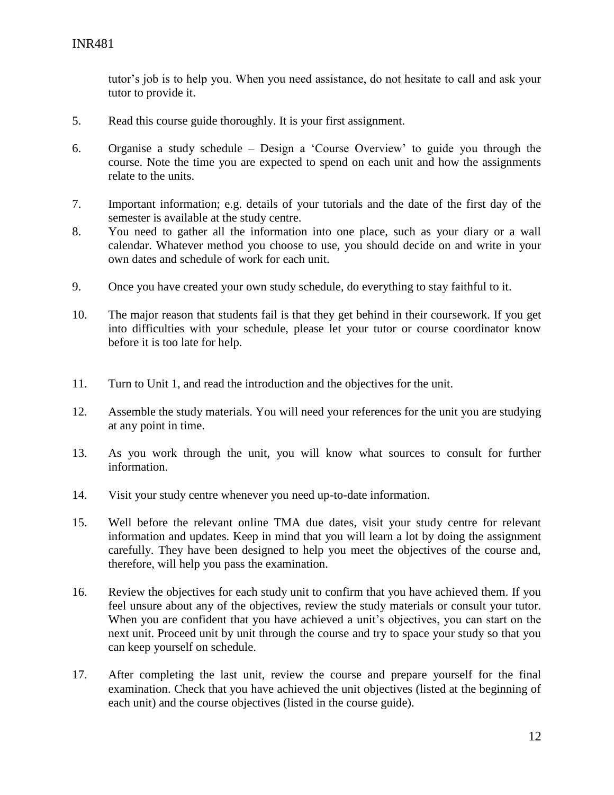tutor's job is to help you. When you need assistance, do not hesitate to call and ask your tutor to provide it.

- 5. Read this course guide thoroughly. It is your first assignment.
- 6. Organise a study schedule Design a 'Course Overview' to guide you through the course. Note the time you are expected to spend on each unit and how the assignments relate to the units.
- 7. Important information; e.g. details of your tutorials and the date of the first day of the semester is available at the study centre.
- 8. You need to gather all the information into one place, such as your diary or a wall calendar. Whatever method you choose to use, you should decide on and write in your own dates and schedule of work for each unit.
- 9. Once you have created your own study schedule, do everything to stay faithful to it.
- 10. The major reason that students fail is that they get behind in their coursework. If you get into difficulties with your schedule, please let your tutor or course coordinator know before it is too late for help.
- 11. Turn to Unit 1, and read the introduction and the objectives for the unit.
- 12. Assemble the study materials. You will need your references for the unit you are studying at any point in time.
- 13. As you work through the unit, you will know what sources to consult for further information.
- 14. Visit your study centre whenever you need up-to-date information.
- 15. Well before the relevant online TMA due dates, visit your study centre for relevant information and updates. Keep in mind that you will learn a lot by doing the assignment carefully. They have been designed to help you meet the objectives of the course and, therefore, will help you pass the examination.
- 16. Review the objectives for each study unit to confirm that you have achieved them. If you feel unsure about any of the objectives, review the study materials or consult your tutor. When you are confident that you have achieved a unit's objectives, you can start on the next unit. Proceed unit by unit through the course and try to space your study so that you can keep yourself on schedule.
- 17. After completing the last unit, review the course and prepare yourself for the final examination. Check that you have achieved the unit objectives (listed at the beginning of each unit) and the course objectives (listed in the course guide).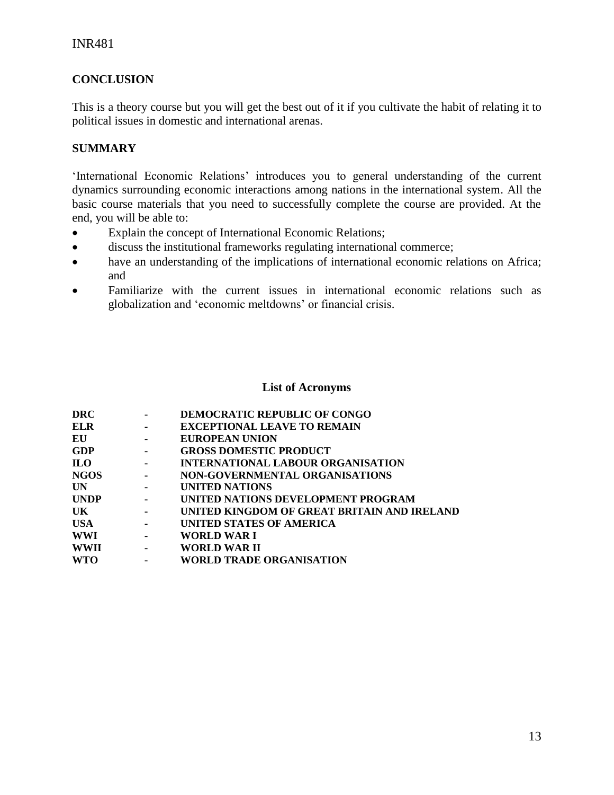#### **CONCLUSION**

This is a theory course but you will get the best out of it if you cultivate the habit of relating it to political issues in domestic and international arenas.

#### **SUMMARY**

'International Economic Relations' introduces you to general understanding of the current dynamics surrounding economic interactions among nations in the international system. All the basic course materials that you need to successfully complete the course are provided. At the end, you will be able to:

- Explain the concept of International Economic Relations;
- discuss the institutional frameworks regulating international commerce;
- have an understanding of the implications of international economic relations on Africa; and
- Familiarize with the current issues in international economic relations such as globalization and 'economic meltdowns' or financial crisis.

#### **List of Acronyms**

| DRC         |                | DEMOCRATIC REPUBLIC OF CONGO                |
|-------------|----------------|---------------------------------------------|
| <b>ELR</b>  |                | <b>EXCEPTIONAL LEAVE TO REMAIN</b>          |
| EU          | $\blacksquare$ | <b>EUROPEAN UNION</b>                       |
| GDP         |                | <b>GROSS DOMESTIC PRODUCT</b>               |
| ILO         |                | <b>INTERNATIONAL LABOUR ORGANISATION</b>    |
| <b>NGOS</b> |                | NON-GOVERNMENTAL ORGANISATIONS              |
| UN          | ۰              | <b>UNITED NATIONS</b>                       |
| <b>UNDP</b> |                | UNITED NATIONS DEVELOPMENT PROGRAM          |
| UK          | $\blacksquare$ | UNITED KINGDOM OF GREAT BRITAIN AND IRELAND |
| <b>USA</b>  |                | UNITED STATES OF AMERICA                    |
| <b>WWI</b>  | $\blacksquare$ | WORLD WAR I                                 |
| <b>WWII</b> | $\blacksquare$ | <b>WORLD WAR II</b>                         |
| <b>WTO</b>  |                | WORLD TRADE ORGANISATION                    |
|             |                |                                             |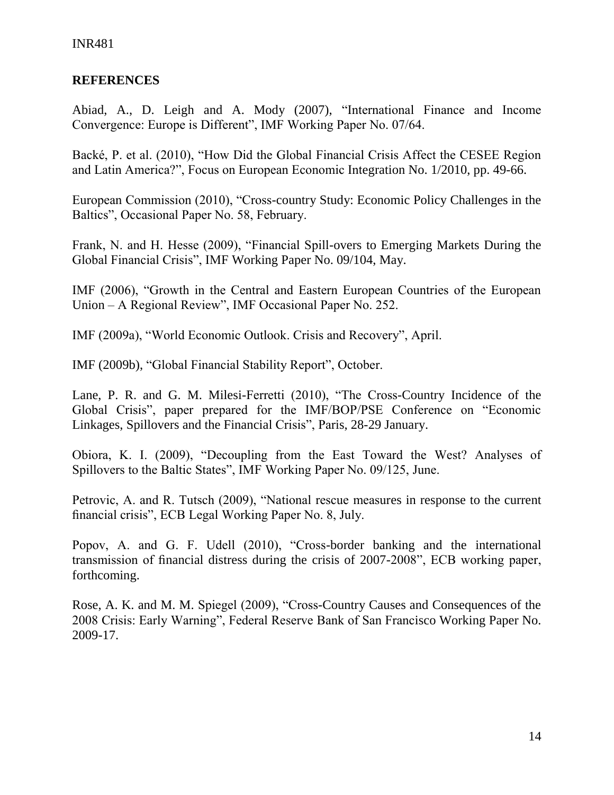### **REFERENCES**

Abiad, A., D. Leigh and A. Mody (2007), "International Finance and Income Convergence: Europe is Different", IMF Working Paper No. 07/64.

Backé, P. et al. (2010), "How Did the Global Financial Crisis Affect the CESEE Region and Latin America?", Focus on European Economic Integration No. 1/2010, pp. 49-66.

European Commission (2010), "Cross-country Study: Economic Policy Challenges in the Baltics", Occasional Paper No. 58, February.

Frank, N. and H. Hesse (2009), "Financial Spill-overs to Emerging Markets During the Global Financial Crisis", IMF Working Paper No. 09/104, May.

IMF (2006), "Growth in the Central and Eastern European Countries of the European Union – A Regional Review", IMF Occasional Paper No. 252.

IMF (2009a), "World Economic Outlook. Crisis and Recovery", April.

IMF (2009b), "Global Financial Stability Report", October.

Lane, P. R. and G. M. Milesi-Ferretti (2010), "The Cross-Country Incidence of the Global Crisis", paper prepared for the IMF/BOP/PSE Conference on "Economic Linkages, Spillovers and the Financial Crisis", Paris, 28-29 January.

Obiora, K. I. (2009), "Decoupling from the East Toward the West? Analyses of Spillovers to the Baltic States", IMF Working Paper No. 09/125, June.

Petrovic, A. and R. Tutsch (2009), "National rescue measures in response to the current financial crisis", ECB Legal Working Paper No. 8, July.

Popov, A. and G. F. Udell (2010), "Cross-border banking and the international transmission of financial distress during the crisis of 2007-2008", ECB working paper, forthcoming.

Rose, A. K. and M. M. Spiegel (2009), "Cross-Country Causes and Consequences of the 2008 Crisis: Early Warning", Federal Reserve Bank of San Francisco Working Paper No. 2009-17.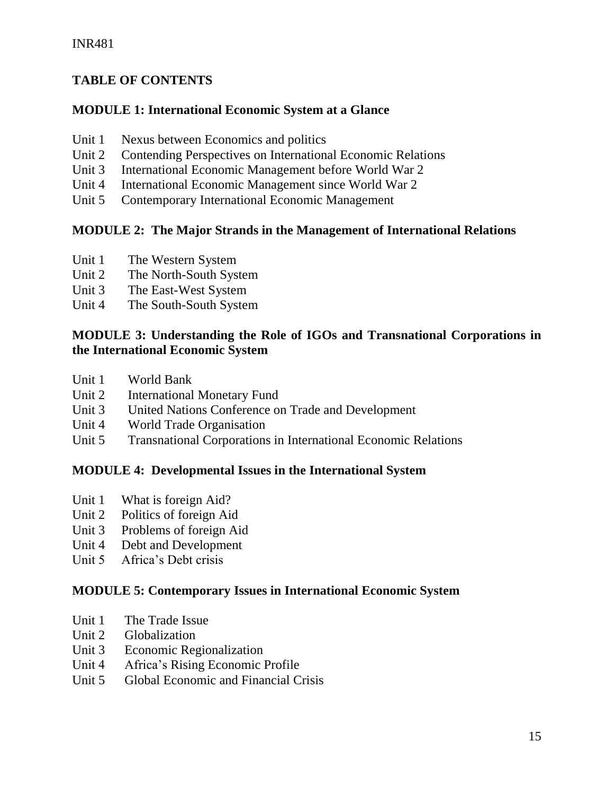## **TABLE OF CONTENTS**

## **MODULE 1: International Economic System at a Glance**

- Unit 1 Nexus between Economics and politics
- Unit 2 Contending Perspectives on International Economic Relations
- Unit 3 International Economic Management before World War 2
- Unit 4 International Economic Management since World War 2
- Unit 5 Contemporary International Economic Management

## **MODULE 2: The Major Strands in the Management of International Relations**

- Unit 1 The Western System
- Unit 2 The North-South System
- Unit 3 The East-West System
- Unit 4 The South-South System

## **MODULE 3: Understanding the Role of IGOs and Transnational Corporations in the International Economic System**

- Unit 1 World Bank
- Unit 2 International Monetary Fund
- Unit 3 United Nations Conference on Trade and Development
- Unit 4 World Trade Organisation
- Unit 5 Transnational Corporations in International Economic Relations

## **MODULE 4: Developmental Issues in the International System**

- Unit 1 What is foreign Aid?
- Unit 2 Politics of foreign Aid
- Unit 3 Problems of foreign Aid
- Unit 4 Debt and Development
- Unit 5 Africa's Debt crisis

## **MODULE 5: Contemporary Issues in International Economic System**

- Unit 1 The Trade Issue
- Unit 2 Globalization
- Unit 3 Economic Regionalization
- Unit 4 Africa's Rising Economic Profile
- Unit 5 Global Economic and Financial Crisis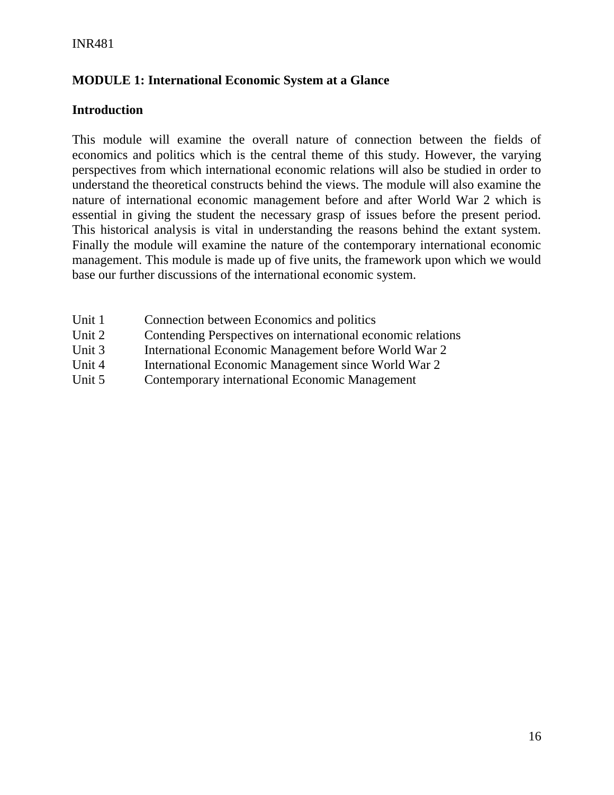## **MODULE 1: International Economic System at a Glance**

## **Introduction**

This module will examine the overall nature of connection between the fields of economics and politics which is the central theme of this study. However, the varying perspectives from which international economic relations will also be studied in order to understand the theoretical constructs behind the views. The module will also examine the nature of international economic management before and after World War 2 which is essential in giving the student the necessary grasp of issues before the present period. This historical analysis is vital in understanding the reasons behind the extant system. Finally the module will examine the nature of the contemporary international economic management. This module is made up of five units, the framework upon which we would base our further discussions of the international economic system.

- Unit 1 Connection between Economics and politics
- Unit 2 Contending Perspectives on international economic relations
- Unit 3 International Economic Management before World War 2
- Unit 4 International Economic Management since World War 2
- Unit 5 Contemporary international Economic Management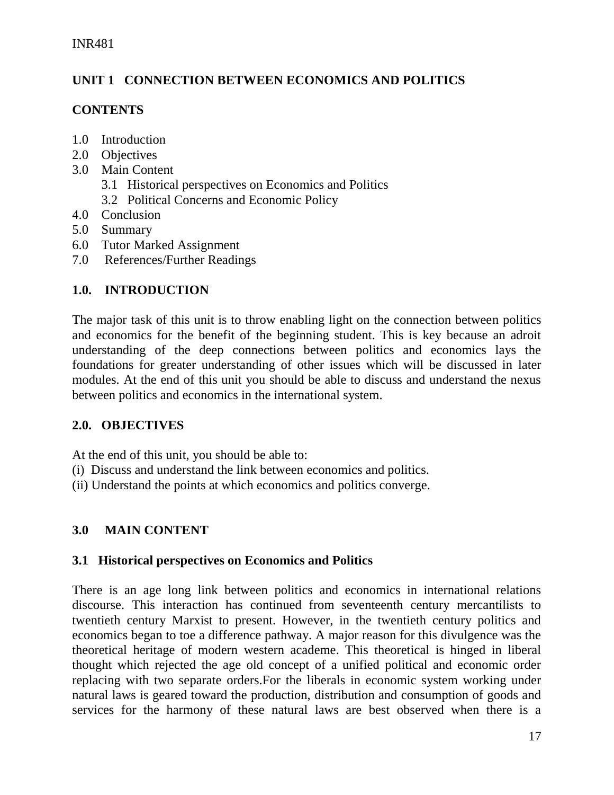## **UNIT 1 CONNECTION BETWEEN ECONOMICS AND POLITICS**

#### **CONTENTS**

- 1.0 Introduction
- 2.0 Objectives
- 3.0 Main Content
	- 3.1 Historical perspectives on Economics and Politics
	- 3.2 Political Concerns and Economic Policy
- 4.0 Conclusion
- 5.0 Summary
- 6.0 Tutor Marked Assignment
- 7.0 References/Further Readings

## **1.0. INTRODUCTION**

The major task of this unit is to throw enabling light on the connection between politics and economics for the benefit of the beginning student. This is key because an adroit understanding of the deep connections between politics and economics lays the foundations for greater understanding of other issues which will be discussed in later modules. At the end of this unit you should be able to discuss and understand the nexus between politics and economics in the international system.

### **2.0. OBJECTIVES**

At the end of this unit, you should be able to:

- (i) Discuss and understand the link between economics and politics.
- (ii) Understand the points at which economics and politics converge.

### **3.0 MAIN CONTENT**

### **3.1 Historical perspectives on Economics and Politics**

There is an age long link between politics and economics in international relations discourse. This interaction has continued from seventeenth century mercantilists to twentieth century Marxist to present. However, in the twentieth century politics and economics began to toe a difference pathway. A major reason for this divulgence was the theoretical heritage of modern western academe. This theoretical is hinged in liberal thought which rejected the age old concept of a unified political and economic order replacing with two separate orders.For the liberals in economic system working under natural laws is geared toward the production, distribution and consumption of goods and services for the harmony of these natural laws are best observed when there is a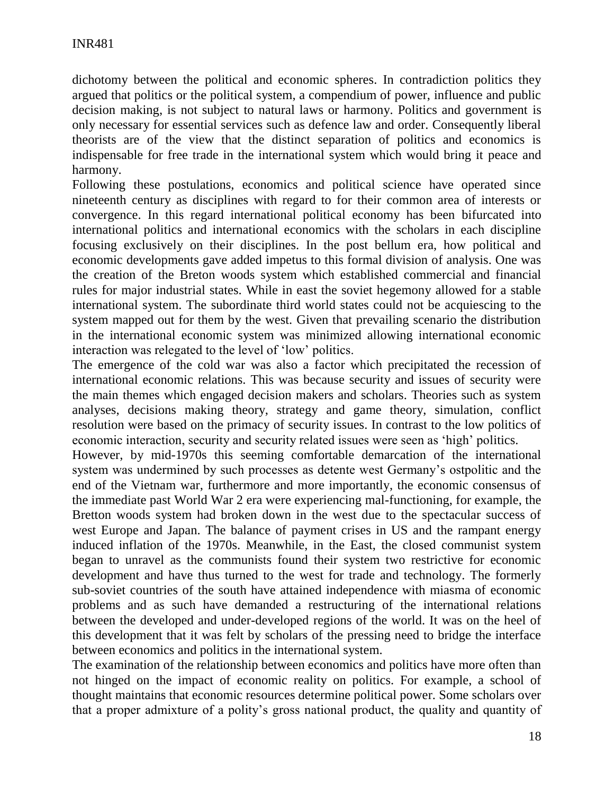dichotomy between the political and economic spheres. In contradiction politics they argued that politics or the political system, a compendium of power, influence and public decision making, is not subject to natural laws or harmony. Politics and government is only necessary for essential services such as defence law and order. Consequently liberal theorists are of the view that the distinct separation of politics and economics is indispensable for free trade in the international system which would bring it peace and harmony.

Following these postulations, economics and political science have operated since nineteenth century as disciplines with regard to for their common area of interests or convergence. In this regard international political economy has been bifurcated into international politics and international economics with the scholars in each discipline focusing exclusively on their disciplines. In the post bellum era, how political and economic developments gave added impetus to this formal division of analysis. One was the creation of the Breton woods system which established commercial and financial rules for major industrial states. While in east the soviet hegemony allowed for a stable international system. The subordinate third world states could not be acquiescing to the system mapped out for them by the west. Given that prevailing scenario the distribution in the international economic system was minimized allowing international economic interaction was relegated to the level of 'low' politics.

The emergence of the cold war was also a factor which precipitated the recession of international economic relations. This was because security and issues of security were the main themes which engaged decision makers and scholars. Theories such as system analyses, decisions making theory, strategy and game theory, simulation, conflict resolution were based on the primacy of security issues. In contrast to the low politics of economic interaction, security and security related issues were seen as 'high' politics.

However, by mid-1970s this seeming comfortable demarcation of the international system was undermined by such processes as detente west Germany's ostpolitic and the end of the Vietnam war, furthermore and more importantly, the economic consensus of the immediate past World War 2 era were experiencing mal-functioning, for example, the Bretton woods system had broken down in the west due to the spectacular success of west Europe and Japan. The balance of payment crises in US and the rampant energy induced inflation of the 1970s. Meanwhile, in the East, the closed communist system began to unravel as the communists found their system two restrictive for economic development and have thus turned to the west for trade and technology. The formerly sub-soviet countries of the south have attained independence with miasma of economic problems and as such have demanded a restructuring of the international relations between the developed and under-developed regions of the world. It was on the heel of this development that it was felt by scholars of the pressing need to bridge the interface between economics and politics in the international system.

The examination of the relationship between economics and politics have more often than not hinged on the impact of economic reality on politics. For example, a school of thought maintains that economic resources determine political power. Some scholars over that a proper admixture of a polity's gross national product, the quality and quantity of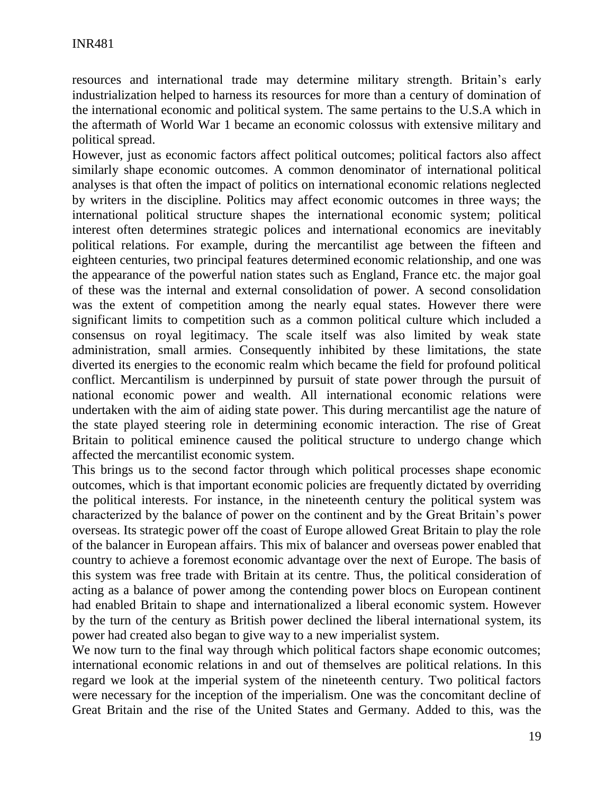resources and international trade may determine military strength. Britain's early industrialization helped to harness its resources for more than a century of domination of the international economic and political system. The same pertains to the U.S.A which in the aftermath of World War 1 became an economic colossus with extensive military and political spread.

However, just as economic factors affect political outcomes; political factors also affect similarly shape economic outcomes. A common denominator of international political analyses is that often the impact of politics on international economic relations neglected by writers in the discipline. Politics may affect economic outcomes in three ways; the international political structure shapes the international economic system; political interest often determines strategic polices and international economics are inevitably political relations. For example, during the mercantilist age between the fifteen and eighteen centuries, two principal features determined economic relationship, and one was the appearance of the powerful nation states such as England, France etc. the major goal of these was the internal and external consolidation of power. A second consolidation was the extent of competition among the nearly equal states. However there were significant limits to competition such as a common political culture which included a consensus on royal legitimacy. The scale itself was also limited by weak state administration, small armies. Consequently inhibited by these limitations, the state diverted its energies to the economic realm which became the field for profound political conflict. Mercantilism is underpinned by pursuit of state power through the pursuit of national economic power and wealth. All international economic relations were undertaken with the aim of aiding state power. This during mercantilist age the nature of the state played steering role in determining economic interaction. The rise of Great Britain to political eminence caused the political structure to undergo change which affected the mercantilist economic system.

This brings us to the second factor through which political processes shape economic outcomes, which is that important economic policies are frequently dictated by overriding the political interests. For instance, in the nineteenth century the political system was characterized by the balance of power on the continent and by the Great Britain's power overseas. Its strategic power off the coast of Europe allowed Great Britain to play the role of the balancer in European affairs. This mix of balancer and overseas power enabled that country to achieve a foremost economic advantage over the next of Europe. The basis of this system was free trade with Britain at its centre. Thus, the political consideration of acting as a balance of power among the contending power blocs on European continent had enabled Britain to shape and internationalized a liberal economic system. However by the turn of the century as British power declined the liberal international system, its power had created also began to give way to a new imperialist system.

We now turn to the final way through which political factors shape economic outcomes; international economic relations in and out of themselves are political relations. In this regard we look at the imperial system of the nineteenth century. Two political factors were necessary for the inception of the imperialism. One was the concomitant decline of Great Britain and the rise of the United States and Germany. Added to this, was the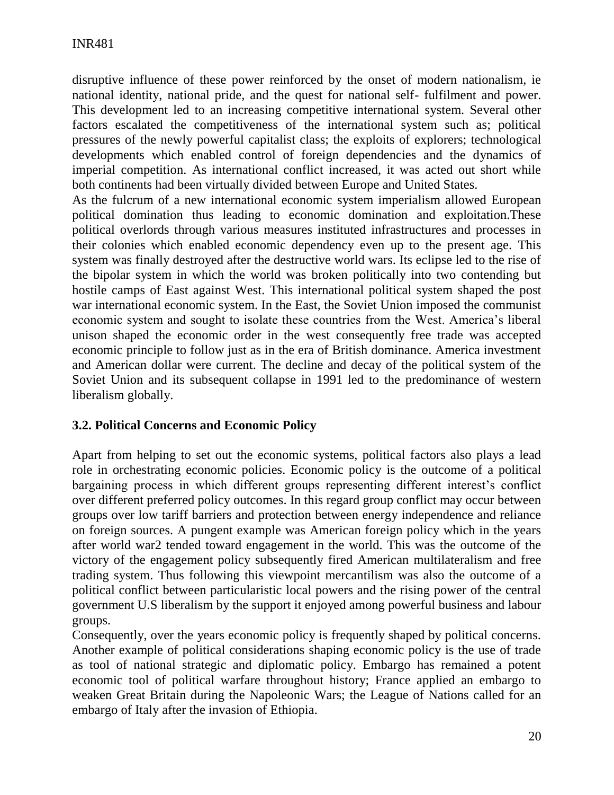disruptive influence of these power reinforced by the onset of modern nationalism, ie national identity, national pride, and the quest for national self- fulfilment and power. This development led to an increasing competitive international system. Several other factors escalated the competitiveness of the international system such as; political pressures of the newly powerful capitalist class; the exploits of explorers; technological developments which enabled control of foreign dependencies and the dynamics of imperial competition. As international conflict increased, it was acted out short while both continents had been virtually divided between Europe and United States.

As the fulcrum of a new international economic system imperialism allowed European political domination thus leading to economic domination and exploitation.These political overlords through various measures instituted infrastructures and processes in their colonies which enabled economic dependency even up to the present age. This system was finally destroyed after the destructive world wars. Its eclipse led to the rise of the bipolar system in which the world was broken politically into two contending but hostile camps of East against West. This international political system shaped the post war international economic system. In the East, the Soviet Union imposed the communist economic system and sought to isolate these countries from the West. America's liberal unison shaped the economic order in the west consequently free trade was accepted economic principle to follow just as in the era of British dominance. America investment and American dollar were current. The decline and decay of the political system of the Soviet Union and its subsequent collapse in 1991 led to the predominance of western liberalism globally.

### **3.2. Political Concerns and Economic Policy**

Apart from helping to set out the economic systems, political factors also plays a lead role in orchestrating economic policies. Economic policy is the outcome of a political bargaining process in which different groups representing different interest's conflict over different preferred policy outcomes. In this regard group conflict may occur between groups over low tariff barriers and protection between energy independence and reliance on foreign sources. A pungent example was American foreign policy which in the years after world war2 tended toward engagement in the world. This was the outcome of the victory of the engagement policy subsequently fired American multilateralism and free trading system. Thus following this viewpoint mercantilism was also the outcome of a political conflict between particularistic local powers and the rising power of the central government U.S liberalism by the support it enjoyed among powerful business and labour groups.

Consequently, over the years economic policy is frequently shaped by political concerns. Another example of political considerations shaping economic policy is the use of trade as tool of national strategic and diplomatic policy. Embargo has remained a potent economic tool of political warfare throughout history; France applied an embargo to weaken Great Britain during the Napoleonic Wars; the League of Nations called for an embargo of Italy after the invasion of Ethiopia.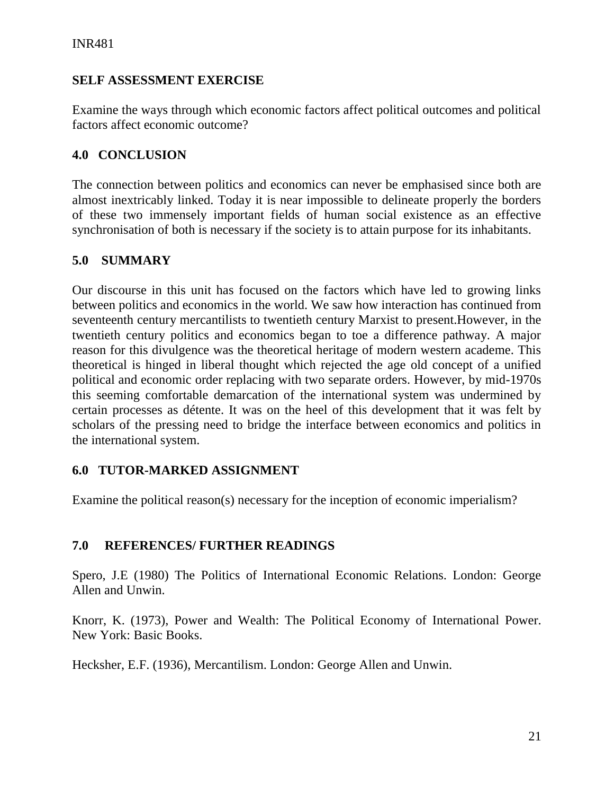## **SELF ASSESSMENT EXERCISE**

Examine the ways through which economic factors affect political outcomes and political factors affect economic outcome?

## **4.0 CONCLUSION**

The connection between politics and economics can never be emphasised since both are almost inextricably linked. Today it is near impossible to delineate properly the borders of these two immensely important fields of human social existence as an effective synchronisation of both is necessary if the society is to attain purpose for its inhabitants.

### **5.0 SUMMARY**

Our discourse in this unit has focused on the factors which have led to growing links between politics and economics in the world. We saw how interaction has continued from seventeenth century mercantilists to twentieth century Marxist to present.However, in the twentieth century politics and economics began to toe a difference pathway. A major reason for this divulgence was the theoretical heritage of modern western academe. This theoretical is hinged in liberal thought which rejected the age old concept of a unified political and economic order replacing with two separate orders. However, by mid-1970s this seeming comfortable demarcation of the international system was undermined by certain processes as détente. It was on the heel of this development that it was felt by scholars of the pressing need to bridge the interface between economics and politics in the international system.

### **6.0 TUTOR-MARKED ASSIGNMENT**

Examine the political reason(s) necessary for the inception of economic imperialism?

### **7.0 REFERENCES/ FURTHER READINGS**

Spero, J.E (1980) The Politics of International Economic Relations. London: George Allen and Unwin.

Knorr, K. (1973), Power and Wealth: The Political Economy of International Power. New York: Basic Books.

Hecksher, E.F. (1936), Mercantilism. London: George Allen and Unwin.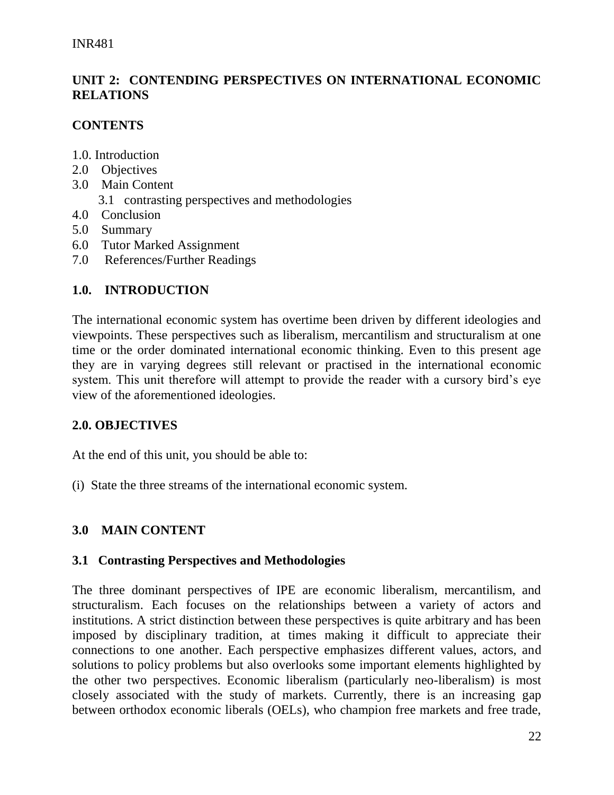## **UNIT 2: CONTENDING PERSPECTIVES ON INTERNATIONAL ECONOMIC RELATIONS**

### **CONTENTS**

- 1.0. Introduction
- 2.0 Objectives
- 3.0 Main Content
	- 3.1 contrasting perspectives and methodologies
- 4.0 Conclusion
- 5.0 Summary
- 6.0 Tutor Marked Assignment
- 7.0 References/Further Readings

### **1.0. INTRODUCTION**

The international economic system has overtime been driven by different ideologies and viewpoints. These perspectives such as liberalism, mercantilism and structuralism at one time or the order dominated international economic thinking. Even to this present age they are in varying degrees still relevant or practised in the international economic system. This unit therefore will attempt to provide the reader with a cursory bird's eye view of the aforementioned ideologies.

### **2.0. OBJECTIVES**

At the end of this unit, you should be able to:

(i) State the three streams of the international economic system.

### **3.0 MAIN CONTENT**

#### **3.1 Contrasting Perspectives and Methodologies**

The three dominant perspectives of IPE are economic liberalism, mercantilism, and structuralism. Each focuses on the relationships between a variety of actors and institutions. A strict distinction between these perspectives is quite arbitrary and has been imposed by disciplinary tradition, at times making it difficult to appreciate their connections to one another. Each perspective emphasizes different values, actors, and solutions to policy problems but also overlooks some important elements highlighted by the other two perspectives. Economic liberalism (particularly neo-liberalism) is most closely associated with the study of markets. Currently, there is an increasing gap between orthodox economic liberals (OELs), who champion free markets and free trade,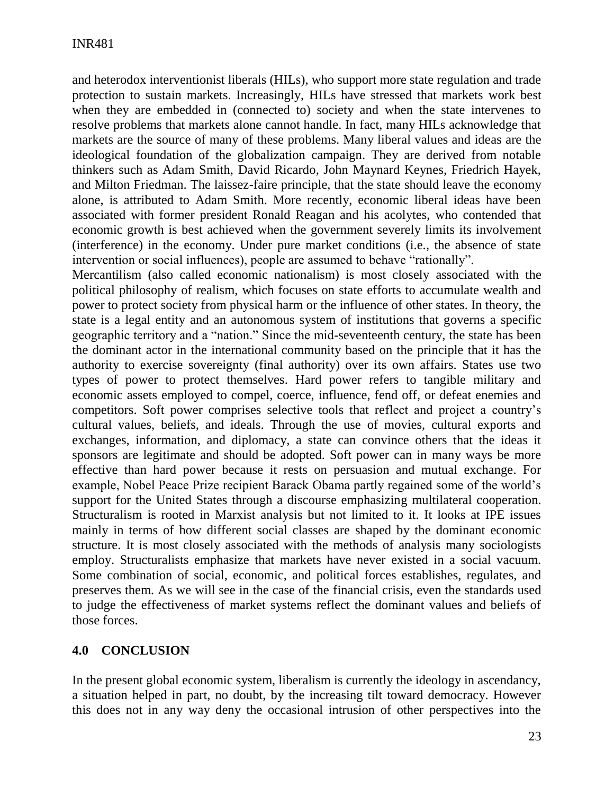and heterodox interventionist liberals (HILs), who support more state regulation and trade protection to sustain markets. Increasingly, HILs have stressed that markets work best when they are embedded in (connected to) society and when the state intervenes to resolve problems that markets alone cannot handle. In fact, many HILs acknowledge that markets are the source of many of these problems. Many liberal values and ideas are the ideological foundation of the globalization campaign. They are derived from notable thinkers such as Adam Smith, David Ricardo, John Maynard Keynes, Friedrich Hayek, and Milton Friedman. The laissez-faire principle, that the state should leave the economy alone, is attributed to Adam Smith. More recently, economic liberal ideas have been associated with former president Ronald Reagan and his acolytes, who contended that economic growth is best achieved when the government severely limits its involvement (interference) in the economy. Under pure market conditions (i.e., the absence of state intervention or social influences), people are assumed to behave "rationally".

Mercantilism (also called economic nationalism) is most closely associated with the political philosophy of realism, which focuses on state efforts to accumulate wealth and power to protect society from physical harm or the influence of other states. In theory, the state is a legal entity and an autonomous system of institutions that governs a specific geographic territory and a "nation." Since the mid-seventeenth century, the state has been the dominant actor in the international community based on the principle that it has the authority to exercise sovereignty (final authority) over its own affairs. States use two types of power to protect themselves. Hard power refers to tangible military and economic assets employed to compel, coerce, influence, fend off, or defeat enemies and competitors. Soft power comprises selective tools that reflect and project a country's cultural values, beliefs, and ideals. Through the use of movies, cultural exports and exchanges, information, and diplomacy, a state can convince others that the ideas it sponsors are legitimate and should be adopted. Soft power can in many ways be more effective than hard power because it rests on persuasion and mutual exchange. For example, Nobel Peace Prize recipient Barack Obama partly regained some of the world's support for the United States through a discourse emphasizing multilateral cooperation. Structuralism is rooted in Marxist analysis but not limited to it. It looks at IPE issues mainly in terms of how different social classes are shaped by the dominant economic structure. It is most closely associated with the methods of analysis many sociologists employ. Structuralists emphasize that markets have never existed in a social vacuum. Some combination of social, economic, and political forces establishes, regulates, and preserves them. As we will see in the case of the financial crisis, even the standards used to judge the effectiveness of market systems reflect the dominant values and beliefs of those forces.

### **4.0 CONCLUSION**

In the present global economic system, liberalism is currently the ideology in ascendancy, a situation helped in part, no doubt, by the increasing tilt toward democracy. However this does not in any way deny the occasional intrusion of other perspectives into the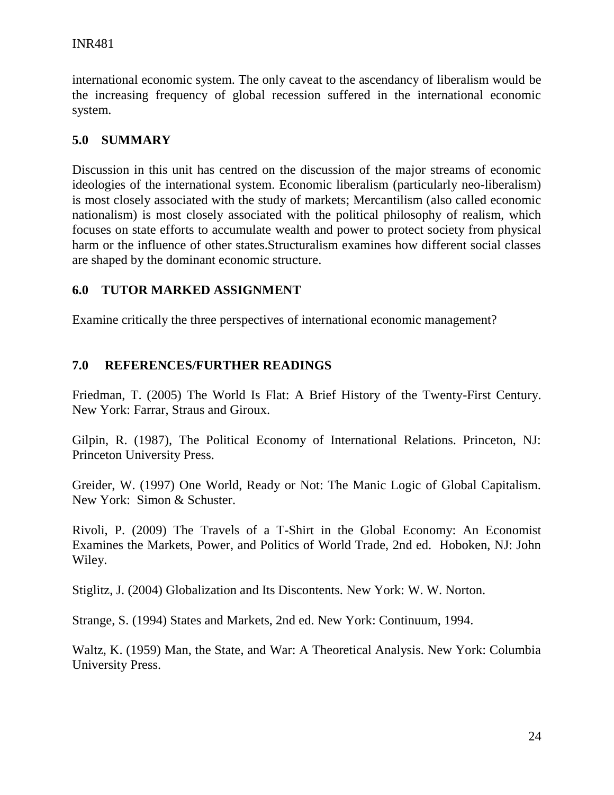international economic system. The only caveat to the ascendancy of liberalism would be the increasing frequency of global recession suffered in the international economic system.

## **5.0 SUMMARY**

Discussion in this unit has centred on the discussion of the major streams of economic ideologies of the international system. Economic liberalism (particularly neo-liberalism) is most closely associated with the study of markets; Mercantilism (also called economic nationalism) is most closely associated with the political philosophy of realism, which focuses on state efforts to accumulate wealth and power to protect society from physical harm or the influence of other states.Structuralism examines how different social classes are shaped by the dominant economic structure.

## **6.0 TUTOR MARKED ASSIGNMENT**

Examine critically the three perspectives of international economic management?

## **7.0 REFERENCES/FURTHER READINGS**

Friedman, T. (2005) The World Is Flat: A Brief History of the Twenty-First Century. New York: Farrar, Straus and Giroux.

Gilpin, R. (1987), The Political Economy of International Relations. Princeton, NJ: Princeton University Press.

Greider, W. (1997) One World, Ready or Not: The Manic Logic of Global Capitalism. New York: Simon & Schuster.

Rivoli, P. (2009) The Travels of a T-Shirt in the Global Economy: An Economist Examines the Markets, Power, and Politics of World Trade, 2nd ed. Hoboken, NJ: John Wiley.

Stiglitz, J. (2004) Globalization and Its Discontents. New York: W. W. Norton.

Strange, S. (1994) States and Markets, 2nd ed. New York: Continuum, 1994.

Waltz, K. (1959) Man, the State, and War: A Theoretical Analysis. New York: Columbia University Press.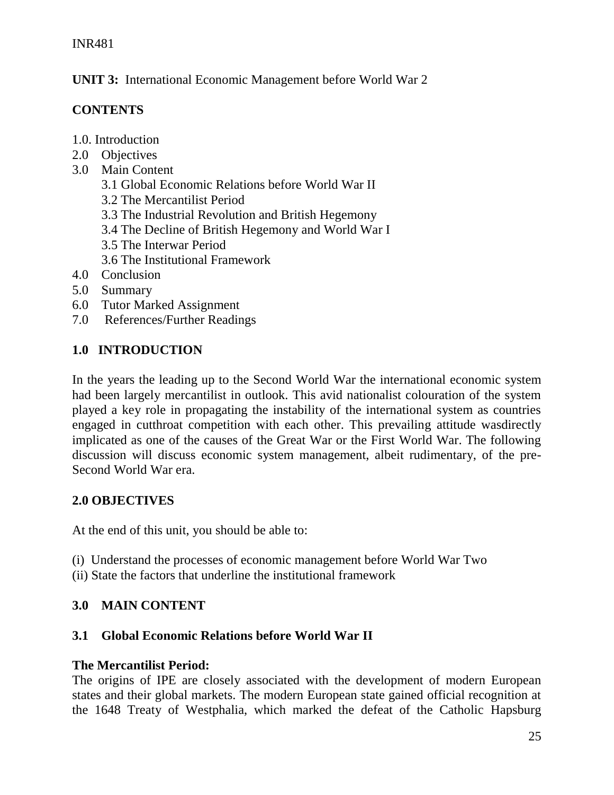**UNIT 3:** International Economic Management before World War 2

## **CONTENTS**

- 1.0. Introduction
- 2.0 Objectives
- 3.0 Main Content
	- 3.1 Global Economic Relations before World War II
	- 3.2 The Mercantilist Period
	- 3.3 The Industrial Revolution and British Hegemony
	- 3.4 The Decline of British Hegemony and World War I
	- 3.5 The Interwar Period
	- 3.6 The Institutional Framework
- 4.0 Conclusion
- 5.0 Summary
- 6.0 Tutor Marked Assignment
- 7.0 References/Further Readings

## **1.0 INTRODUCTION**

In the years the leading up to the Second World War the international economic system had been largely mercantilist in outlook. This avid nationalist colouration of the system played a key role in propagating the instability of the international system as countries engaged in cutthroat competition with each other. This prevailing attitude wasdirectly implicated as one of the causes of the Great War or the First World War. The following discussion will discuss economic system management, albeit rudimentary, of the pre-Second World War era.

## **2.0 OBJECTIVES**

At the end of this unit, you should be able to:

- (i) Understand the processes of economic management before World War Two
- (ii) State the factors that underline the institutional framework

## **3.0 MAIN CONTENT**

## **3.1 Global Economic Relations before World War II**

### **The Mercantilist Period:**

The origins of IPE are closely associated with the development of modern European states and their global markets. The modern European state gained official recognition at the 1648 Treaty of Westphalia, which marked the defeat of the Catholic Hapsburg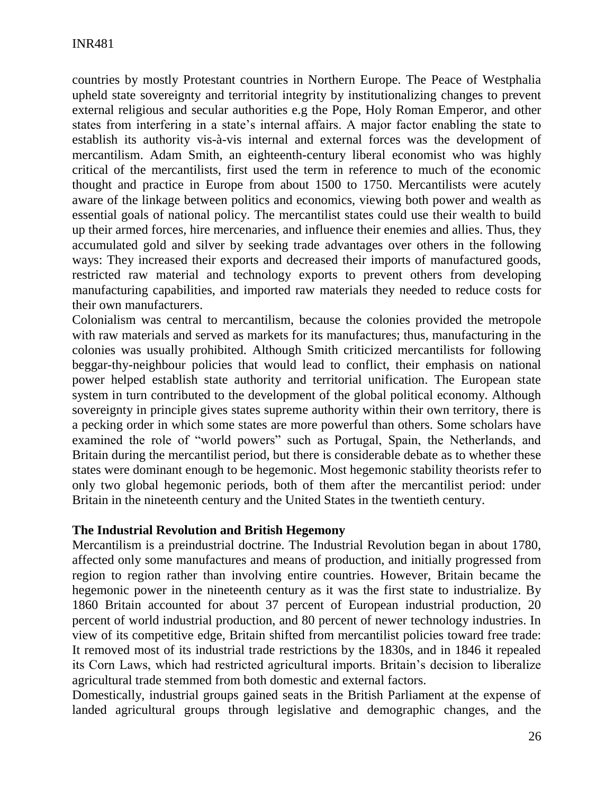countries by mostly Protestant countries in Northern Europe. The Peace of Westphalia upheld state sovereignty and territorial integrity by institutionalizing changes to prevent external religious and secular authorities e.g the Pope, Holy Roman Emperor, and other states from interfering in a state's internal affairs. A major factor enabling the state to establish its authority vis-à-vis internal and external forces was the development of mercantilism. Adam Smith, an eighteenth-century liberal economist who was highly critical of the mercantilists, first used the term in reference to much of the economic thought and practice in Europe from about 1500 to 1750. Mercantilists were acutely aware of the linkage between politics and economics, viewing both power and wealth as essential goals of national policy. The mercantilist states could use their wealth to build up their armed forces, hire mercenaries, and influence their enemies and allies. Thus, they accumulated gold and silver by seeking trade advantages over others in the following ways: They increased their exports and decreased their imports of manufactured goods, restricted raw material and technology exports to prevent others from developing manufacturing capabilities, and imported raw materials they needed to reduce costs for their own manufacturers.

Colonialism was central to mercantilism, because the colonies provided the metropole with raw materials and served as markets for its manufactures; thus, manufacturing in the colonies was usually prohibited. Although Smith criticized mercantilists for following beggar-thy-neighbour policies that would lead to conflict, their emphasis on national power helped establish state authority and territorial unification. The European state system in turn contributed to the development of the global political economy. Although sovereignty in principle gives states supreme authority within their own territory, there is a pecking order in which some states are more powerful than others. Some scholars have examined the role of "world powers" such as Portugal, Spain, the Netherlands, and Britain during the mercantilist period, but there is considerable debate as to whether these states were dominant enough to be hegemonic. Most hegemonic stability theorists refer to only two global hegemonic periods, both of them after the mercantilist period: under Britain in the nineteenth century and the United States in the twentieth century.

#### **The Industrial Revolution and British Hegemony**

Mercantilism is a preindustrial doctrine. The Industrial Revolution began in about 1780, affected only some manufactures and means of production, and initially progressed from region to region rather than involving entire countries. However, Britain became the hegemonic power in the nineteenth century as it was the first state to industrialize. By 1860 Britain accounted for about 37 percent of European industrial production, 20 percent of world industrial production, and 80 percent of newer technology industries. In view of its competitive edge, Britain shifted from mercantilist policies toward free trade: It removed most of its industrial trade restrictions by the 1830s, and in 1846 it repealed its Corn Laws, which had restricted agricultural imports. Britain's decision to liberalize agricultural trade stemmed from both domestic and external factors.

Domestically, industrial groups gained seats in the British Parliament at the expense of landed agricultural groups through legislative and demographic changes, and the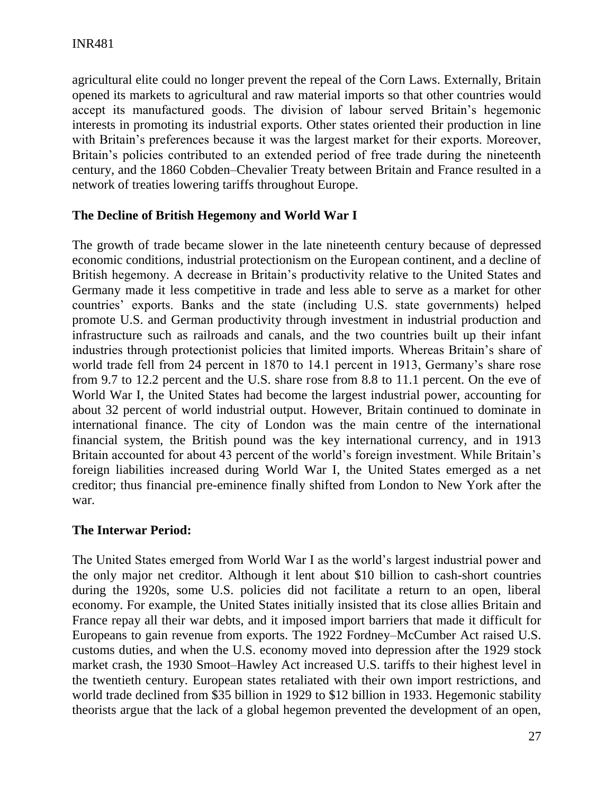agricultural elite could no longer prevent the repeal of the Corn Laws. Externally, Britain opened its markets to agricultural and raw material imports so that other countries would accept its manufactured goods. The division of labour served Britain's hegemonic interests in promoting its industrial exports. Other states oriented their production in line with Britain's preferences because it was the largest market for their exports. Moreover, Britain's policies contributed to an extended period of free trade during the nineteenth century, and the 1860 Cobden–Chevalier Treaty between Britain and France resulted in a network of treaties lowering tariffs throughout Europe.

## **The Decline of British Hegemony and World War I**

The growth of trade became slower in the late nineteenth century because of depressed economic conditions, industrial protectionism on the European continent, and a decline of British hegemony. A decrease in Britain's productivity relative to the United States and Germany made it less competitive in trade and less able to serve as a market for other countries' exports. Banks and the state (including U.S. state governments) helped promote U.S. and German productivity through investment in industrial production and infrastructure such as railroads and canals, and the two countries built up their infant industries through protectionist policies that limited imports. Whereas Britain's share of world trade fell from 24 percent in 1870 to 14.1 percent in 1913, Germany's share rose from 9.7 to 12.2 percent and the U.S. share rose from 8.8 to 11.1 percent. On the eve of World War I, the United States had become the largest industrial power, accounting for about 32 percent of world industrial output. However, Britain continued to dominate in international finance. The city of London was the main centre of the international financial system, the British pound was the key international currency, and in 1913 Britain accounted for about 43 percent of the world's foreign investment. While Britain's foreign liabilities increased during World War I, the United States emerged as a net creditor; thus financial pre-eminence finally shifted from London to New York after the war.

### **The Interwar Period:**

The United States emerged from World War I as the world's largest industrial power and the only major net creditor. Although it lent about \$10 billion to cash-short countries during the 1920s, some U.S. policies did not facilitate a return to an open, liberal economy. For example, the United States initially insisted that its close allies Britain and France repay all their war debts, and it imposed import barriers that made it difficult for Europeans to gain revenue from exports. The 1922 Fordney–McCumber Act raised U.S. customs duties, and when the U.S. economy moved into depression after the 1929 stock market crash, the 1930 Smoot–Hawley Act increased U.S. tariffs to their highest level in the twentieth century. European states retaliated with their own import restrictions, and world trade declined from \$35 billion in 1929 to \$12 billion in 1933. Hegemonic stability theorists argue that the lack of a global hegemon prevented the development of an open,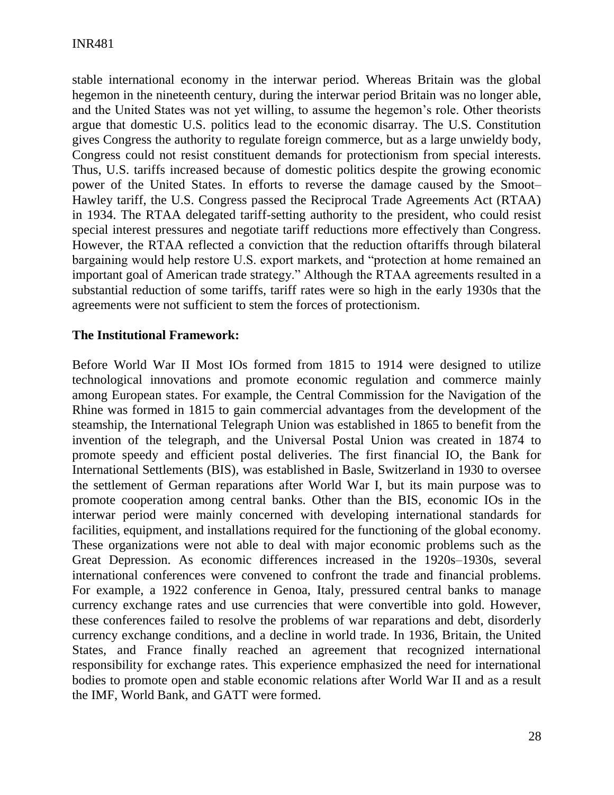stable international economy in the interwar period. Whereas Britain was the global hegemon in the nineteenth century, during the interwar period Britain was no longer able, and the United States was not yet willing, to assume the hegemon's role. Other theorists argue that domestic U.S. politics lead to the economic disarray. The U.S. Constitution gives Congress the authority to regulate foreign commerce, but as a large unwieldy body, Congress could not resist constituent demands for protectionism from special interests. Thus, U.S. tariffs increased because of domestic politics despite the growing economic power of the United States. In efforts to reverse the damage caused by the Smoot– Hawley tariff, the U.S. Congress passed the Reciprocal Trade Agreements Act (RTAA) in 1934. The RTAA delegated tariff-setting authority to the president, who could resist special interest pressures and negotiate tariff reductions more effectively than Congress. However, the RTAA reflected a conviction that the reduction oftariffs through bilateral bargaining would help restore U.S. export markets, and "protection at home remained an important goal of American trade strategy." Although the RTAA agreements resulted in a substantial reduction of some tariffs, tariff rates were so high in the early 1930s that the agreements were not sufficient to stem the forces of protectionism.

### **The Institutional Framework:**

Before World War II Most IOs formed from 1815 to 1914 were designed to utilize technological innovations and promote economic regulation and commerce mainly among European states. For example, the Central Commission for the Navigation of the Rhine was formed in 1815 to gain commercial advantages from the development of the steamship, the International Telegraph Union was established in 1865 to benefit from the invention of the telegraph, and the Universal Postal Union was created in 1874 to promote speedy and efficient postal deliveries. The first financial IO, the Bank for International Settlements (BIS), was established in Basle, Switzerland in 1930 to oversee the settlement of German reparations after World War I, but its main purpose was to promote cooperation among central banks. Other than the BIS, economic IOs in the interwar period were mainly concerned with developing international standards for facilities, equipment, and installations required for the functioning of the global economy. These organizations were not able to deal with major economic problems such as the Great Depression. As economic differences increased in the 1920s–1930s, several international conferences were convened to confront the trade and financial problems. For example, a 1922 conference in Genoa, Italy, pressured central banks to manage currency exchange rates and use currencies that were convertible into gold. However, these conferences failed to resolve the problems of war reparations and debt, disorderly currency exchange conditions, and a decline in world trade. In 1936, Britain, the United States, and France finally reached an agreement that recognized international responsibility for exchange rates. This experience emphasized the need for international bodies to promote open and stable economic relations after World War II and as a result the IMF, World Bank, and GATT were formed.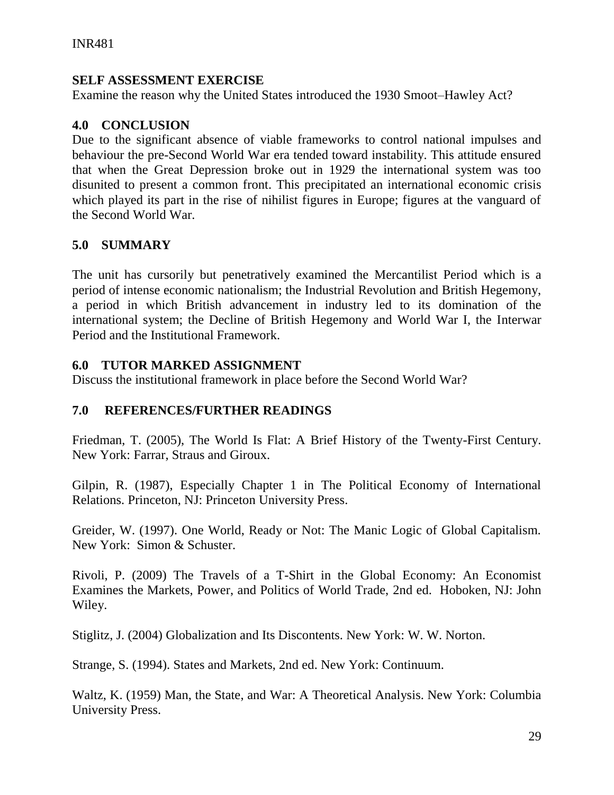#### **SELF ASSESSMENT EXERCISE**

Examine the reason why the United States introduced the 1930 Smoot–Hawley Act?

#### **4.0 CONCLUSION**

Due to the significant absence of viable frameworks to control national impulses and behaviour the pre-Second World War era tended toward instability. This attitude ensured that when the Great Depression broke out in 1929 the international system was too disunited to present a common front. This precipitated an international economic crisis which played its part in the rise of nihilist figures in Europe; figures at the vanguard of the Second World War.

### **5.0 SUMMARY**

The unit has cursorily but penetratively examined the Mercantilist Period which is a period of intense economic nationalism; the Industrial Revolution and British Hegemony, a period in which British advancement in industry led to its domination of the international system; the Decline of British Hegemony and World War I, the Interwar Period and the Institutional Framework.

#### **6.0 TUTOR MARKED ASSIGNMENT**

Discuss the institutional framework in place before the Second World War?

### **7.0 REFERENCES/FURTHER READINGS**

Friedman, T. (2005), The World Is Flat: A Brief History of the Twenty-First Century. New York: Farrar, Straus and Giroux.

Gilpin, R. (1987), Especially Chapter 1 in The Political Economy of International Relations. Princeton, NJ: Princeton University Press.

Greider, W. (1997). One World, Ready or Not: The Manic Logic of Global Capitalism. New York: Simon & Schuster.

Rivoli, P. (2009) The Travels of a T-Shirt in the Global Economy: An Economist Examines the Markets, Power, and Politics of World Trade, 2nd ed. Hoboken, NJ: John Wiley.

Stiglitz, J. (2004) Globalization and Its Discontents. New York: W. W. Norton.

Strange, S. (1994). States and Markets, 2nd ed. New York: Continuum.

Waltz, K. (1959) Man, the State, and War: A Theoretical Analysis. New York: Columbia University Press.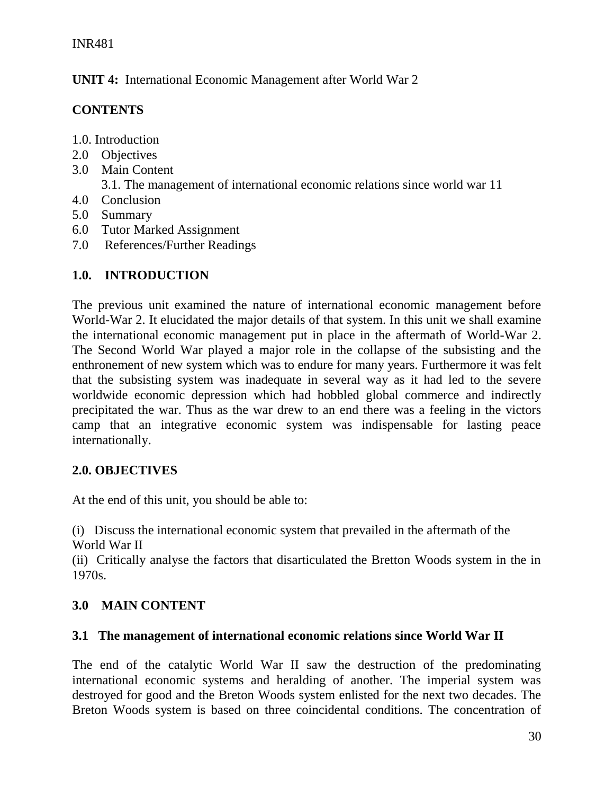**UNIT 4:** International Economic Management after World War 2

## **CONTENTS**

- 1.0. Introduction
- 2.0 Objectives
- 3.0 Main Content

3.1. The management of international economic relations since world war 11

- 4.0 Conclusion
- 5.0 Summary
- 6.0 Tutor Marked Assignment
- 7.0 References/Further Readings

## **1.0. INTRODUCTION**

The previous unit examined the nature of international economic management before World-War 2. It elucidated the major details of that system. In this unit we shall examine the international economic management put in place in the aftermath of World-War 2. The Second World War played a major role in the collapse of the subsisting and the enthronement of new system which was to endure for many years. Furthermore it was felt that the subsisting system was inadequate in several way as it had led to the severe worldwide economic depression which had hobbled global commerce and indirectly precipitated the war. Thus as the war drew to an end there was a feeling in the victors camp that an integrative economic system was indispensable for lasting peace internationally.

## **2.0. OBJECTIVES**

At the end of this unit, you should be able to:

(i) Discuss the international economic system that prevailed in the aftermath of the World War II

(ii) Critically analyse the factors that disarticulated the Bretton Woods system in the in 1970s.

## **3.0 MAIN CONTENT**

## **3.1 The management of international economic relations since World War II**

The end of the catalytic World War II saw the destruction of the predominating international economic systems and heralding of another. The imperial system was destroyed for good and the Breton Woods system enlisted for the next two decades. The Breton Woods system is based on three coincidental conditions. The concentration of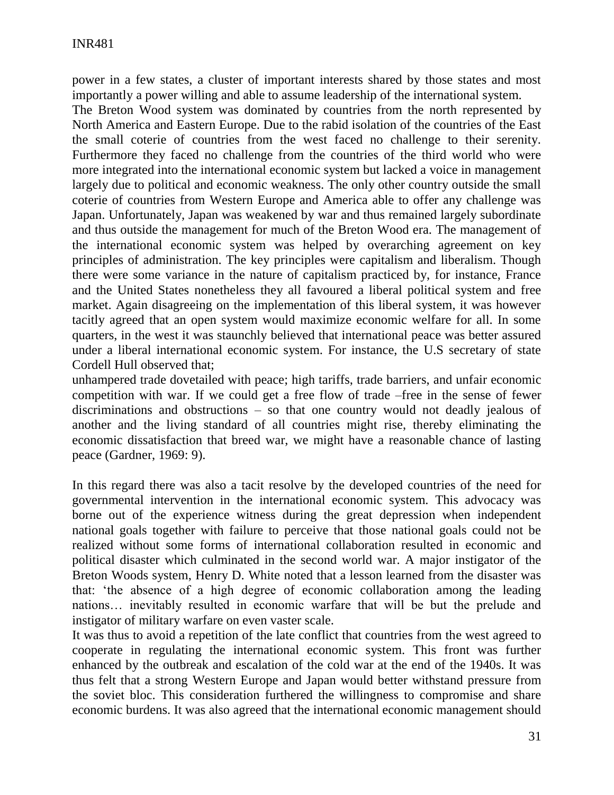power in a few states, a cluster of important interests shared by those states and most importantly a power willing and able to assume leadership of the international system.

The Breton Wood system was dominated by countries from the north represented by North America and Eastern Europe. Due to the rabid isolation of the countries of the East the small coterie of countries from the west faced no challenge to their serenity. Furthermore they faced no challenge from the countries of the third world who were more integrated into the international economic system but lacked a voice in management largely due to political and economic weakness. The only other country outside the small coterie of countries from Western Europe and America able to offer any challenge was Japan. Unfortunately, Japan was weakened by war and thus remained largely subordinate and thus outside the management for much of the Breton Wood era. The management of the international economic system was helped by overarching agreement on key principles of administration. The key principles were capitalism and liberalism. Though there were some variance in the nature of capitalism practiced by, for instance, France and the United States nonetheless they all favoured a liberal political system and free market. Again disagreeing on the implementation of this liberal system, it was however tacitly agreed that an open system would maximize economic welfare for all. In some quarters, in the west it was staunchly believed that international peace was better assured under a liberal international economic system. For instance, the U.S secretary of state Cordell Hull observed that;

unhampered trade dovetailed with peace; high tariffs, trade barriers, and unfair economic competition with war. If we could get a free flow of trade –free in the sense of fewer discriminations and obstructions – so that one country would not deadly jealous of another and the living standard of all countries might rise, thereby eliminating the economic dissatisfaction that breed war, we might have a reasonable chance of lasting peace (Gardner, 1969: 9).

In this regard there was also a tacit resolve by the developed countries of the need for governmental intervention in the international economic system. This advocacy was borne out of the experience witness during the great depression when independent national goals together with failure to perceive that those national goals could not be realized without some forms of international collaboration resulted in economic and political disaster which culminated in the second world war. A major instigator of the Breton Woods system, Henry D. White noted that a lesson learned from the disaster was that: 'the absence of a high degree of economic collaboration among the leading nations… inevitably resulted in economic warfare that will be but the prelude and instigator of military warfare on even vaster scale.

It was thus to avoid a repetition of the late conflict that countries from the west agreed to cooperate in regulating the international economic system. This front was further enhanced by the outbreak and escalation of the cold war at the end of the 1940s. It was thus felt that a strong Western Europe and Japan would better withstand pressure from the soviet bloc. This consideration furthered the willingness to compromise and share economic burdens. It was also agreed that the international economic management should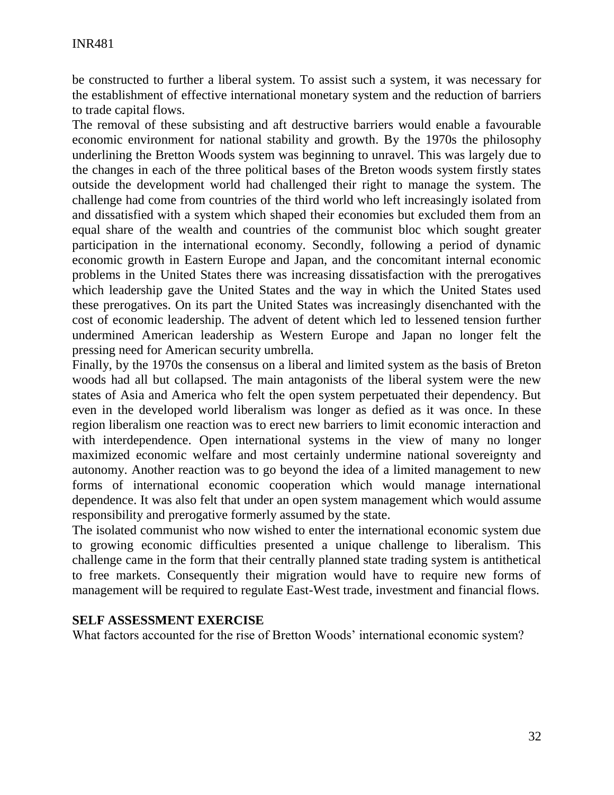be constructed to further a liberal system. To assist such a system, it was necessary for the establishment of effective international monetary system and the reduction of barriers to trade capital flows.

The removal of these subsisting and aft destructive barriers would enable a favourable economic environment for national stability and growth. By the 1970s the philosophy underlining the Bretton Woods system was beginning to unravel. This was largely due to the changes in each of the three political bases of the Breton woods system firstly states outside the development world had challenged their right to manage the system. The challenge had come from countries of the third world who left increasingly isolated from and dissatisfied with a system which shaped their economies but excluded them from an equal share of the wealth and countries of the communist bloc which sought greater participation in the international economy. Secondly, following a period of dynamic economic growth in Eastern Europe and Japan, and the concomitant internal economic problems in the United States there was increasing dissatisfaction with the prerogatives which leadership gave the United States and the way in which the United States used these prerogatives. On its part the United States was increasingly disenchanted with the cost of economic leadership. The advent of detent which led to lessened tension further undermined American leadership as Western Europe and Japan no longer felt the pressing need for American security umbrella.

Finally, by the 1970s the consensus on a liberal and limited system as the basis of Breton woods had all but collapsed. The main antagonists of the liberal system were the new states of Asia and America who felt the open system perpetuated their dependency. But even in the developed world liberalism was longer as defied as it was once. In these region liberalism one reaction was to erect new barriers to limit economic interaction and with interdependence. Open international systems in the view of many no longer maximized economic welfare and most certainly undermine national sovereignty and autonomy. Another reaction was to go beyond the idea of a limited management to new forms of international economic cooperation which would manage international dependence. It was also felt that under an open system management which would assume responsibility and prerogative formerly assumed by the state.

The isolated communist who now wished to enter the international economic system due to growing economic difficulties presented a unique challenge to liberalism. This challenge came in the form that their centrally planned state trading system is antithetical to free markets. Consequently their migration would have to require new forms of management will be required to regulate East-West trade, investment and financial flows.

#### **SELF ASSESSMENT EXERCISE**

What factors accounted for the rise of Bretton Woods' international economic system?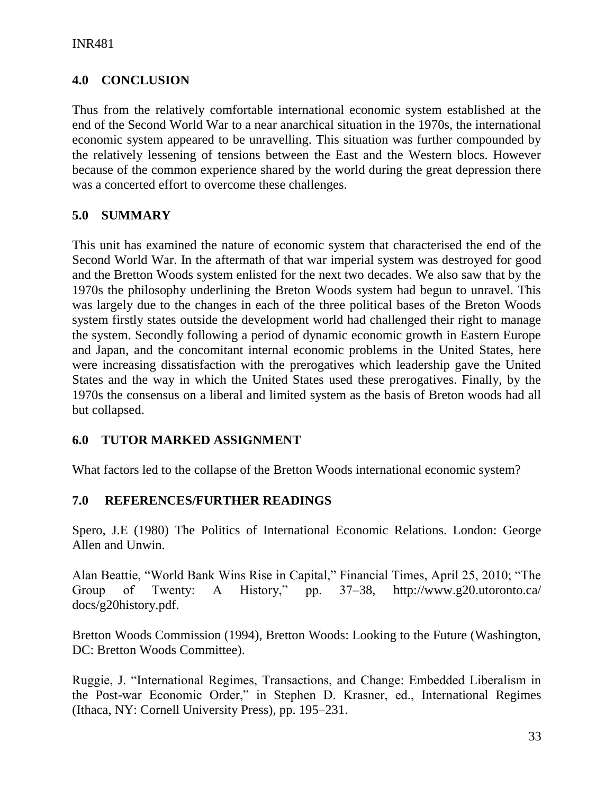## **4.0 CONCLUSION**

Thus from the relatively comfortable international economic system established at the end of the Second World War to a near anarchical situation in the 1970s, the international economic system appeared to be unravelling. This situation was further compounded by the relatively lessening of tensions between the East and the Western blocs. However because of the common experience shared by the world during the great depression there was a concerted effort to overcome these challenges.

## **5.0 SUMMARY**

This unit has examined the nature of economic system that characterised the end of the Second World War. In the aftermath of that war imperial system was destroyed for good and the Bretton Woods system enlisted for the next two decades. We also saw that by the 1970s the philosophy underlining the Breton Woods system had begun to unravel. This was largely due to the changes in each of the three political bases of the Breton Woods system firstly states outside the development world had challenged their right to manage the system. Secondly following a period of dynamic economic growth in Eastern Europe and Japan, and the concomitant internal economic problems in the United States, here were increasing dissatisfaction with the prerogatives which leadership gave the United States and the way in which the United States used these prerogatives. Finally, by the 1970s the consensus on a liberal and limited system as the basis of Breton woods had all but collapsed.

## **6.0 TUTOR MARKED ASSIGNMENT**

What factors led to the collapse of the Bretton Woods international economic system?

## **7.0 REFERENCES/FURTHER READINGS**

Spero, J.E (1980) The Politics of International Economic Relations. London: George Allen and Unwin.

Alan Beattie, "World Bank Wins Rise in Capital," Financial Times, April 25, 2010; "The Group of Twenty: A History," pp. 37–38, http://www.g20.utoronto.ca/ docs/g20history.pdf.

Bretton Woods Commission (1994), Bretton Woods: Looking to the Future (Washington, DC: Bretton Woods Committee).

Ruggie, J. "International Regimes, Transactions, and Change: Embedded Liberalism in the Post-war Economic Order," in Stephen D. Krasner, ed., International Regimes (Ithaca, NY: Cornell University Press), pp. 195–231.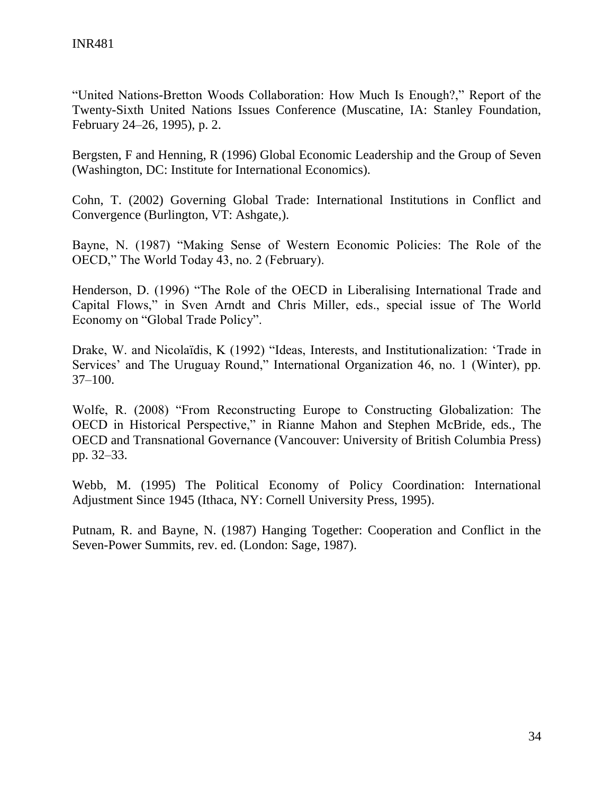"United Nations-Bretton Woods Collaboration: How Much Is Enough?," Report of the Twenty-Sixth United Nations Issues Conference (Muscatine, IA: Stanley Foundation, February 24–26, 1995), p. 2.

Bergsten, F and Henning, R (1996) Global Economic Leadership and the Group of Seven (Washington, DC: Institute for International Economics).

Cohn, T. (2002) Governing Global Trade: International Institutions in Conflict and Convergence (Burlington, VT: Ashgate,).

Bayne, N. (1987) "Making Sense of Western Economic Policies: The Role of the OECD," The World Today 43, no. 2 (February).

Henderson, D. (1996) "The Role of the OECD in Liberalising International Trade and Capital Flows," in Sven Arndt and Chris Miller, eds., special issue of The World Economy on "Global Trade Policy".

Drake, W. and Nicolaïdis, K (1992) "Ideas, Interests, and Institutionalization: 'Trade in Services' and The Uruguay Round," International Organization 46, no. 1 (Winter), pp. 37–100.

Wolfe, R. (2008) "From Reconstructing Europe to Constructing Globalization: The OECD in Historical Perspective," in Rianne Mahon and Stephen McBride, eds., The OECD and Transnational Governance (Vancouver: University of British Columbia Press) pp. 32–33.

Webb, M. (1995) The Political Economy of Policy Coordination: International Adjustment Since 1945 (Ithaca, NY: Cornell University Press, 1995).

Putnam, R. and Bayne, N. (1987) Hanging Together: Cooperation and Conflict in the Seven-Power Summits, rev. ed. (London: Sage, 1987).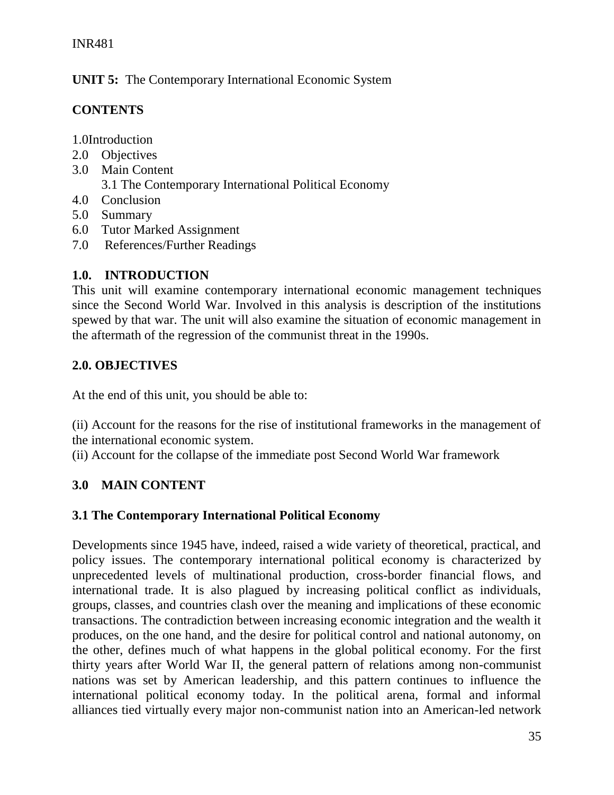**UNIT 5:** The Contemporary International Economic System

## **CONTENTS**

1.0Introduction

- 2.0 Objectives
- 3.0 Main Content
	- 3.1 The Contemporary International Political Economy
- 4.0 Conclusion
- 5.0 Summary
- 6.0 Tutor Marked Assignment
- 7.0 References/Further Readings

# **1.0. INTRODUCTION**

This unit will examine contemporary international economic management techniques since the Second World War. Involved in this analysis is description of the institutions spewed by that war. The unit will also examine the situation of economic management in the aftermath of the regression of the communist threat in the 1990s.

# **2.0. OBJECTIVES**

At the end of this unit, you should be able to:

(ii) Account for the reasons for the rise of institutional frameworks in the management of the international economic system.

(ii) Account for the collapse of the immediate post Second World War framework

# **3.0 MAIN CONTENT**

# **3.1 The Contemporary International Political Economy**

Developments since 1945 have, indeed, raised a wide variety of theoretical, practical, and policy issues. The contemporary international political economy is characterized by unprecedented levels of multinational production, cross-border financial flows, and international trade. It is also plagued by increasing political conflict as individuals, groups, classes, and countries clash over the meaning and implications of these economic transactions. The contradiction between increasing economic integration and the wealth it produces, on the one hand, and the desire for political control and national autonomy, on the other, defines much of what happens in the global political economy. For the first thirty years after World War II, the general pattern of relations among non-communist nations was set by American leadership, and this pattern continues to influence the international political economy today. In the political arena, formal and informal alliances tied virtually every major non-communist nation into an American-led network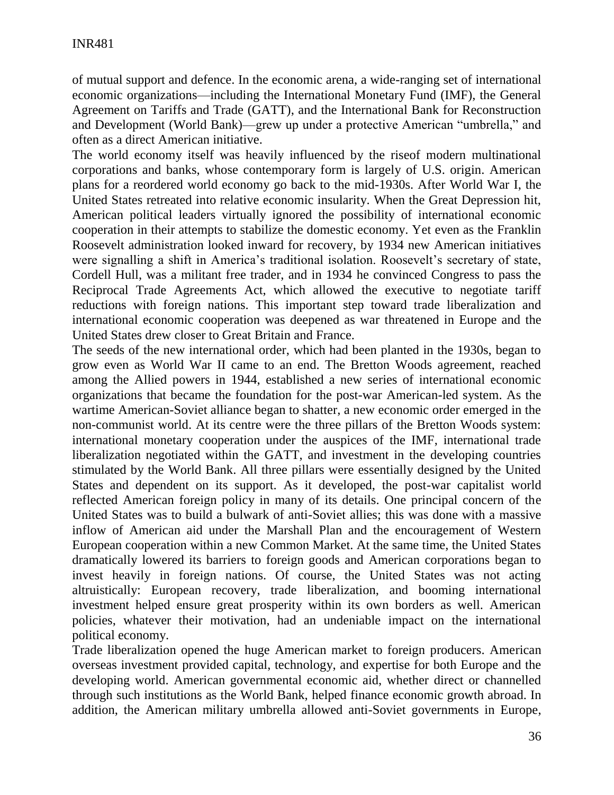of mutual support and defence. In the economic arena, a wide-ranging set of international economic organizations—including the International Monetary Fund (IMF), the General Agreement on Tariffs and Trade (GATT), and the International Bank for Reconstruction and Development (World Bank)—grew up under a protective American "umbrella," and often as a direct American initiative.

The world economy itself was heavily influenced by the riseof modern multinational corporations and banks, whose contemporary form is largely of U.S. origin. American plans for a reordered world economy go back to the mid-1930s. After World War I, the United States retreated into relative economic insularity. When the Great Depression hit, American political leaders virtually ignored the possibility of international economic cooperation in their attempts to stabilize the domestic economy. Yet even as the Franklin Roosevelt administration looked inward for recovery, by 1934 new American initiatives were signalling a shift in America's traditional isolation. Roosevelt's secretary of state, Cordell Hull, was a militant free trader, and in 1934 he convinced Congress to pass the Reciprocal Trade Agreements Act, which allowed the executive to negotiate tariff reductions with foreign nations. This important step toward trade liberalization and international economic cooperation was deepened as war threatened in Europe and the United States drew closer to Great Britain and France.

The seeds of the new international order, which had been planted in the 1930s, began to grow even as World War II came to an end. The Bretton Woods agreement, reached among the Allied powers in 1944, established a new series of international economic organizations that became the foundation for the post-war American-led system. As the wartime American-Soviet alliance began to shatter, a new economic order emerged in the non-communist world. At its centre were the three pillars of the Bretton Woods system: international monetary cooperation under the auspices of the IMF, international trade liberalization negotiated within the GATT, and investment in the developing countries stimulated by the World Bank. All three pillars were essentially designed by the United States and dependent on its support. As it developed, the post-war capitalist world reflected American foreign policy in many of its details. One principal concern of the United States was to build a bulwark of anti-Soviet allies; this was done with a massive inflow of American aid under the Marshall Plan and the encouragement of Western European cooperation within a new Common Market. At the same time, the United States dramatically lowered its barriers to foreign goods and American corporations began to invest heavily in foreign nations. Of course, the United States was not acting altruistically: European recovery, trade liberalization, and booming international investment helped ensure great prosperity within its own borders as well. American policies, whatever their motivation, had an undeniable impact on the international political economy.

Trade liberalization opened the huge American market to foreign producers. American overseas investment provided capital, technology, and expertise for both Europe and the developing world. American governmental economic aid, whether direct or channelled through such institutions as the World Bank, helped finance economic growth abroad. In addition, the American military umbrella allowed anti-Soviet governments in Europe,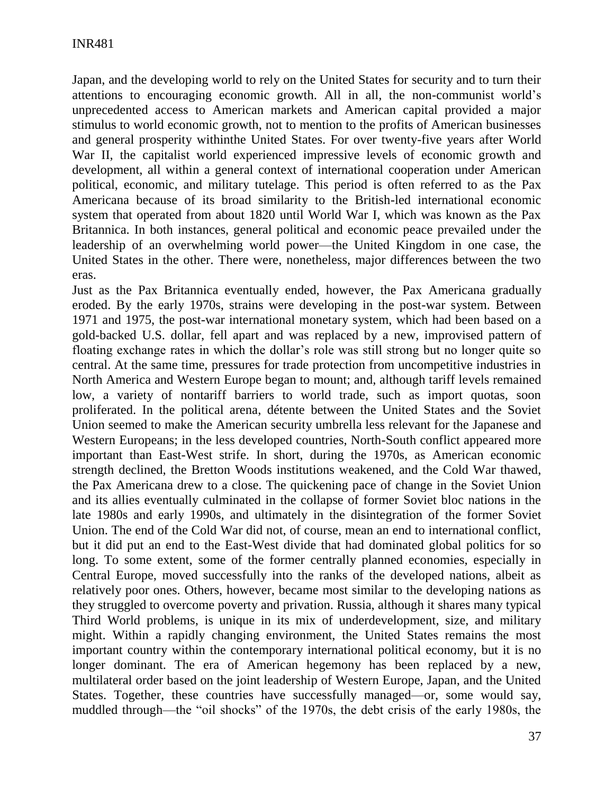Japan, and the developing world to rely on the United States for security and to turn their attentions to encouraging economic growth. All in all, the non-communist world's unprecedented access to American markets and American capital provided a major stimulus to world economic growth, not to mention to the profits of American businesses and general prosperity withinthe United States. For over twenty-five years after World War II, the capitalist world experienced impressive levels of economic growth and development, all within a general context of international cooperation under American political, economic, and military tutelage. This period is often referred to as the Pax Americana because of its broad similarity to the British-led international economic system that operated from about 1820 until World War I, which was known as the Pax Britannica. In both instances, general political and economic peace prevailed under the leadership of an overwhelming world power—the United Kingdom in one case, the United States in the other. There were, nonetheless, major differences between the two eras.

Just as the Pax Britannica eventually ended, however, the Pax Americana gradually eroded. By the early 1970s, strains were developing in the post-war system. Between 1971 and 1975, the post-war international monetary system, which had been based on a gold-backed U.S. dollar, fell apart and was replaced by a new, improvised pattern of floating exchange rates in which the dollar's role was still strong but no longer quite so central. At the same time, pressures for trade protection from uncompetitive industries in North America and Western Europe began to mount; and, although tariff levels remained low, a variety of nontariff barriers to world trade, such as import quotas, soon proliferated. In the political arena, détente between the United States and the Soviet Union seemed to make the American security umbrella less relevant for the Japanese and Western Europeans; in the less developed countries, North-South conflict appeared more important than East-West strife. In short, during the 1970s, as American economic strength declined, the Bretton Woods institutions weakened, and the Cold War thawed, the Pax Americana drew to a close. The quickening pace of change in the Soviet Union and its allies eventually culminated in the collapse of former Soviet bloc nations in the late 1980s and early 1990s, and ultimately in the disintegration of the former Soviet Union. The end of the Cold War did not, of course, mean an end to international conflict, but it did put an end to the East-West divide that had dominated global politics for so long. To some extent, some of the former centrally planned economies, especially in Central Europe, moved successfully into the ranks of the developed nations, albeit as relatively poor ones. Others, however, became most similar to the developing nations as they struggled to overcome poverty and privation. Russia, although it shares many typical Third World problems, is unique in its mix of underdevelopment, size, and military might. Within a rapidly changing environment, the United States remains the most important country within the contemporary international political economy, but it is no longer dominant. The era of American hegemony has been replaced by a new, multilateral order based on the joint leadership of Western Europe, Japan, and the United States. Together, these countries have successfully managed—or, some would say, muddled through—the "oil shocks" of the 1970s, the debt crisis of the early 1980s, the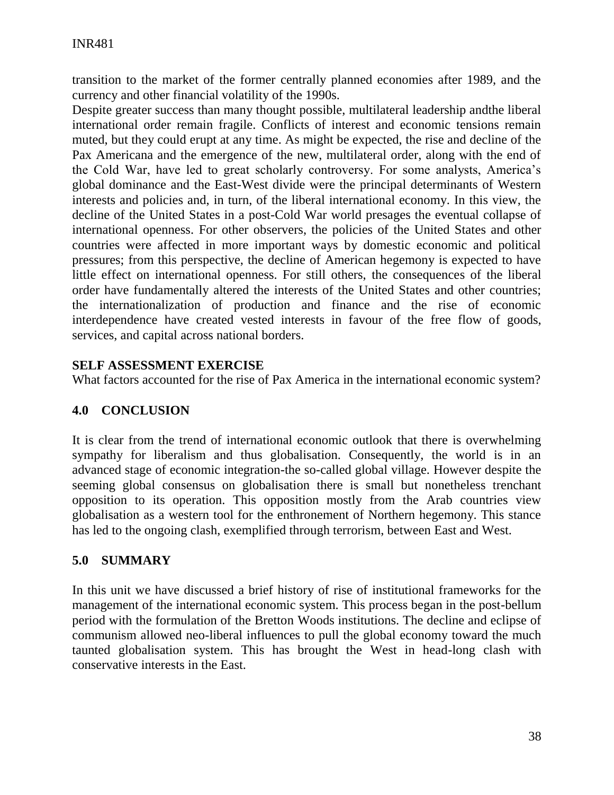transition to the market of the former centrally planned economies after 1989, and the currency and other financial volatility of the 1990s.

Despite greater success than many thought possible, multilateral leadership andthe liberal international order remain fragile. Conflicts of interest and economic tensions remain muted, but they could erupt at any time. As might be expected, the rise and decline of the Pax Americana and the emergence of the new, multilateral order, along with the end of the Cold War, have led to great scholarly controversy. For some analysts, America's global dominance and the East-West divide were the principal determinants of Western interests and policies and, in turn, of the liberal international economy. In this view, the decline of the United States in a post-Cold War world presages the eventual collapse of international openness. For other observers, the policies of the United States and other countries were affected in more important ways by domestic economic and political pressures; from this perspective, the decline of American hegemony is expected to have little effect on international openness. For still others, the consequences of the liberal order have fundamentally altered the interests of the United States and other countries; the internationalization of production and finance and the rise of economic interdependence have created vested interests in favour of the free flow of goods, services, and capital across national borders.

### **SELF ASSESSMENT EXERCISE**

What factors accounted for the rise of Pax America in the international economic system?

### **4.0 CONCLUSION**

It is clear from the trend of international economic outlook that there is overwhelming sympathy for liberalism and thus globalisation. Consequently, the world is in an advanced stage of economic integration-the so-called global village. However despite the seeming global consensus on globalisation there is small but nonetheless trenchant opposition to its operation. This opposition mostly from the Arab countries view globalisation as a western tool for the enthronement of Northern hegemony. This stance has led to the ongoing clash, exemplified through terrorism, between East and West.

# **5.0 SUMMARY**

In this unit we have discussed a brief history of rise of institutional frameworks for the management of the international economic system. This process began in the post-bellum period with the formulation of the Bretton Woods institutions. The decline and eclipse of communism allowed neo-liberal influences to pull the global economy toward the much taunted globalisation system. This has brought the West in head-long clash with conservative interests in the East.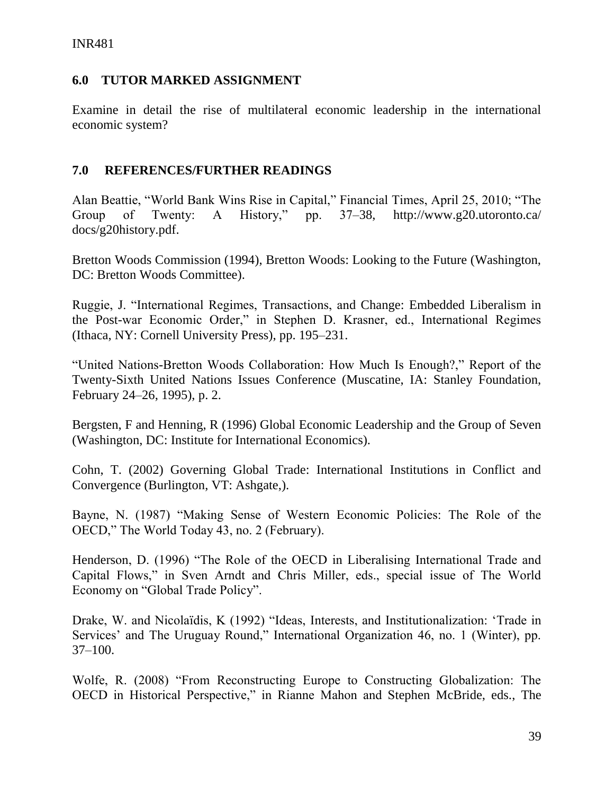#### INR481

## **6.0 TUTOR MARKED ASSIGNMENT**

Examine in detail the rise of multilateral economic leadership in the international economic system?

## **7.0 REFERENCES/FURTHER READINGS**

Alan Beattie, "World Bank Wins Rise in Capital," Financial Times, April 25, 2010; "The Group of Twenty: A History," pp. 37–38, http://www.g20.utoronto.ca/ docs/g20history.pdf.

Bretton Woods Commission (1994), Bretton Woods: Looking to the Future (Washington, DC: Bretton Woods Committee).

Ruggie, J. "International Regimes, Transactions, and Change: Embedded Liberalism in the Post-war Economic Order," in Stephen D. Krasner, ed., International Regimes (Ithaca, NY: Cornell University Press), pp. 195–231.

"United Nations-Bretton Woods Collaboration: How Much Is Enough?," Report of the Twenty-Sixth United Nations Issues Conference (Muscatine, IA: Stanley Foundation, February 24–26, 1995), p. 2.

Bergsten, F and Henning, R (1996) Global Economic Leadership and the Group of Seven (Washington, DC: Institute for International Economics).

Cohn, T. (2002) Governing Global Trade: International Institutions in Conflict and Convergence (Burlington, VT: Ashgate,).

Bayne, N. (1987) "Making Sense of Western Economic Policies: The Role of the OECD," The World Today 43, no. 2 (February).

Henderson, D. (1996) "The Role of the OECD in Liberalising International Trade and Capital Flows," in Sven Arndt and Chris Miller, eds., special issue of The World Economy on "Global Trade Policy".

Drake, W. and Nicolaïdis, K (1992) "Ideas, Interests, and Institutionalization: 'Trade in Services' and The Uruguay Round," International Organization 46, no. 1 (Winter), pp. 37–100.

Wolfe, R. (2008) "From Reconstructing Europe to Constructing Globalization: The OECD in Historical Perspective," in Rianne Mahon and Stephen McBride, eds., The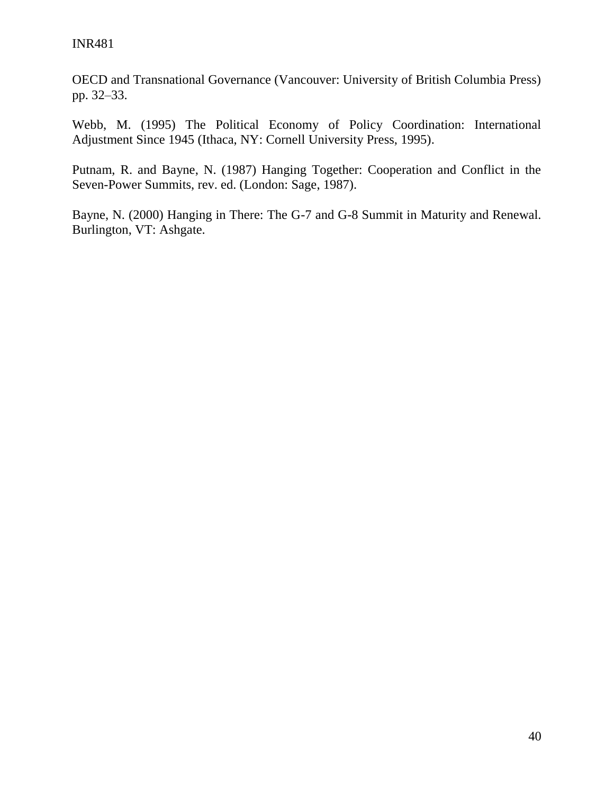### INR481

OECD and Transnational Governance (Vancouver: University of British Columbia Press) pp. 32–33.

Webb, M. (1995) The Political Economy of Policy Coordination: International Adjustment Since 1945 (Ithaca, NY: Cornell University Press, 1995).

Putnam, R. and Bayne, N. (1987) Hanging Together: Cooperation and Conflict in the Seven-Power Summits, rev. ed. (London: Sage, 1987).

Bayne, N. (2000) Hanging in There: The G-7 and G-8 Summit in Maturity and Renewal. Burlington, VT: Ashgate.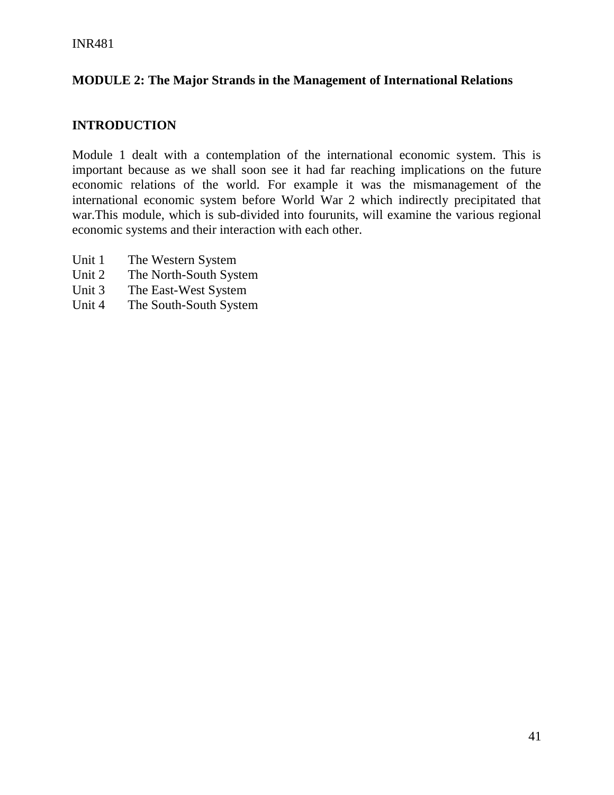# **MODULE 2: The Major Strands in the Management of International Relations**

# **INTRODUCTION**

Module 1 dealt with a contemplation of the international economic system. This is important because as we shall soon see it had far reaching implications on the future economic relations of the world. For example it was the mismanagement of the international economic system before World War 2 which indirectly precipitated that war.This module, which is sub-divided into fourunits, will examine the various regional economic systems and their interaction with each other.

- Unit 1 The Western System
- Unit 2 The North-South System
- Unit 3 The East-West System
- Unit 4 The South-South System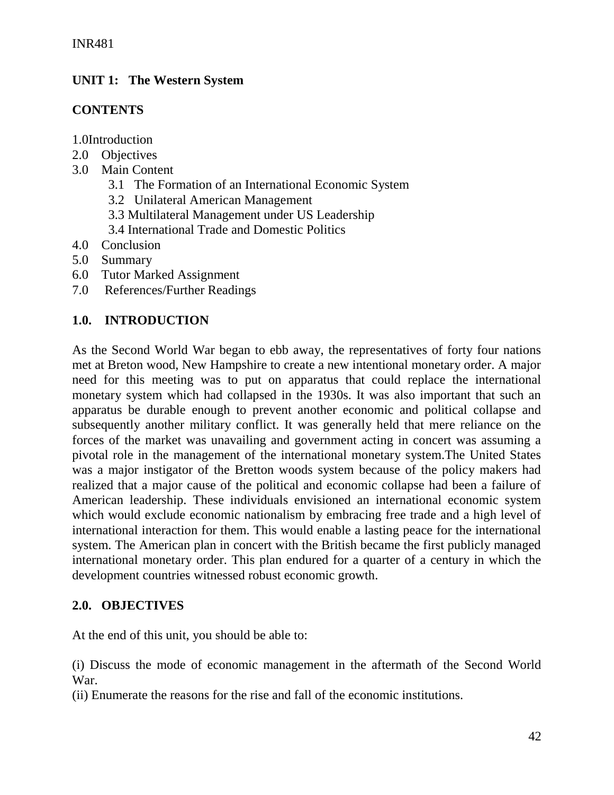### INR481

# **UNIT 1: The Western System**

# **CONTENTS**

1.0Introduction

- 2.0 Objectives
- 3.0 Main Content
	- 3.1 The Formation of an International Economic System
	- 3.2 Unilateral American Management
	- 3.3 Multilateral Management under US Leadership
	- 3.4 International Trade and Domestic Politics
- 4.0 Conclusion
- 5.0 Summary
- 6.0 Tutor Marked Assignment
- 7.0 References/Further Readings

# **1.0. INTRODUCTION**

As the Second World War began to ebb away, the representatives of forty four nations met at Breton wood, New Hampshire to create a new intentional monetary order. A major need for this meeting was to put on apparatus that could replace the international monetary system which had collapsed in the 1930s. It was also important that such an apparatus be durable enough to prevent another economic and political collapse and subsequently another military conflict. It was generally held that mere reliance on the forces of the market was unavailing and government acting in concert was assuming a pivotal role in the management of the international monetary system.The United States was a major instigator of the Bretton woods system because of the policy makers had realized that a major cause of the political and economic collapse had been a failure of American leadership. These individuals envisioned an international economic system which would exclude economic nationalism by embracing free trade and a high level of international interaction for them. This would enable a lasting peace for the international system. The American plan in concert with the British became the first publicly managed international monetary order. This plan endured for a quarter of a century in which the development countries witnessed robust economic growth.

# **2.0. OBJECTIVES**

At the end of this unit, you should be able to:

(i) Discuss the mode of economic management in the aftermath of the Second World War.

(ii) Enumerate the reasons for the rise and fall of the economic institutions.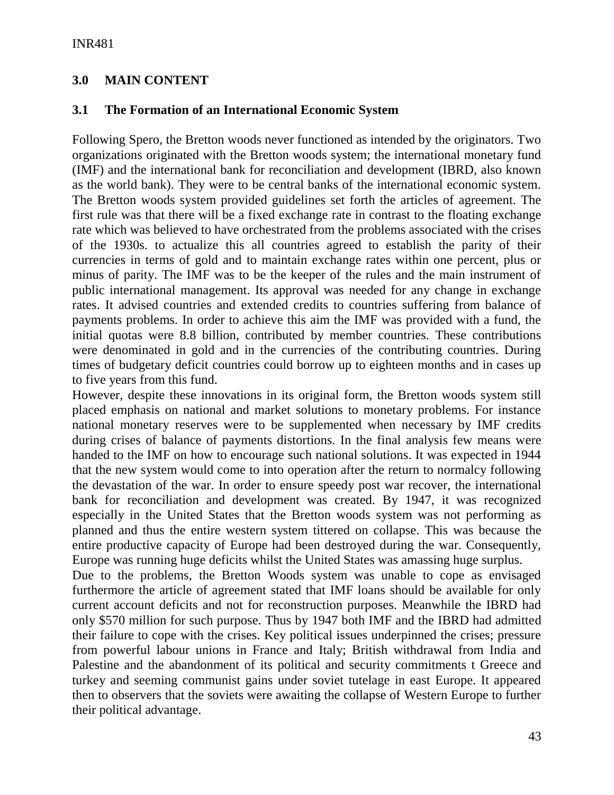# **3.0 MAIN CONTENT**

### **3.1 The Formation of an International Economic System**

Following Spero, the Bretton woods never functioned as intended by the originators. Two organizations originated with the Bretton woods system; the international monetary fund (IMF) and the international bank for reconciliation and development (IBRD, also known as the world bank). They were to be central banks of the international economic system. The Bretton woods system provided guidelines set forth the articles of agreement. The first rule was that there will be a fixed exchange rate in contrast to the floating exchange rate which was believed to have orchestrated from the problems associated with the crises of the 1930s. to actualize this all countries agreed to establish the parity of their currencies in terms of gold and to maintain exchange rates within one percent, plus or minus of parity. The IMF was to be the keeper of the rules and the main instrument of public international management. Its approval was needed for any change in exchange rates. It advised countries and extended credits to countries suffering from balance of payments problems. In order to achieve this aim the IMF was provided with a fund, the initial quotas were 8.8 billion, contributed by member countries. These contributions were denominated in gold and in the currencies of the contributing countries. During times of budgetary deficit countries could borrow up to eighteen months and in cases up to five years from this fund.

However, despite these innovations in its original form, the Bretton woods system still placed emphasis on national and market solutions to monetary problems. For instance national monetary reserves were to be supplemented when necessary by IMF credits during crises of balance of payments distortions. In the final analysis few means were handed to the IMF on how to encourage such national solutions. It was expected in 1944 that the new system would come to into operation after the return to normalcy following the devastation of the war. In order to ensure speedy post war recover, the international bank for reconciliation and development was created. By 1947, it was recognized especially in the United States that the Bretton woods system was not performing as planned and thus the entire western system tittered on collapse. This was because the entire productive capacity of Europe had been destroyed during the war. Consequently, Europe was running huge deficits whilst the United States was amassing huge surplus.

Due to the problems, the Bretton Woods system was unable to cope as envisaged furthermore the article of agreement stated that IMF loans should be available for only current account deficits and not for reconstruction purposes. Meanwhile the IBRD had only \$570 million for such purpose. Thus by 1947 both IMF and the IBRD had admitted their failure to cope with the crises. Key political issues underpinned the crises; pressure from powerful labour unions in France and Italy; British withdrawal from India and Palestine and the abandonment of its political and security commitments t Greece and turkey and seeming communist gains under soviet tutelage in east Europe. It appeared then to observers that the soviets were awaiting the collapse of Western Europe to further their political advantage.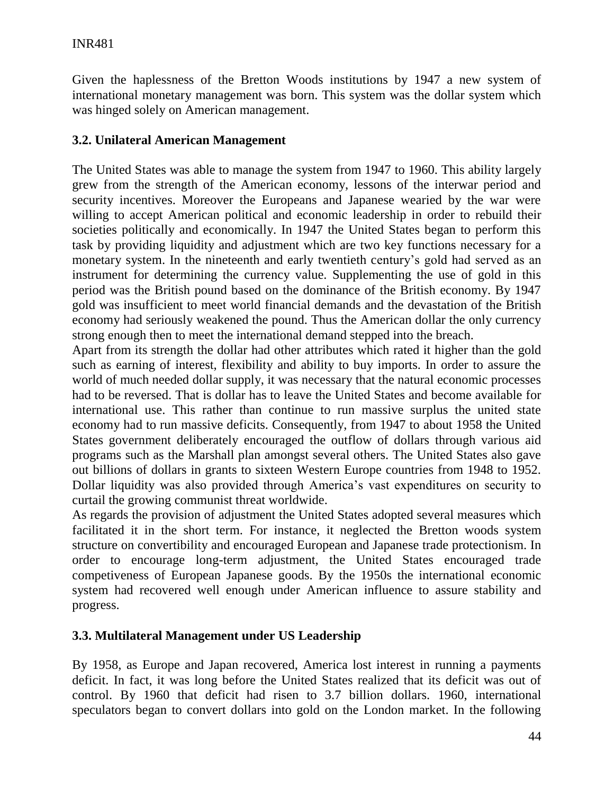Given the haplessness of the Bretton Woods institutions by 1947 a new system of international monetary management was born. This system was the dollar system which was hinged solely on American management.

## **3.2. Unilateral American Management**

The United States was able to manage the system from 1947 to 1960. This ability largely grew from the strength of the American economy, lessons of the interwar period and security incentives. Moreover the Europeans and Japanese wearied by the war were willing to accept American political and economic leadership in order to rebuild their societies politically and economically. In 1947 the United States began to perform this task by providing liquidity and adjustment which are two key functions necessary for a monetary system. In the nineteenth and early twentieth century's gold had served as an instrument for determining the currency value. Supplementing the use of gold in this period was the British pound based on the dominance of the British economy. By 1947 gold was insufficient to meet world financial demands and the devastation of the British economy had seriously weakened the pound. Thus the American dollar the only currency strong enough then to meet the international demand stepped into the breach.

Apart from its strength the dollar had other attributes which rated it higher than the gold such as earning of interest, flexibility and ability to buy imports. In order to assure the world of much needed dollar supply, it was necessary that the natural economic processes had to be reversed. That is dollar has to leave the United States and become available for international use. This rather than continue to run massive surplus the united state economy had to run massive deficits. Consequently, from 1947 to about 1958 the United States government deliberately encouraged the outflow of dollars through various aid programs such as the Marshall plan amongst several others. The United States also gave out billions of dollars in grants to sixteen Western Europe countries from 1948 to 1952. Dollar liquidity was also provided through America's vast expenditures on security to curtail the growing communist threat worldwide.

As regards the provision of adjustment the United States adopted several measures which facilitated it in the short term. For instance, it neglected the Bretton woods system structure on convertibility and encouraged European and Japanese trade protectionism. In order to encourage long-term adjustment, the United States encouraged trade competiveness of European Japanese goods. By the 1950s the international economic system had recovered well enough under American influence to assure stability and progress.

### **3.3. Multilateral Management under US Leadership**

By 1958, as Europe and Japan recovered, America lost interest in running a payments deficit. In fact, it was long before the United States realized that its deficit was out of control. By 1960 that deficit had risen to 3.7 billion dollars. 1960, international speculators began to convert dollars into gold on the London market. In the following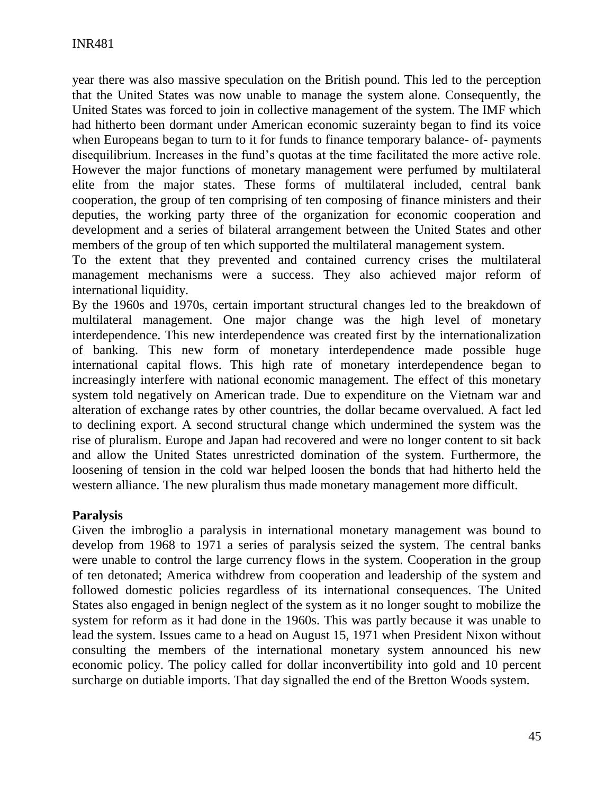year there was also massive speculation on the British pound. This led to the perception that the United States was now unable to manage the system alone. Consequently, the United States was forced to join in collective management of the system. The IMF which had hitherto been dormant under American economic suzerainty began to find its voice when Europeans began to turn to it for funds to finance temporary balance- of- payments disequilibrium. Increases in the fund's quotas at the time facilitated the more active role. However the major functions of monetary management were perfumed by multilateral elite from the major states. These forms of multilateral included, central bank cooperation, the group of ten comprising of ten composing of finance ministers and their deputies, the working party three of the organization for economic cooperation and development and a series of bilateral arrangement between the United States and other members of the group of ten which supported the multilateral management system.

To the extent that they prevented and contained currency crises the multilateral management mechanisms were a success. They also achieved major reform of international liquidity.

By the 1960s and 1970s, certain important structural changes led to the breakdown of multilateral management. One major change was the high level of monetary interdependence. This new interdependence was created first by the internationalization of banking. This new form of monetary interdependence made possible huge international capital flows. This high rate of monetary interdependence began to increasingly interfere with national economic management. The effect of this monetary system told negatively on American trade. Due to expenditure on the Vietnam war and alteration of exchange rates by other countries, the dollar became overvalued. A fact led to declining export. A second structural change which undermined the system was the rise of pluralism. Europe and Japan had recovered and were no longer content to sit back and allow the United States unrestricted domination of the system. Furthermore, the loosening of tension in the cold war helped loosen the bonds that had hitherto held the western alliance. The new pluralism thus made monetary management more difficult.

### **Paralysis**

Given the imbroglio a paralysis in international monetary management was bound to develop from 1968 to 1971 a series of paralysis seized the system. The central banks were unable to control the large currency flows in the system. Cooperation in the group of ten detonated; America withdrew from cooperation and leadership of the system and followed domestic policies regardless of its international consequences. The United States also engaged in benign neglect of the system as it no longer sought to mobilize the system for reform as it had done in the 1960s. This was partly because it was unable to lead the system. Issues came to a head on August 15, 1971 when President Nixon without consulting the members of the international monetary system announced his new economic policy. The policy called for dollar inconvertibility into gold and 10 percent surcharge on dutiable imports. That day signalled the end of the Bretton Woods system.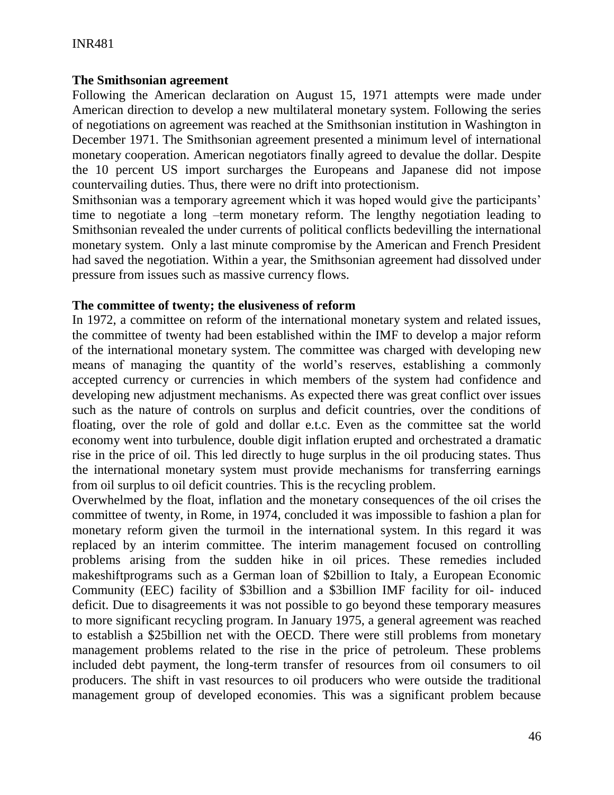#### **The Smithsonian agreement**

Following the American declaration on August 15, 1971 attempts were made under American direction to develop a new multilateral monetary system. Following the series of negotiations on agreement was reached at the Smithsonian institution in Washington in December 1971. The Smithsonian agreement presented a minimum level of international monetary cooperation. American negotiators finally agreed to devalue the dollar. Despite the 10 percent US import surcharges the Europeans and Japanese did not impose countervailing duties. Thus, there were no drift into protectionism.

Smithsonian was a temporary agreement which it was hoped would give the participants' time to negotiate a long –term monetary reform. The lengthy negotiation leading to Smithsonian revealed the under currents of political conflicts bedevilling the international monetary system. Only a last minute compromise by the American and French President had saved the negotiation. Within a year, the Smithsonian agreement had dissolved under pressure from issues such as massive currency flows.

#### **The committee of twenty; the elusiveness of reform**

In 1972, a committee on reform of the international monetary system and related issues, the committee of twenty had been established within the IMF to develop a major reform of the international monetary system. The committee was charged with developing new means of managing the quantity of the world's reserves, establishing a commonly accepted currency or currencies in which members of the system had confidence and developing new adjustment mechanisms. As expected there was great conflict over issues such as the nature of controls on surplus and deficit countries, over the conditions of floating, over the role of gold and dollar e.t.c. Even as the committee sat the world economy went into turbulence, double digit inflation erupted and orchestrated a dramatic rise in the price of oil. This led directly to huge surplus in the oil producing states. Thus the international monetary system must provide mechanisms for transferring earnings from oil surplus to oil deficit countries. This is the recycling problem.

Overwhelmed by the float, inflation and the monetary consequences of the oil crises the committee of twenty, in Rome, in 1974, concluded it was impossible to fashion a plan for monetary reform given the turmoil in the international system. In this regard it was replaced by an interim committee. The interim management focused on controlling problems arising from the sudden hike in oil prices. These remedies included makeshiftprograms such as a German loan of \$2billion to Italy, a European Economic Community (EEC) facility of \$3billion and a \$3billion IMF facility for oil- induced deficit. Due to disagreements it was not possible to go beyond these temporary measures to more significant recycling program. In January 1975, a general agreement was reached to establish a \$25billion net with the OECD. There were still problems from monetary management problems related to the rise in the price of petroleum. These problems included debt payment, the long-term transfer of resources from oil consumers to oil producers. The shift in vast resources to oil producers who were outside the traditional management group of developed economies. This was a significant problem because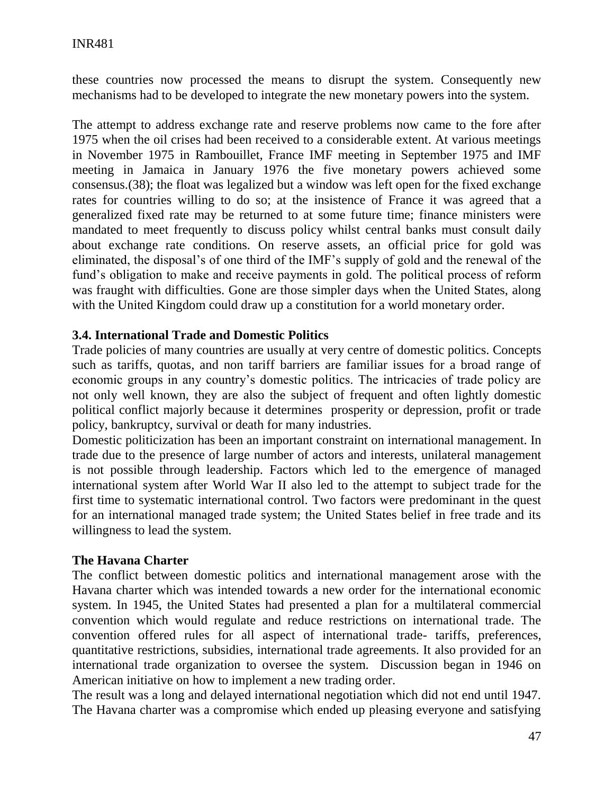these countries now processed the means to disrupt the system. Consequently new mechanisms had to be developed to integrate the new monetary powers into the system.

The attempt to address exchange rate and reserve problems now came to the fore after 1975 when the oil crises had been received to a considerable extent. At various meetings in November 1975 in Rambouillet, France IMF meeting in September 1975 and IMF meeting in Jamaica in January 1976 the five monetary powers achieved some consensus.(38); the float was legalized but a window was left open for the fixed exchange rates for countries willing to do so; at the insistence of France it was agreed that a generalized fixed rate may be returned to at some future time; finance ministers were mandated to meet frequently to discuss policy whilst central banks must consult daily about exchange rate conditions. On reserve assets, an official price for gold was eliminated, the disposal's of one third of the IMF's supply of gold and the renewal of the fund's obligation to make and receive payments in gold. The political process of reform was fraught with difficulties. Gone are those simpler days when the United States, along with the United Kingdom could draw up a constitution for a world monetary order.

#### **3.4. International Trade and Domestic Politics**

Trade policies of many countries are usually at very centre of domestic politics. Concepts such as tariffs, quotas, and non tariff barriers are familiar issues for a broad range of economic groups in any country's domestic politics. The intricacies of trade policy are not only well known, they are also the subject of frequent and often lightly domestic political conflict majorly because it determines prosperity or depression, profit or trade policy, bankruptcy, survival or death for many industries.

Domestic politicization has been an important constraint on international management. In trade due to the presence of large number of actors and interests, unilateral management is not possible through leadership. Factors which led to the emergence of managed international system after World War II also led to the attempt to subject trade for the first time to systematic international control. Two factors were predominant in the quest for an international managed trade system; the United States belief in free trade and its willingness to lead the system.

### **The Havana Charter**

The conflict between domestic politics and international management arose with the Havana charter which was intended towards a new order for the international economic system. In 1945, the United States had presented a plan for a multilateral commercial convention which would regulate and reduce restrictions on international trade. The convention offered rules for all aspect of international trade- tariffs, preferences, quantitative restrictions, subsidies, international trade agreements. It also provided for an international trade organization to oversee the system. Discussion began in 1946 on American initiative on how to implement a new trading order.

The result was a long and delayed international negotiation which did not end until 1947. The Havana charter was a compromise which ended up pleasing everyone and satisfying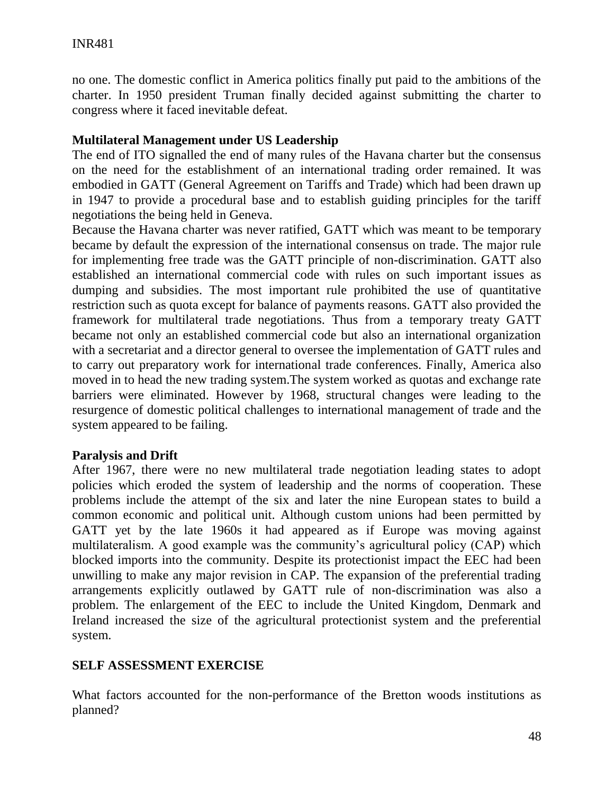no one. The domestic conflict in America politics finally put paid to the ambitions of the charter. In 1950 president Truman finally decided against submitting the charter to congress where it faced inevitable defeat.

#### **Multilateral Management under US Leadership**

The end of ITO signalled the end of many rules of the Havana charter but the consensus on the need for the establishment of an international trading order remained. It was embodied in GATT (General Agreement on Tariffs and Trade) which had been drawn up in 1947 to provide a procedural base and to establish guiding principles for the tariff negotiations the being held in Geneva.

Because the Havana charter was never ratified, GATT which was meant to be temporary became by default the expression of the international consensus on trade. The major rule for implementing free trade was the GATT principle of non-discrimination. GATT also established an international commercial code with rules on such important issues as dumping and subsidies. The most important rule prohibited the use of quantitative restriction such as quota except for balance of payments reasons. GATT also provided the framework for multilateral trade negotiations. Thus from a temporary treaty GATT became not only an established commercial code but also an international organization with a secretariat and a director general to oversee the implementation of GATT rules and to carry out preparatory work for international trade conferences. Finally, America also moved in to head the new trading system.The system worked as quotas and exchange rate barriers were eliminated. However by 1968, structural changes were leading to the resurgence of domestic political challenges to international management of trade and the system appeared to be failing.

#### **Paralysis and Drift**

After 1967, there were no new multilateral trade negotiation leading states to adopt policies which eroded the system of leadership and the norms of cooperation. These problems include the attempt of the six and later the nine European states to build a common economic and political unit. Although custom unions had been permitted by GATT yet by the late 1960s it had appeared as if Europe was moving against multilateralism. A good example was the community's agricultural policy (CAP) which blocked imports into the community. Despite its protectionist impact the EEC had been unwilling to make any major revision in CAP. The expansion of the preferential trading arrangements explicitly outlawed by GATT rule of non-discrimination was also a problem. The enlargement of the EEC to include the United Kingdom, Denmark and Ireland increased the size of the agricultural protectionist system and the preferential system.

#### **SELF ASSESSMENT EXERCISE**

What factors accounted for the non-performance of the Bretton woods institutions as planned?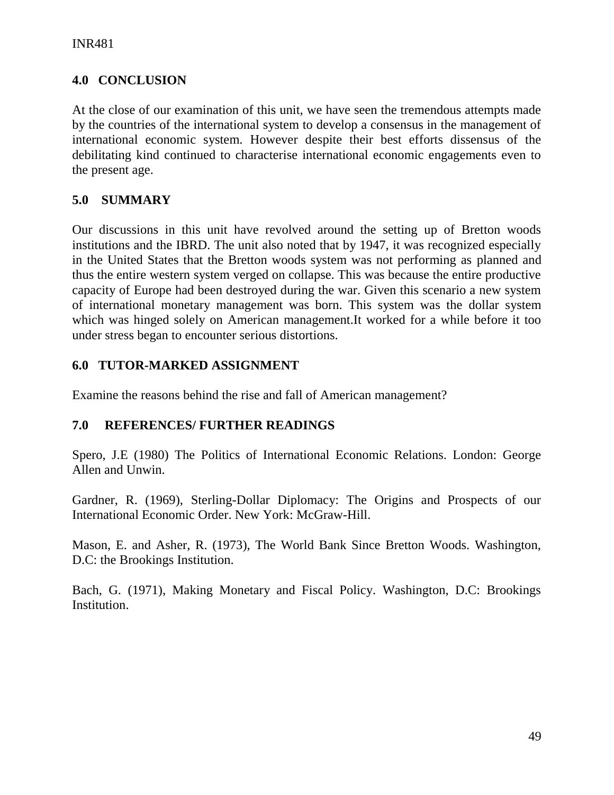# **4.0 CONCLUSION**

At the close of our examination of this unit, we have seen the tremendous attempts made by the countries of the international system to develop a consensus in the management of international economic system. However despite their best efforts dissensus of the debilitating kind continued to characterise international economic engagements even to the present age.

# **5.0 SUMMARY**

Our discussions in this unit have revolved around the setting up of Bretton woods institutions and the IBRD. The unit also noted that by 1947, it was recognized especially in the United States that the Bretton woods system was not performing as planned and thus the entire western system verged on collapse. This was because the entire productive capacity of Europe had been destroyed during the war. Given this scenario a new system of international monetary management was born. This system was the dollar system which was hinged solely on American management.It worked for a while before it too under stress began to encounter serious distortions.

## **6.0 TUTOR-MARKED ASSIGNMENT**

Examine the reasons behind the rise and fall of American management?

# **7.0 REFERENCES/ FURTHER READINGS**

Spero, J.E (1980) The Politics of International Economic Relations. London: George Allen and Unwin.

Gardner, R. (1969), Sterling-Dollar Diplomacy: The Origins and Prospects of our International Economic Order. New York: McGraw-Hill.

Mason, E. and Asher, R. (1973), The World Bank Since Bretton Woods. Washington, D.C: the Brookings Institution.

Bach, G. (1971), Making Monetary and Fiscal Policy. Washington, D.C: Brookings Institution.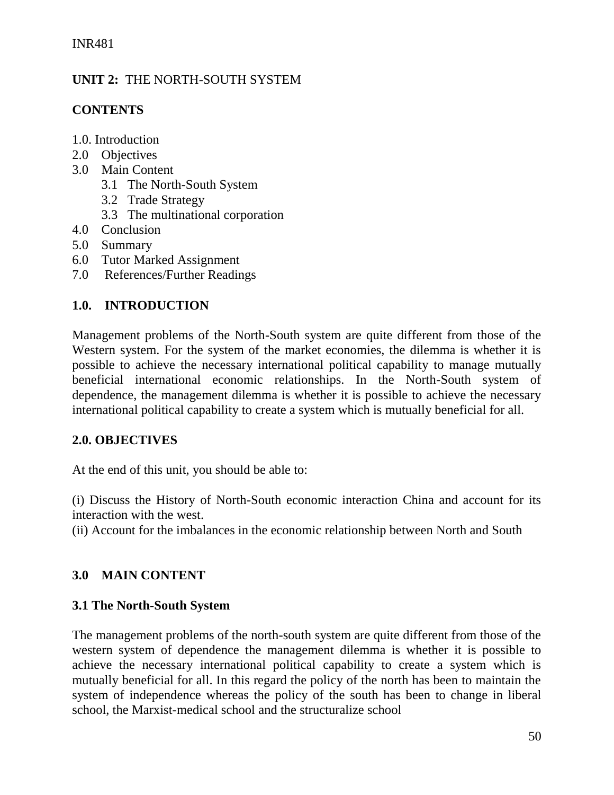### INR481

## **UNIT 2:** THE NORTH-SOUTH SYSTEM

## **CONTENTS**

- 1.0. Introduction
- 2.0 Objectives
- 3.0 Main Content
	- 3.1 The North-South System
	- 3.2 Trade Strategy
	- 3.3 The multinational corporation
- 4.0 Conclusion
- 5.0 Summary
- 6.0 Tutor Marked Assignment
- 7.0 References/Further Readings

# **1.0. INTRODUCTION**

Management problems of the North-South system are quite different from those of the Western system. For the system of the market economies, the dilemma is whether it is possible to achieve the necessary international political capability to manage mutually beneficial international economic relationships. In the North-South system of dependence, the management dilemma is whether it is possible to achieve the necessary international political capability to create a system which is mutually beneficial for all.

### **2.0. OBJECTIVES**

At the end of this unit, you should be able to:

(i) Discuss the History of North-South economic interaction China and account for its interaction with the west.

(ii) Account for the imbalances in the economic relationship between North and South

# **3.0 MAIN CONTENT**

# **3.1 The North-South System**

The management problems of the north-south system are quite different from those of the western system of dependence the management dilemma is whether it is possible to achieve the necessary international political capability to create a system which is mutually beneficial for all. In this regard the policy of the north has been to maintain the system of independence whereas the policy of the south has been to change in liberal school, the Marxist-medical school and the structuralize school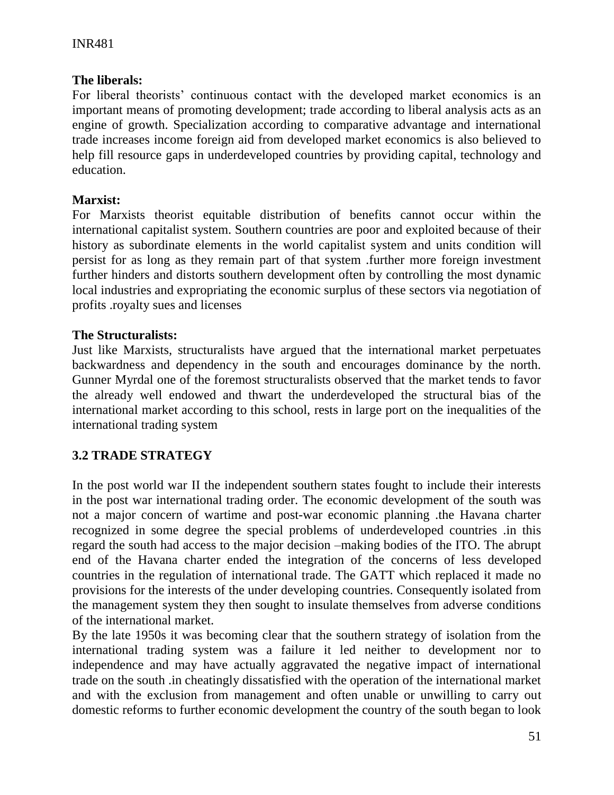## **The liberals:**

For liberal theorists' continuous contact with the developed market economics is an important means of promoting development; trade according to liberal analysis acts as an engine of growth. Specialization according to comparative advantage and international trade increases income foreign aid from developed market economics is also believed to help fill resource gaps in underdeveloped countries by providing capital, technology and education.

## **Marxist:**

For Marxists theorist equitable distribution of benefits cannot occur within the international capitalist system. Southern countries are poor and exploited because of their history as subordinate elements in the world capitalist system and units condition will persist for as long as they remain part of that system .further more foreign investment further hinders and distorts southern development often by controlling the most dynamic local industries and expropriating the economic surplus of these sectors via negotiation of profits .royalty sues and licenses

## **The Structuralists:**

Just like Marxists, structuralists have argued that the international market perpetuates backwardness and dependency in the south and encourages dominance by the north. Gunner Myrdal one of the foremost structuralists observed that the market tends to favor the already well endowed and thwart the underdeveloped the structural bias of the international market according to this school, rests in large port on the inequalities of the international trading system

# **3.2 TRADE STRATEGY**

In the post world war II the independent southern states fought to include their interests in the post war international trading order. The economic development of the south was not a major concern of wartime and post-war economic planning .the Havana charter recognized in some degree the special problems of underdeveloped countries .in this regard the south had access to the major decision –making bodies of the ITO. The abrupt end of the Havana charter ended the integration of the concerns of less developed countries in the regulation of international trade. The GATT which replaced it made no provisions for the interests of the under developing countries. Consequently isolated from the management system they then sought to insulate themselves from adverse conditions of the international market.

By the late 1950s it was becoming clear that the southern strategy of isolation from the international trading system was a failure it led neither to development nor to independence and may have actually aggravated the negative impact of international trade on the south .in cheatingly dissatisfied with the operation of the international market and with the exclusion from management and often unable or unwilling to carry out domestic reforms to further economic development the country of the south began to look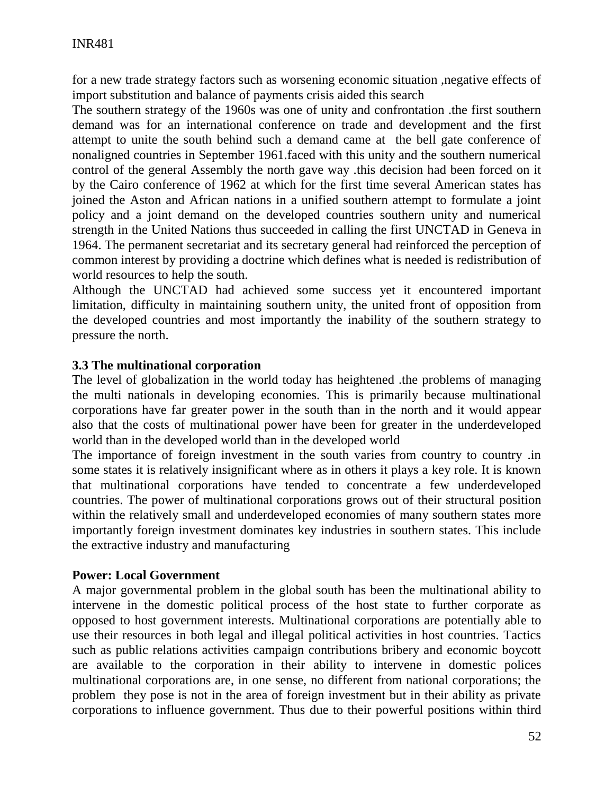for a new trade strategy factors such as worsening economic situation ,negative effects of import substitution and balance of payments crisis aided this search

The southern strategy of the 1960s was one of unity and confrontation .the first southern demand was for an international conference on trade and development and the first attempt to unite the south behind such a demand came at the bell gate conference of nonaligned countries in September 1961.faced with this unity and the southern numerical control of the general Assembly the north gave way .this decision had been forced on it by the Cairo conference of 1962 at which for the first time several American states has joined the Aston and African nations in a unified southern attempt to formulate a joint policy and a joint demand on the developed countries southern unity and numerical strength in the United Nations thus succeeded in calling the first UNCTAD in Geneva in 1964. The permanent secretariat and its secretary general had reinforced the perception of common interest by providing a doctrine which defines what is needed is redistribution of world resources to help the south.

Although the UNCTAD had achieved some success yet it encountered important limitation, difficulty in maintaining southern unity, the united front of opposition from the developed countries and most importantly the inability of the southern strategy to pressure the north.

#### **3.3 The multinational corporation**

The level of globalization in the world today has heightened .the problems of managing the multi nationals in developing economies. This is primarily because multinational corporations have far greater power in the south than in the north and it would appear also that the costs of multinational power have been for greater in the underdeveloped world than in the developed world than in the developed world

The importance of foreign investment in the south varies from country to country .in some states it is relatively insignificant where as in others it plays a key role. It is known that multinational corporations have tended to concentrate a few underdeveloped countries. The power of multinational corporations grows out of their structural position within the relatively small and underdeveloped economies of many southern states more importantly foreign investment dominates key industries in southern states. This include the extractive industry and manufacturing

#### **Power: Local Government**

A major governmental problem in the global south has been the multinational ability to intervene in the domestic political process of the host state to further corporate as opposed to host government interests. Multinational corporations are potentially able to use their resources in both legal and illegal political activities in host countries. Tactics such as public relations activities campaign contributions bribery and economic boycott are available to the corporation in their ability to intervene in domestic polices multinational corporations are, in one sense, no different from national corporations; the problem they pose is not in the area of foreign investment but in their ability as private corporations to influence government. Thus due to their powerful positions within third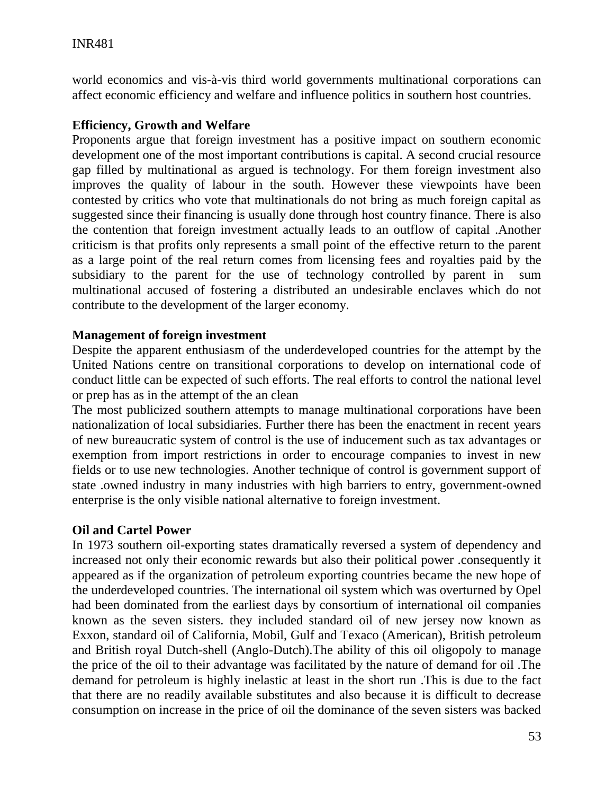world economics and vis-à-vis third world governments multinational corporations can affect economic efficiency and welfare and influence politics in southern host countries.

#### **Efficiency, Growth and Welfare**

Proponents argue that foreign investment has a positive impact on southern economic development one of the most important contributions is capital. A second crucial resource gap filled by multinational as argued is technology. For them foreign investment also improves the quality of labour in the south. However these viewpoints have been contested by critics who vote that multinationals do not bring as much foreign capital as suggested since their financing is usually done through host country finance. There is also the contention that foreign investment actually leads to an outflow of capital .Another criticism is that profits only represents a small point of the effective return to the parent as a large point of the real return comes from licensing fees and royalties paid by the subsidiary to the parent for the use of technology controlled by parent in sum multinational accused of fostering a distributed an undesirable enclaves which do not contribute to the development of the larger economy.

#### **Management of foreign investment**

Despite the apparent enthusiasm of the underdeveloped countries for the attempt by the United Nations centre on transitional corporations to develop on international code of conduct little can be expected of such efforts. The real efforts to control the national level or prep has as in the attempt of the an clean

The most publicized southern attempts to manage multinational corporations have been nationalization of local subsidiaries. Further there has been the enactment in recent years of new bureaucratic system of control is the use of inducement such as tax advantages or exemption from import restrictions in order to encourage companies to invest in new fields or to use new technologies. Another technique of control is government support of state .owned industry in many industries with high barriers to entry, government-owned enterprise is the only visible national alternative to foreign investment.

#### **Oil and Cartel Power**

In 1973 southern oil-exporting states dramatically reversed a system of dependency and increased not only their economic rewards but also their political power .consequently it appeared as if the organization of petroleum exporting countries became the new hope of the underdeveloped countries. The international oil system which was overturned by Opel had been dominated from the earliest days by consortium of international oil companies known as the seven sisters. they included standard oil of new jersey now known as Exxon, standard oil of California, Mobil, Gulf and Texaco (American), British petroleum and British royal Dutch-shell (Anglo-Dutch).The ability of this oil oligopoly to manage the price of the oil to their advantage was facilitated by the nature of demand for oil .The demand for petroleum is highly inelastic at least in the short run .This is due to the fact that there are no readily available substitutes and also because it is difficult to decrease consumption on increase in the price of oil the dominance of the seven sisters was backed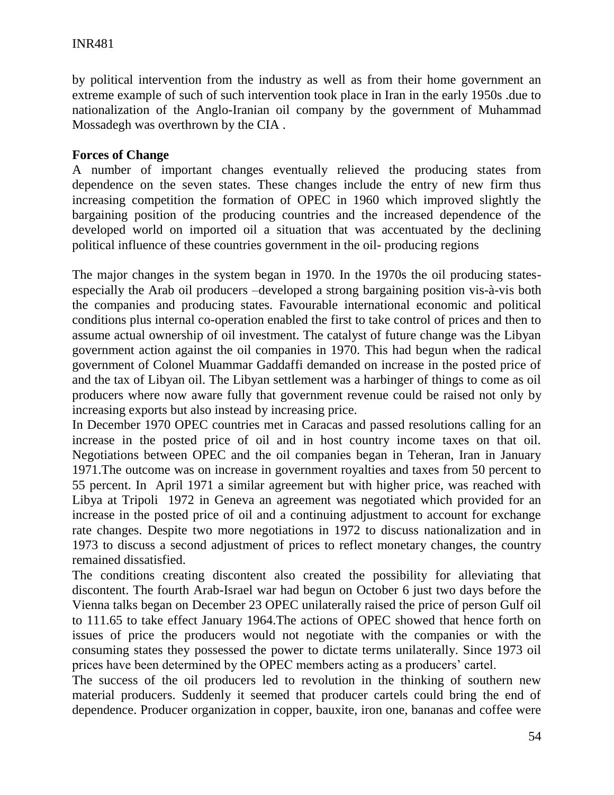by political intervention from the industry as well as from their home government an extreme example of such of such intervention took place in Iran in the early 1950s .due to nationalization of the Anglo-Iranian oil company by the government of Muhammad Mossadegh was overthrown by the CIA .

## **Forces of Change**

A number of important changes eventually relieved the producing states from dependence on the seven states. These changes include the entry of new firm thus increasing competition the formation of OPEC in 1960 which improved slightly the bargaining position of the producing countries and the increased dependence of the developed world on imported oil a situation that was accentuated by the declining political influence of these countries government in the oil- producing regions

The major changes in the system began in 1970. In the 1970s the oil producing statesespecially the Arab oil producers –developed a strong bargaining position vis-à-vis both the companies and producing states. Favourable international economic and political conditions plus internal co-operation enabled the first to take control of prices and then to assume actual ownership of oil investment. The catalyst of future change was the Libyan government action against the oil companies in 1970. This had begun when the radical government of Colonel Muammar Gaddaffi demanded on increase in the posted price of and the tax of Libyan oil. The Libyan settlement was a harbinger of things to come as oil producers where now aware fully that government revenue could be raised not only by increasing exports but also instead by increasing price.

In December 1970 OPEC countries met in Caracas and passed resolutions calling for an increase in the posted price of oil and in host country income taxes on that oil. Negotiations between OPEC and the oil companies began in Teheran, Iran in January 1971.The outcome was on increase in government royalties and taxes from 50 percent to 55 percent. In April 1971 a similar agreement but with higher price, was reached with Libya at Tripoli 1972 in Geneva an agreement was negotiated which provided for an increase in the posted price of oil and a continuing adjustment to account for exchange rate changes. Despite two more negotiations in 1972 to discuss nationalization and in 1973 to discuss a second adjustment of prices to reflect monetary changes, the country remained dissatisfied.

The conditions creating discontent also created the possibility for alleviating that discontent. The fourth Arab-Israel war had begun on October 6 just two days before the Vienna talks began on December 23 OPEC unilaterally raised the price of person Gulf oil to 111.65 to take effect January 1964.The actions of OPEC showed that hence forth on issues of price the producers would not negotiate with the companies or with the consuming states they possessed the power to dictate terms unilaterally. Since 1973 oil prices have been determined by the OPEC members acting as a producers' cartel.

The success of the oil producers led to revolution in the thinking of southern new material producers. Suddenly it seemed that producer cartels could bring the end of dependence. Producer organization in copper, bauxite, iron one, bananas and coffee were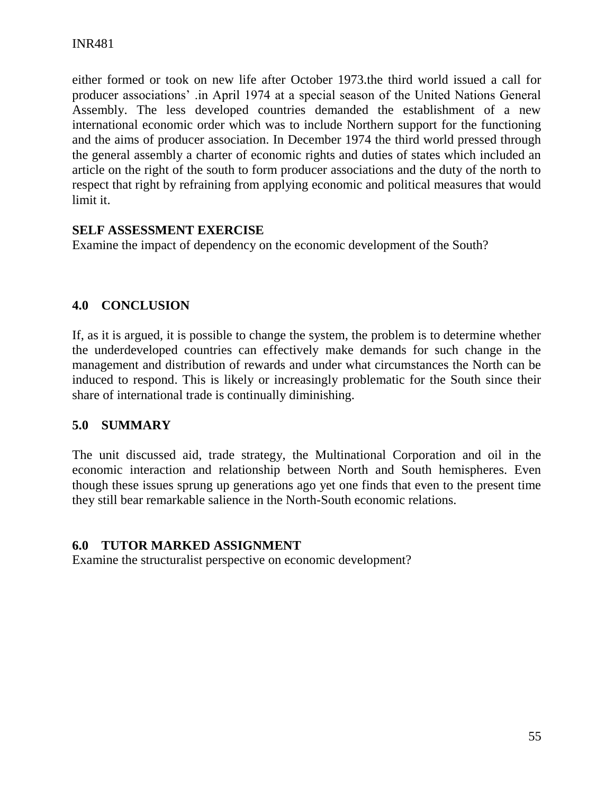either formed or took on new life after October 1973.the third world issued a call for producer associations' .in April 1974 at a special season of the United Nations General Assembly. The less developed countries demanded the establishment of a new international economic order which was to include Northern support for the functioning and the aims of producer association. In December 1974 the third world pressed through the general assembly a charter of economic rights and duties of states which included an article on the right of the south to form producer associations and the duty of the north to respect that right by refraining from applying economic and political measures that would limit it.

# **SELF ASSESSMENT EXERCISE**

Examine the impact of dependency on the economic development of the South?

# **4.0 CONCLUSION**

If, as it is argued, it is possible to change the system, the problem is to determine whether the underdeveloped countries can effectively make demands for such change in the management and distribution of rewards and under what circumstances the North can be induced to respond. This is likely or increasingly problematic for the South since their share of international trade is continually diminishing.

### **5.0 SUMMARY**

The unit discussed aid, trade strategy, the Multinational Corporation and oil in the economic interaction and relationship between North and South hemispheres. Even though these issues sprung up generations ago yet one finds that even to the present time they still bear remarkable salience in the North-South economic relations.

# **6.0 TUTOR MARKED ASSIGNMENT**

Examine the structuralist perspective on economic development?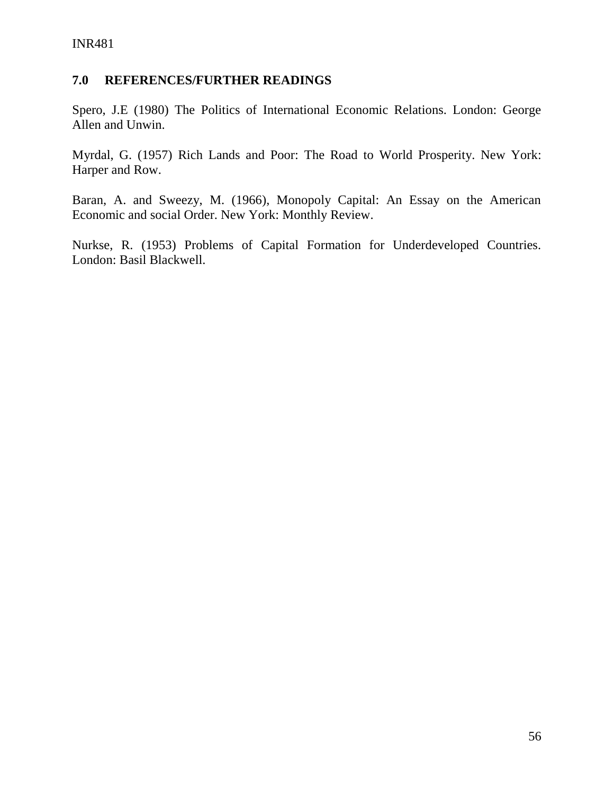## **7.0 REFERENCES/FURTHER READINGS**

Spero, J.E (1980) The Politics of International Economic Relations. London: George Allen and Unwin.

Myrdal, G. (1957) Rich Lands and Poor: The Road to World Prosperity. New York: Harper and Row.

Baran, A. and Sweezy, M. (1966), Monopoly Capital: An Essay on the American Economic and social Order. New York: Monthly Review.

Nurkse, R. (1953) Problems of Capital Formation for Underdeveloped Countries. London: Basil Blackwell.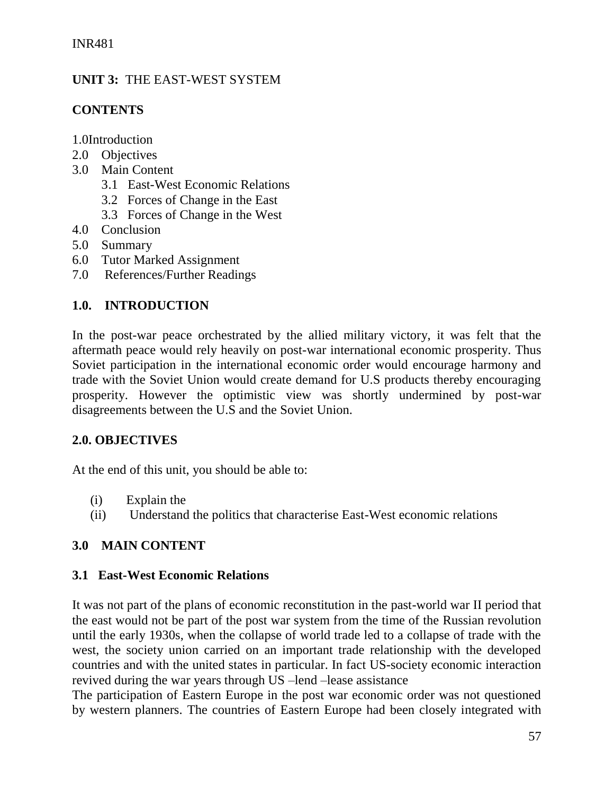# **UNIT 3:** THE EAST-WEST SYSTEM

# **CONTENTS**

1.0Introduction

- 2.0 Objectives
- 3.0 Main Content
	- 3.1 East-West Economic Relations
	- 3.2 Forces of Change in the East
	- 3.3 Forces of Change in the West
- 4.0 Conclusion
- 5.0 Summary
- 6.0 Tutor Marked Assignment
- 7.0 References/Further Readings

# **1.0. INTRODUCTION**

In the post-war peace orchestrated by the allied military victory, it was felt that the aftermath peace would rely heavily on post-war international economic prosperity. Thus Soviet participation in the international economic order would encourage harmony and trade with the Soviet Union would create demand for U.S products thereby encouraging prosperity. However the optimistic view was shortly undermined by post-war disagreements between the U.S and the Soviet Union.

# **2.0. OBJECTIVES**

At the end of this unit, you should be able to:

- (i) Explain the
- (ii) Understand the politics that characterise East-West economic relations

# **3.0 MAIN CONTENT**

### **3.1 East-West Economic Relations**

It was not part of the plans of economic reconstitution in the past-world war II period that the east would not be part of the post war system from the time of the Russian revolution until the early 1930s, when the collapse of world trade led to a collapse of trade with the west, the society union carried on an important trade relationship with the developed countries and with the united states in particular. In fact US-society economic interaction revived during the war years through US –lend –lease assistance

The participation of Eastern Europe in the post war economic order was not questioned by western planners. The countries of Eastern Europe had been closely integrated with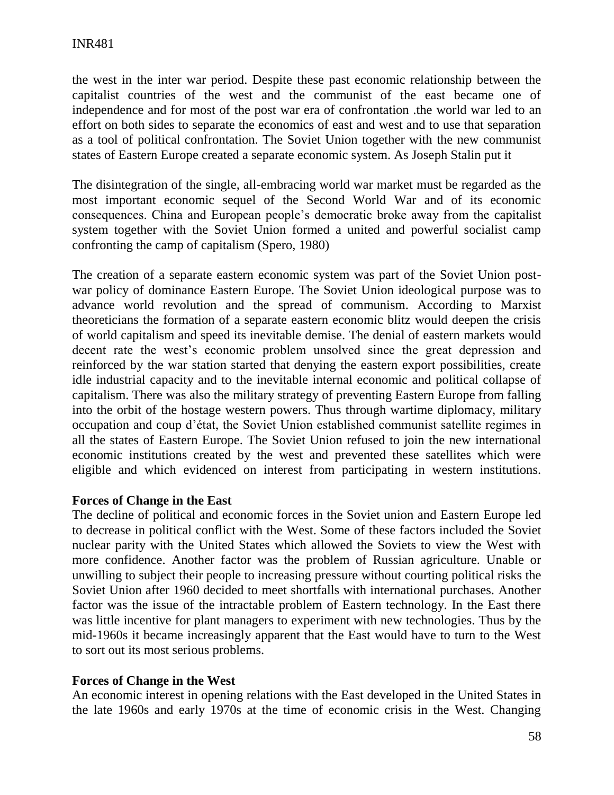the west in the inter war period. Despite these past economic relationship between the capitalist countries of the west and the communist of the east became one of independence and for most of the post war era of confrontation .the world war led to an effort on both sides to separate the economics of east and west and to use that separation as a tool of political confrontation. The Soviet Union together with the new communist states of Eastern Europe created a separate economic system. As Joseph Stalin put it

The disintegration of the single, all-embracing world war market must be regarded as the most important economic sequel of the Second World War and of its economic consequences. China and European people's democratic broke away from the capitalist system together with the Soviet Union formed a united and powerful socialist camp confronting the camp of capitalism (Spero, 1980)

The creation of a separate eastern economic system was part of the Soviet Union postwar policy of dominance Eastern Europe. The Soviet Union ideological purpose was to advance world revolution and the spread of communism. According to Marxist theoreticians the formation of a separate eastern economic blitz would deepen the crisis of world capitalism and speed its inevitable demise. The denial of eastern markets would decent rate the west's economic problem unsolved since the great depression and reinforced by the war station started that denying the eastern export possibilities, create idle industrial capacity and to the inevitable internal economic and political collapse of capitalism. There was also the military strategy of preventing Eastern Europe from falling into the orbit of the hostage western powers. Thus through wartime diplomacy, military occupation and coup d'état, the Soviet Union established communist satellite regimes in all the states of Eastern Europe. The Soviet Union refused to join the new international economic institutions created by the west and prevented these satellites which were eligible and which evidenced on interest from participating in western institutions.

### **Forces of Change in the East**

The decline of political and economic forces in the Soviet union and Eastern Europe led to decrease in political conflict with the West. Some of these factors included the Soviet nuclear parity with the United States which allowed the Soviets to view the West with more confidence. Another factor was the problem of Russian agriculture. Unable or unwilling to subject their people to increasing pressure without courting political risks the Soviet Union after 1960 decided to meet shortfalls with international purchases. Another factor was the issue of the intractable problem of Eastern technology. In the East there was little incentive for plant managers to experiment with new technologies. Thus by the mid-1960s it became increasingly apparent that the East would have to turn to the West to sort out its most serious problems.

#### **Forces of Change in the West**

An economic interest in opening relations with the East developed in the United States in the late 1960s and early 1970s at the time of economic crisis in the West. Changing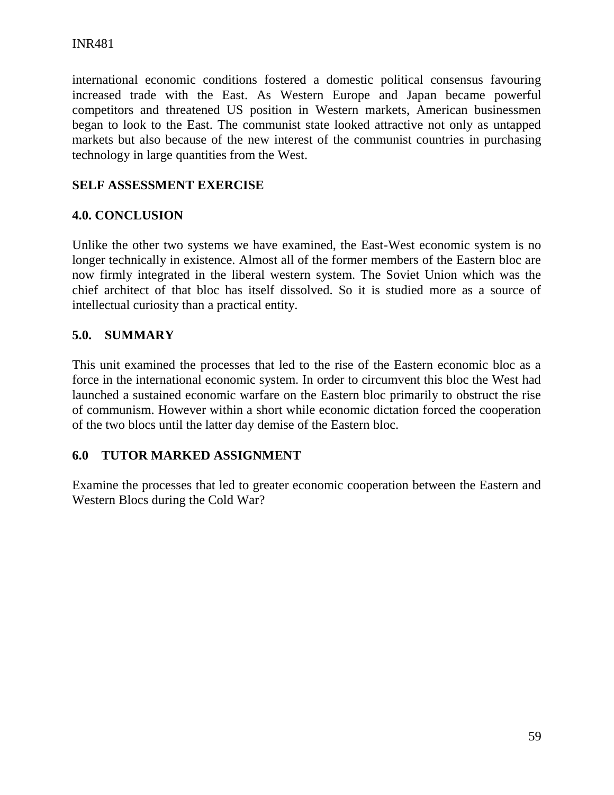international economic conditions fostered a domestic political consensus favouring increased trade with the East. As Western Europe and Japan became powerful competitors and threatened US position in Western markets, American businessmen began to look to the East. The communist state looked attractive not only as untapped markets but also because of the new interest of the communist countries in purchasing technology in large quantities from the West.

### **SELF ASSESSMENT EXERCISE**

#### **4.0. CONCLUSION**

Unlike the other two systems we have examined, the East-West economic system is no longer technically in existence. Almost all of the former members of the Eastern bloc are now firmly integrated in the liberal western system. The Soviet Union which was the chief architect of that bloc has itself dissolved. So it is studied more as a source of intellectual curiosity than a practical entity.

#### **5.0. SUMMARY**

This unit examined the processes that led to the rise of the Eastern economic bloc as a force in the international economic system. In order to circumvent this bloc the West had launched a sustained economic warfare on the Eastern bloc primarily to obstruct the rise of communism. However within a short while economic dictation forced the cooperation of the two blocs until the latter day demise of the Eastern bloc.

### **6.0 TUTOR MARKED ASSIGNMENT**

Examine the processes that led to greater economic cooperation between the Eastern and Western Blocs during the Cold War?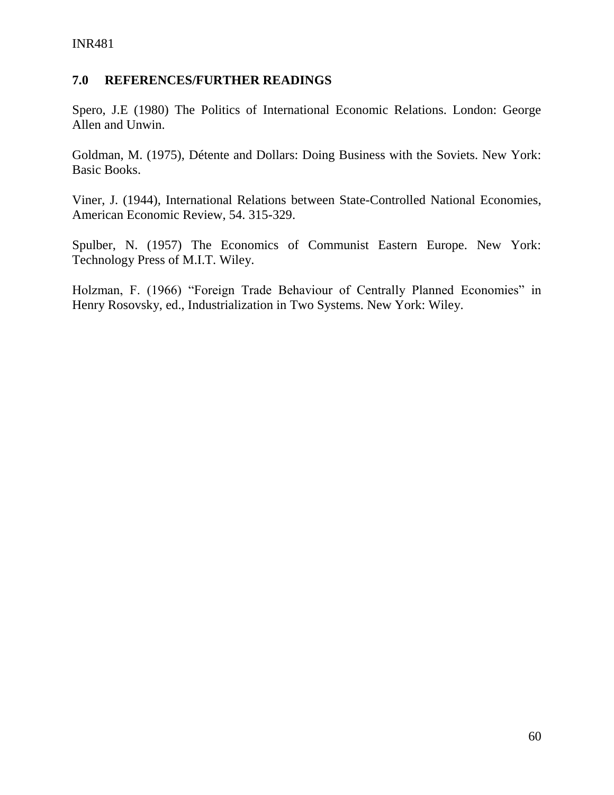## **7.0 REFERENCES/FURTHER READINGS**

Spero, J.E (1980) The Politics of International Economic Relations. London: George Allen and Unwin.

Goldman, M. (1975), Détente and Dollars: Doing Business with the Soviets. New York: Basic Books.

Viner, J. (1944), International Relations between State-Controlled National Economies, American Economic Review, 54. 315-329.

Spulber, N. (1957) The Economics of Communist Eastern Europe. New York: Technology Press of M.I.T. Wiley.

Holzman, F. (1966) "Foreign Trade Behaviour of Centrally Planned Economies" in Henry Rosovsky, ed., Industrialization in Two Systems. New York: Wiley.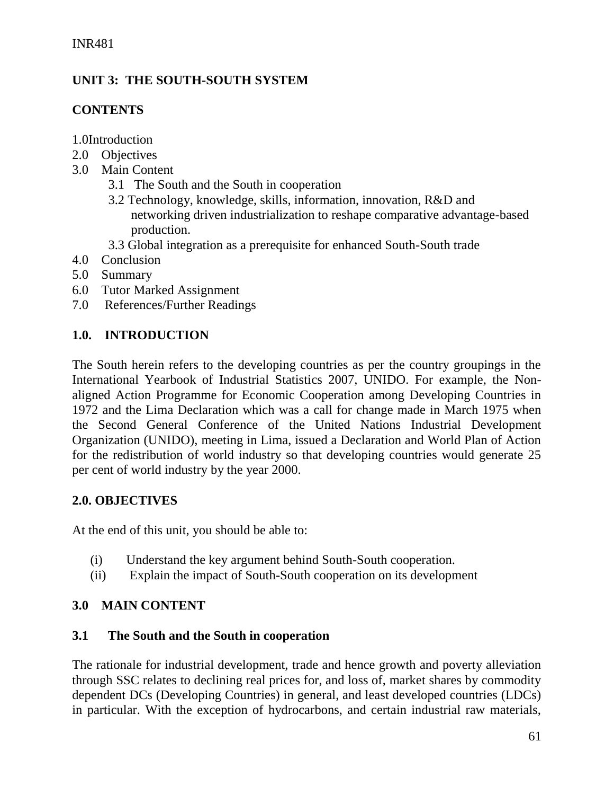# **UNIT 3: THE SOUTH-SOUTH SYSTEM**

# **CONTENTS**

1.0Introduction

- 2.0 Objectives
- 3.0 Main Content
	- 3.1 The South and the South in cooperation
	- 3.2 Technology, knowledge, skills, information, innovation, R&D and networking driven industrialization to reshape comparative advantage-based production.
	- 3.3 Global integration as a prerequisite for enhanced South-South trade
- 4.0 Conclusion
- 5.0 Summary
- 6.0 Tutor Marked Assignment
- 7.0 References/Further Readings

# **1.0. INTRODUCTION**

The South herein refers to the developing countries as per the country groupings in the International Yearbook of Industrial Statistics 2007, UNIDO. For example, the Nonaligned Action Programme for Economic Cooperation among Developing Countries in 1972 and the Lima Declaration which was a call for change made in March 1975 when the Second General Conference of the United Nations Industrial Development Organization (UNIDO), meeting in Lima, issued a Declaration and World Plan of Action for the redistribution of world industry so that developing countries would generate 25 per cent of world industry by the year 2000.

# **2.0. OBJECTIVES**

At the end of this unit, you should be able to:

- (i) Understand the key argument behind South-South cooperation.
- (ii) Explain the impact of South-South cooperation on its development

# **3.0 MAIN CONTENT**

# **3.1 The South and the South in cooperation**

The rationale for industrial development, trade and hence growth and poverty alleviation through SSC relates to declining real prices for, and loss of, market shares by commodity dependent DCs (Developing Countries) in general, and least developed countries (LDCs) in particular. With the exception of hydrocarbons, and certain industrial raw materials,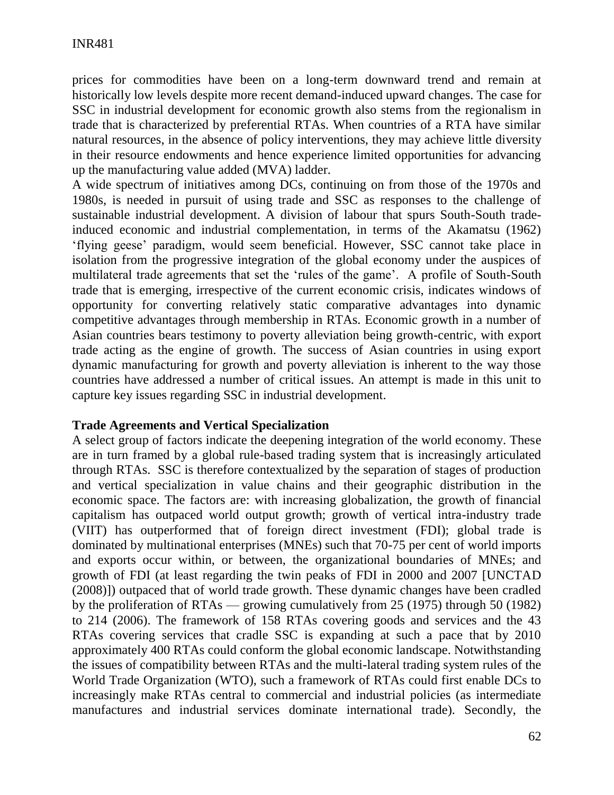prices for commodities have been on a long-term downward trend and remain at historically low levels despite more recent demand-induced upward changes. The case for SSC in industrial development for economic growth also stems from the regionalism in trade that is characterized by preferential RTAs. When countries of a RTA have similar natural resources, in the absence of policy interventions, they may achieve little diversity in their resource endowments and hence experience limited opportunities for advancing up the manufacturing value added (MVA) ladder.

A wide spectrum of initiatives among DCs, continuing on from those of the 1970s and 1980s, is needed in pursuit of using trade and SSC as responses to the challenge of sustainable industrial development. A division of labour that spurs South-South tradeinduced economic and industrial complementation, in terms of the Akamatsu (1962) 'flying geese' paradigm, would seem beneficial. However, SSC cannot take place in isolation from the progressive integration of the global economy under the auspices of multilateral trade agreements that set the 'rules of the game'. A profile of South-South trade that is emerging, irrespective of the current economic crisis, indicates windows of opportunity for converting relatively static comparative advantages into dynamic competitive advantages through membership in RTAs. Economic growth in a number of Asian countries bears testimony to poverty alleviation being growth-centric, with export trade acting as the engine of growth. The success of Asian countries in using export dynamic manufacturing for growth and poverty alleviation is inherent to the way those countries have addressed a number of critical issues. An attempt is made in this unit to capture key issues regarding SSC in industrial development.

#### **Trade Agreements and Vertical Specialization**

A select group of factors indicate the deepening integration of the world economy. These are in turn framed by a global rule-based trading system that is increasingly articulated through RTAs. SSC is therefore contextualized by the separation of stages of production and vertical specialization in value chains and their geographic distribution in the economic space. The factors are: with increasing globalization, the growth of financial capitalism has outpaced world output growth; growth of vertical intra-industry trade (VIIT) has outperformed that of foreign direct investment (FDI); global trade is dominated by multinational enterprises (MNEs) such that 70-75 per cent of world imports and exports occur within, or between, the organizational boundaries of MNEs; and growth of FDI (at least regarding the twin peaks of FDI in 2000 and 2007 [UNCTAD (2008)]) outpaced that of world trade growth. These dynamic changes have been cradled by the proliferation of RTAs — growing cumulatively from 25 (1975) through 50 (1982) to 214 (2006). The framework of 158 RTAs covering goods and services and the 43 RTAs covering services that cradle SSC is expanding at such a pace that by 2010 approximately 400 RTAs could conform the global economic landscape. Notwithstanding the issues of compatibility between RTAs and the multi-lateral trading system rules of the World Trade Organization (WTO), such a framework of RTAs could first enable DCs to increasingly make RTAs central to commercial and industrial policies (as intermediate manufactures and industrial services dominate international trade). Secondly, the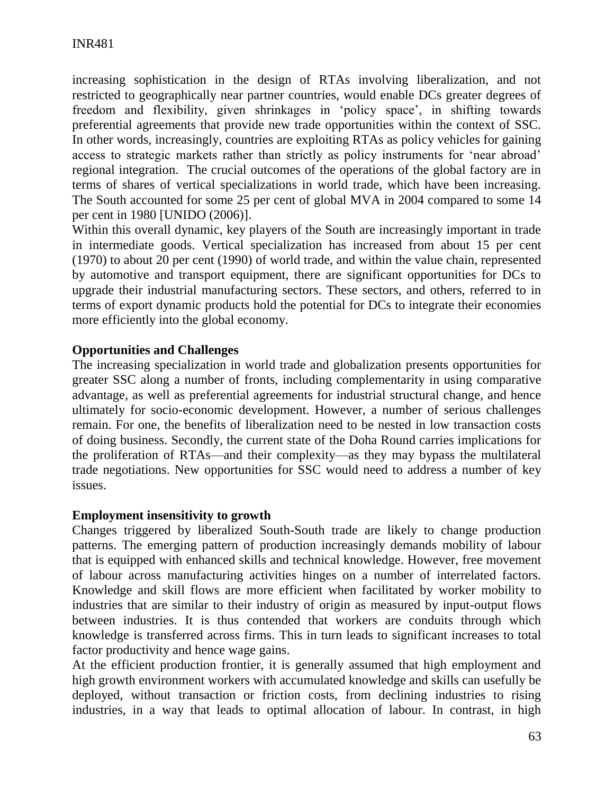increasing sophistication in the design of RTAs involving liberalization, and not restricted to geographically near partner countries, would enable DCs greater degrees of freedom and flexibility, given shrinkages in 'policy space', in shifting towards preferential agreements that provide new trade opportunities within the context of SSC. In other words, increasingly, countries are exploiting RTAs as policy vehicles for gaining access to strategic markets rather than strictly as policy instruments for 'near abroad' regional integration. The crucial outcomes of the operations of the global factory are in terms of shares of vertical specializations in world trade, which have been increasing. The South accounted for some 25 per cent of global MVA in 2004 compared to some 14 per cent in 1980 [UNIDO (2006)].

Within this overall dynamic, key players of the South are increasingly important in trade in intermediate goods. Vertical specialization has increased from about 15 per cent (1970) to about 20 per cent (1990) of world trade, and within the value chain, represented by automotive and transport equipment, there are significant opportunities for DCs to upgrade their industrial manufacturing sectors. These sectors, and others, referred to in terms of export dynamic products hold the potential for DCs to integrate their economies more efficiently into the global economy.

### **Opportunities and Challenges**

The increasing specialization in world trade and globalization presents opportunities for greater SSC along a number of fronts, including complementarity in using comparative advantage, as well as preferential agreements for industrial structural change, and hence ultimately for socio-economic development. However, a number of serious challenges remain. For one, the benefits of liberalization need to be nested in low transaction costs of doing business. Secondly, the current state of the Doha Round carries implications for the proliferation of RTAs—and their complexity—as they may bypass the multilateral trade negotiations. New opportunities for SSC would need to address a number of key issues.

### **Employment insensitivity to growth**

Changes triggered by liberalized South-South trade are likely to change production patterns. The emerging pattern of production increasingly demands mobility of labour that is equipped with enhanced skills and technical knowledge. However, free movement of labour across manufacturing activities hinges on a number of interrelated factors. Knowledge and skill flows are more efficient when facilitated by worker mobility to industries that are similar to their industry of origin as measured by input-output flows between industries. It is thus contended that workers are conduits through which knowledge is transferred across firms. This in turn leads to significant increases to total factor productivity and hence wage gains.

At the efficient production frontier, it is generally assumed that high employment and high growth environment workers with accumulated knowledge and skills can usefully be deployed, without transaction or friction costs, from declining industries to rising industries, in a way that leads to optimal allocation of labour. In contrast, in high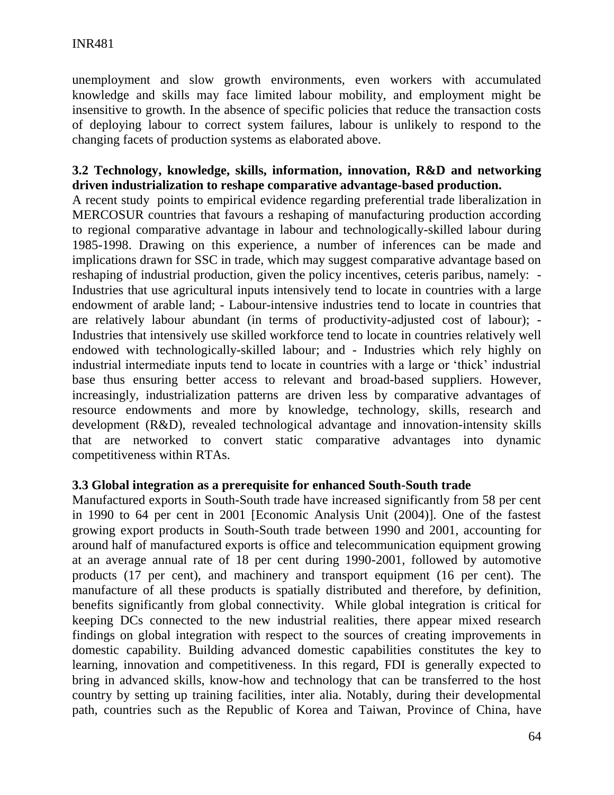unemployment and slow growth environments, even workers with accumulated knowledge and skills may face limited labour mobility, and employment might be insensitive to growth. In the absence of specific policies that reduce the transaction costs of deploying labour to correct system failures, labour is unlikely to respond to the changing facets of production systems as elaborated above.

#### **3.2 Technology, knowledge, skills, information, innovation, R&D and networking driven industrialization to reshape comparative advantage-based production.**

A recent study points to empirical evidence regarding preferential trade liberalization in MERCOSUR countries that favours a reshaping of manufacturing production according to regional comparative advantage in labour and technologically-skilled labour during 1985-1998. Drawing on this experience, a number of inferences can be made and implications drawn for SSC in trade, which may suggest comparative advantage based on reshaping of industrial production, given the policy incentives, ceteris paribus, namely: - Industries that use agricultural inputs intensively tend to locate in countries with a large endowment of arable land; - Labour-intensive industries tend to locate in countries that are relatively labour abundant (in terms of productivity-adjusted cost of labour); - Industries that intensively use skilled workforce tend to locate in countries relatively well endowed with technologically-skilled labour; and - Industries which rely highly on industrial intermediate inputs tend to locate in countries with a large or 'thick' industrial base thus ensuring better access to relevant and broad-based suppliers. However, increasingly, industrialization patterns are driven less by comparative advantages of resource endowments and more by knowledge, technology, skills, research and development (R&D), revealed technological advantage and innovation-intensity skills that are networked to convert static comparative advantages into dynamic competitiveness within RTAs.

### **3.3 Global integration as a prerequisite for enhanced South-South trade**

Manufactured exports in South-South trade have increased significantly from 58 per cent in 1990 to 64 per cent in 2001 [Economic Analysis Unit (2004)]. One of the fastest growing export products in South-South trade between 1990 and 2001, accounting for around half of manufactured exports is office and telecommunication equipment growing at an average annual rate of 18 per cent during 1990-2001, followed by automotive products (17 per cent), and machinery and transport equipment (16 per cent). The manufacture of all these products is spatially distributed and therefore, by definition, benefits significantly from global connectivity. While global integration is critical for keeping DCs connected to the new industrial realities, there appear mixed research findings on global integration with respect to the sources of creating improvements in domestic capability. Building advanced domestic capabilities constitutes the key to learning, innovation and competitiveness. In this regard, FDI is generally expected to bring in advanced skills, know-how and technology that can be transferred to the host country by setting up training facilities, inter alia. Notably, during their developmental path, countries such as the Republic of Korea and Taiwan, Province of China, have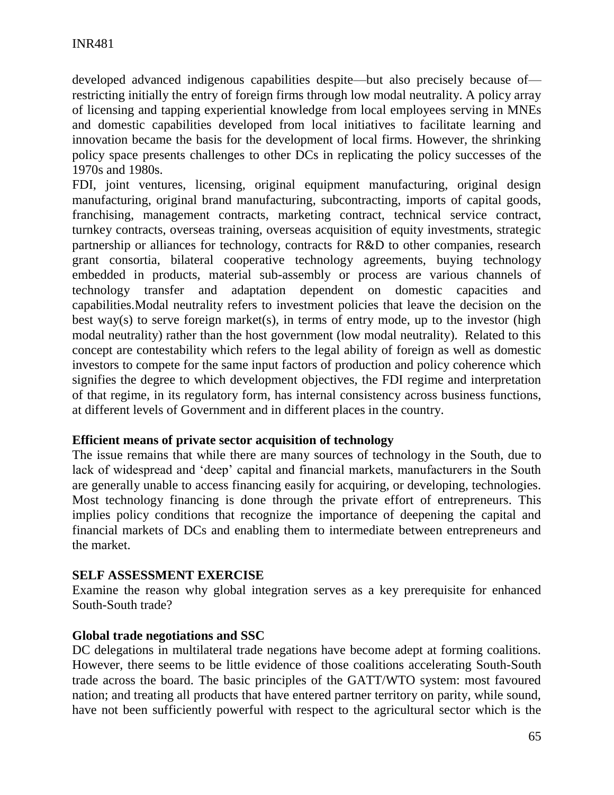developed advanced indigenous capabilities despite—but also precisely because of restricting initially the entry of foreign firms through low modal neutrality. A policy array of licensing and tapping experiential knowledge from local employees serving in MNEs and domestic capabilities developed from local initiatives to facilitate learning and innovation became the basis for the development of local firms. However, the shrinking policy space presents challenges to other DCs in replicating the policy successes of the 1970s and 1980s.

FDI, joint ventures, licensing, original equipment manufacturing, original design manufacturing, original brand manufacturing, subcontracting, imports of capital goods, franchising, management contracts, marketing contract, technical service contract, turnkey contracts, overseas training, overseas acquisition of equity investments, strategic partnership or alliances for technology, contracts for R&D to other companies, research grant consortia, bilateral cooperative technology agreements, buying technology embedded in products, material sub-assembly or process are various channels of technology transfer and adaptation dependent on domestic capacities and capabilities.Modal neutrality refers to investment policies that leave the decision on the best way(s) to serve foreign market(s), in terms of entry mode, up to the investor (high modal neutrality) rather than the host government (low modal neutrality). Related to this concept are contestability which refers to the legal ability of foreign as well as domestic investors to compete for the same input factors of production and policy coherence which signifies the degree to which development objectives, the FDI regime and interpretation of that regime, in its regulatory form, has internal consistency across business functions, at different levels of Government and in different places in the country.

### **Efficient means of private sector acquisition of technology**

The issue remains that while there are many sources of technology in the South, due to lack of widespread and 'deep' capital and financial markets, manufacturers in the South are generally unable to access financing easily for acquiring, or developing, technologies. Most technology financing is done through the private effort of entrepreneurs. This implies policy conditions that recognize the importance of deepening the capital and financial markets of DCs and enabling them to intermediate between entrepreneurs and the market.

# **SELF ASSESSMENT EXERCISE**

Examine the reason why global integration serves as a key prerequisite for enhanced South-South trade?

### **Global trade negotiations and SSC**

DC delegations in multilateral trade negations have become adept at forming coalitions. However, there seems to be little evidence of those coalitions accelerating South-South trade across the board. The basic principles of the GATT/WTO system: most favoured nation; and treating all products that have entered partner territory on parity, while sound, have not been sufficiently powerful with respect to the agricultural sector which is the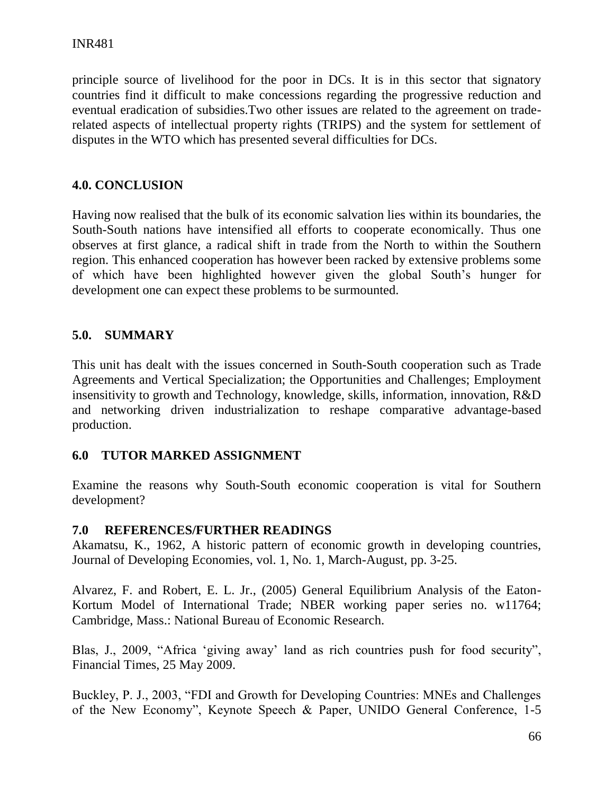principle source of livelihood for the poor in DCs. It is in this sector that signatory countries find it difficult to make concessions regarding the progressive reduction and eventual eradication of subsidies.Two other issues are related to the agreement on traderelated aspects of intellectual property rights (TRIPS) and the system for settlement of disputes in the WTO which has presented several difficulties for DCs.

## **4.0. CONCLUSION**

Having now realised that the bulk of its economic salvation lies within its boundaries, the South-South nations have intensified all efforts to cooperate economically. Thus one observes at first glance, a radical shift in trade from the North to within the Southern region. This enhanced cooperation has however been racked by extensive problems some of which have been highlighted however given the global South's hunger for development one can expect these problems to be surmounted.

### **5.0. SUMMARY**

This unit has dealt with the issues concerned in South-South cooperation such as Trade Agreements and Vertical Specialization; the Opportunities and Challenges; Employment insensitivity to growth and Technology, knowledge, skills, information, innovation, R&D and networking driven industrialization to reshape comparative advantage-based production.

# **6.0 TUTOR MARKED ASSIGNMENT**

Examine the reasons why South-South economic cooperation is vital for Southern development?

### **7.0 REFERENCES/FURTHER READINGS**

Akamatsu, K., 1962, A historic pattern of economic growth in developing countries, Journal of Developing Economies, vol. 1, No. 1, March-August, pp. 3-25.

Alvarez, F. and Robert, E. L. Jr., (2005) General Equilibrium Analysis of the Eaton-Kortum Model of International Trade; NBER working paper series no. w11764; Cambridge, Mass.: National Bureau of Economic Research.

Blas, J., 2009, "Africa 'giving away' land as rich countries push for food security", Financial Times, 25 May 2009.

Buckley, P. J., 2003, "FDI and Growth for Developing Countries: MNEs and Challenges of the New Economy", Keynote Speech & Paper, UNIDO General Conference, 1-5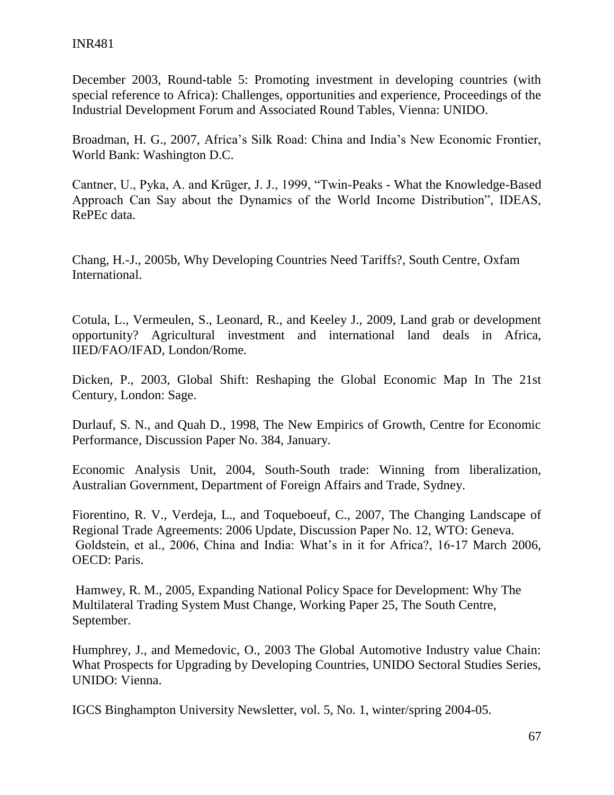December 2003, Round-table 5: Promoting investment in developing countries (with special reference to Africa): Challenges, opportunities and experience, Proceedings of the Industrial Development Forum and Associated Round Tables, Vienna: UNIDO.

Broadman, H. G., 2007, Africa's Silk Road: China and India's New Economic Frontier, World Bank: Washington D.C.

Cantner, U., Pyka, A. and Krüger, J. J., 1999, "Twin-Peaks - What the Knowledge-Based Approach Can Say about the Dynamics of the World Income Distribution", IDEAS, RePEc data.

Chang, H.-J., 2005b, Why Developing Countries Need Tariffs?, South Centre, Oxfam International.

Cotula, L., Vermeulen, S., Leonard, R., and Keeley J., 2009, Land grab or development opportunity? Agricultural investment and international land deals in Africa, IIED/FAO/IFAD, London/Rome.

Dicken, P., 2003, Global Shift: Reshaping the Global Economic Map In The 21st Century, London: Sage.

Durlauf, S. N., and Quah D., 1998, The New Empirics of Growth, Centre for Economic Performance, Discussion Paper No. 384, January.

Economic Analysis Unit, 2004, South-South trade: Winning from liberalization, Australian Government, Department of Foreign Affairs and Trade, Sydney.

Fiorentino, R. V., Verdeja, L., and Toqueboeuf, C., 2007, The Changing Landscape of Regional Trade Agreements: 2006 Update, Discussion Paper No. 12, WTO: Geneva. Goldstein, et al., 2006, China and India: What's in it for Africa?, 16-17 March 2006, OECD: Paris.

Hamwey, R. M., 2005, Expanding National Policy Space for Development: Why The Multilateral Trading System Must Change, Working Paper 25, The South Centre, September.

Humphrey, J., and Memedovic, O., 2003 The Global Automotive Industry value Chain: What Prospects for Upgrading by Developing Countries, UNIDO Sectoral Studies Series, UNIDO: Vienna.

IGCS Binghampton University Newsletter, vol. 5, No. 1, winter/spring 2004-05.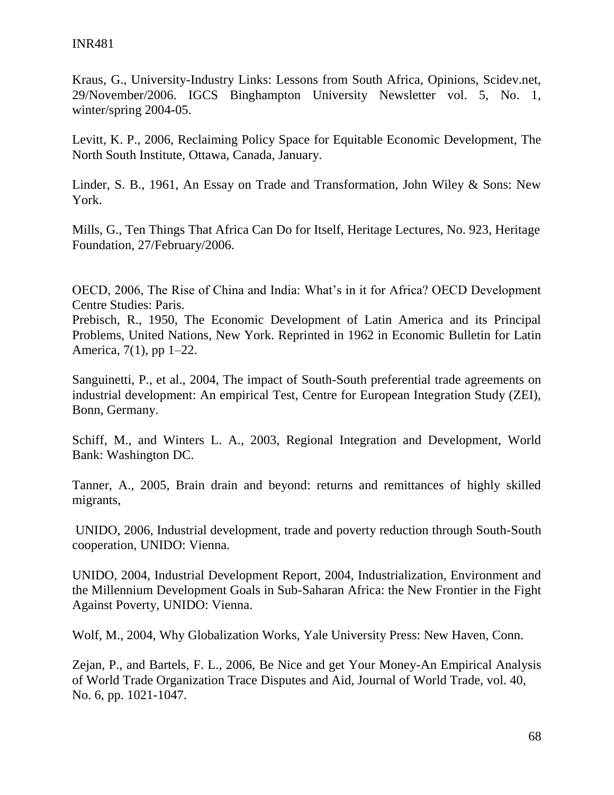Kraus, G., University-Industry Links: Lessons from South Africa, Opinions, Scidev.net, 29/November/2006. IGCS Binghampton University Newsletter vol. 5, No. 1, winter/spring 2004-05.

Levitt, K. P., 2006, Reclaiming Policy Space for Equitable Economic Development, The North South Institute, Ottawa, Canada, January.

Linder, S. B., 1961, An Essay on Trade and Transformation, John Wiley & Sons: New York.

Mills, G., Ten Things That Africa Can Do for Itself, Heritage Lectures, No. 923, Heritage Foundation, 27/February/2006.

OECD, 2006, The Rise of China and India: What's in it for Africa? OECD Development Centre Studies: Paris.

Prebisch, R., 1950, The Economic Development of Latin America and its Principal Problems, United Nations, New York. Reprinted in 1962 in Economic Bulletin for Latin America, 7(1), pp 1–22.

Sanguinetti, P., et al., 2004, The impact of South-South preferential trade agreements on industrial development: An empirical Test, Centre for European Integration Study (ZEI), Bonn, Germany.

Schiff, M., and Winters L. A., 2003, Regional Integration and Development, World Bank: Washington DC.

Tanner, A., 2005, Brain drain and beyond: returns and remittances of highly skilled migrants,

UNIDO, 2006, Industrial development, trade and poverty reduction through South-South cooperation, UNIDO: Vienna.

UNIDO, 2004, Industrial Development Report, 2004, Industrialization, Environment and the Millennium Development Goals in Sub-Saharan Africa: the New Frontier in the Fight Against Poverty, UNIDO: Vienna.

Wolf, M., 2004, Why Globalization Works, Yale University Press: New Haven, Conn.

Zejan, P., and Bartels, F. L., 2006, Be Nice and get Your Money-An Empirical Analysis of World Trade Organization Trace Disputes and Aid, Journal of World Trade, vol. 40, No. 6, pp. 1021-1047.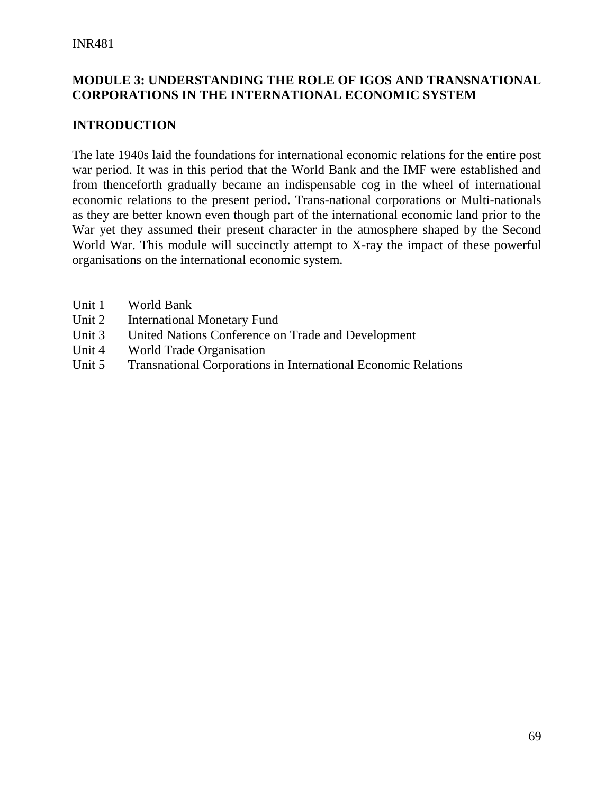# **MODULE 3: UNDERSTANDING THE ROLE OF IGOS AND TRANSNATIONAL CORPORATIONS IN THE INTERNATIONAL ECONOMIC SYSTEM**

## **INTRODUCTION**

The late 1940s laid the foundations for international economic relations for the entire post war period. It was in this period that the World Bank and the IMF were established and from thenceforth gradually became an indispensable cog in the wheel of international economic relations to the present period. Trans-national corporations or Multi-nationals as they are better known even though part of the international economic land prior to the War yet they assumed their present character in the atmosphere shaped by the Second World War. This module will succinctly attempt to X-ray the impact of these powerful organisations on the international economic system.

- Unit 1 World Bank
- Unit 2 International Monetary Fund
- Unit 3 United Nations Conference on Trade and Development
- Unit 4 World Trade Organisation
- Unit 5 Transnational Corporations in International Economic Relations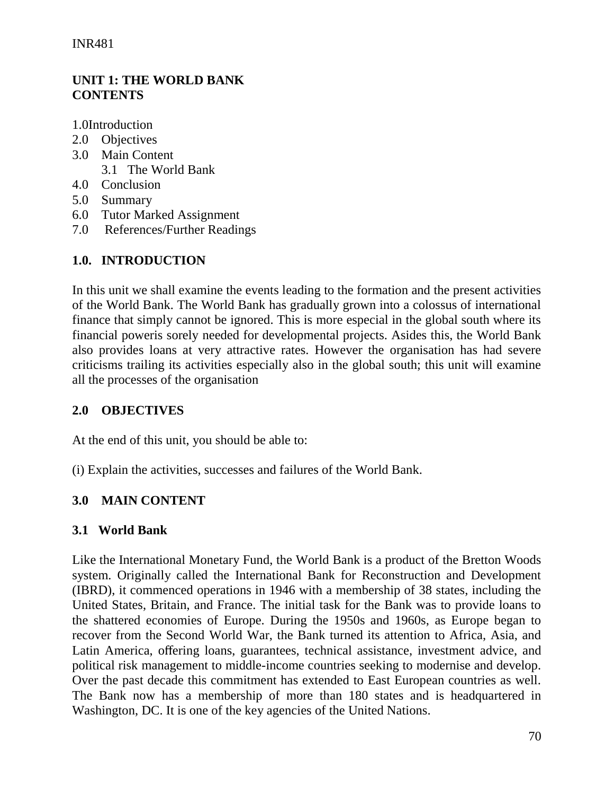INR481

## **UNIT 1: THE WORLD BANK CONTENTS**

1.0Introduction

- 2.0 Objectives
- 3.0 Main Content 3.1 The World Bank
- 4.0 Conclusion
- 5.0 Summary
- 6.0 Tutor Marked Assignment
- 7.0 References/Further Readings

# **1.0. INTRODUCTION**

In this unit we shall examine the events leading to the formation and the present activities of the World Bank. The World Bank has gradually grown into a colossus of international finance that simply cannot be ignored. This is more especial in the global south where its financial poweris sorely needed for developmental projects. Asides this, the World Bank also provides loans at very attractive rates. However the organisation has had severe criticisms trailing its activities especially also in the global south; this unit will examine all the processes of the organisation

# **2.0 OBJECTIVES**

At the end of this unit, you should be able to:

(i) Explain the activities, successes and failures of the World Bank.

# **3.0 MAIN CONTENT**

# **3.1 World Bank**

Like the International Monetary Fund, the World Bank is a product of the Bretton Woods system. Originally called the International Bank for Reconstruction and Development (IBRD), it commenced operations in 1946 with a membership of 38 states, including the United States, Britain, and France. The initial task for the Bank was to provide loans to the shattered economies of Europe. During the 1950s and 1960s, as Europe began to recover from the Second World War, the Bank turned its attention to Africa, Asia, and Latin America, offering loans, guarantees, technical assistance, investment advice, and political risk management to middle-income countries seeking to modernise and develop. Over the past decade this commitment has extended to East European countries as well. The Bank now has a membership of more than 180 states and is headquartered in Washington, DC. It is one of the key agencies of the United Nations.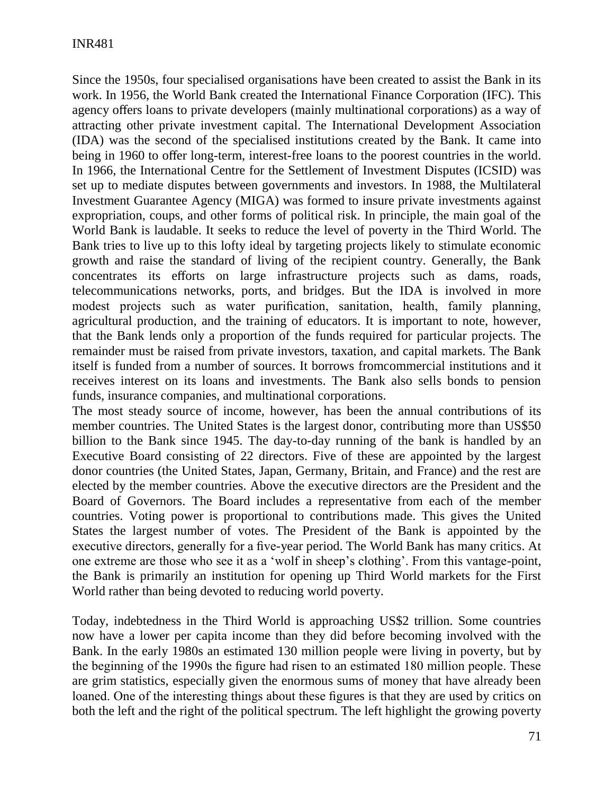Since the 1950s, four specialised organisations have been created to assist the Bank in its work. In 1956, the World Bank created the International Finance Corporation (IFC). This agency offers loans to private developers (mainly multinational corporations) as a way of attracting other private investment capital. The International Development Association (IDA) was the second of the specialised institutions created by the Bank. It came into being in 1960 to offer long-term, interest-free loans to the poorest countries in the world. In 1966, the International Centre for the Settlement of Investment Disputes (ICSID) was set up to mediate disputes between governments and investors. In 1988, the Multilateral Investment Guarantee Agency (MIGA) was formed to insure private investments against expropriation, coups, and other forms of political risk. In principle, the main goal of the World Bank is laudable. It seeks to reduce the level of poverty in the Third World. The Bank tries to live up to this lofty ideal by targeting projects likely to stimulate economic growth and raise the standard of living of the recipient country. Generally, the Bank concentrates its efforts on large infrastructure projects such as dams, roads, telecommunications networks, ports, and bridges. But the IDA is involved in more modest projects such as water purification, sanitation, health, family planning, agricultural production, and the training of educators. It is important to note, however, that the Bank lends only a proportion of the funds required for particular projects. The remainder must be raised from private investors, taxation, and capital markets. The Bank itself is funded from a number of sources. It borrows fromcommercial institutions and it receives interest on its loans and investments. The Bank also sells bonds to pension funds, insurance companies, and multinational corporations.

The most steady source of income, however, has been the annual contributions of its member countries. The United States is the largest donor, contributing more than US\$50 billion to the Bank since 1945. The day-to-day running of the bank is handled by an Executive Board consisting of 22 directors. Five of these are appointed by the largest donor countries (the United States, Japan, Germany, Britain, and France) and the rest are elected by the member countries. Above the executive directors are the President and the Board of Governors. The Board includes a representative from each of the member countries. Voting power is proportional to contributions made. This gives the United States the largest number of votes. The President of the Bank is appointed by the executive directors, generally for a five-year period. The World Bank has many critics. At one extreme are those who see it as a 'wolf in sheep's clothing'. From this vantage-point, the Bank is primarily an institution for opening up Third World markets for the First World rather than being devoted to reducing world poverty.

Today, indebtedness in the Third World is approaching US\$2 trillion. Some countries now have a lower per capita income than they did before becoming involved with the Bank. In the early 1980s an estimated 130 million people were living in poverty, but by the beginning of the 1990s the figure had risen to an estimated 180 million people. These are grim statistics, especially given the enormous sums of money that have already been loaned. One of the interesting things about these figures is that they are used by critics on both the left and the right of the political spectrum. The left highlight the growing poverty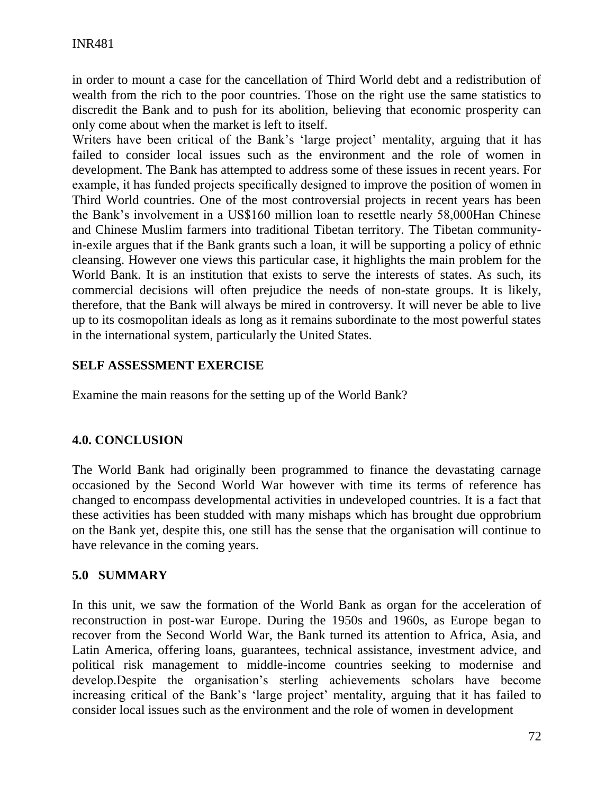in order to mount a case for the cancellation of Third World debt and a redistribution of wealth from the rich to the poor countries. Those on the right use the same statistics to discredit the Bank and to push for its abolition, believing that economic prosperity can only come about when the market is left to itself.

Writers have been critical of the Bank's 'large project' mentality, arguing that it has failed to consider local issues such as the environment and the role of women in development. The Bank has attempted to address some of these issues in recent years. For example, it has funded projects specifically designed to improve the position of women in Third World countries. One of the most controversial projects in recent years has been the Bank's involvement in a US\$160 million loan to resettle nearly 58,000Han Chinese and Chinese Muslim farmers into traditional Tibetan territory. The Tibetan communityin-exile argues that if the Bank grants such a loan, it will be supporting a policy of ethnic cleansing. However one views this particular case, it highlights the main problem for the World Bank. It is an institution that exists to serve the interests of states. As such, its commercial decisions will often prejudice the needs of non-state groups. It is likely, therefore, that the Bank will always be mired in controversy. It will never be able to live up to its cosmopolitan ideals as long as it remains subordinate to the most powerful states in the international system, particularly the United States.

### **SELF ASSESSMENT EXERCISE**

Examine the main reasons for the setting up of the World Bank?

### **4.0. CONCLUSION**

The World Bank had originally been programmed to finance the devastating carnage occasioned by the Second World War however with time its terms of reference has changed to encompass developmental activities in undeveloped countries. It is a fact that these activities has been studded with many mishaps which has brought due opprobrium on the Bank yet, despite this, one still has the sense that the organisation will continue to have relevance in the coming years.

### **5.0 SUMMARY**

In this unit, we saw the formation of the World Bank as organ for the acceleration of reconstruction in post-war Europe. During the 1950s and 1960s, as Europe began to recover from the Second World War, the Bank turned its attention to Africa, Asia, and Latin America, offering loans, guarantees, technical assistance, investment advice, and political risk management to middle-income countries seeking to modernise and develop.Despite the organisation's sterling achievements scholars have become increasing critical of the Bank's 'large project' mentality, arguing that it has failed to consider local issues such as the environment and the role of women in development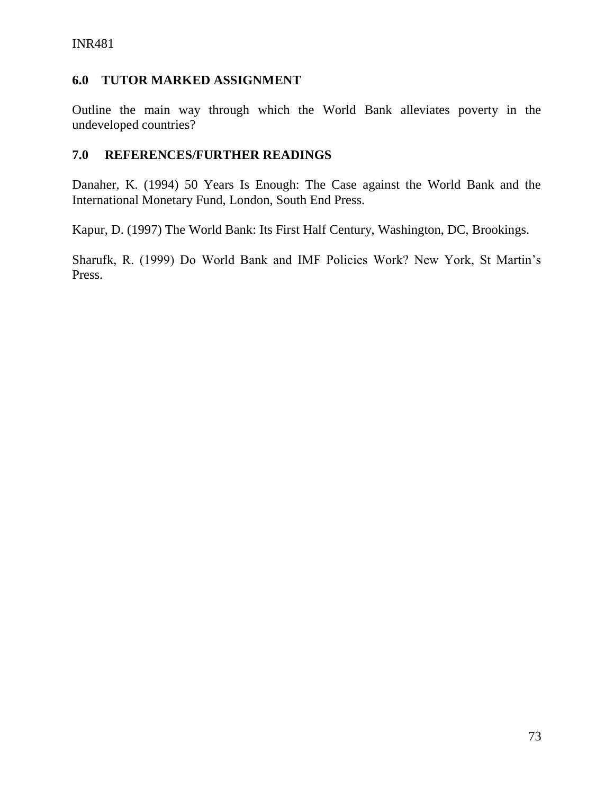#### **6.0 TUTOR MARKED ASSIGNMENT**

Outline the main way through which the World Bank alleviates poverty in the undeveloped countries?

#### **7.0 REFERENCES/FURTHER READINGS**

Danaher, K. (1994) 50 Years Is Enough: The Case against the World Bank and the International Monetary Fund, London, South End Press.

Kapur, D. (1997) The World Bank: Its First Half Century, Washington, DC, Brookings.

Sharufk, R. (1999) Do World Bank and IMF Policies Work? New York, St Martin's Press.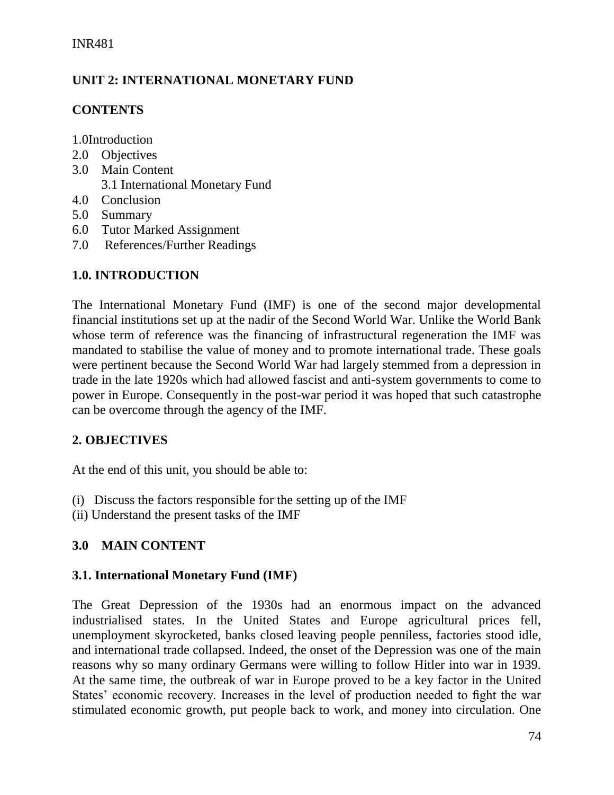## **UNIT 2: INTERNATIONAL MONETARY FUND**

## **CONTENTS**

1.0Introduction

- 2.0 Objectives
- 3.0 Main Content 3.1 International Monetary Fund
- 4.0 Conclusion
- 5.0 Summary
- 6.0 Tutor Marked Assignment
- 7.0 References/Further Readings

## **1.0. INTRODUCTION**

The International Monetary Fund (IMF) is one of the second major developmental financial institutions set up at the nadir of the Second World War. Unlike the World Bank whose term of reference was the financing of infrastructural regeneration the IMF was mandated to stabilise the value of money and to promote international trade. These goals were pertinent because the Second World War had largely stemmed from a depression in trade in the late 1920s which had allowed fascist and anti-system governments to come to power in Europe. Consequently in the post-war period it was hoped that such catastrophe can be overcome through the agency of the IMF.

## **2. OBJECTIVES**

At the end of this unit, you should be able to:

- (i) Discuss the factors responsible for the setting up of the IMF
- (ii) Understand the present tasks of the IMF

## **3.0 MAIN CONTENT**

#### **3.1. International Monetary Fund (IMF)**

The Great Depression of the 1930s had an enormous impact on the advanced industrialised states. In the United States and Europe agricultural prices fell, unemployment skyrocketed, banks closed leaving people penniless, factories stood idle, and international trade collapsed. Indeed, the onset of the Depression was one of the main reasons why so many ordinary Germans were willing to follow Hitler into war in 1939. At the same time, the outbreak of war in Europe proved to be a key factor in the United States' economic recovery. Increases in the level of production needed to fight the war stimulated economic growth, put people back to work, and money into circulation. One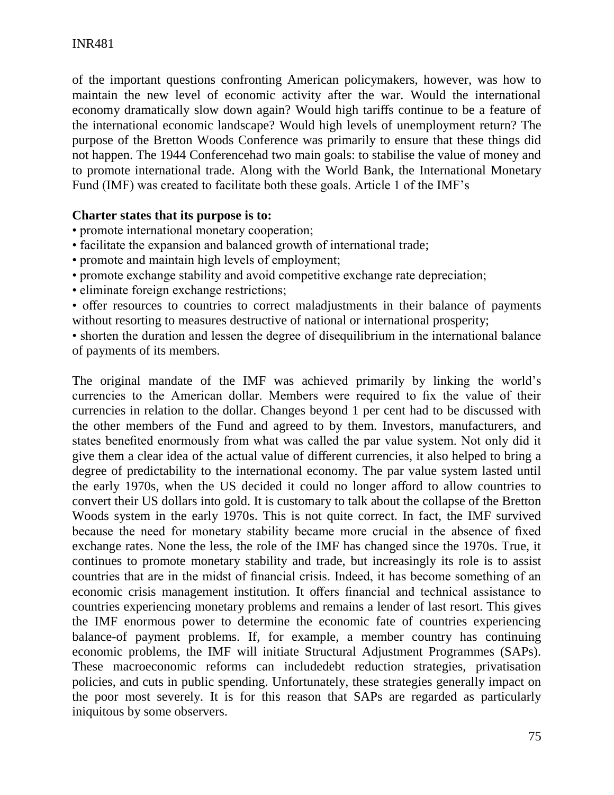of the important questions confronting American policymakers, however, was how to maintain the new level of economic activity after the war. Would the international economy dramatically slow down again? Would high tariffs continue to be a feature of the international economic landscape? Would high levels of unemployment return? The purpose of the Bretton Woods Conference was primarily to ensure that these things did not happen. The 1944 Conferencehad two main goals: to stabilise the value of money and to promote international trade. Along with the World Bank, the International Monetary Fund (IMF) was created to facilitate both these goals. Article 1 of the IMF's

#### **Charter states that its purpose is to:**

- promote international monetary cooperation;
- facilitate the expansion and balanced growth of international trade;
- promote and maintain high levels of employment;
- promote exchange stability and avoid competitive exchange rate depreciation;
- eliminate foreign exchange restrictions;

• offer resources to countries to correct maladjustments in their balance of payments without resorting to measures destructive of national or international prosperity;

• shorten the duration and lessen the degree of disequilibrium in the international balance of payments of its members.

The original mandate of the IMF was achieved primarily by linking the world's currencies to the American dollar. Members were required to fix the value of their currencies in relation to the dollar. Changes beyond 1 per cent had to be discussed with the other members of the Fund and agreed to by them. Investors, manufacturers, and states benefited enormously from what was called the par value system. Not only did it give them a clear idea of the actual value of different currencies, it also helped to bring a degree of predictability to the international economy. The par value system lasted until the early 1970s, when the US decided it could no longer afford to allow countries to convert their US dollars into gold. It is customary to talk about the collapse of the Bretton Woods system in the early 1970s. This is not quite correct. In fact, the IMF survived because the need for monetary stability became more crucial in the absence of fixed exchange rates. None the less, the role of the IMF has changed since the 1970s. True, it continues to promote monetary stability and trade, but increasingly its role is to assist countries that are in the midst of financial crisis. Indeed, it has become something of an economic crisis management institution. It offers financial and technical assistance to countries experiencing monetary problems and remains a lender of last resort. This gives the IMF enormous power to determine the economic fate of countries experiencing balance-of payment problems. If, for example, a member country has continuing economic problems, the IMF will initiate Structural Adjustment Programmes (SAPs). These macroeconomic reforms can includedebt reduction strategies, privatisation policies, and cuts in public spending. Unfortunately, these strategies generally impact on the poor most severely. It is for this reason that SAPs are regarded as particularly iniquitous by some observers.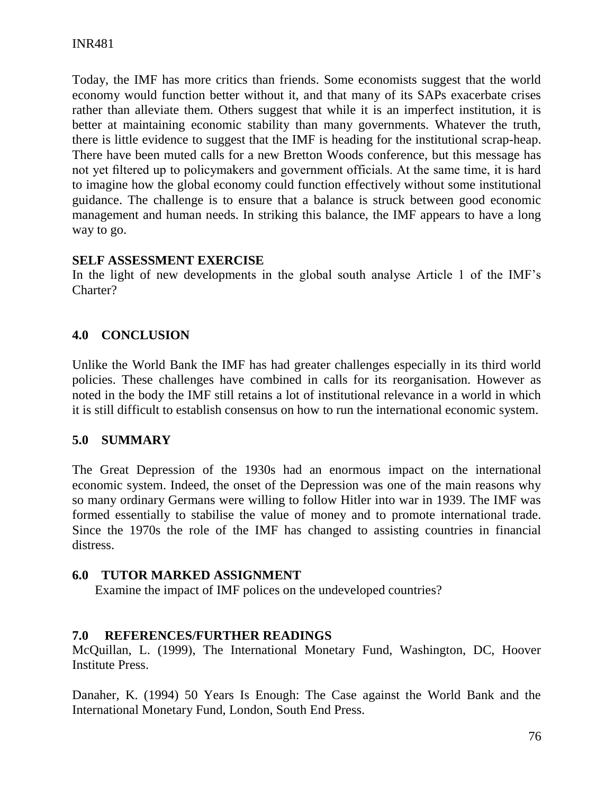Today, the IMF has more critics than friends. Some economists suggest that the world economy would function better without it, and that many of its SAPs exacerbate crises rather than alleviate them. Others suggest that while it is an imperfect institution, it is better at maintaining economic stability than many governments. Whatever the truth, there is little evidence to suggest that the IMF is heading for the institutional scrap-heap. There have been muted calls for a new Bretton Woods conference, but this message has not yet filtered up to policymakers and government officials. At the same time, it is hard to imagine how the global economy could function effectively without some institutional guidance. The challenge is to ensure that a balance is struck between good economic management and human needs. In striking this balance, the IMF appears to have a long way to go.

### **SELF ASSESSMENT EXERCISE**

In the light of new developments in the global south analyse Article 1 of the IMF's Charter?

## **4.0 CONCLUSION**

Unlike the World Bank the IMF has had greater challenges especially in its third world policies. These challenges have combined in calls for its reorganisation. However as noted in the body the IMF still retains a lot of institutional relevance in a world in which it is still difficult to establish consensus on how to run the international economic system.

## **5.0 SUMMARY**

The Great Depression of the 1930s had an enormous impact on the international economic system. Indeed, the onset of the Depression was one of the main reasons why so many ordinary Germans were willing to follow Hitler into war in 1939. The IMF was formed essentially to stabilise the value of money and to promote international trade. Since the 1970s the role of the IMF has changed to assisting countries in financial distress.

#### **6.0 TUTOR MARKED ASSIGNMENT**

Examine the impact of IMF polices on the undeveloped countries?

#### **7.0 REFERENCES/FURTHER READINGS**

McQuillan, L. (1999), The International Monetary Fund, Washington, DC, Hoover Institute Press.

Danaher, K. (1994) 50 Years Is Enough: The Case against the World Bank and the International Monetary Fund, London, South End Press.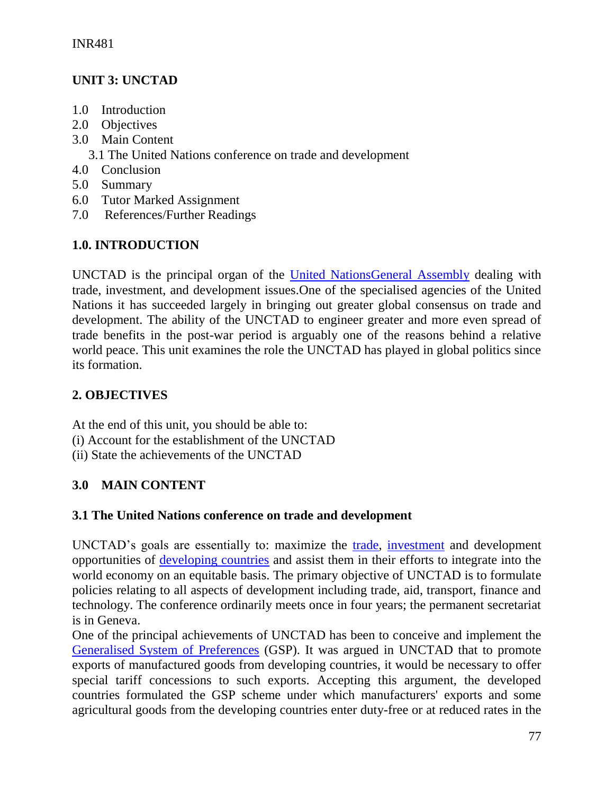# **UNIT 3: UNCTAD**

- 1.0 Introduction
- 2.0 Objectives
- 3.0 Main Content
	- 3.1 The United Nations conference on trade and development
- 4.0 Conclusion
- 5.0 Summary
- 6.0 Tutor Marked Assignment
- 7.0 References/Further Readings

# **1.0. INTRODUCTION**

UNCTAD is the principal organ of the [United NationsGeneral Assembly](https://en.wikipedia.org/wiki/United_Nations) dealing with trade, investment, and development issues.One of the specialised agencies of the United Nations it has succeeded largely in bringing out greater global consensus on trade and development. The ability of the UNCTAD to engineer greater and more even spread of trade benefits in the post-war period is arguably one of the reasons behind a relative world peace. This unit examines the role the UNCTAD has played in global politics since its formation.

# **2. OBJECTIVES**

- At the end of this unit, you should be able to:
- (i) Account for the establishment of the UNCTAD
- (ii) State the achievements of the UNCTAD

# **3.0 MAIN CONTENT**

## **3.1 The United Nations conference on trade and development**

UNCTAD's goals are essentially to: maximize the [trade,](https://en.wikipedia.org/wiki/International_trade) [investment](https://en.wikipedia.org/wiki/Foreign_direct_investment) and development opportunities of [developing countries](https://en.wikipedia.org/wiki/Developing_countries) and assist them in their efforts to integrate into the world economy on an equitable basis. The primary objective of UNCTAD is to formulate policies relating to all aspects of development including trade, aid, transport, finance and technology. The conference ordinarily meets once in four years; the permanent secretariat is in Geneva.

One of the principal achievements of UNCTAD has been to conceive and implement the [Generalised System of Preferences](https://en.wikipedia.org/wiki/Generalised_System_of_Preferences) (GSP). It was argued in UNCTAD that to promote exports of manufactured goods from developing countries, it would be necessary to offer special tariff concessions to such exports. Accepting this argument, the developed countries formulated the GSP scheme under which manufacturers' exports and some agricultural goods from the developing countries enter duty-free or at reduced rates in the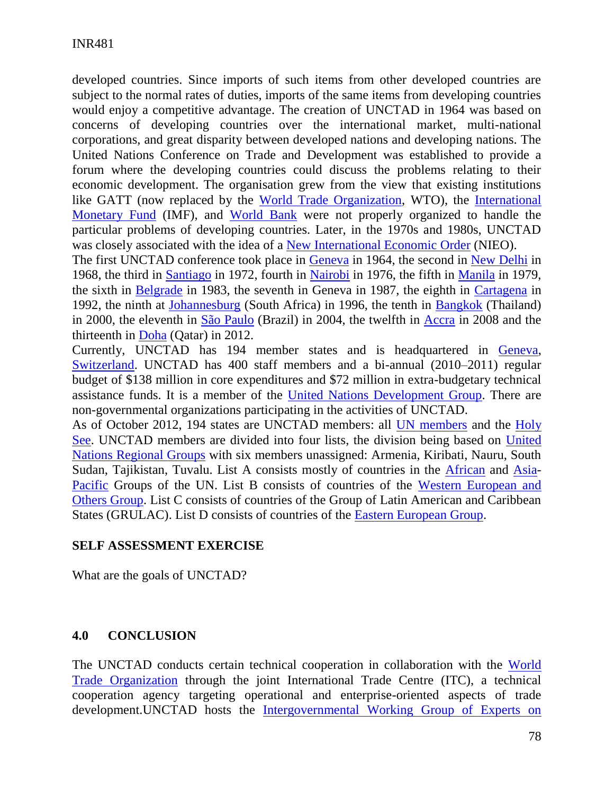developed countries. Since imports of such items from other developed countries are subject to the normal rates of duties, imports of the same items from developing countries would enjoy a competitive advantage. The creation of UNCTAD in 1964 was based on concerns of developing countries over the international market, multi-national corporations, and great disparity between developed nations and developing nations. The United Nations Conference on Trade and Development was established to provide a forum where the developing countries could discuss the problems relating to their economic development. The organisation grew from the view that existing institutions like GATT (now replaced by the [World Trade Organization,](https://en.wikipedia.org/wiki/World_Trade_Organization) WTO), the [International](https://en.wikipedia.org/wiki/International_Monetary_Fund)  [Monetary](https://en.wikipedia.org/wiki/International_Monetary_Fund) Fund (IMF), and [World Bank](https://en.wikipedia.org/wiki/World_Bank) were not properly organized to handle the particular problems of developing countries. Later, in the 1970s and 1980s, UNCTAD was closely associated with the idea of a [New International Economic Order](https://en.wikipedia.org/wiki/New_International_Economic_Order) (NIEO).

The first UNCTAD conference took place in [Geneva](https://en.wikipedia.org/wiki/Geneva) in 1964, the second in [New Delhi](https://en.wikipedia.org/wiki/New_Delhi) in 1968, the third in [Santiago](https://en.wikipedia.org/wiki/Santiago) in 1972, fourth in [Nairobi](https://en.wikipedia.org/wiki/Nairobi) in 1976, the fifth in [Manila](https://en.wikipedia.org/wiki/Manila) in 1979, the sixth in [Belgrade](https://en.wikipedia.org/wiki/Belgrade) in 1983, the seventh in Geneva in 1987, the eighth in [Cartagena](https://en.wikipedia.org/wiki/Cartagena,_Colombia) in 1992, the ninth at [Johannesburg](https://en.wikipedia.org/wiki/Johannesburg) (South Africa) in 1996, the tenth in [Bangkok](https://en.wikipedia.org/wiki/Bangkok) (Thailand) in 2000, the eleventh in [São Paulo](https://en.wikipedia.org/wiki/S%C3%A3o_Paulo) (Brazil) in 2004, the twelfth in [Accra](https://en.wikipedia.org/wiki/Accra) in 2008 and the thirteenth in [Doha](https://en.wikipedia.org/wiki/Doha) (Qatar) in 2012.

Currently, UNCTAD has 194 member states and is headquartered in [Geneva,](https://en.wikipedia.org/wiki/Geneva) [Switzerland.](https://en.wikipedia.org/wiki/Switzerland) UNCTAD has 400 staff members and a bi-annual (2010–2011) regular budget of \$138 million in core expenditures and \$72 million in extra-budgetary technical assistance funds. It is a member of the [United Nations Development Group.](https://en.wikipedia.org/wiki/United_Nations_Development_Group) There are non-governmental organizations participating in the activities of UNCTAD.

As of October 2012, 194 states are UNCTAD members: all [UN members](https://en.wikipedia.org/wiki/Member_states_of_the_United_Nations) and the [Holy](https://en.wikipedia.org/wiki/Holy_See)  [See.](https://en.wikipedia.org/wiki/Holy_See) UNCTAD members are divided into four lists, the division being based on [United](https://en.wikipedia.org/wiki/United_Nations_Regional_Groups)  [Nations Regional Groups](https://en.wikipedia.org/wiki/United_Nations_Regional_Groups) with six members unassigned: Armenia, Kiribati, Nauru, South Sudan, Tajikistan, Tuvalu. List A consists mostly of countries in the [African](https://en.wikipedia.org/wiki/Africa) and [Asia-](https://en.wikipedia.org/wiki/Asia)[Pacific](https://en.wikipedia.org/wiki/Pacific_Ocean) Groups of the UN. List B consists of countries of the [Western European and](https://en.wikipedia.org/wiki/Western_European_and_Others_Group)  [Others Group.](https://en.wikipedia.org/wiki/Western_European_and_Others_Group) List C consists of countries of the Group of Latin American and Caribbean States (GRULAC). List D consists of countries of the [Eastern European Group.](https://en.wikipedia.org/wiki/Eastern_European_Group)

## **SELF ASSESSMENT EXERCISE**

What are the goals of UNCTAD?

## **4.0 CONCLUSION**

The UNCTAD conducts certain technical cooperation in collaboration with the [World](https://en.wikipedia.org/wiki/World_Trade_Organization)  [Trade Organization](https://en.wikipedia.org/wiki/World_Trade_Organization) through the joint International Trade Centre (ITC), a technical cooperation agency targeting operational and enterprise-oriented aspects of trade development.UNCTAD hosts the [Intergovernmental Working Group of Experts on](https://en.wikipedia.org/wiki/Intergovernmental_Working_Group_of_Experts_on_International_Standards_of_Accounting_and_Reporting)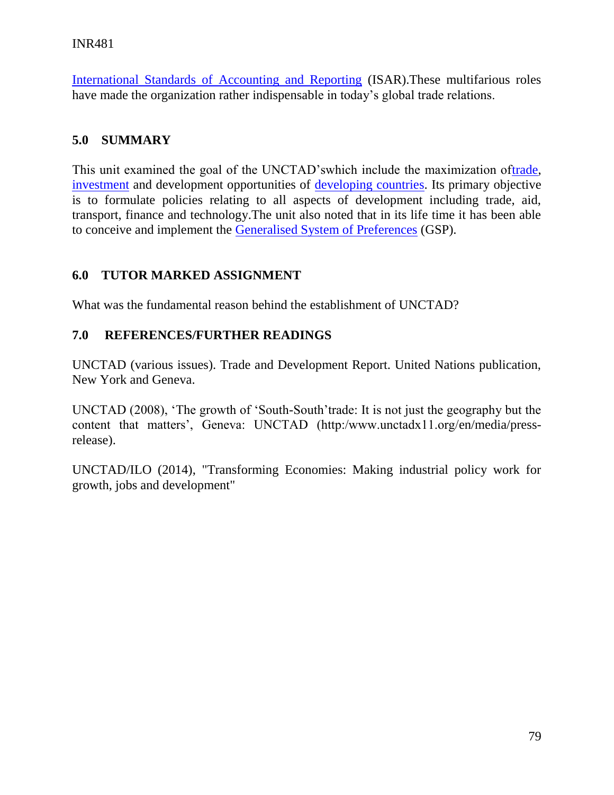[International Standards of Accounting and Reporting](https://en.wikipedia.org/wiki/Intergovernmental_Working_Group_of_Experts_on_International_Standards_of_Accounting_and_Reporting) (ISAR).These multifarious roles have made the organization rather indispensable in today's global trade relations.

## **5.0 SUMMARY**

This unit examined the goal of the UNCTAD'swhich include the maximization o[ftrade,](https://en.wikipedia.org/wiki/International_trade) [investment](https://en.wikipedia.org/wiki/Foreign_direct_investment) and development opportunities of [developing countries.](https://en.wikipedia.org/wiki/Developing_countries) Its primary objective is to formulate policies relating to all aspects of development including trade, aid, transport, finance and technology.The unit also noted that in its life time it has been able to conceive and implement the [Generalised System of Preferences](https://en.wikipedia.org/wiki/Generalised_System_of_Preferences) (GSP).

## **6.0 TUTOR MARKED ASSIGNMENT**

What was the fundamental reason behind the establishment of UNCTAD?

## **7.0 REFERENCES/FURTHER READINGS**

UNCTAD (various issues). Trade and Development Report. United Nations publication, New York and Geneva.

UNCTAD (2008), 'The growth of 'South-South'trade: It is not just the geography but the content that matters', Geneva: UNCTAD (http:/www.unctadx11.org/en/media/pressrelease).

UNCTAD/ILO (2014), "Transforming Economies: Making industrial policy work for growth, jobs and development"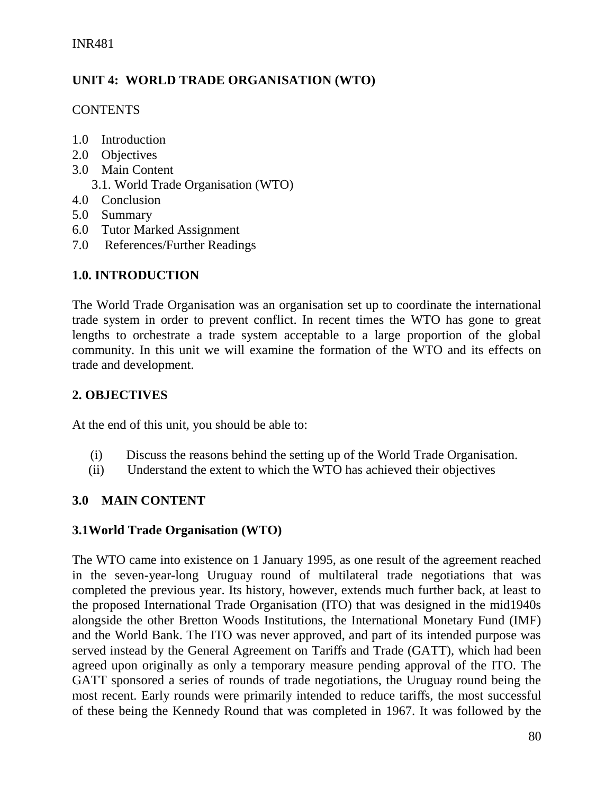## **UNIT 4: WORLD TRADE ORGANISATION (WTO)**

### **CONTENTS**

- 1.0 Introduction
- 2.0 Objectives
- 3.0 Main Content
	- 3.1. World Trade Organisation (WTO)
- 4.0 Conclusion
- 5.0 Summary
- 6.0 Tutor Marked Assignment
- 7.0 References/Further Readings

## **1.0. INTRODUCTION**

The World Trade Organisation was an organisation set up to coordinate the international trade system in order to prevent conflict. In recent times the WTO has gone to great lengths to orchestrate a trade system acceptable to a large proportion of the global community. In this unit we will examine the formation of the WTO and its effects on trade and development.

## **2. OBJECTIVES**

At the end of this unit, you should be able to:

- (i) Discuss the reasons behind the setting up of the World Trade Organisation.
- (ii) Understand the extent to which the WTO has achieved their objectives

## **3.0 MAIN CONTENT**

## **3.1World Trade Organisation (WTO)**

The WTO came into existence on 1 January 1995, as one result of the agreement reached in the seven-year-long Uruguay round of multilateral trade negotiations that was completed the previous year. Its history, however, extends much further back, at least to the proposed International Trade Organisation (ITO) that was designed in the mid1940s alongside the other Bretton Woods Institutions, the International Monetary Fund (IMF) and the World Bank. The ITO was never approved, and part of its intended purpose was served instead by the General Agreement on Tariffs and Trade (GATT), which had been agreed upon originally as only a temporary measure pending approval of the ITO. The GATT sponsored a series of rounds of trade negotiations, the Uruguay round being the most recent. Early rounds were primarily intended to reduce tariffs, the most successful of these being the Kennedy Round that was completed in 1967. It was followed by the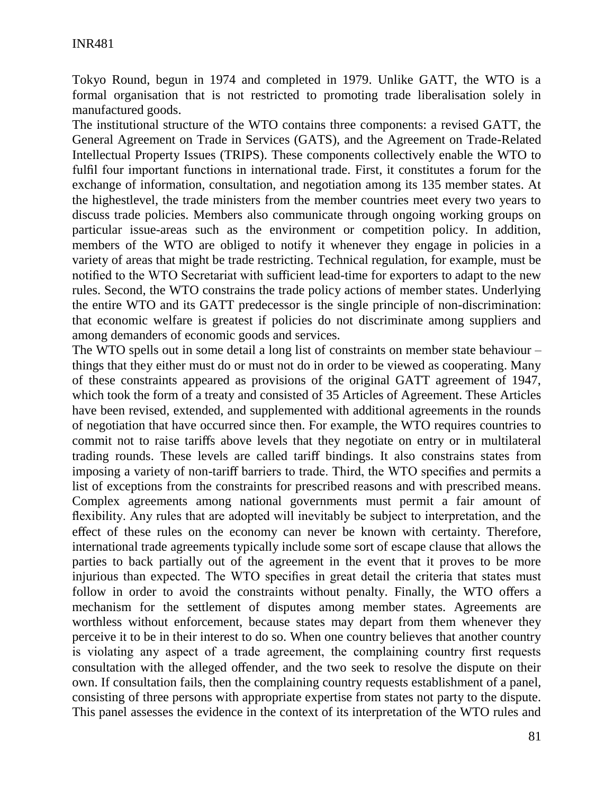Tokyo Round, begun in 1974 and completed in 1979. Unlike GATT, the WTO is a formal organisation that is not restricted to promoting trade liberalisation solely in manufactured goods.

The institutional structure of the WTO contains three components: a revised GATT, the General Agreement on Trade in Services (GATS), and the Agreement on Trade-Related Intellectual Property Issues (TRIPS). These components collectively enable the WTO to fulfil four important functions in international trade. First, it constitutes a forum for the exchange of information, consultation, and negotiation among its 135 member states. At the highestlevel, the trade ministers from the member countries meet every two years to discuss trade policies. Members also communicate through ongoing working groups on particular issue-areas such as the environment or competition policy. In addition, members of the WTO are obliged to notify it whenever they engage in policies in a variety of areas that might be trade restricting. Technical regulation, for example, must be notified to the WTO Secretariat with sufficient lead-time for exporters to adapt to the new rules. Second, the WTO constrains the trade policy actions of member states. Underlying the entire WTO and its GATT predecessor is the single principle of non-discrimination: that economic welfare is greatest if policies do not discriminate among suppliers and among demanders of economic goods and services.

The WTO spells out in some detail a long list of constraints on member state behaviour – things that they either must do or must not do in order to be viewed as cooperating. Many of these constraints appeared as provisions of the original GATT agreement of 1947, which took the form of a treaty and consisted of 35 Articles of Agreement. These Articles have been revised, extended, and supplemented with additional agreements in the rounds of negotiation that have occurred since then. For example, the WTO requires countries to commit not to raise tariffs above levels that they negotiate on entry or in multilateral trading rounds. These levels are called tariff bindings. It also constrains states from imposing a variety of non-tariff barriers to trade. Third, the WTO specifies and permits a list of exceptions from the constraints for prescribed reasons and with prescribed means. Complex agreements among national governments must permit a fair amount of flexibility. Any rules that are adopted will inevitably be subject to interpretation, and the effect of these rules on the economy can never be known with certainty. Therefore, international trade agreements typically include some sort of escape clause that allows the parties to back partially out of the agreement in the event that it proves to be more injurious than expected. The WTO specifies in great detail the criteria that states must follow in order to avoid the constraints without penalty. Finally, the WTO offers a mechanism for the settlement of disputes among member states. Agreements are worthless without enforcement, because states may depart from them whenever they perceive it to be in their interest to do so. When one country believes that another country is violating any aspect of a trade agreement, the complaining country first requests consultation with the alleged offender, and the two seek to resolve the dispute on their own. If consultation fails, then the complaining country requests establishment of a panel, consisting of three persons with appropriate expertise from states not party to the dispute. This panel assesses the evidence in the context of its interpretation of the WTO rules and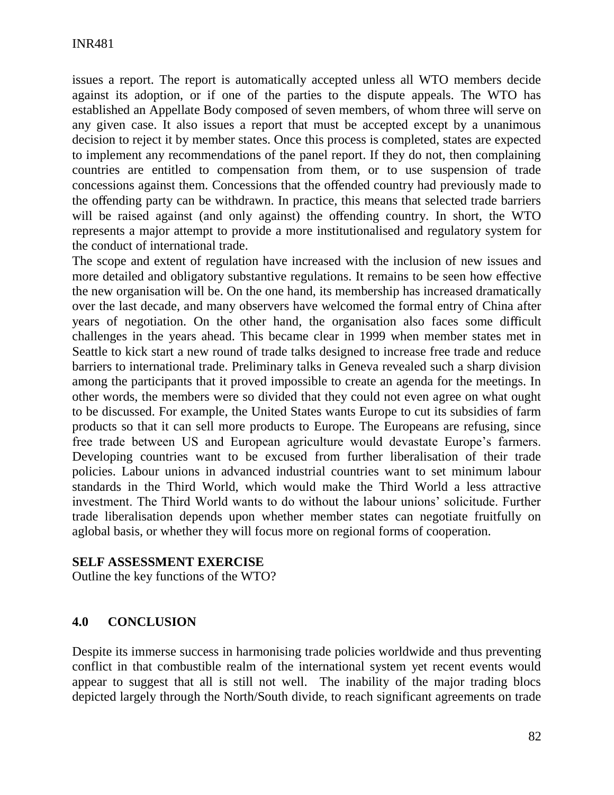issues a report. The report is automatically accepted unless all WTO members decide against its adoption, or if one of the parties to the dispute appeals. The WTO has established an Appellate Body composed of seven members, of whom three will serve on any given case. It also issues a report that must be accepted except by a unanimous decision to reject it by member states. Once this process is completed, states are expected to implement any recommendations of the panel report. If they do not, then complaining countries are entitled to compensation from them, or to use suspension of trade concessions against them. Concessions that the offended country had previously made to the offending party can be withdrawn. In practice, this means that selected trade barriers will be raised against (and only against) the offending country. In short, the WTO represents a major attempt to provide a more institutionalised and regulatory system for the conduct of international trade.

The scope and extent of regulation have increased with the inclusion of new issues and more detailed and obligatory substantive regulations. It remains to be seen how effective the new organisation will be. On the one hand, its membership has increased dramatically over the last decade, and many observers have welcomed the formal entry of China after years of negotiation. On the other hand, the organisation also faces some difficult challenges in the years ahead. This became clear in 1999 when member states met in Seattle to kick start a new round of trade talks designed to increase free trade and reduce barriers to international trade. Preliminary talks in Geneva revealed such a sharp division among the participants that it proved impossible to create an agenda for the meetings. In other words, the members were so divided that they could not even agree on what ought to be discussed. For example, the United States wants Europe to cut its subsidies of farm products so that it can sell more products to Europe. The Europeans are refusing, since free trade between US and European agriculture would devastate Europe's farmers. Developing countries want to be excused from further liberalisation of their trade policies. Labour unions in advanced industrial countries want to set minimum labour standards in the Third World, which would make the Third World a less attractive investment. The Third World wants to do without the labour unions' solicitude. Further trade liberalisation depends upon whether member states can negotiate fruitfully on aglobal basis, or whether they will focus more on regional forms of cooperation.

#### **SELF ASSESSMENT EXERCISE**

Outline the key functions of the WTO?

#### **4.0 CONCLUSION**

Despite its immerse success in harmonising trade policies worldwide and thus preventing conflict in that combustible realm of the international system yet recent events would appear to suggest that all is still not well. The inability of the major trading blocs depicted largely through the North/South divide, to reach significant agreements on trade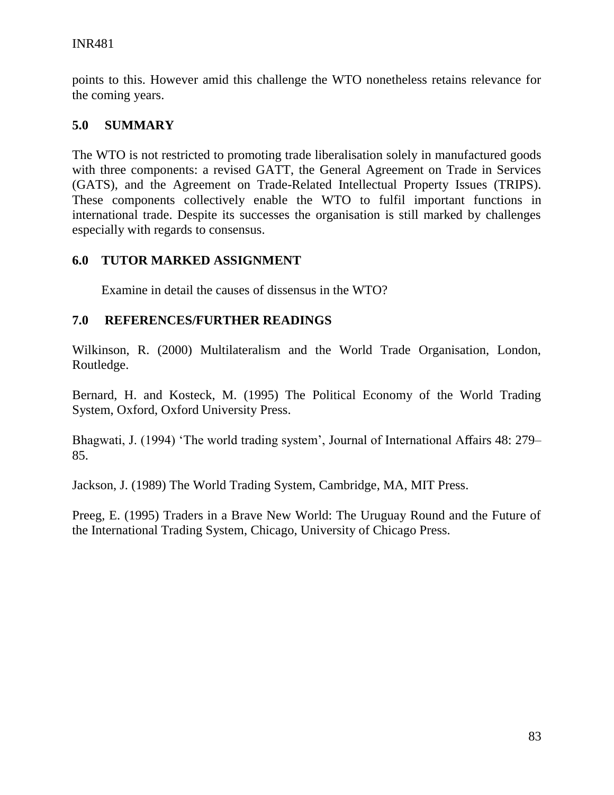#### INR481

points to this. However amid this challenge the WTO nonetheless retains relevance for the coming years.

### **5.0 SUMMARY**

The WTO is not restricted to promoting trade liberalisation solely in manufactured goods with three components: a revised GATT, the General Agreement on Trade in Services (GATS), and the Agreement on Trade-Related Intellectual Property Issues (TRIPS). These components collectively enable the WTO to fulfil important functions in international trade. Despite its successes the organisation is still marked by challenges especially with regards to consensus.

### **6.0 TUTOR MARKED ASSIGNMENT**

Examine in detail the causes of dissensus in the WTO?

### **7.0 REFERENCES/FURTHER READINGS**

Wilkinson, R. (2000) Multilateralism and the World Trade Organisation, London, Routledge.

Bernard, H. and Kosteck, M. (1995) The Political Economy of the World Trading System, Oxford, Oxford University Press.

Bhagwati, J. (1994) 'The world trading system', Journal of International Affairs 48: 279– 85.

Jackson, J. (1989) The World Trading System, Cambridge, MA, MIT Press.

Preeg, E. (1995) Traders in a Brave New World: The Uruguay Round and the Future of the International Trading System, Chicago, University of Chicago Press.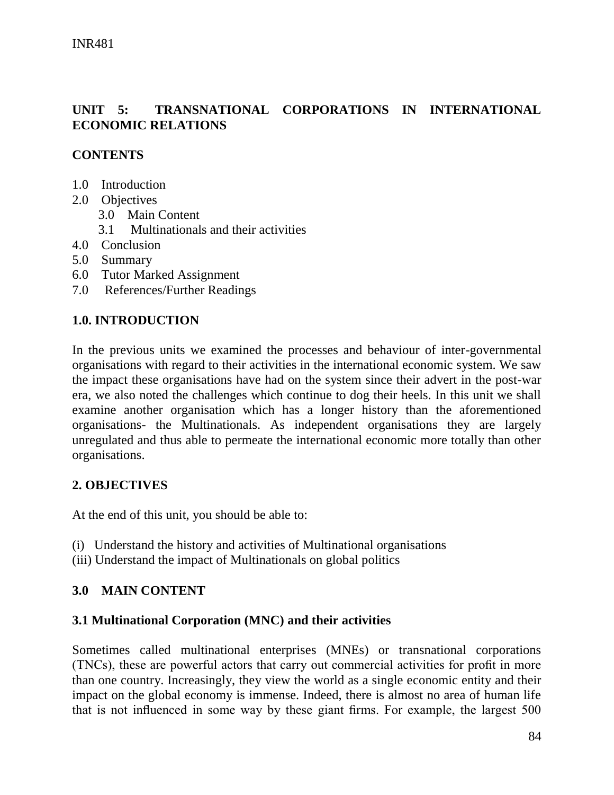## **UNIT 5: TRANSNATIONAL CORPORATIONS IN INTERNATIONAL ECONOMIC RELATIONS**

#### **CONTENTS**

- 1.0 Introduction
- 2.0 Objectives
	- 3.0 Main Content
	- 3.1 Multinationals and their activities
- 4.0 Conclusion
- 5.0 Summary
- 6.0 Tutor Marked Assignment
- 7.0 References/Further Readings

### **1.0. INTRODUCTION**

In the previous units we examined the processes and behaviour of inter-governmental organisations with regard to their activities in the international economic system. We saw the impact these organisations have had on the system since their advert in the post-war era, we also noted the challenges which continue to dog their heels. In this unit we shall examine another organisation which has a longer history than the aforementioned organisations- the Multinationals. As independent organisations they are largely unregulated and thus able to permeate the international economic more totally than other organisations.

#### **2. OBJECTIVES**

At the end of this unit, you should be able to:

- (i) Understand the history and activities of Multinational organisations
- (iii) Understand the impact of Multinationals on global politics

#### **3.0 MAIN CONTENT**

#### **3.1 Multinational Corporation (MNC) and their activities**

Sometimes called multinational enterprises (MNEs) or transnational corporations (TNCs), these are powerful actors that carry out commercial activities for profit in more than one country. Increasingly, they view the world as a single economic entity and their impact on the global economy is immense. Indeed, there is almost no area of human life that is not influenced in some way by these giant firms. For example, the largest 500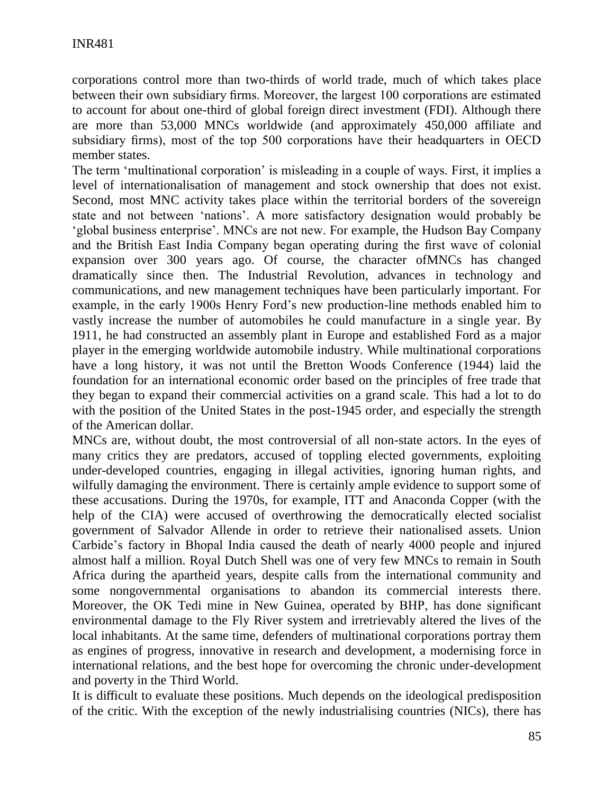corporations control more than two-thirds of world trade, much of which takes place between their own subsidiary firms. Moreover, the largest 100 corporations are estimated to account for about one-third of global foreign direct investment (FDI). Although there are more than 53,000 MNCs worldwide (and approximately 450,000 affiliate and subsidiary firms), most of the top 500 corporations have their headquarters in OECD member states.

The term 'multinational corporation' is misleading in a couple of ways. First, it implies a level of internationalisation of management and stock ownership that does not exist. Second, most MNC activity takes place within the territorial borders of the sovereign state and not between 'nations'. A more satisfactory designation would probably be 'global business enterprise'. MNCs are not new. For example, the Hudson Bay Company and the British East India Company began operating during the first wave of colonial expansion over 300 years ago. Of course, the character ofMNCs has changed dramatically since then. The Industrial Revolution, advances in technology and communications, and new management techniques have been particularly important. For example, in the early 1900s Henry Ford's new production-line methods enabled him to vastly increase the number of automobiles he could manufacture in a single year. By 1911, he had constructed an assembly plant in Europe and established Ford as a major player in the emerging worldwide automobile industry. While multinational corporations have a long history, it was not until the Bretton Woods Conference (1944) laid the foundation for an international economic order based on the principles of free trade that they began to expand their commercial activities on a grand scale. This had a lot to do with the position of the United States in the post-1945 order, and especially the strength of the American dollar.

MNCs are, without doubt, the most controversial of all non-state actors. In the eyes of many critics they are predators, accused of toppling elected governments, exploiting under-developed countries, engaging in illegal activities, ignoring human rights, and wilfully damaging the environment. There is certainly ample evidence to support some of these accusations. During the 1970s, for example, ITT and Anaconda Copper (with the help of the CIA) were accused of overthrowing the democratically elected socialist government of Salvador Allende in order to retrieve their nationalised assets. Union Carbide's factory in Bhopal India caused the death of nearly 4000 people and injured almost half a million. Royal Dutch Shell was one of very few MNCs to remain in South Africa during the apartheid years, despite calls from the international community and some nongovernmental organisations to abandon its commercial interests there. Moreover, the OK Tedi mine in New Guinea, operated by BHP, has done significant environmental damage to the Fly River system and irretrievably altered the lives of the local inhabitants. At the same time, defenders of multinational corporations portray them as engines of progress, innovative in research and development, a modernising force in international relations, and the best hope for overcoming the chronic under-development and poverty in the Third World.

It is difficult to evaluate these positions. Much depends on the ideological predisposition of the critic. With the exception of the newly industrialising countries (NICs), there has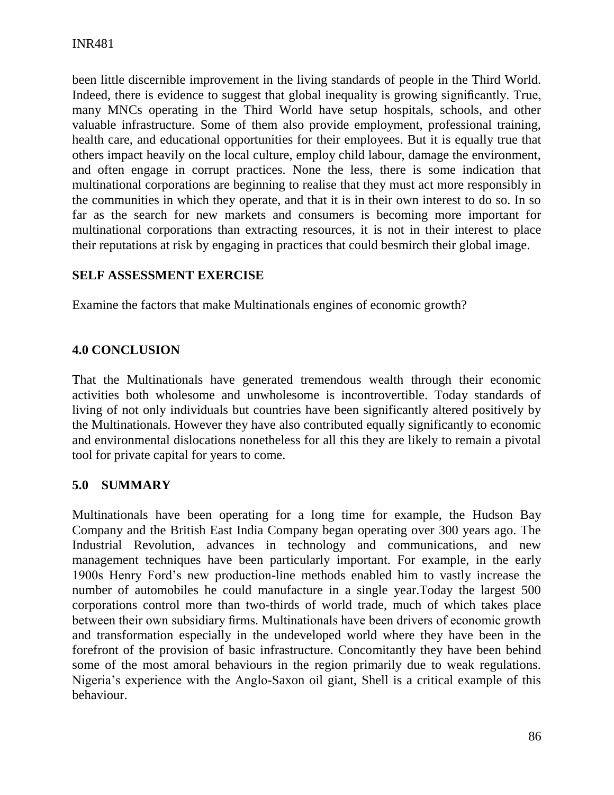been little discernible improvement in the living standards of people in the Third World. Indeed, there is evidence to suggest that global inequality is growing significantly. True, many MNCs operating in the Third World have setup hospitals, schools, and other valuable infrastructure. Some of them also provide employment, professional training, health care, and educational opportunities for their employees. But it is equally true that others impact heavily on the local culture, employ child labour, damage the environment, and often engage in corrupt practices. None the less, there is some indication that multinational corporations are beginning to realise that they must act more responsibly in the communities in which they operate, and that it is in their own interest to do so. In so far as the search for new markets and consumers is becoming more important for multinational corporations than extracting resources, it is not in their interest to place their reputations at risk by engaging in practices that could besmirch their global image.

#### **SELF ASSESSMENT EXERCISE**

Examine the factors that make Multinationals engines of economic growth?

#### **4.0 CONCLUSION**

That the Multinationals have generated tremendous wealth through their economic activities both wholesome and unwholesome is incontrovertible. Today standards of living of not only individuals but countries have been significantly altered positively by the Multinationals. However they have also contributed equally significantly to economic and environmental dislocations nonetheless for all this they are likely to remain a pivotal tool for private capital for years to come.

#### **5.0 SUMMARY**

Multinationals have been operating for a long time for example, the Hudson Bay Company and the British East India Company began operating over 300 years ago. The Industrial Revolution, advances in technology and communications, and new management techniques have been particularly important. For example, in the early 1900s Henry Ford's new production-line methods enabled him to vastly increase the number of automobiles he could manufacture in a single year.Today the largest 500 corporations control more than two-thirds of world trade, much of which takes place between their own subsidiary firms. Multinationals have been drivers of economic growth and transformation especially in the undeveloped world where they have been in the forefront of the provision of basic infrastructure. Concomitantly they have been behind some of the most amoral behaviours in the region primarily due to weak regulations. Nigeria's experience with the Anglo-Saxon oil giant, Shell is a critical example of this behaviour.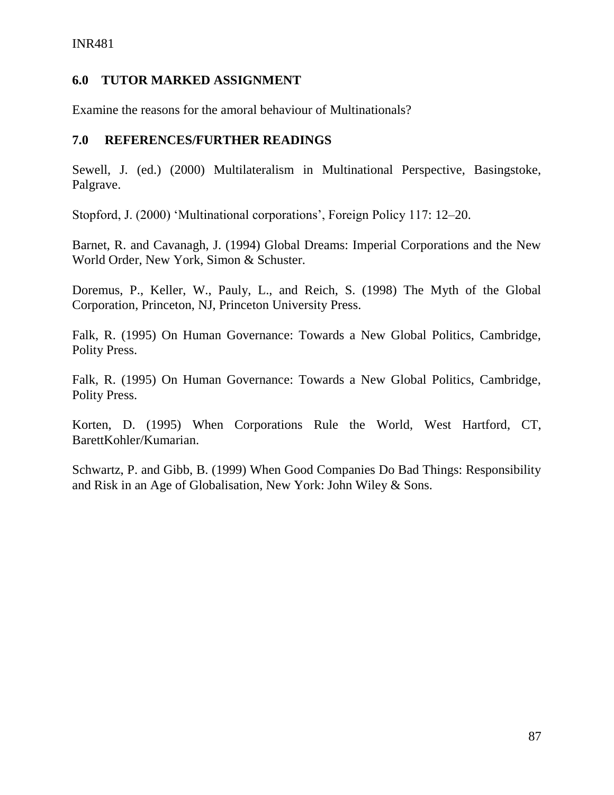### **6.0 TUTOR MARKED ASSIGNMENT**

Examine the reasons for the amoral behaviour of Multinationals?

#### **7.0 REFERENCES/FURTHER READINGS**

Sewell, J. (ed.) (2000) Multilateralism in Multinational Perspective, Basingstoke, Palgrave.

Stopford, J. (2000) 'Multinational corporations', Foreign Policy 117: 12–20.

Barnet, R. and Cavanagh, J. (1994) Global Dreams: Imperial Corporations and the New World Order, New York, Simon & Schuster.

Doremus, P., Keller, W., Pauly, L., and Reich, S. (1998) The Myth of the Global Corporation, Princeton, NJ, Princeton University Press.

Falk, R. (1995) On Human Governance: Towards a New Global Politics, Cambridge, Polity Press.

Falk, R. (1995) On Human Governance: Towards a New Global Politics, Cambridge, Polity Press.

Korten, D. (1995) When Corporations Rule the World, West Hartford, CT, BarettKohler/Kumarian.

Schwartz, P. and Gibb, B. (1999) When Good Companies Do Bad Things: Responsibility and Risk in an Age of Globalisation, New York: John Wiley & Sons.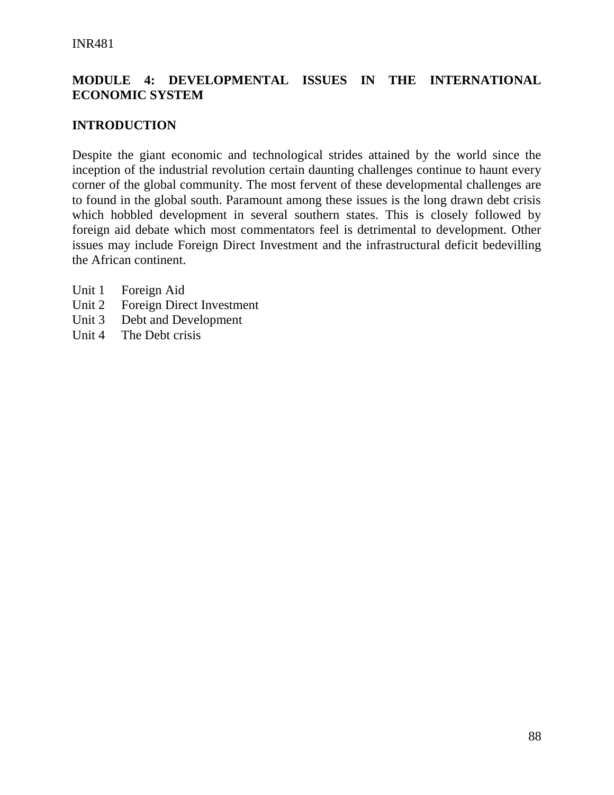### **MODULE 4: DEVELOPMENTAL ISSUES IN THE INTERNATIONAL ECONOMIC SYSTEM**

### **INTRODUCTION**

Despite the giant economic and technological strides attained by the world since the inception of the industrial revolution certain daunting challenges continue to haunt every corner of the global community. The most fervent of these developmental challenges are to found in the global south. Paramount among these issues is the long drawn debt crisis which hobbled development in several southern states. This is closely followed by foreign aid debate which most commentators feel is detrimental to development. Other issues may include Foreign Direct Investment and the infrastructural deficit bedevilling the African continent.

- Unit 1 Foreign Aid
- Unit 2 Foreign Direct Investment
- Unit 3 Debt and Development
- Unit 4 The Debt crisis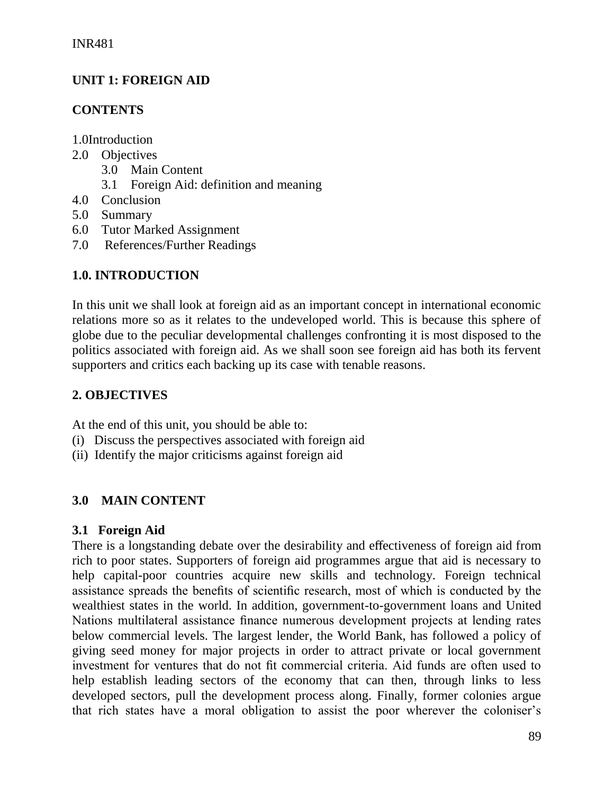## **UNIT 1: FOREIGN AID**

### **CONTENTS**

1.0Introduction

- 2.0 Objectives
	- 3.0 Main Content
	- 3.1 Foreign Aid: definition and meaning
- 4.0 Conclusion
- 5.0 Summary
- 6.0 Tutor Marked Assignment
- 7.0 References/Further Readings

# **1.0. INTRODUCTION**

In this unit we shall look at foreign aid as an important concept in international economic relations more so as it relates to the undeveloped world. This is because this sphere of globe due to the peculiar developmental challenges confronting it is most disposed to the politics associated with foreign aid. As we shall soon see foreign aid has both its fervent supporters and critics each backing up its case with tenable reasons.

## **2. OBJECTIVES**

At the end of this unit, you should be able to:

- (i) Discuss the perspectives associated with foreign aid
- (ii) Identify the major criticisms against foreign aid

## **3.0 MAIN CONTENT**

## **3.1 Foreign Aid**

There is a longstanding debate over the desirability and effectiveness of foreign aid from rich to poor states. Supporters of foreign aid programmes argue that aid is necessary to help capital-poor countries acquire new skills and technology. Foreign technical assistance spreads the benefits of scientific research, most of which is conducted by the wealthiest states in the world. In addition, government-to-government loans and United Nations multilateral assistance finance numerous development projects at lending rates below commercial levels. The largest lender, the World Bank, has followed a policy of giving seed money for major projects in order to attract private or local government investment for ventures that do not fit commercial criteria. Aid funds are often used to help establish leading sectors of the economy that can then, through links to less developed sectors, pull the development process along. Finally, former colonies argue that rich states have a moral obligation to assist the poor wherever the coloniser's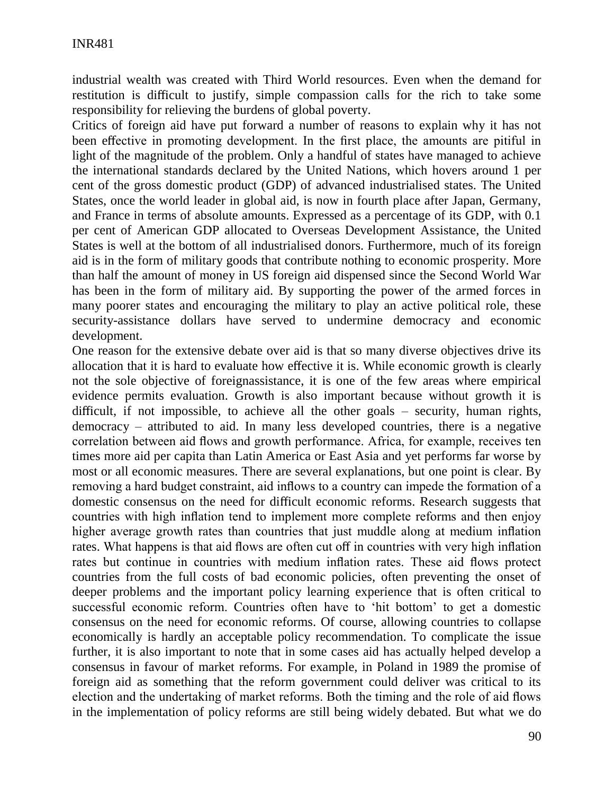industrial wealth was created with Third World resources. Even when the demand for restitution is difficult to justify, simple compassion calls for the rich to take some responsibility for relieving the burdens of global poverty.

Critics of foreign aid have put forward a number of reasons to explain why it has not been effective in promoting development. In the first place, the amounts are pitiful in light of the magnitude of the problem. Only a handful of states have managed to achieve the international standards declared by the United Nations, which hovers around 1 per cent of the gross domestic product (GDP) of advanced industrialised states. The United States, once the world leader in global aid, is now in fourth place after Japan, Germany, and France in terms of absolute amounts. Expressed as a percentage of its GDP, with 0.1 per cent of American GDP allocated to Overseas Development Assistance, the United States is well at the bottom of all industrialised donors. Furthermore, much of its foreign aid is in the form of military goods that contribute nothing to economic prosperity. More than half the amount of money in US foreign aid dispensed since the Second World War has been in the form of military aid. By supporting the power of the armed forces in many poorer states and encouraging the military to play an active political role, these security-assistance dollars have served to undermine democracy and economic development.

One reason for the extensive debate over aid is that so many diverse objectives drive its allocation that it is hard to evaluate how effective it is. While economic growth is clearly not the sole objective of foreignassistance, it is one of the few areas where empirical evidence permits evaluation. Growth is also important because without growth it is difficult, if not impossible, to achieve all the other goals – security, human rights, democracy – attributed to aid. In many less developed countries, there is a negative correlation between aid flows and growth performance. Africa, for example, receives ten times more aid per capita than Latin America or East Asia and yet performs far worse by most or all economic measures. There are several explanations, but one point is clear. By removing a hard budget constraint, aid inflows to a country can impede the formation of a domestic consensus on the need for difficult economic reforms. Research suggests that countries with high inflation tend to implement more complete reforms and then enjoy higher average growth rates than countries that just muddle along at medium inflation rates. What happens is that aid flows are often cut off in countries with very high inflation rates but continue in countries with medium inflation rates. These aid flows protect countries from the full costs of bad economic policies, often preventing the onset of deeper problems and the important policy learning experience that is often critical to successful economic reform. Countries often have to 'hit bottom' to get a domestic consensus on the need for economic reforms. Of course, allowing countries to collapse economically is hardly an acceptable policy recommendation. To complicate the issue further, it is also important to note that in some cases aid has actually helped develop a consensus in favour of market reforms. For example, in Poland in 1989 the promise of foreign aid as something that the reform government could deliver was critical to its election and the undertaking of market reforms. Both the timing and the role of aid flows in the implementation of policy reforms are still being widely debated. But what we do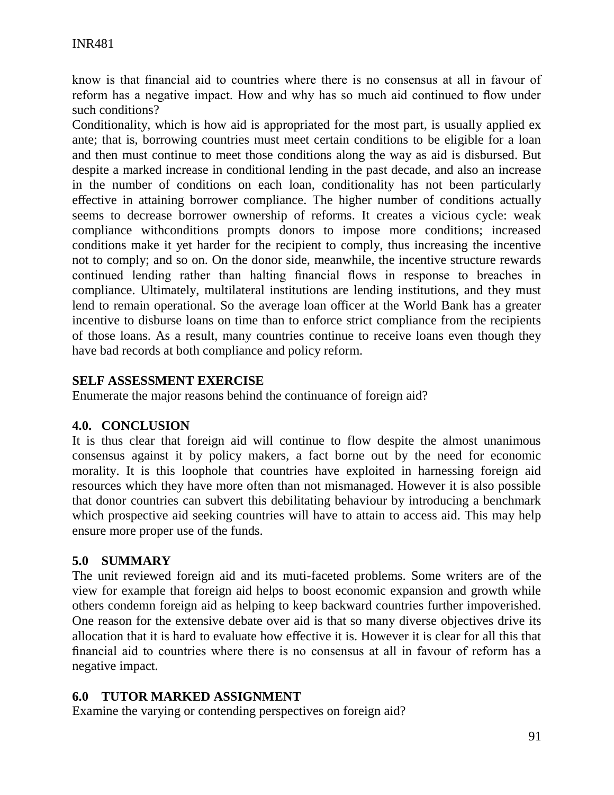know is that financial aid to countries where there is no consensus at all in favour of reform has a negative impact. How and why has so much aid continued to flow under such conditions?

Conditionality, which is how aid is appropriated for the most part, is usually applied ex ante; that is, borrowing countries must meet certain conditions to be eligible for a loan and then must continue to meet those conditions along the way as aid is disbursed. But despite a marked increase in conditional lending in the past decade, and also an increase in the number of conditions on each loan, conditionality has not been particularly effective in attaining borrower compliance. The higher number of conditions actually seems to decrease borrower ownership of reforms. It creates a vicious cycle: weak compliance withconditions prompts donors to impose more conditions; increased conditions make it yet harder for the recipient to comply, thus increasing the incentive not to comply; and so on. On the donor side, meanwhile, the incentive structure rewards continued lending rather than halting financial flows in response to breaches in compliance. Ultimately, multilateral institutions are lending institutions, and they must lend to remain operational. So the average loan officer at the World Bank has a greater incentive to disburse loans on time than to enforce strict compliance from the recipients of those loans. As a result, many countries continue to receive loans even though they have bad records at both compliance and policy reform.

#### **SELF ASSESSMENT EXERCISE**

Enumerate the major reasons behind the continuance of foreign aid?

#### **4.0. CONCLUSION**

It is thus clear that foreign aid will continue to flow despite the almost unanimous consensus against it by policy makers, a fact borne out by the need for economic morality. It is this loophole that countries have exploited in harnessing foreign aid resources which they have more often than not mismanaged. However it is also possible that donor countries can subvert this debilitating behaviour by introducing a benchmark which prospective aid seeking countries will have to attain to access aid. This may help ensure more proper use of the funds.

#### **5.0 SUMMARY**

The unit reviewed foreign aid and its muti-faceted problems. Some writers are of the view for example that foreign aid helps to boost economic expansion and growth while others condemn foreign aid as helping to keep backward countries further impoverished. One reason for the extensive debate over aid is that so many diverse objectives drive its allocation that it is hard to evaluate how effective it is. However it is clear for all this that financial aid to countries where there is no consensus at all in favour of reform has a negative impact.

## **6.0 TUTOR MARKED ASSIGNMENT**

Examine the varying or contending perspectives on foreign aid?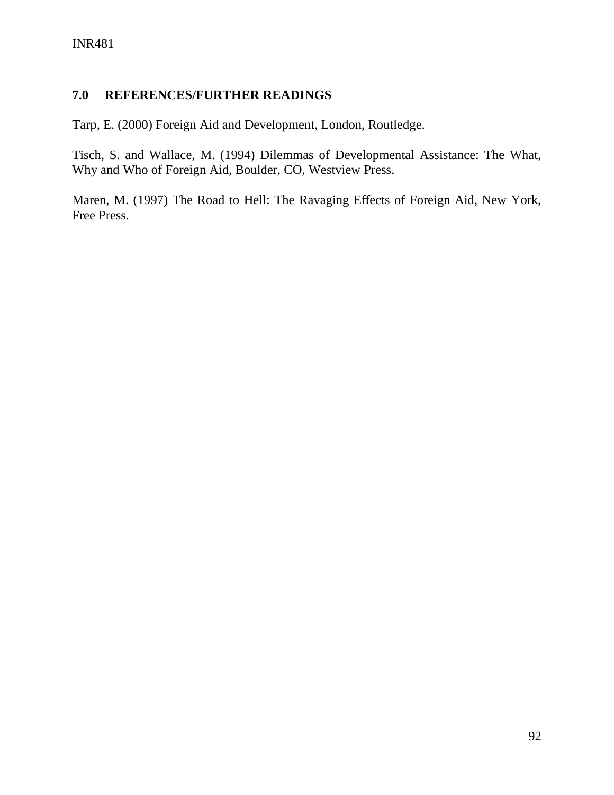## **7.0 REFERENCES/FURTHER READINGS**

Tarp, E. (2000) Foreign Aid and Development, London, Routledge.

Tisch, S. and Wallace, M. (1994) Dilemmas of Developmental Assistance: The What, Why and Who of Foreign Aid, Boulder, CO, Westview Press.

Maren, M. (1997) The Road to Hell: The Ravaging Effects of Foreign Aid, New York, Free Press.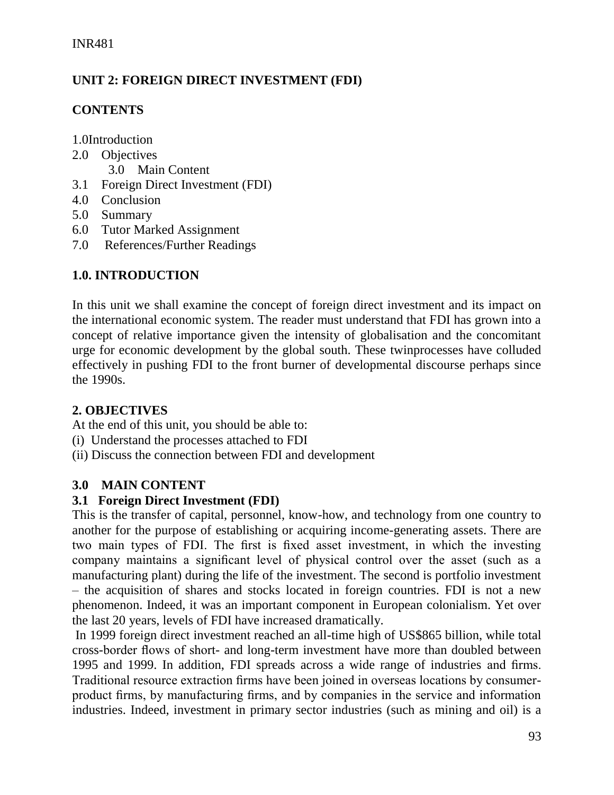## **UNIT 2: FOREIGN DIRECT INVESTMENT (FDI)**

## **CONTENTS**

1.0Introduction

- 2.0 Objectives
	- 3.0 Main Content
- 3.1 Foreign Direct Investment (FDI)
- 4.0 Conclusion
- 5.0 Summary
- 6.0 Tutor Marked Assignment
- 7.0 References/Further Readings

# **1.0. INTRODUCTION**

In this unit we shall examine the concept of foreign direct investment and its impact on the international economic system. The reader must understand that FDI has grown into a concept of relative importance given the intensity of globalisation and the concomitant urge for economic development by the global south. These twinprocesses have colluded effectively in pushing FDI to the front burner of developmental discourse perhaps since the 1990s.

## **2. OBJECTIVES**

At the end of this unit, you should be able to:

- (i) Understand the processes attached to FDI
- (ii) Discuss the connection between FDI and development

## **3.0 MAIN CONTENT**

## **3.1 Foreign Direct Investment (FDI)**

This is the transfer of capital, personnel, know-how, and technology from one country to another for the purpose of establishing or acquiring income-generating assets. There are two main types of FDI. The first is fixed asset investment, in which the investing company maintains a significant level of physical control over the asset (such as a manufacturing plant) during the life of the investment. The second is portfolio investment – the acquisition of shares and stocks located in foreign countries. FDI is not a new phenomenon. Indeed, it was an important component in European colonialism. Yet over the last 20 years, levels of FDI have increased dramatically.

In 1999 foreign direct investment reached an all-time high of US\$865 billion, while total cross-border flows of short- and long-term investment have more than doubled between 1995 and 1999. In addition, FDI spreads across a wide range of industries and firms. Traditional resource extraction firms have been joined in overseas locations by consumerproduct firms, by manufacturing firms, and by companies in the service and information industries. Indeed, investment in primary sector industries (such as mining and oil) is a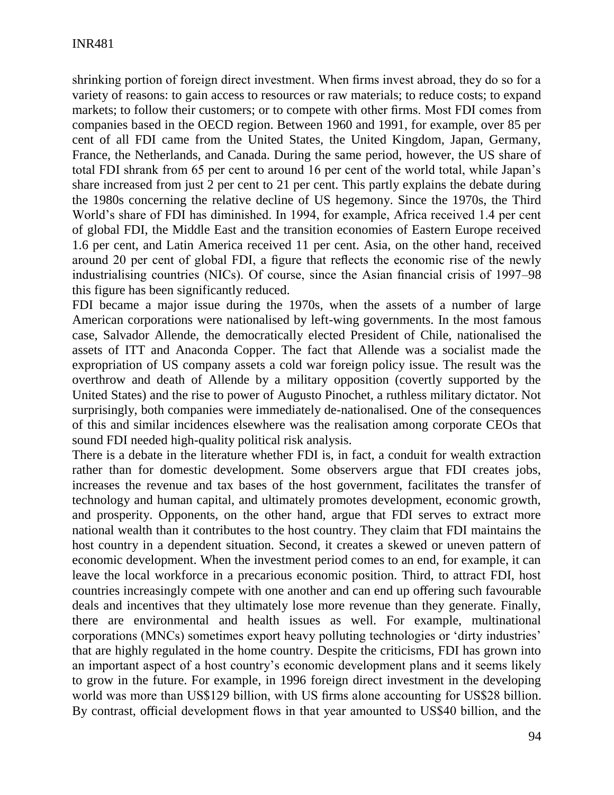shrinking portion of foreign direct investment. When firms invest abroad, they do so for a variety of reasons: to gain access to resources or raw materials; to reduce costs; to expand markets; to follow their customers; or to compete with other firms. Most FDI comes from companies based in the OECD region. Between 1960 and 1991, for example, over 85 per cent of all FDI came from the United States, the United Kingdom, Japan, Germany, France, the Netherlands, and Canada. During the same period, however, the US share of total FDI shrank from 65 per cent to around 16 per cent of the world total, while Japan's share increased from just 2 per cent to 21 per cent. This partly explains the debate during the 1980s concerning the relative decline of US hegemony. Since the 1970s, the Third World's share of FDI has diminished. In 1994, for example, Africa received 1.4 per cent of global FDI, the Middle East and the transition economies of Eastern Europe received 1.6 per cent, and Latin America received 11 per cent. Asia, on the other hand, received around 20 per cent of global FDI, a figure that reflects the economic rise of the newly industrialising countries (NICs). Of course, since the Asian financial crisis of 1997–98 this figure has been significantly reduced.

FDI became a major issue during the 1970s, when the assets of a number of large American corporations were nationalised by left-wing governments. In the most famous case, Salvador Allende, the democratically elected President of Chile, nationalised the assets of ITT and Anaconda Copper. The fact that Allende was a socialist made the expropriation of US company assets a cold war foreign policy issue. The result was the overthrow and death of Allende by a military opposition (covertly supported by the United States) and the rise to power of Augusto Pinochet, a ruthless military dictator. Not surprisingly, both companies were immediately de-nationalised. One of the consequences of this and similar incidences elsewhere was the realisation among corporate CEOs that sound FDI needed high-quality political risk analysis.

There is a debate in the literature whether FDI is, in fact, a conduit for wealth extraction rather than for domestic development. Some observers argue that FDI creates jobs, increases the revenue and tax bases of the host government, facilitates the transfer of technology and human capital, and ultimately promotes development, economic growth, and prosperity. Opponents, on the other hand, argue that FDI serves to extract more national wealth than it contributes to the host country. They claim that FDI maintains the host country in a dependent situation. Second, it creates a skewed or uneven pattern of economic development. When the investment period comes to an end, for example, it can leave the local workforce in a precarious economic position. Third, to attract FDI, host countries increasingly compete with one another and can end up offering such favourable deals and incentives that they ultimately lose more revenue than they generate. Finally, there are environmental and health issues as well. For example, multinational corporations (MNCs) sometimes export heavy polluting technologies or 'dirty industries' that are highly regulated in the home country. Despite the criticisms, FDI has grown into an important aspect of a host country's economic development plans and it seems likely to grow in the future. For example, in 1996 foreign direct investment in the developing world was more than US\$129 billion, with US firms alone accounting for US\$28 billion. By contrast, official development flows in that year amounted to US\$40 billion, and the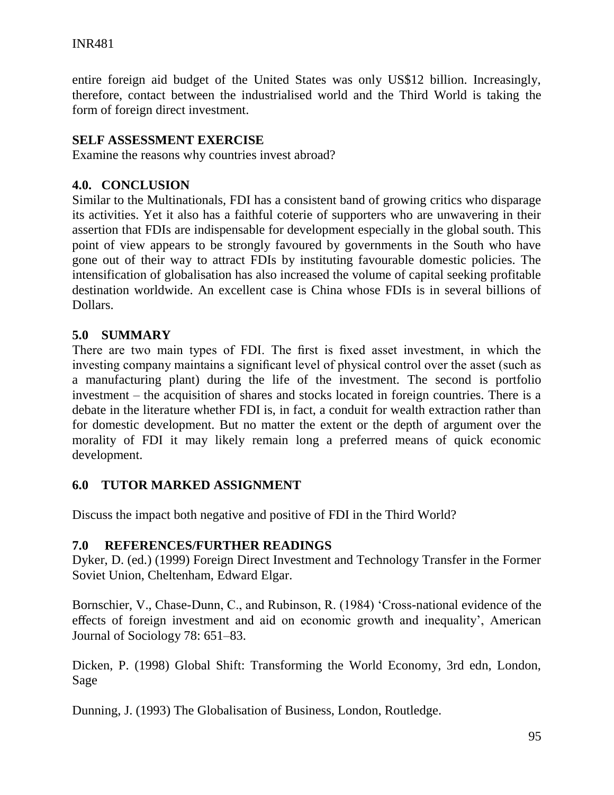entire foreign aid budget of the United States was only US\$12 billion. Increasingly, therefore, contact between the industrialised world and the Third World is taking the form of foreign direct investment.

### **SELF ASSESSMENT EXERCISE**

Examine the reasons why countries invest abroad?

#### **4.0. CONCLUSION**

Similar to the Multinationals, FDI has a consistent band of growing critics who disparage its activities. Yet it also has a faithful coterie of supporters who are unwavering in their assertion that FDIs are indispensable for development especially in the global south. This point of view appears to be strongly favoured by governments in the South who have gone out of their way to attract FDIs by instituting favourable domestic policies. The intensification of globalisation has also increased the volume of capital seeking profitable destination worldwide. An excellent case is China whose FDIs is in several billions of Dollars.

#### **5.0 SUMMARY**

There are two main types of FDI. The first is fixed asset investment, in which the investing company maintains a significant level of physical control over the asset (such as a manufacturing plant) during the life of the investment. The second is portfolio investment – the acquisition of shares and stocks located in foreign countries. There is a debate in the literature whether FDI is, in fact, a conduit for wealth extraction rather than for domestic development. But no matter the extent or the depth of argument over the morality of FDI it may likely remain long a preferred means of quick economic development.

#### **6.0 TUTOR MARKED ASSIGNMENT**

Discuss the impact both negative and positive of FDI in the Third World?

#### **7.0 REFERENCES/FURTHER READINGS**

Dyker, D. (ed.) (1999) Foreign Direct Investment and Technology Transfer in the Former Soviet Union, Cheltenham, Edward Elgar.

Bornschier, V., Chase-Dunn, C., and Rubinson, R. (1984) 'Cross-national evidence of the effects of foreign investment and aid on economic growth and inequality', American Journal of Sociology 78: 651–83.

Dicken, P. (1998) Global Shift: Transforming the World Economy, 3rd edn, London, Sage

Dunning, J. (1993) The Globalisation of Business, London, Routledge.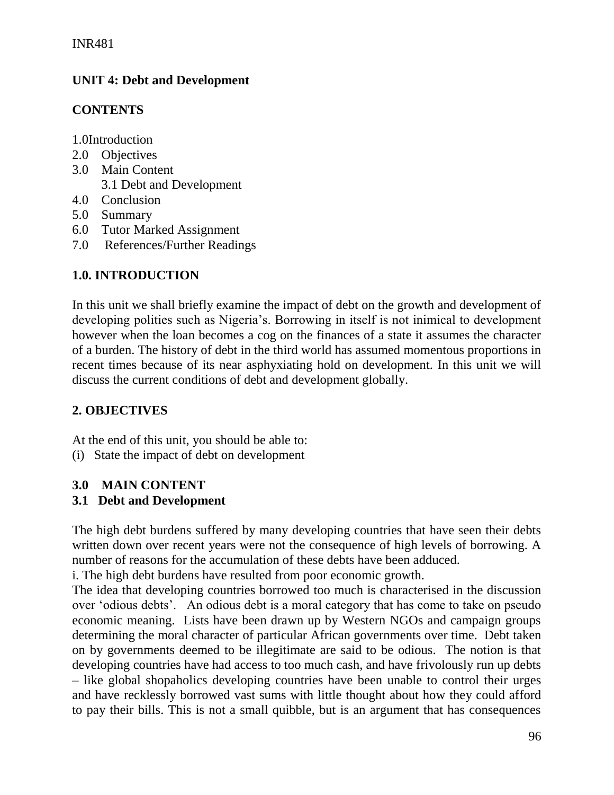#### INR481

## **UNIT 4: Debt and Development**

## **CONTENTS**

1.0Introduction

- 2.0 Objectives
- 3.0 Main Content 3.1 Debt and Development
- 4.0 Conclusion
- 5.0 Summary
- 6.0 Tutor Marked Assignment
- 7.0 References/Further Readings

# **1.0. INTRODUCTION**

In this unit we shall briefly examine the impact of debt on the growth and development of developing polities such as Nigeria's. Borrowing in itself is not inimical to development however when the loan becomes a cog on the finances of a state it assumes the character of a burden. The history of debt in the third world has assumed momentous proportions in recent times because of its near asphyxiating hold on development. In this unit we will discuss the current conditions of debt and development globally.

## **2. OBJECTIVES**

At the end of this unit, you should be able to:

(i) State the impact of debt on development

## **3.0 MAIN CONTENT**

## **3.1 Debt and Development**

The high debt burdens suffered by many developing countries that have seen their debts written down over recent years were not the consequence of high levels of borrowing. A number of reasons for the accumulation of these debts have been adduced.

i. The high debt burdens have resulted from poor economic growth.

The idea that developing countries borrowed too much is characterised in the discussion over 'odious debts'. An odious debt is a moral category that has come to take on pseudo economic meaning. Lists have been drawn up by Western NGOs and campaign groups determining the moral character of particular African governments over time. Debt taken on by governments deemed to be illegitimate are said to be odious. The notion is that developing countries have had access to too much cash, and have frivolously run up debts – like global shopaholics developing countries have been unable to control their urges and have recklessly borrowed vast sums with little thought about how they could afford to pay their bills. This is not a small quibble, but is an argument that has consequences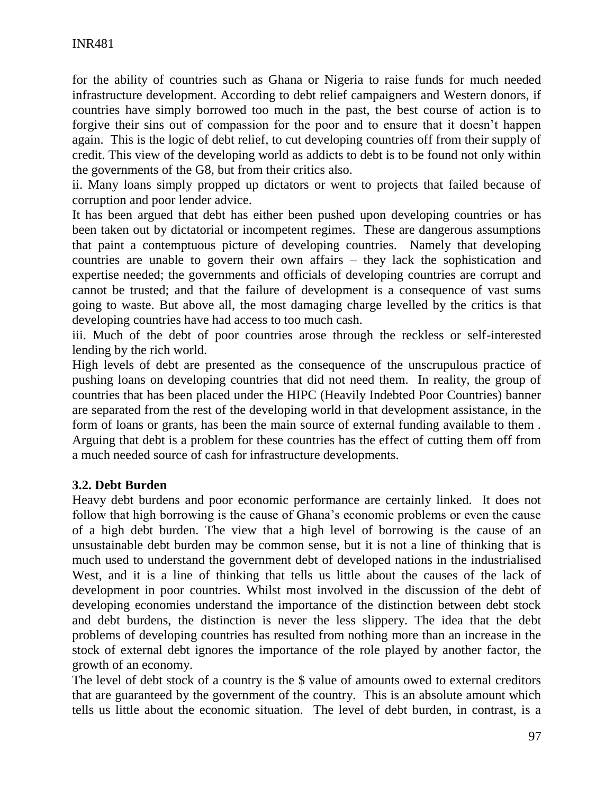for the ability of countries such as Ghana or Nigeria to raise funds for much needed infrastructure development. According to debt relief campaigners and Western donors, if countries have simply borrowed too much in the past, the best course of action is to forgive their sins out of compassion for the poor and to ensure that it doesn't happen again. This is the logic of debt relief, to cut developing countries off from their supply of credit. This view of the developing world as addicts to debt is to be found not only within the governments of the G8, but from their critics also.

ii. Many loans simply propped up dictators or went to projects that failed because of corruption and poor lender advice.

It has been argued that debt has either been pushed upon developing countries or has been taken out by dictatorial or incompetent regimes. These are dangerous assumptions that paint a contemptuous picture of developing countries. Namely that developing countries are unable to govern their own affairs – they lack the sophistication and expertise needed; the governments and officials of developing countries are corrupt and cannot be trusted; and that the failure of development is a consequence of vast sums going to waste. But above all, the most damaging charge levelled by the critics is that developing countries have had access to too much cash.

iii. Much of the debt of poor countries arose through the reckless or self-interested lending by the rich world.

High levels of debt are presented as the consequence of the unscrupulous practice of pushing loans on developing countries that did not need them. In reality, the group of countries that has been placed under the HIPC (Heavily Indebted Poor Countries) banner are separated from the rest of the developing world in that development assistance, in the form of loans or grants, has been the main source of external funding available to them . Arguing that debt is a problem for these countries has the effect of cutting them off from a much needed source of cash for infrastructure developments.

#### **3.2. Debt Burden**

Heavy debt burdens and poor economic performance are certainly linked. It does not follow that high borrowing is the cause of Ghana's economic problems or even the cause of a high debt burden. The view that a high level of borrowing is the cause of an unsustainable debt burden may be common sense, but it is not a line of thinking that is much used to understand the government debt of developed nations in the industrialised West, and it is a line of thinking that tells us little about the causes of the lack of development in poor countries. Whilst most involved in the discussion of the debt of developing economies understand the importance of the distinction between debt stock and debt burdens, the distinction is never the less slippery. The idea that the debt problems of developing countries has resulted from nothing more than an increase in the stock of external debt ignores the importance of the role played by another factor, the growth of an economy.

The level of debt stock of a country is the \$ value of amounts owed to external creditors that are guaranteed by the government of the country. This is an absolute amount which tells us little about the economic situation. The level of debt burden, in contrast, is a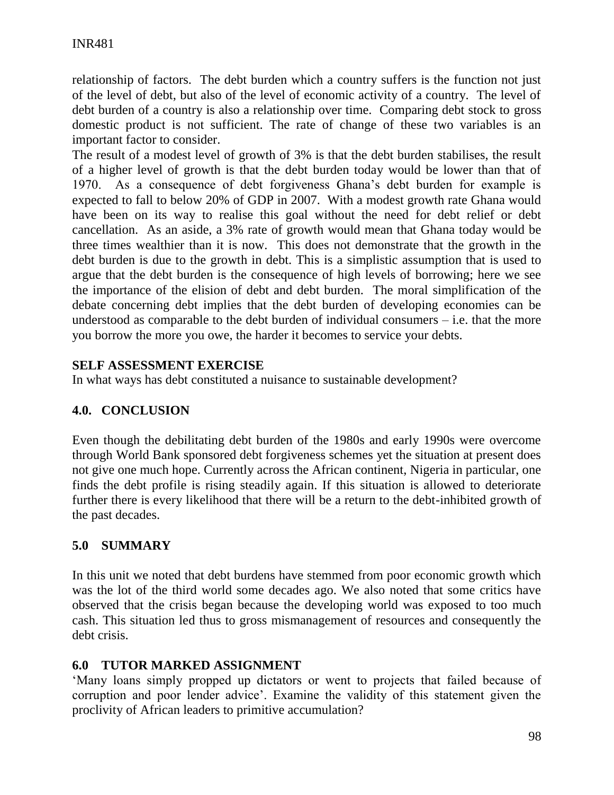relationship of factors. The debt burden which a country suffers is the function not just of the level of debt, but also of the level of economic activity of a country. The level of debt burden of a country is also a relationship over time. Comparing debt stock to gross domestic product is not sufficient. The rate of change of these two variables is an important factor to consider.

The result of a modest level of growth of 3% is that the debt burden stabilises, the result of a higher level of growth is that the debt burden today would be lower than that of 1970. As a consequence of debt forgiveness Ghana's debt burden for example is expected to fall to below 20% of GDP in 2007. With a modest growth rate Ghana would have been on its way to realise this goal without the need for debt relief or debt cancellation. As an aside, a 3% rate of growth would mean that Ghana today would be three times wealthier than it is now. This does not demonstrate that the growth in the debt burden is due to the growth in debt. This is a simplistic assumption that is used to argue that the debt burden is the consequence of high levels of borrowing; here we see the importance of the elision of debt and debt burden. The moral simplification of the debate concerning debt implies that the debt burden of developing economies can be understood as comparable to the debt burden of individual consumers  $-$  i.e. that the more you borrow the more you owe, the harder it becomes to service your debts.

### **SELF ASSESSMENT EXERCISE**

In what ways has debt constituted a nuisance to sustainable development?

## **4.0. CONCLUSION**

Even though the debilitating debt burden of the 1980s and early 1990s were overcome through World Bank sponsored debt forgiveness schemes yet the situation at present does not give one much hope. Currently across the African continent, Nigeria in particular, one finds the debt profile is rising steadily again. If this situation is allowed to deteriorate further there is every likelihood that there will be a return to the debt-inhibited growth of the past decades.

## **5.0 SUMMARY**

In this unit we noted that debt burdens have stemmed from poor economic growth which was the lot of the third world some decades ago. We also noted that some critics have observed that the crisis began because the developing world was exposed to too much cash. This situation led thus to gross mismanagement of resources and consequently the debt crisis.

## **6.0 TUTOR MARKED ASSIGNMENT**

'Many loans simply propped up dictators or went to projects that failed because of corruption and poor lender advice'. Examine the validity of this statement given the proclivity of African leaders to primitive accumulation?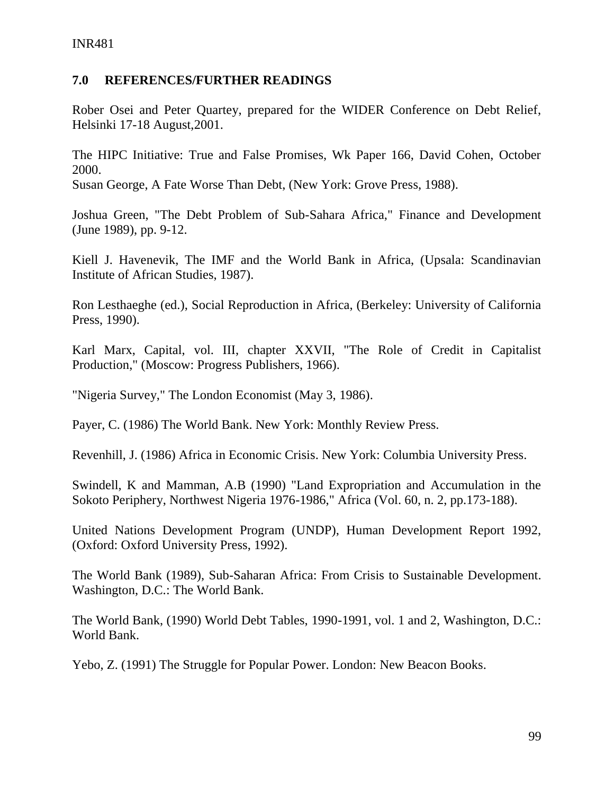#### **7.0 REFERENCES/FURTHER READINGS**

Rober Osei and Peter Quartey, prepared for the WIDER Conference on Debt Relief, Helsinki 17-18 August,2001.

The HIPC Initiative: True and False Promises, Wk Paper 166, David Cohen, October 2000.

Susan George, A Fate Worse Than Debt, (New York: Grove Press, 1988).

Joshua Green, "The Debt Problem of Sub-Sahara Africa," Finance and Development (June 1989), pp. 9-12.

Kiell J. Havenevik, The IMF and the World Bank in Africa, (Upsala: Scandinavian Institute of African Studies, 1987).

Ron Lesthaeghe (ed.), Social Reproduction in Africa, (Berkeley: University of California Press, 1990).

Karl Marx, Capital, vol. III, chapter XXVII, "The Role of Credit in Capitalist Production," (Moscow: Progress Publishers, 1966).

"Nigeria Survey," The London Economist (May 3, 1986).

Payer, C. (1986) The World Bank. New York: Monthly Review Press.

Revenhill, J. (1986) Africa in Economic Crisis. New York: Columbia University Press.

Swindell, K and Mamman, A.B (1990) "Land Expropriation and Accumulation in the Sokoto Periphery, Northwest Nigeria 1976-1986," Africa (Vol. 60, n. 2, pp.173-188).

United Nations Development Program (UNDP), Human Development Report 1992, (Oxford: Oxford University Press, 1992).

The World Bank (1989), Sub-Saharan Africa: From Crisis to Sustainable Development. Washington, D.C.: The World Bank.

The World Bank, (1990) World Debt Tables, 1990-1991, vol. 1 and 2, Washington, D.C.: World Bank.

Yebo, Z. (1991) The Struggle for Popular Power. London: New Beacon Books.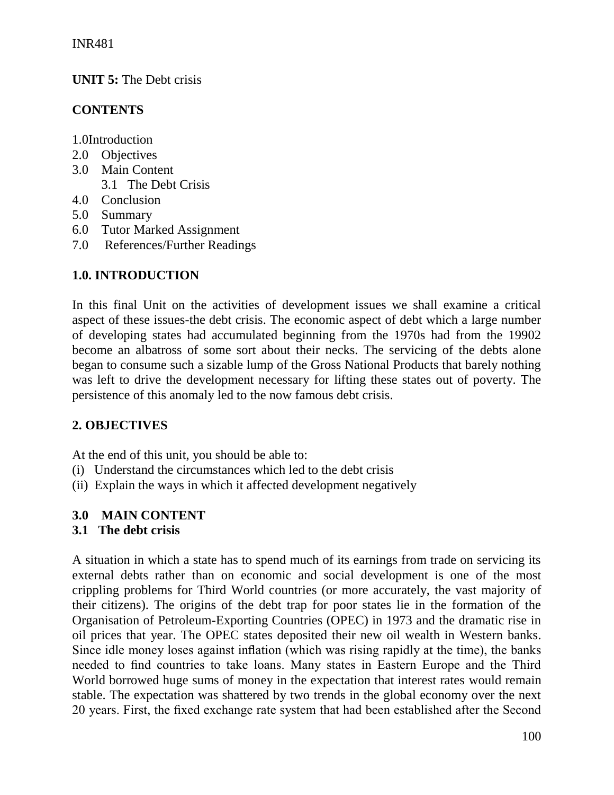INR481

**UNIT 5:** The Debt crisis

## **CONTENTS**

1.0Introduction

- 2.0 Objectives
- 3.0 Main Content 3.1 The Debt Crisis
- 4.0 Conclusion
- 5.0 Summary
- 6.0 Tutor Marked Assignment
- 7.0 References/Further Readings

# **1.0. INTRODUCTION**

In this final Unit on the activities of development issues we shall examine a critical aspect of these issues-the debt crisis. The economic aspect of debt which a large number of developing states had accumulated beginning from the 1970s had from the 19902 become an albatross of some sort about their necks. The servicing of the debts alone began to consume such a sizable lump of the Gross National Products that barely nothing was left to drive the development necessary for lifting these states out of poverty. The persistence of this anomaly led to the now famous debt crisis.

## **2. OBJECTIVES**

At the end of this unit, you should be able to:

- (i) Understand the circumstances which led to the debt crisis
- (ii) Explain the ways in which it affected development negatively

## **3.0 MAIN CONTENT**

## **3.1 The debt crisis**

A situation in which a state has to spend much of its earnings from trade on servicing its external debts rather than on economic and social development is one of the most crippling problems for Third World countries (or more accurately, the vast majority of their citizens). The origins of the debt trap for poor states lie in the formation of the Organisation of Petroleum-Exporting Countries (OPEC) in 1973 and the dramatic rise in oil prices that year. The OPEC states deposited their new oil wealth in Western banks. Since idle money loses against inflation (which was rising rapidly at the time), the banks needed to find countries to take loans. Many states in Eastern Europe and the Third World borrowed huge sums of money in the expectation that interest rates would remain stable. The expectation was shattered by two trends in the global economy over the next 20 years. First, the fixed exchange rate system that had been established after the Second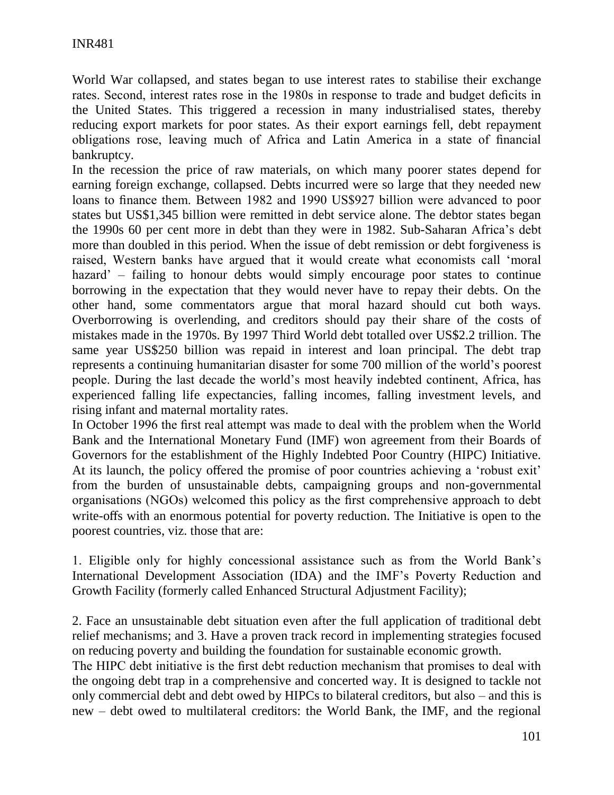World War collapsed, and states began to use interest rates to stabilise their exchange rates. Second, interest rates rose in the 1980s in response to trade and budget deficits in the United States. This triggered a recession in many industrialised states, thereby reducing export markets for poor states. As their export earnings fell, debt repayment obligations rose, leaving much of Africa and Latin America in a state of financial bankruptcy.

In the recession the price of raw materials, on which many poorer states depend for earning foreign exchange, collapsed. Debts incurred were so large that they needed new loans to finance them. Between 1982 and 1990 US\$927 billion were advanced to poor states but US\$1,345 billion were remitted in debt service alone. The debtor states began the 1990s 60 per cent more in debt than they were in 1982. Sub-Saharan Africa's debt more than doubled in this period. When the issue of debt remission or debt forgiveness is raised, Western banks have argued that it would create what economists call 'moral hazard' – failing to honour debts would simply encourage poor states to continue borrowing in the expectation that they would never have to repay their debts. On the other hand, some commentators argue that moral hazard should cut both ways. Overborrowing is overlending, and creditors should pay their share of the costs of mistakes made in the 1970s. By 1997 Third World debt totalled over US\$2.2 trillion. The same year US\$250 billion was repaid in interest and loan principal. The debt trap represents a continuing humanitarian disaster for some 700 million of the world's poorest people. During the last decade the world's most heavily indebted continent, Africa, has experienced falling life expectancies, falling incomes, falling investment levels, and rising infant and maternal mortality rates.

In October 1996 the first real attempt was made to deal with the problem when the World Bank and the International Monetary Fund (IMF) won agreement from their Boards of Governors for the establishment of the Highly Indebted Poor Country (HIPC) Initiative. At its launch, the policy offered the promise of poor countries achieving a 'robust exit' from the burden of unsustainable debts, campaigning groups and non-governmental organisations (NGOs) welcomed this policy as the first comprehensive approach to debt write-offs with an enormous potential for poverty reduction. The Initiative is open to the poorest countries, viz. those that are:

1. Eligible only for highly concessional assistance such as from the World Bank's International Development Association (IDA) and the IMF's Poverty Reduction and Growth Facility (formerly called Enhanced Structural Adjustment Facility);

2. Face an unsustainable debt situation even after the full application of traditional debt relief mechanisms; and 3. Have a proven track record in implementing strategies focused on reducing poverty and building the foundation for sustainable economic growth.

The HIPC debt initiative is the first debt reduction mechanism that promises to deal with the ongoing debt trap in a comprehensive and concerted way. It is designed to tackle not only commercial debt and debt owed by HIPCs to bilateral creditors, but also – and this is new – debt owed to multilateral creditors: the World Bank, the IMF, and the regional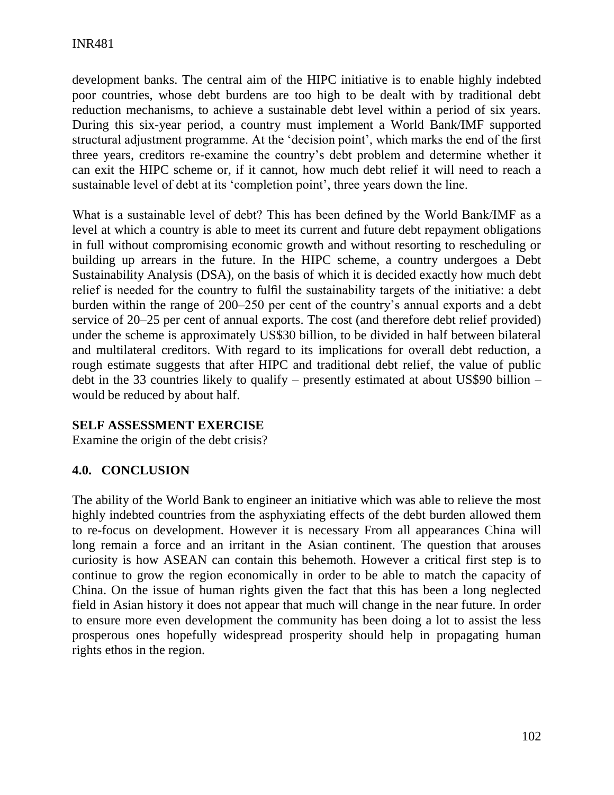development banks. The central aim of the HIPC initiative is to enable highly indebted poor countries, whose debt burdens are too high to be dealt with by traditional debt reduction mechanisms, to achieve a sustainable debt level within a period of six years. During this six-year period, a country must implement a World Bank/IMF supported structural adjustment programme. At the 'decision point', which marks the end of the first three years, creditors re-examine the country's debt problem and determine whether it can exit the HIPC scheme or, if it cannot, how much debt relief it will need to reach a sustainable level of debt at its 'completion point', three years down the line.

What is a sustainable level of debt? This has been defined by the World Bank/IMF as a level at which a country is able to meet its current and future debt repayment obligations in full without compromising economic growth and without resorting to rescheduling or building up arrears in the future. In the HIPC scheme, a country undergoes a Debt Sustainability Analysis (DSA), on the basis of which it is decided exactly how much debt relief is needed for the country to fulfil the sustainability targets of the initiative: a debt burden within the range of 200–250 per cent of the country's annual exports and a debt service of 20–25 per cent of annual exports. The cost (and therefore debt relief provided) under the scheme is approximately US\$30 billion, to be divided in half between bilateral and multilateral creditors. With regard to its implications for overall debt reduction, a rough estimate suggests that after HIPC and traditional debt relief, the value of public debt in the 33 countries likely to qualify – presently estimated at about US\$90 billion – would be reduced by about half.

#### **SELF ASSESSMENT EXERCISE**

Examine the origin of the debt crisis?

#### **4.0. CONCLUSION**

The ability of the World Bank to engineer an initiative which was able to relieve the most highly indebted countries from the asphyxiating effects of the debt burden allowed them to re-focus on development. However it is necessary From all appearances China will long remain a force and an irritant in the Asian continent. The question that arouses curiosity is how ASEAN can contain this behemoth. However a critical first step is to continue to grow the region economically in order to be able to match the capacity of China. On the issue of human rights given the fact that this has been a long neglected field in Asian history it does not appear that much will change in the near future. In order to ensure more even development the community has been doing a lot to assist the less prosperous ones hopefully widespread prosperity should help in propagating human rights ethos in the region.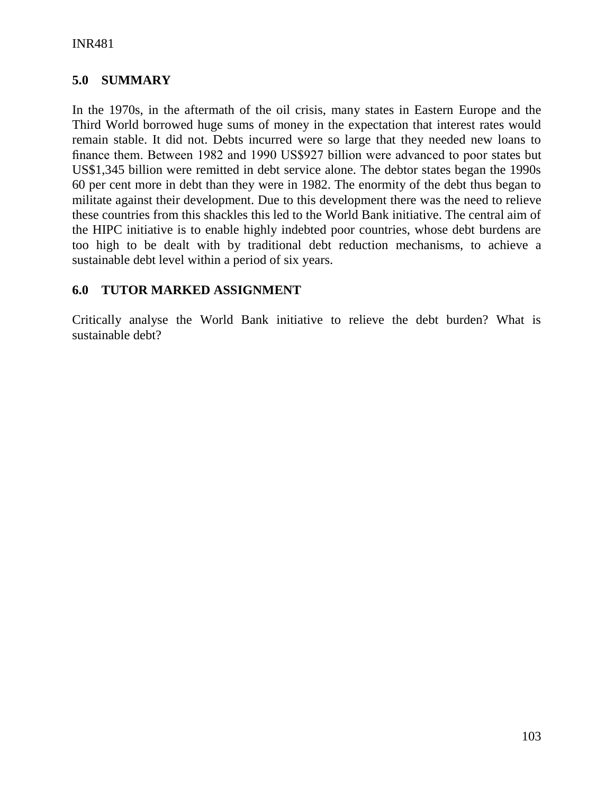## **5.0 SUMMARY**

In the 1970s, in the aftermath of the oil crisis, many states in Eastern Europe and the Third World borrowed huge sums of money in the expectation that interest rates would remain stable. It did not. Debts incurred were so large that they needed new loans to finance them. Between 1982 and 1990 US\$927 billion were advanced to poor states but US\$1,345 billion were remitted in debt service alone. The debtor states began the 1990s 60 per cent more in debt than they were in 1982. The enormity of the debt thus began to militate against their development. Due to this development there was the need to relieve these countries from this shackles this led to the World Bank initiative. The central aim of the HIPC initiative is to enable highly indebted poor countries, whose debt burdens are too high to be dealt with by traditional debt reduction mechanisms, to achieve a sustainable debt level within a period of six years.

### **6.0 TUTOR MARKED ASSIGNMENT**

Critically analyse the World Bank initiative to relieve the debt burden? What is sustainable debt?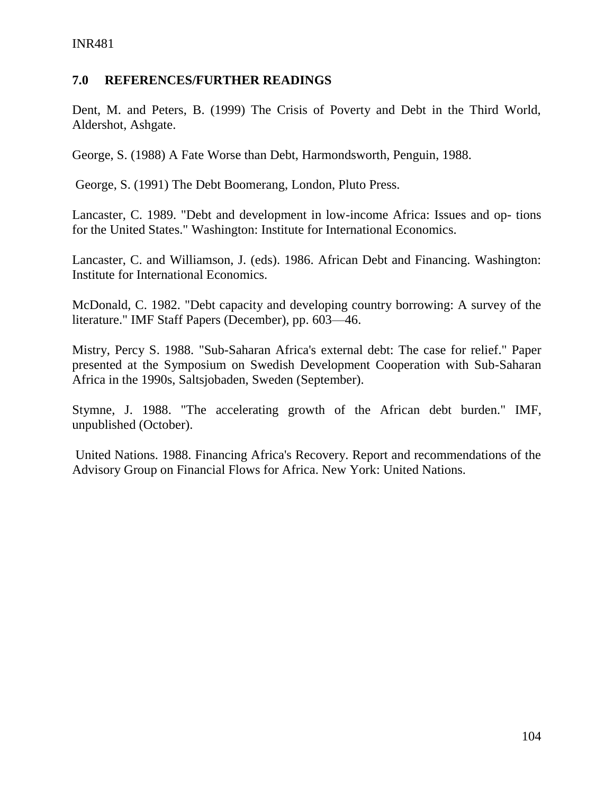#### **7.0 REFERENCES/FURTHER READINGS**

Dent, M. and Peters, B. (1999) The Crisis of Poverty and Debt in the Third World, Aldershot, Ashgate.

George, S. (1988) A Fate Worse than Debt, Harmondsworth, Penguin, 1988.

George, S. (1991) The Debt Boomerang, London, Pluto Press.

Lancaster, C. 1989. "Debt and development in low-income Africa: Issues and op- tions for the United States." Washington: Institute for International Economics.

Lancaster, C. and Williamson, J. (eds). 1986. African Debt and Financing. Washington: Institute for International Economics.

McDonald, C. 1982. "Debt capacity and developing country borrowing: A survey of the literature." IMF Staff Papers (December), pp. 603—46.

Mistry, Percy S. 1988. "Sub-Saharan Africa's external debt: The case for relief." Paper presented at the Symposium on Swedish Development Cooperation with Sub-Saharan Africa in the 1990s, Saltsjobaden, Sweden (September).

Stymne, J. 1988. "The accelerating growth of the African debt burden." IMF, unpublished (October).

United Nations. 1988. Financing Africa's Recovery. Report and recommendations of the Advisory Group on Financial Flows for Africa. New York: United Nations.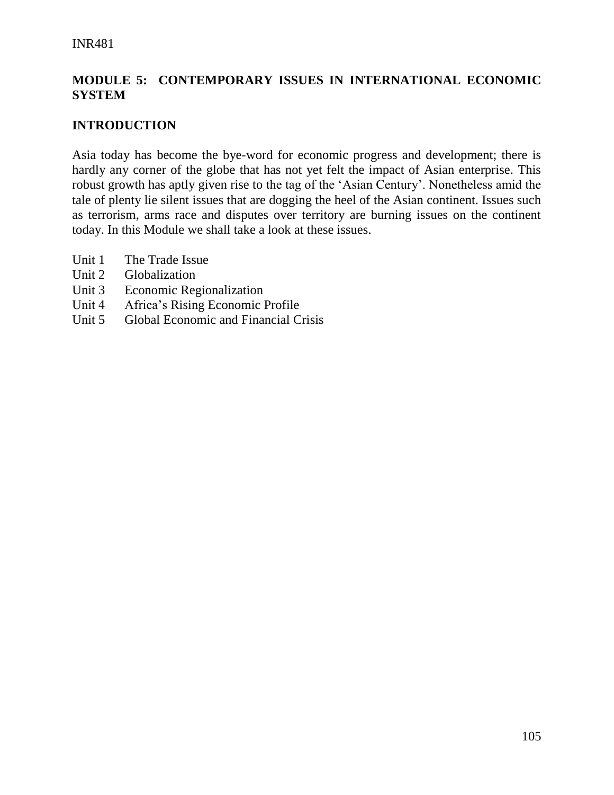## **MODULE 5: CONTEMPORARY ISSUES IN INTERNATIONAL ECONOMIC SYSTEM**

## **INTRODUCTION**

Asia today has become the bye-word for economic progress and development; there is hardly any corner of the globe that has not yet felt the impact of Asian enterprise. This robust growth has aptly given rise to the tag of the 'Asian Century'. Nonetheless amid the tale of plenty lie silent issues that are dogging the heel of the Asian continent. Issues such as terrorism, arms race and disputes over territory are burning issues on the continent today. In this Module we shall take a look at these issues.

- Unit 1 The Trade Issue
- Unit 2 Globalization
- Unit 3 Economic Regionalization
- Unit 4 Africa's Rising Economic Profile
- Unit 5 Global Economic and Financial Crisis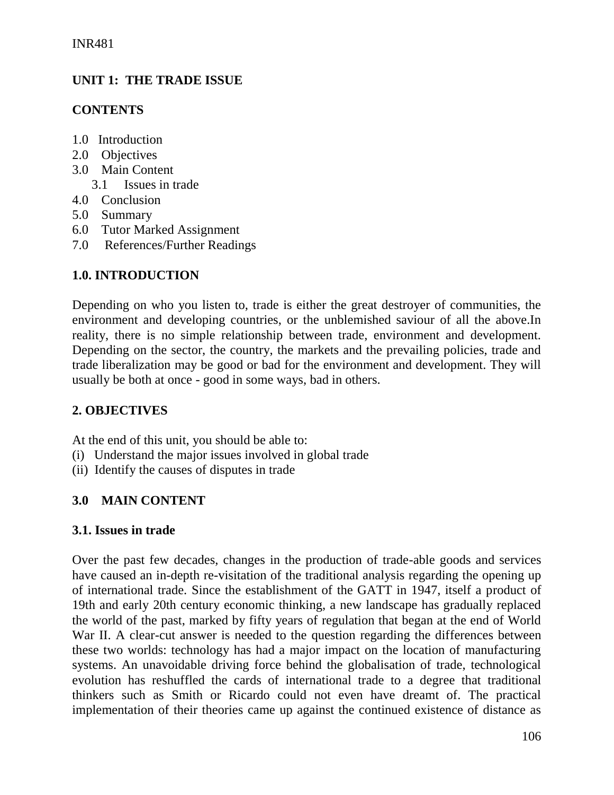#### INR481

### **UNIT 1: THE TRADE ISSUE**

#### **CONTENTS**

- 1.0 Introduction
- 2.0 Objectives
- 3.0 Main Content
	- 3.1 Issues in trade
- 4.0 Conclusion
- 5.0 Summary
- 6.0 Tutor Marked Assignment
- 7.0 References/Further Readings

## **1.0. INTRODUCTION**

Depending on who you listen to, trade is either the great destroyer of communities, the environment and developing countries, or the unblemished saviour of all the above.In reality, there is no simple relationship between trade, environment and development. Depending on the sector, the country, the markets and the prevailing policies, trade and trade liberalization may be good or bad for the environment and development. They will usually be both at once - good in some ways, bad in others.

#### **2. OBJECTIVES**

At the end of this unit, you should be able to:

- (i) Understand the major issues involved in global trade
- (ii) Identify the causes of disputes in trade

#### **3.0 MAIN CONTENT**

#### **3.1. Issues in trade**

Over the past few decades, changes in the production of trade-able goods and services have caused an in-depth re-visitation of the traditional analysis regarding the opening up of international trade. Since the establishment of the GATT in 1947, itself a product of 19th and early 20th century economic thinking, a new landscape has gradually replaced the world of the past, marked by fifty years of regulation that began at the end of World War II. A clear-cut answer is needed to the question regarding the differences between these two worlds: technology has had a major impact on the location of manufacturing systems. An unavoidable driving force behind the globalisation of trade, technological evolution has reshuffled the cards of international trade to a degree that traditional thinkers such as Smith or Ricardo could not even have dreamt of. The practical implementation of their theories came up against the continued existence of distance as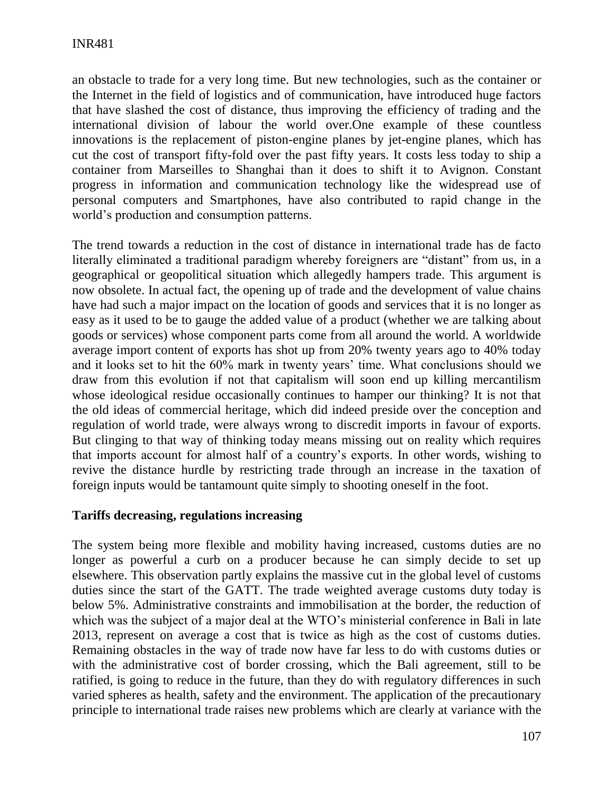an obstacle to trade for a very long time. But new technologies, such as the container or the Internet in the field of logistics and of communication, have introduced huge factors that have slashed the cost of distance, thus improving the efficiency of trading and the international division of labour the world over.One example of these countless innovations is the replacement of piston-engine planes by jet-engine planes, which has cut the cost of transport fifty-fold over the past fifty years. It costs less today to ship a container from Marseilles to Shanghai than it does to shift it to Avignon. Constant progress in information and communication technology like the widespread use of personal computers and Smartphones, have also contributed to rapid change in the world's production and consumption patterns.

The trend towards a reduction in the cost of distance in international trade has de facto literally eliminated a traditional paradigm whereby foreigners are "distant" from us, in a geographical or geopolitical situation which allegedly hampers trade. This argument is now obsolete. In actual fact, the opening up of trade and the development of value chains have had such a major impact on the location of goods and services that it is no longer as easy as it used to be to gauge the added value of a product (whether we are talking about goods or services) whose component parts come from all around the world. A worldwide average import content of exports has shot up from 20% twenty years ago to 40% today and it looks set to hit the 60% mark in twenty years' time. What conclusions should we draw from this evolution if not that capitalism will soon end up killing mercantilism whose ideological residue occasionally continues to hamper our thinking? It is not that the old ideas of commercial heritage, which did indeed preside over the conception and regulation of world trade, were always wrong to discredit imports in favour of exports. But clinging to that way of thinking today means missing out on reality which requires that imports account for almost half of a country's exports. In other words, wishing to revive the distance hurdle by restricting trade through an increase in the taxation of foreign inputs would be tantamount quite simply to shooting oneself in the foot.

#### **Tariffs decreasing, regulations increasing**

The system being more flexible and mobility having increased, customs duties are no longer as powerful a curb on a producer because he can simply decide to set up elsewhere. This observation partly explains the massive cut in the global level of customs duties since the start of the GATT. The trade weighted average customs duty today is below 5%. Administrative constraints and immobilisation at the border, the reduction of which was the subject of a major deal at the WTO's ministerial conference in Bali in late 2013, represent on average a cost that is twice as high as the cost of customs duties. Remaining obstacles in the way of trade now have far less to do with customs duties or with the administrative cost of border crossing, which the Bali agreement, still to be ratified, is going to reduce in the future, than they do with regulatory differences in such varied spheres as health, safety and the environment. The application of the precautionary principle to international trade raises new problems which are clearly at variance with the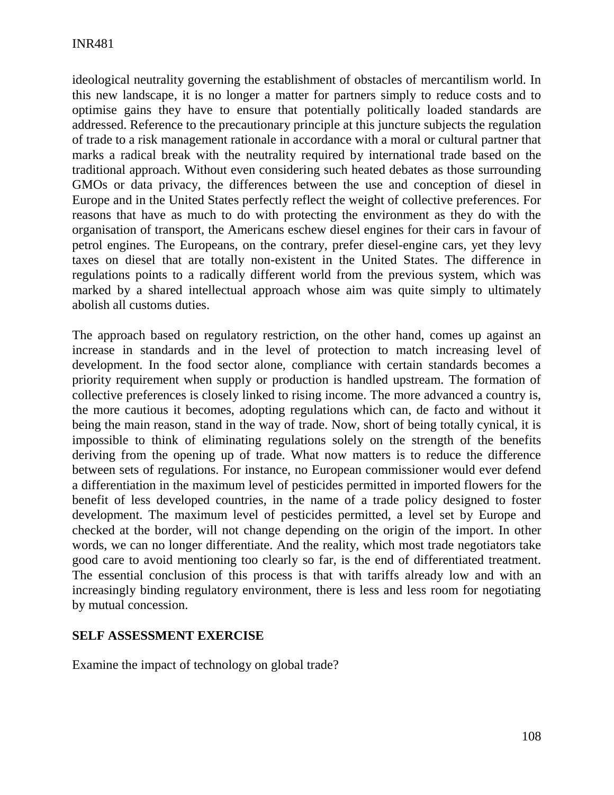ideological neutrality governing the establishment of obstacles of mercantilism world. In this new landscape, it is no longer a matter for partners simply to reduce costs and to optimise gains they have to ensure that potentially politically loaded standards are addressed. Reference to the precautionary principle at this juncture subjects the regulation of trade to a risk management rationale in accordance with a moral or cultural partner that marks a radical break with the neutrality required by international trade based on the traditional approach. Without even considering such heated debates as those surrounding GMOs or data privacy, the differences between the use and conception of diesel in Europe and in the United States perfectly reflect the weight of collective preferences. For reasons that have as much to do with protecting the environment as they do with the organisation of transport, the Americans eschew diesel engines for their cars in favour of petrol engines. The Europeans, on the contrary, prefer diesel-engine cars, yet they levy taxes on diesel that are totally non-existent in the United States. The difference in regulations points to a radically different world from the previous system, which was marked by a shared intellectual approach whose aim was quite simply to ultimately abolish all customs duties.

The approach based on regulatory restriction, on the other hand, comes up against an increase in standards and in the level of protection to match increasing level of development. In the food sector alone, compliance with certain standards becomes a priority requirement when supply or production is handled upstream. The formation of collective preferences is closely linked to rising income. The more advanced a country is, the more cautious it becomes, adopting regulations which can, de facto and without it being the main reason, stand in the way of trade. Now, short of being totally cynical, it is impossible to think of eliminating regulations solely on the strength of the benefits deriving from the opening up of trade. What now matters is to reduce the difference between sets of regulations. For instance, no European commissioner would ever defend a differentiation in the maximum level of pesticides permitted in imported flowers for the benefit of less developed countries, in the name of a trade policy designed to foster development. The maximum level of pesticides permitted, a level set by Europe and checked at the border, will not change depending on the origin of the import. In other words, we can no longer differentiate. And the reality, which most trade negotiators take good care to avoid mentioning too clearly so far, is the end of differentiated treatment. The essential conclusion of this process is that with tariffs already low and with an increasingly binding regulatory environment, there is less and less room for negotiating by mutual concession.

#### **SELF ASSESSMENT EXERCISE**

Examine the impact of technology on global trade?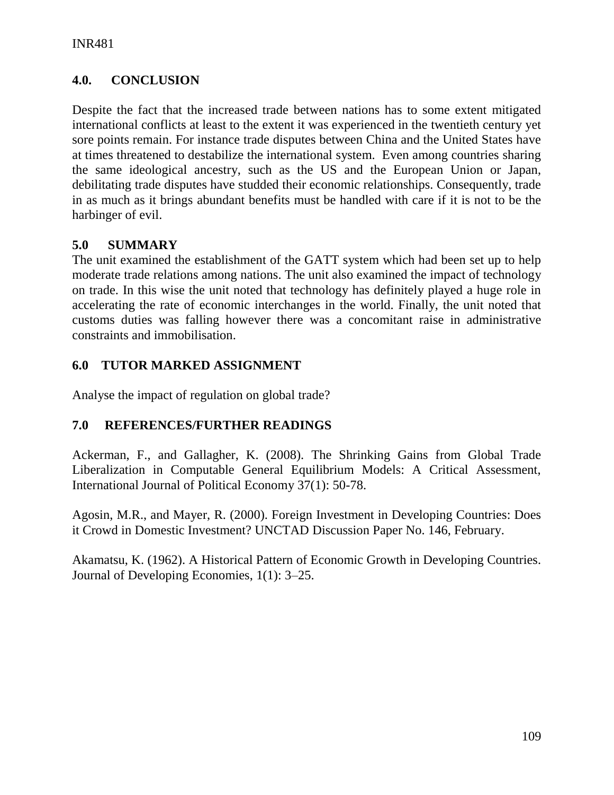# **4.0. CONCLUSION**

Despite the fact that the increased trade between nations has to some extent mitigated international conflicts at least to the extent it was experienced in the twentieth century yet sore points remain. For instance trade disputes between China and the United States have at times threatened to destabilize the international system. Even among countries sharing the same ideological ancestry, such as the US and the European Union or Japan, debilitating trade disputes have studded their economic relationships. Consequently, trade in as much as it brings abundant benefits must be handled with care if it is not to be the harbinger of evil.

# **5.0 SUMMARY**

The unit examined the establishment of the GATT system which had been set up to help moderate trade relations among nations. The unit also examined the impact of technology on trade. In this wise the unit noted that technology has definitely played a huge role in accelerating the rate of economic interchanges in the world. Finally, the unit noted that customs duties was falling however there was a concomitant raise in administrative constraints and immobilisation.

# **6.0 TUTOR MARKED ASSIGNMENT**

Analyse the impact of regulation on global trade?

# **7.0 REFERENCES/FURTHER READINGS**

Ackerman, F., and Gallagher, K. (2008). The Shrinking Gains from Global Trade Liberalization in Computable General Equilibrium Models: A Critical Assessment, International Journal of Political Economy 37(1): 50-78.

Agosin, M.R., and Mayer, R. (2000). Foreign Investment in Developing Countries: Does it Crowd in Domestic Investment? UNCTAD Discussion Paper No. 146, February.

Akamatsu, K. (1962). A Historical Pattern of Economic Growth in Developing Countries. Journal of Developing Economies, 1(1): 3–25.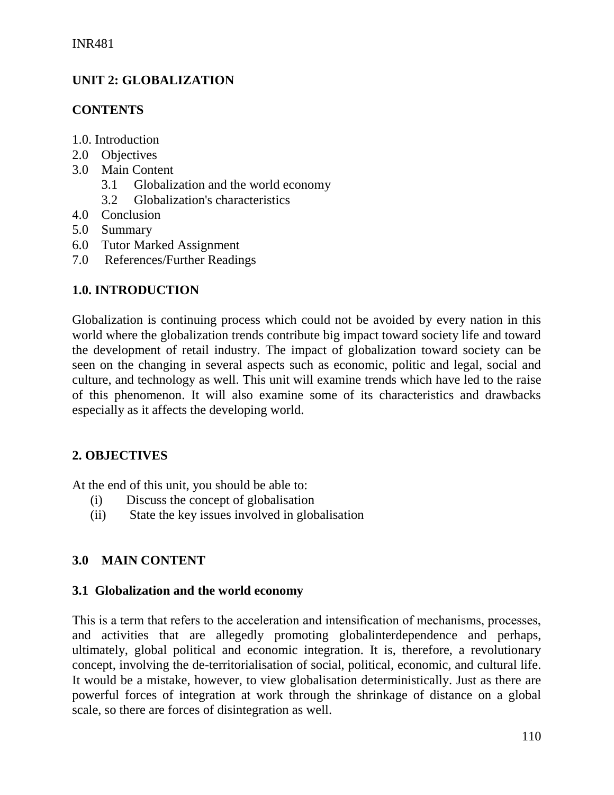# **UNIT 2: GLOBALIZATION**

### **CONTENTS**

- 1.0. Introduction
- 2.0 Objectives
- 3.0 Main Content
	- 3.1 Globalization and the world economy
	- 3.2 Globalization's characteristics
- 4.0 Conclusion
- 5.0 Summary
- 6.0 Tutor Marked Assignment
- 7.0 References/Further Readings

# **1.0. INTRODUCTION**

Globalization is continuing process which could not be avoided by every nation in this world where the globalization trends contribute big impact toward society life and toward the development of retail industry. The impact of globalization toward society can be seen on the changing in several aspects such as economic, politic and legal, social and culture, and technology as well. This unit will examine trends which have led to the raise of this phenomenon. It will also examine some of its characteristics and drawbacks especially as it affects the developing world.

# **2. OBJECTIVES**

At the end of this unit, you should be able to:

- (i) Discuss the concept of globalisation
- (ii) State the key issues involved in globalisation

# **3.0 MAIN CONTENT**

#### **3.1 Globalization and the world economy**

This is a term that refers to the acceleration and intensification of mechanisms, processes, and activities that are allegedly promoting globalinterdependence and perhaps, ultimately, global political and economic integration. It is, therefore, a revolutionary concept, involving the de-territorialisation of social, political, economic, and cultural life. It would be a mistake, however, to view globalisation deterministically. Just as there are powerful forces of integration at work through the shrinkage of distance on a global scale, so there are forces of disintegration as well.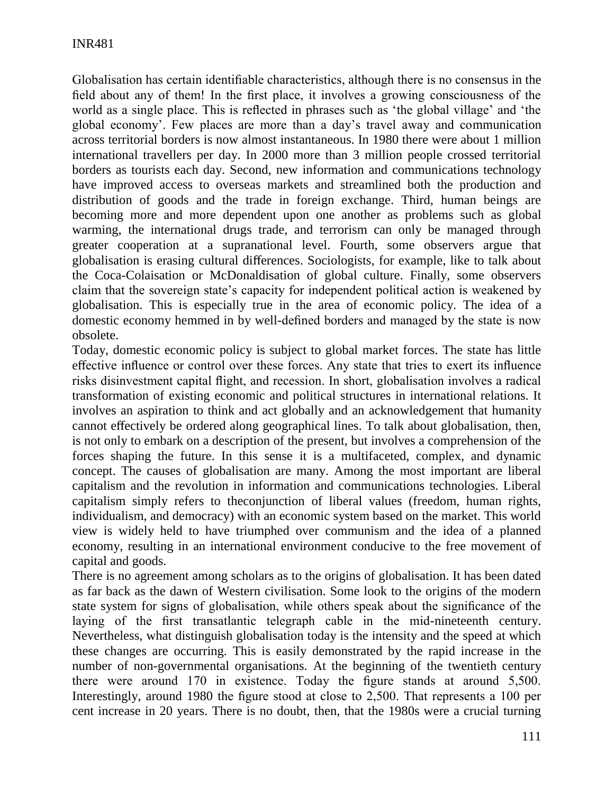Globalisation has certain identifiable characteristics, although there is no consensus in the field about any of them! In the first place, it involves a growing consciousness of the world as a single place. This is reflected in phrases such as 'the global village' and 'the global economy'. Few places are more than a day's travel away and communication across territorial borders is now almost instantaneous. In 1980 there were about 1 million international travellers per day. In 2000 more than 3 million people crossed territorial borders as tourists each day. Second, new information and communications technology have improved access to overseas markets and streamlined both the production and distribution of goods and the trade in foreign exchange. Third, human beings are becoming more and more dependent upon one another as problems such as global warming, the international drugs trade, and terrorism can only be managed through greater cooperation at a supranational level. Fourth, some observers argue that globalisation is erasing cultural differences. Sociologists, for example, like to talk about the Coca-Colaisation or McDonaldisation of global culture. Finally, some observers claim that the sovereign state's capacity for independent political action is weakened by globalisation. This is especially true in the area of economic policy. The idea of a domestic economy hemmed in by well-defined borders and managed by the state is now obsolete.

Today, domestic economic policy is subject to global market forces. The state has little effective influence or control over these forces. Any state that tries to exert its influence risks disinvestment capital flight, and recession. In short, globalisation involves a radical transformation of existing economic and political structures in international relations. It involves an aspiration to think and act globally and an acknowledgement that humanity cannot effectively be ordered along geographical lines. To talk about globalisation, then, is not only to embark on a description of the present, but involves a comprehension of the forces shaping the future. In this sense it is a multifaceted, complex, and dynamic concept. The causes of globalisation are many. Among the most important are liberal capitalism and the revolution in information and communications technologies. Liberal capitalism simply refers to theconjunction of liberal values (freedom, human rights, individualism, and democracy) with an economic system based on the market. This world view is widely held to have triumphed over communism and the idea of a planned economy, resulting in an international environment conducive to the free movement of capital and goods.

There is no agreement among scholars as to the origins of globalisation. It has been dated as far back as the dawn of Western civilisation. Some look to the origins of the modern state system for signs of globalisation, while others speak about the significance of the laying of the first transatlantic telegraph cable in the mid-nineteenth century. Nevertheless, what distinguish globalisation today is the intensity and the speed at which these changes are occurring. This is easily demonstrated by the rapid increase in the number of non-governmental organisations. At the beginning of the twentieth century there were around 170 in existence. Today the figure stands at around 5,500. Interestingly, around 1980 the figure stood at close to 2,500. That represents a 100 per cent increase in 20 years. There is no doubt, then, that the 1980s were a crucial turning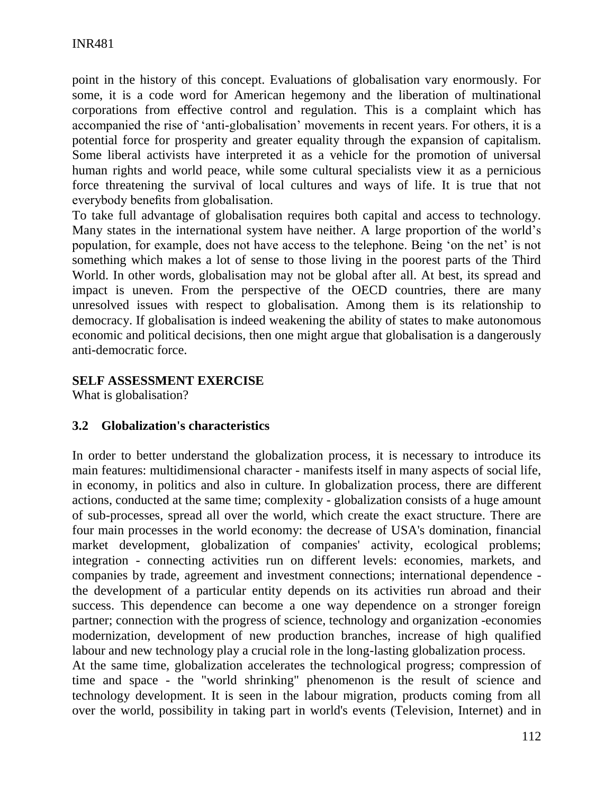point in the history of this concept. Evaluations of globalisation vary enormously. For some, it is a code word for American hegemony and the liberation of multinational corporations from effective control and regulation. This is a complaint which has accompanied the rise of 'anti-globalisation' movements in recent years. For others, it is a potential force for prosperity and greater equality through the expansion of capitalism. Some liberal activists have interpreted it as a vehicle for the promotion of universal human rights and world peace, while some cultural specialists view it as a pernicious force threatening the survival of local cultures and ways of life. It is true that not everybody benefits from globalisation.

To take full advantage of globalisation requires both capital and access to technology. Many states in the international system have neither. A large proportion of the world's population, for example, does not have access to the telephone. Being 'on the net' is not something which makes a lot of sense to those living in the poorest parts of the Third World. In other words, globalisation may not be global after all. At best, its spread and impact is uneven. From the perspective of the OECD countries, there are many unresolved issues with respect to globalisation. Among them is its relationship to democracy. If globalisation is indeed weakening the ability of states to make autonomous economic and political decisions, then one might argue that globalisation is a dangerously anti-democratic force.

### **SELF ASSESSMENT EXERCISE**

What is globalisation?

# **3.2 Globalization's characteristics**

In order to better understand the globalization process, it is necessary to introduce its main features: multidimensional character - manifests itself in many aspects of social life, in economy, in politics and also in culture. In globalization process, there are different actions, conducted at the same time; complexity - globalization consists of a huge amount of sub-processes, spread all over the world, which create the exact structure. There are four main processes in the world economy: the decrease of USA's domination, financial market development, globalization of companies' activity, ecological problems; integration - connecting activities run on different levels: economies, markets, and companies by trade, agreement and investment connections; international dependence the development of a particular entity depends on its activities run abroad and their success. This dependence can become a one way dependence on a stronger foreign partner; connection with the progress of science, technology and organization -economies modernization, development of new production branches, increase of high qualified labour and new technology play a crucial role in the long-lasting globalization process.

At the same time, globalization accelerates the technological progress; compression of time and space - the "world shrinking" phenomenon is the result of science and technology development. It is seen in the labour migration, products coming from all over the world, possibility in taking part in world's events (Television, Internet) and in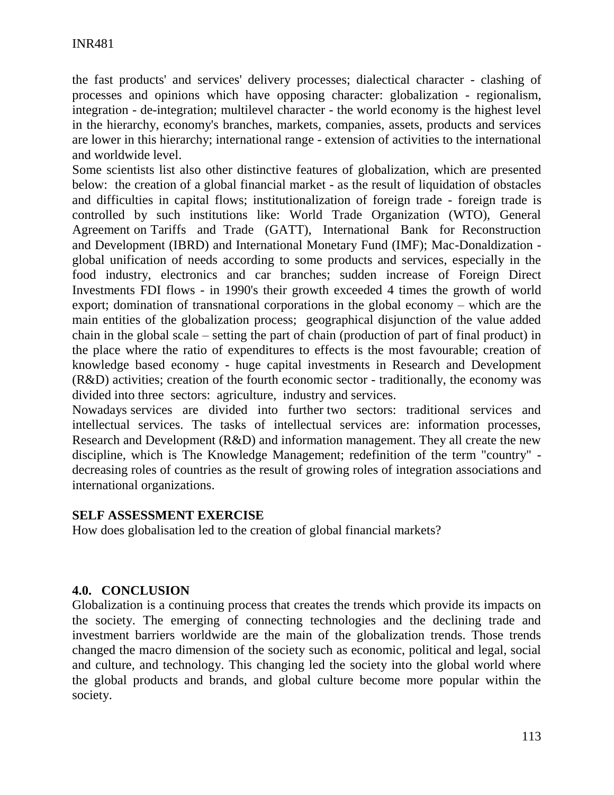the fast products' and services' delivery processes; dialectical character - clashing of processes and opinions which have opposing character: globalization - regionalism, integration - de-integration; multilevel character - the world economy is the highest level in the hierarchy, economy's branches, markets, companies, assets, products and services are lower in this hierarchy; international range - extension of activities to the international and worldwide level.

Some scientists list also other distinctive features of globalization, which are presented below: the creation of a global financial market - as the result of liquidation of obstacles and difficulties in capital flows; institutionalization of foreign trade - foreign trade is controlled by such institutions like: World Trade Organization (WTO), General Agreement on Tariffs and Trade (GATT), International Bank for Reconstruction and Development (IBRD) and International Monetary Fund (IMF); Mac-Donaldization global unification of needs according to some products and services, especially in the food industry, electronics and car branches; sudden increase of Foreign Direct Investments FDI flows - in 1990's their growth exceeded 4 times the growth of world export; domination of transnational corporations in the global economy – which are the main entities of the globalization process; geographical disjunction of the value added chain in the global scale – setting the part of chain (production of part of final product) in the place where the ratio of expenditures to effects is the most favourable; creation of knowledge based economy - huge capital investments in Research and Development (R&D) activities; creation of the fourth economic sector - traditionally, the economy was divided into three sectors: agriculture, industry and services.

Nowadays services are divided into further two sectors: traditional services and intellectual services. The tasks of intellectual services are: information processes, Research and Development (R&D) and information management. They all create the new discipline, which is The Knowledge Management; redefinition of the term "country" decreasing roles of countries as the result of growing roles of integration associations and international organizations.

#### **SELF ASSESSMENT EXERCISE**

How does globalisation led to the creation of global financial markets?

#### **4.0. CONCLUSION**

Globalization is a continuing process that creates the trends which provide its impacts on the society. The emerging of connecting technologies and the declining trade and investment barriers worldwide are the main of the globalization trends. Those trends changed the macro dimension of the society such as economic, political and legal, social and culture, and technology. This changing led the society into the global world where the global products and brands, and global culture become more popular within the society.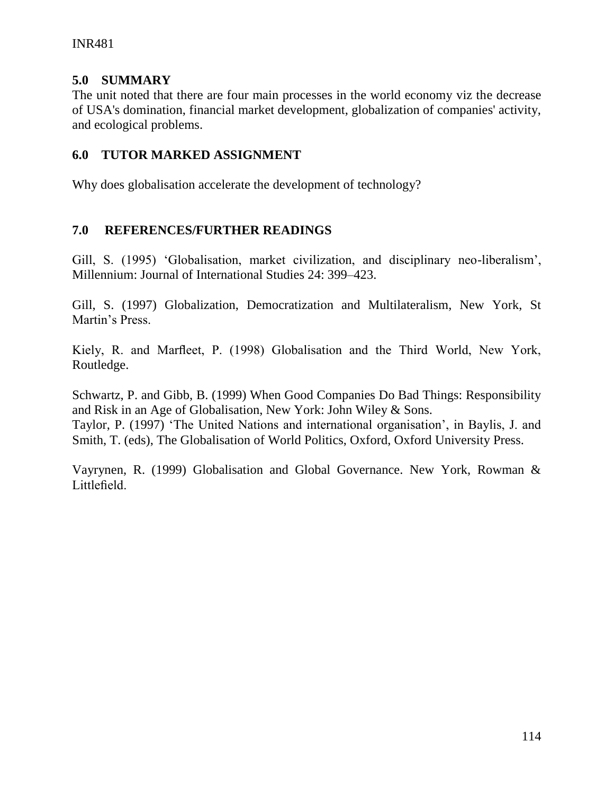### **5.0 SUMMARY**

The unit noted that there are four main processes in the world economy viz the decrease of USA's domination, financial market development, globalization of companies' activity, and ecological problems.

#### **6.0 TUTOR MARKED ASSIGNMENT**

Why does globalisation accelerate the development of technology?

### **7.0 REFERENCES/FURTHER READINGS**

Gill, S. (1995) 'Globalisation, market civilization, and disciplinary neo-liberalism', Millennium: Journal of International Studies 24: 399–423.

Gill, S. (1997) Globalization, Democratization and Multilateralism, New York, St Martin's Press.

Kiely, R. and Marfleet, P. (1998) Globalisation and the Third World, New York, Routledge.

Schwartz, P. and Gibb, B. (1999) When Good Companies Do Bad Things: Responsibility and Risk in an Age of Globalisation, New York: John Wiley & Sons. Taylor, P. (1997) 'The United Nations and international organisation', in Baylis, J. and Smith, T. (eds), The Globalisation of World Politics, Oxford, Oxford University Press.

Vayrynen, R. (1999) Globalisation and Global Governance. New York, Rowman & Littlefield.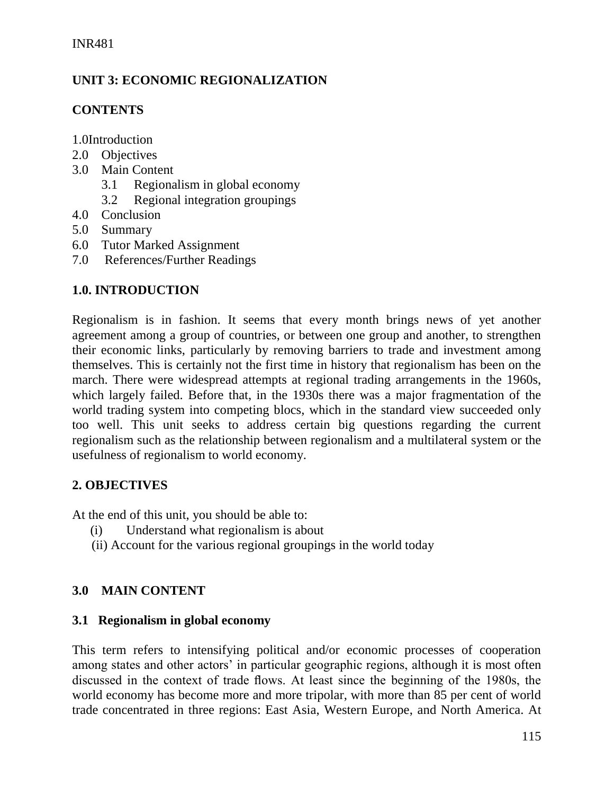# **UNIT 3: ECONOMIC REGIONALIZATION**

### **CONTENTS**

1.0Introduction

- 2.0 Objectives
- 3.0 Main Content
	- 3.1 Regionalism in global economy
	- 3.2 Regional integration groupings
- 4.0 Conclusion
- 5.0 Summary
- 6.0 Tutor Marked Assignment
- 7.0 References/Further Readings

# **1.0. INTRODUCTION**

Regionalism is in fashion. It seems that every month brings news of yet another agreement among a group of countries, or between one group and another, to strengthen their economic links, particularly by removing barriers to trade and investment among themselves. This is certainly not the first time in history that regionalism has been on the march. There were widespread attempts at regional trading arrangements in the 1960s, which largely failed. Before that, in the 1930s there was a major fragmentation of the world trading system into competing blocs, which in the standard view succeeded only too well. This unit seeks to address certain big questions regarding the current regionalism such as the relationship between regionalism and a multilateral system or the usefulness of regionalism to world economy.

# **2. OBJECTIVES**

At the end of this unit, you should be able to:

- (i) Understand what regionalism is about
- (ii) Account for the various regional groupings in the world today

# **3.0 MAIN CONTENT**

#### **3.1 Regionalism in global economy**

This term refers to intensifying political and/or economic processes of cooperation among states and other actors' in particular geographic regions, although it is most often discussed in the context of trade flows. At least since the beginning of the 1980s, the world economy has become more and more tripolar, with more than 85 per cent of world trade concentrated in three regions: East Asia, Western Europe, and North America. At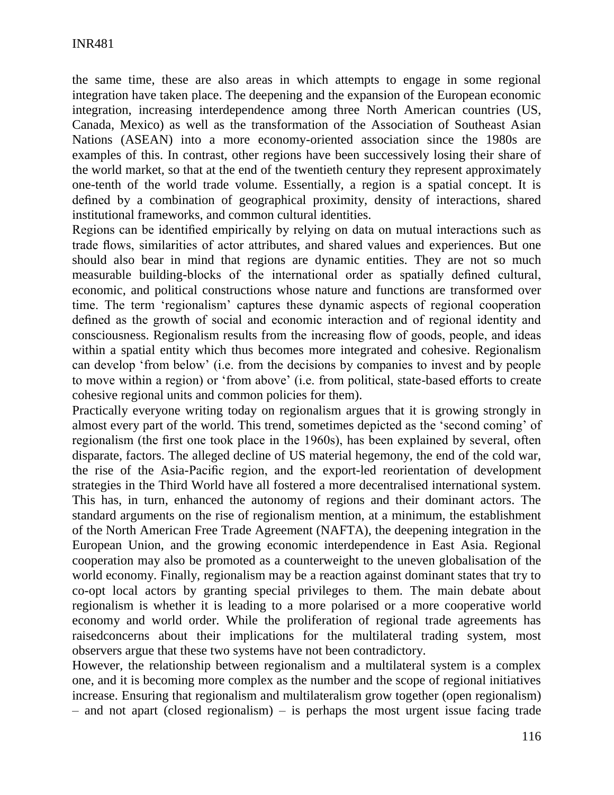the same time, these are also areas in which attempts to engage in some regional integration have taken place. The deepening and the expansion of the European economic integration, increasing interdependence among three North American countries (US, Canada, Mexico) as well as the transformation of the Association of Southeast Asian Nations (ASEAN) into a more economy-oriented association since the 1980s are examples of this. In contrast, other regions have been successively losing their share of the world market, so that at the end of the twentieth century they represent approximately one-tenth of the world trade volume. Essentially, a region is a spatial concept. It is defined by a combination of geographical proximity, density of interactions, shared institutional frameworks, and common cultural identities.

Regions can be identified empirically by relying on data on mutual interactions such as trade flows, similarities of actor attributes, and shared values and experiences. But one should also bear in mind that regions are dynamic entities. They are not so much measurable building-blocks of the international order as spatially defined cultural, economic, and political constructions whose nature and functions are transformed over time. The term 'regionalism' captures these dynamic aspects of regional cooperation defined as the growth of social and economic interaction and of regional identity and consciousness. Regionalism results from the increasing flow of goods, people, and ideas within a spatial entity which thus becomes more integrated and cohesive. Regionalism can develop 'from below' (i.e. from the decisions by companies to invest and by people to move within a region) or 'from above' (i.e. from political, state-based efforts to create cohesive regional units and common policies for them).

Practically everyone writing today on regionalism argues that it is growing strongly in almost every part of the world. This trend, sometimes depicted as the 'second coming' of regionalism (the first one took place in the 1960s), has been explained by several, often disparate, factors. The alleged decline of US material hegemony, the end of the cold war, the rise of the Asia-Pacific region, and the export-led reorientation of development strategies in the Third World have all fostered a more decentralised international system. This has, in turn, enhanced the autonomy of regions and their dominant actors. The standard arguments on the rise of regionalism mention, at a minimum, the establishment of the North American Free Trade Agreement (NAFTA), the deepening integration in the European Union, and the growing economic interdependence in East Asia. Regional cooperation may also be promoted as a counterweight to the uneven globalisation of the world economy. Finally, regionalism may be a reaction against dominant states that try to co-opt local actors by granting special privileges to them. The main debate about regionalism is whether it is leading to a more polarised or a more cooperative world economy and world order. While the proliferation of regional trade agreements has raisedconcerns about their implications for the multilateral trading system, most observers argue that these two systems have not been contradictory.

However, the relationship between regionalism and a multilateral system is a complex one, and it is becoming more complex as the number and the scope of regional initiatives increase. Ensuring that regionalism and multilateralism grow together (open regionalism) – and not apart (closed regionalism) – is perhaps the most urgent issue facing trade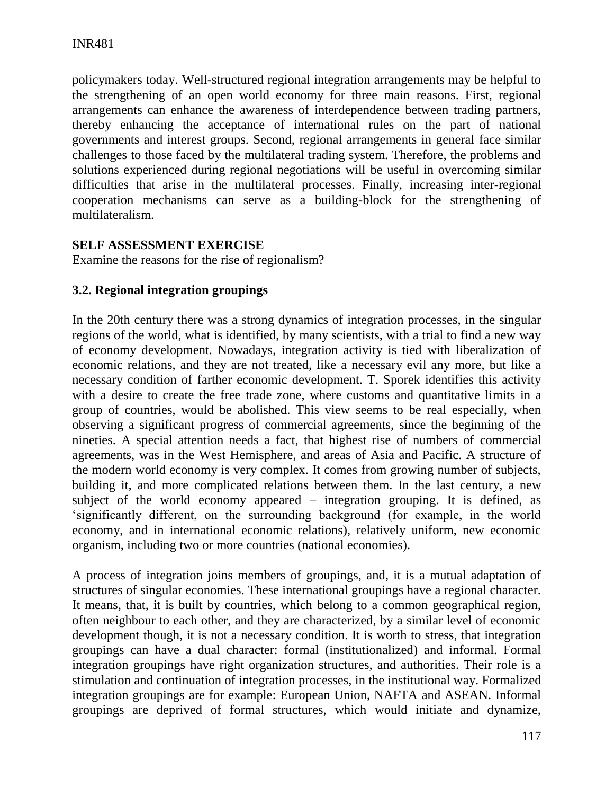policymakers today. Well-structured regional integration arrangements may be helpful to the strengthening of an open world economy for three main reasons. First, regional arrangements can enhance the awareness of interdependence between trading partners, thereby enhancing the acceptance of international rules on the part of national governments and interest groups. Second, regional arrangements in general face similar challenges to those faced by the multilateral trading system. Therefore, the problems and solutions experienced during regional negotiations will be useful in overcoming similar difficulties that arise in the multilateral processes. Finally, increasing inter-regional cooperation mechanisms can serve as a building-block for the strengthening of multilateralism.

#### **SELF ASSESSMENT EXERCISE**

Examine the reasons for the rise of regionalism?

#### **3.2. Regional integration groupings**

In the 20th century there was a strong dynamics of integration processes, in the singular regions of the world, what is identified, by many scientists, with a trial to find a new way of economy development. Nowadays, integration activity is tied with liberalization of economic relations, and they are not treated, like a necessary evil any more, but like a necessary condition of farther economic development. T. Sporek identifies this activity with a desire to create the free trade zone, where customs and quantitative limits in a group of countries, would be abolished. This view seems to be real especially, when observing a significant progress of commercial agreements, since the beginning of the nineties. A special attention needs a fact, that highest rise of numbers of commercial agreements, was in the West Hemisphere, and areas of Asia and Pacific. A structure of the modern world economy is very complex. It comes from growing number of subjects, building it, and more complicated relations between them. In the last century, a new subject of the world economy appeared – integration grouping. It is defined, as 'significantly different, on the surrounding background (for example, in the world economy, and in international economic relations), relatively uniform, new economic organism, including two or more countries (national economies).

A process of integration joins members of groupings, and, it is a mutual adaptation of structures of singular economies. These international groupings have a regional character. It means, that, it is built by countries, which belong to a common geographical region, often neighbour to each other, and they are characterized, by a similar level of economic development though, it is not a necessary condition. It is worth to stress, that integration groupings can have a dual character: formal (institutionalized) and informal. Formal integration groupings have right organization structures, and authorities. Their role is a stimulation and continuation of integration processes, in the institutional way. Formalized integration groupings are for example: European Union, NAFTA and ASEAN. Informal groupings are deprived of formal structures, which would initiate and dynamize,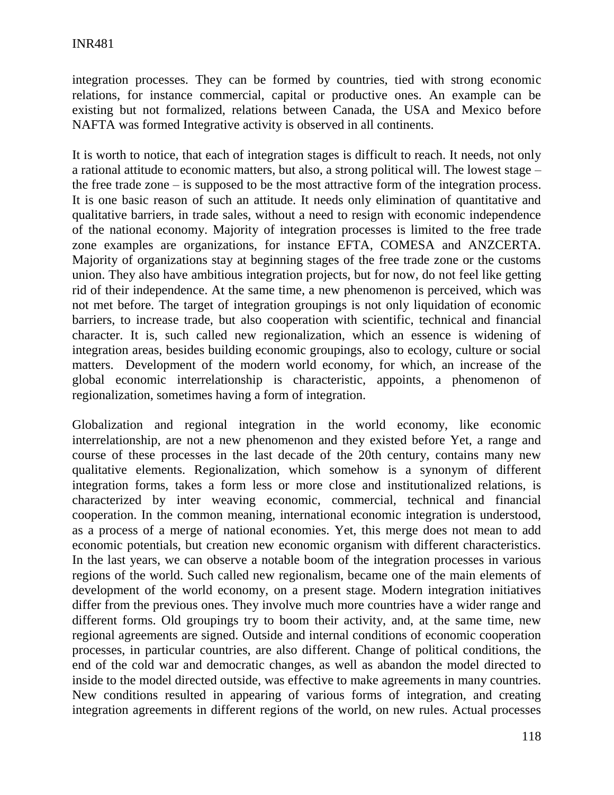integration processes. They can be formed by countries, tied with strong economic relations, for instance commercial, capital or productive ones. An example can be existing but not formalized, relations between Canada, the USA and Mexico before NAFTA was formed Integrative activity is observed in all continents.

It is worth to notice, that each of integration stages is difficult to reach. It needs, not only a rational attitude to economic matters, but also, a strong political will. The lowest stage – the free trade zone – is supposed to be the most attractive form of the integration process. It is one basic reason of such an attitude. It needs only elimination of quantitative and qualitative barriers, in trade sales, without a need to resign with economic independence of the national economy. Majority of integration processes is limited to the free trade zone examples are organizations, for instance EFTA, COMESA and ANZCERTA. Majority of organizations stay at beginning stages of the free trade zone or the customs union. They also have ambitious integration projects, but for now, do not feel like getting rid of their independence. At the same time, a new phenomenon is perceived, which was not met before. The target of integration groupings is not only liquidation of economic barriers, to increase trade, but also cooperation with scientific, technical and financial character. It is, such called new regionalization, which an essence is widening of integration areas, besides building economic groupings, also to ecology, culture or social matters. Development of the modern world economy, for which, an increase of the global economic interrelationship is characteristic, appoints, a phenomenon of regionalization, sometimes having a form of integration.

Globalization and regional integration in the world economy, like economic interrelationship, are not a new phenomenon and they existed before Yet, a range and course of these processes in the last decade of the 20th century, contains many new qualitative elements. Regionalization, which somehow is a synonym of different integration forms, takes a form less or more close and institutionalized relations, is characterized by inter weaving economic, commercial, technical and financial cooperation. In the common meaning, international economic integration is understood, as a process of a merge of national economies. Yet, this merge does not mean to add economic potentials, but creation new economic organism with different characteristics. In the last years, we can observe a notable boom of the integration processes in various regions of the world. Such called new regionalism, became one of the main elements of development of the world economy, on a present stage. Modern integration initiatives differ from the previous ones. They involve much more countries have a wider range and different forms. Old groupings try to boom their activity, and, at the same time, new regional agreements are signed. Outside and internal conditions of economic cooperation processes, in particular countries, are also different. Change of political conditions, the end of the cold war and democratic changes, as well as abandon the model directed to inside to the model directed outside, was effective to make agreements in many countries. New conditions resulted in appearing of various forms of integration, and creating integration agreements in different regions of the world, on new rules. Actual processes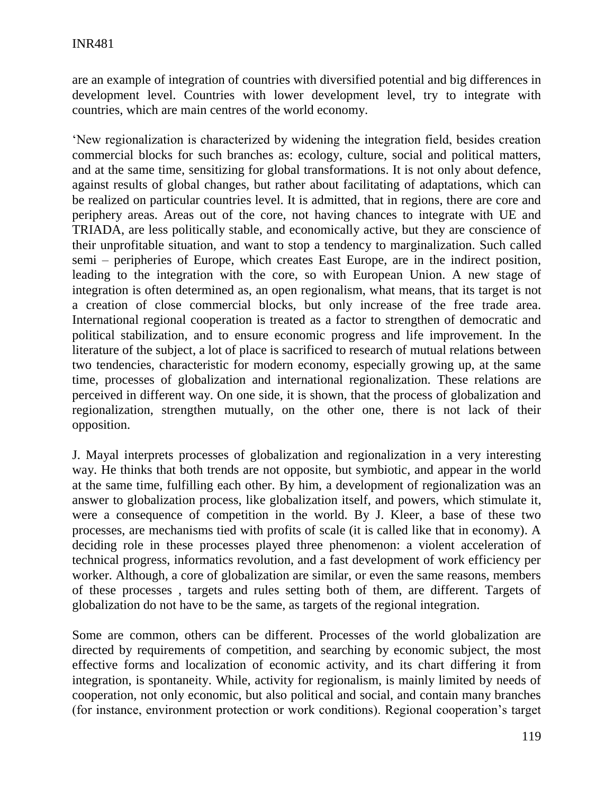are an example of integration of countries with diversified potential and big differences in development level. Countries with lower development level, try to integrate with countries, which are main centres of the world economy.

'New regionalization is characterized by widening the integration field, besides creation commercial blocks for such branches as: ecology, culture, social and political matters, and at the same time, sensitizing for global transformations. It is not only about defence, against results of global changes, but rather about facilitating of adaptations, which can be realized on particular countries level. It is admitted, that in regions, there are core and periphery areas. Areas out of the core, not having chances to integrate with UE and TRIADA, are less politically stable, and economically active, but they are conscience of their unprofitable situation, and want to stop a tendency to marginalization. Such called semi – peripheries of Europe, which creates East Europe, are in the indirect position, leading to the integration with the core, so with European Union. A new stage of integration is often determined as, an open regionalism, what means, that its target is not a creation of close commercial blocks, but only increase of the free trade area. International regional cooperation is treated as a factor to strengthen of democratic and political stabilization, and to ensure economic progress and life improvement. In the literature of the subject, a lot of place is sacrificed to research of mutual relations between two tendencies, characteristic for modern economy, especially growing up, at the same time, processes of globalization and international regionalization. These relations are perceived in different way. On one side, it is shown, that the process of globalization and regionalization, strengthen mutually, on the other one, there is not lack of their opposition.

J. Mayal interprets processes of globalization and regionalization in a very interesting way. He thinks that both trends are not opposite, but symbiotic, and appear in the world at the same time, fulfilling each other. By him, a development of regionalization was an answer to globalization process, like globalization itself, and powers, which stimulate it, were a consequence of competition in the world. By J. Kleer, a base of these two processes, are mechanisms tied with profits of scale (it is called like that in economy). A deciding role in these processes played three phenomenon: a violent acceleration of technical progress, informatics revolution, and a fast development of work efficiency per worker. Although, a core of globalization are similar, or even the same reasons, members of these processes , targets and rules setting both of them, are different. Targets of globalization do not have to be the same, as targets of the regional integration.

Some are common, others can be different. Processes of the world globalization are directed by requirements of competition, and searching by economic subject, the most effective forms and localization of economic activity, and its chart differing it from integration, is spontaneity. While, activity for regionalism, is mainly limited by needs of cooperation, not only economic, but also political and social, and contain many branches (for instance, environment protection or work conditions). Regional cooperation's target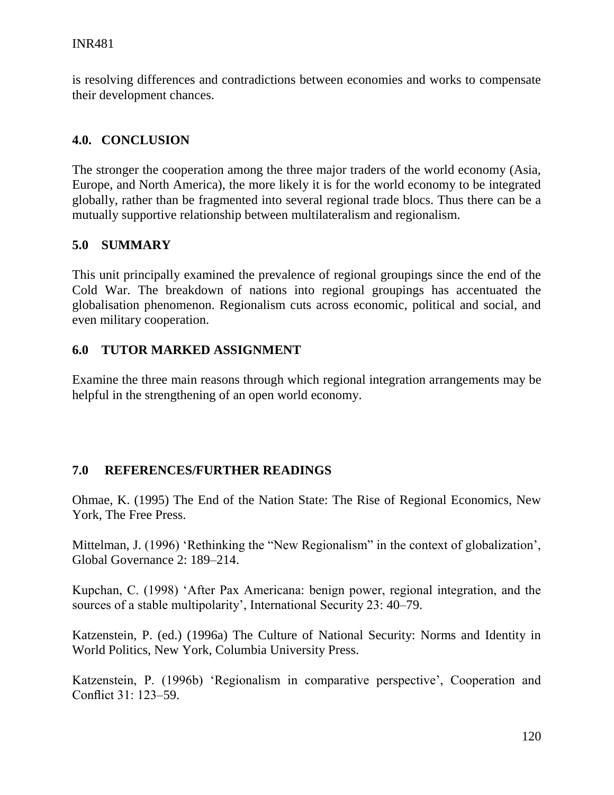is resolving differences and contradictions between economies and works to compensate their development chances.

#### **4.0. CONCLUSION**

The stronger the cooperation among the three major traders of the world economy (Asia, Europe, and North America), the more likely it is for the world economy to be integrated globally, rather than be fragmented into several regional trade blocs. Thus there can be a mutually supportive relationship between multilateralism and regionalism.

### **5.0 SUMMARY**

This unit principally examined the prevalence of regional groupings since the end of the Cold War. The breakdown of nations into regional groupings has accentuated the globalisation phenomenon. Regionalism cuts across economic, political and social, and even military cooperation.

### **6.0 TUTOR MARKED ASSIGNMENT**

Examine the three main reasons through which regional integration arrangements may be helpful in the strengthening of an open world economy.

#### **7.0 REFERENCES/FURTHER READINGS**

Ohmae, K. (1995) The End of the Nation State: The Rise of Regional Economics, New York, The Free Press.

Mittelman, J. (1996) 'Rethinking the "New Regionalism" in the context of globalization', Global Governance 2: 189–214.

Kupchan, C. (1998) 'After Pax Americana: benign power, regional integration, and the sources of a stable multipolarity', International Security 23: 40–79.

Katzenstein, P. (ed.) (1996a) The Culture of National Security: Norms and Identity in World Politics, New York, Columbia University Press.

Katzenstein, P. (1996b) 'Regionalism in comparative perspective', Cooperation and Conflict 31: 123–59.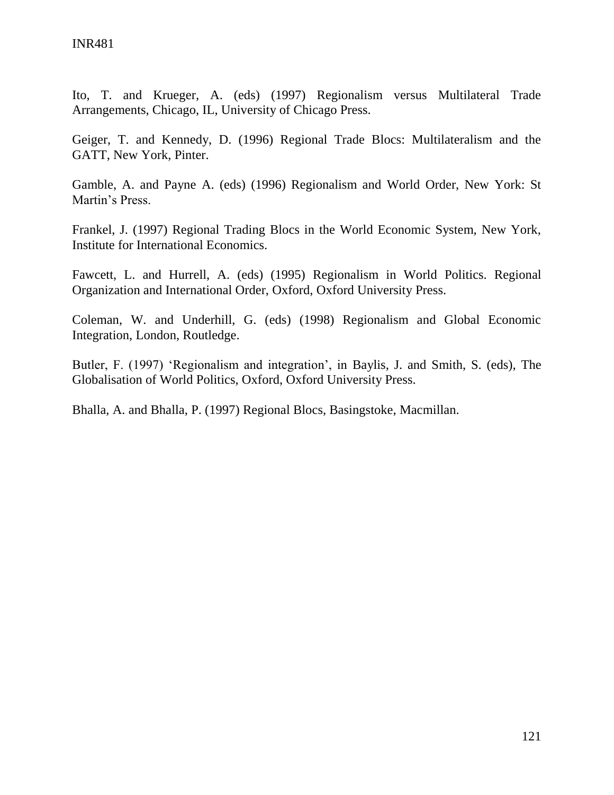Ito, T. and Krueger, A. (eds) (1997) Regionalism versus Multilateral Trade Arrangements, Chicago, IL, University of Chicago Press.

Geiger, T. and Kennedy, D. (1996) Regional Trade Blocs: Multilateralism and the GATT, New York, Pinter.

Gamble, A. and Payne A. (eds) (1996) Regionalism and World Order, New York: St Martin's Press.

Frankel, J. (1997) Regional Trading Blocs in the World Economic System, New York, Institute for International Economics.

Fawcett, L. and Hurrell, A. (eds) (1995) Regionalism in World Politics. Regional Organization and International Order, Oxford, Oxford University Press.

Coleman, W. and Underhill, G. (eds) (1998) Regionalism and Global Economic Integration, London, Routledge.

Butler, F. (1997) 'Regionalism and integration', in Baylis, J. and Smith, S. (eds), The Globalisation of World Politics, Oxford, Oxford University Press.

Bhalla, A. and Bhalla, P. (1997) Regional Blocs, Basingstoke, Macmillan.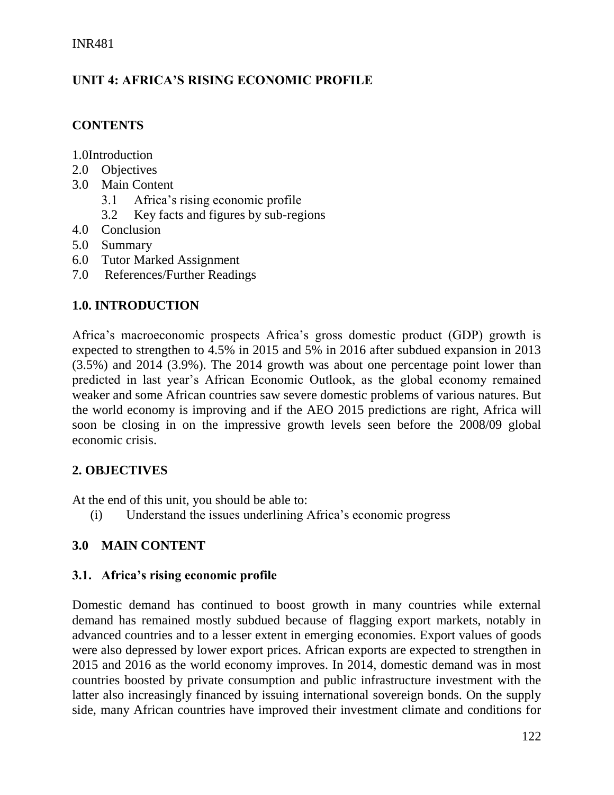# **UNIT 4: AFRICA'S RISING ECONOMIC PROFILE**

## **CONTENTS**

1.0Introduction

- 2.0 Objectives
- 3.0 Main Content
	- 3.1 Africa's rising economic profile
	- 3.2 Key facts and figures by sub-regions
- 4.0 Conclusion
- 5.0 Summary
- 6.0 Tutor Marked Assignment
- 7.0 References/Further Readings

### **1.0. INTRODUCTION**

Africa's macroeconomic prospects Africa's gross domestic product (GDP) growth is expected to strengthen to 4.5% in 2015 and 5% in 2016 after subdued expansion in 2013 (3.5%) and 2014 (3.9%). The 2014 growth was about one percentage point lower than predicted in last year's African Economic Outlook, as the global economy remained weaker and some African countries saw severe domestic problems of various natures. But the world economy is improving and if the AEO 2015 predictions are right, Africa will soon be closing in on the impressive growth levels seen before the 2008/09 global economic crisis.

#### **2. OBJECTIVES**

At the end of this unit, you should be able to:

(i) Understand the issues underlining Africa's economic progress

#### **3.0 MAIN CONTENT**

#### **3.1. Africa's rising economic profile**

Domestic demand has continued to boost growth in many countries while external demand has remained mostly subdued because of flagging export markets, notably in advanced countries and to a lesser extent in emerging economies. Export values of goods were also depressed by lower export prices. African exports are expected to strengthen in 2015 and 2016 as the world economy improves. In 2014, domestic demand was in most countries boosted by private consumption and public infrastructure investment with the latter also increasingly financed by issuing international sovereign bonds. On the supply side, many African countries have improved their investment climate and conditions for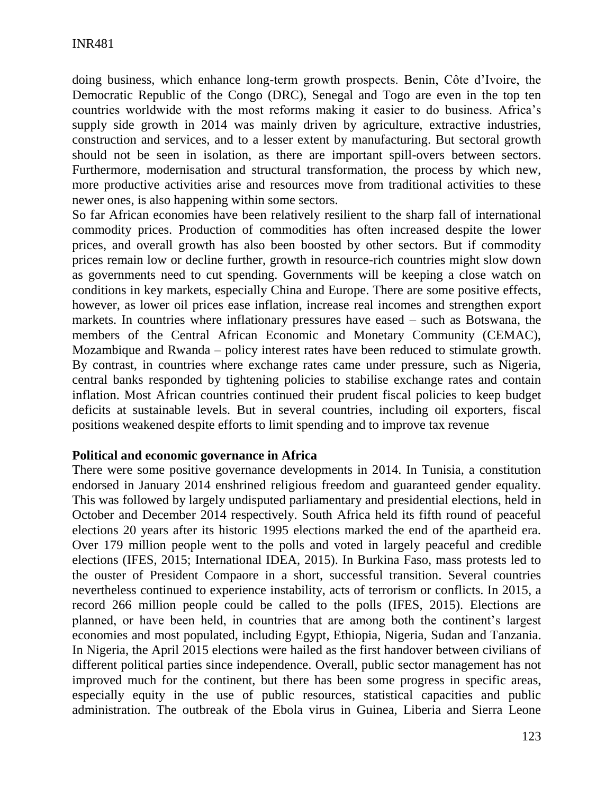doing business, which enhance long-term growth prospects. Benin, Côte d'Ivoire, the Democratic Republic of the Congo (DRC), Senegal and Togo are even in the top ten countries worldwide with the most reforms making it easier to do business. Africa's supply side growth in 2014 was mainly driven by agriculture, extractive industries, construction and services, and to a lesser extent by manufacturing. But sectoral growth should not be seen in isolation, as there are important spill-overs between sectors. Furthermore, modernisation and structural transformation, the process by which new, more productive activities arise and resources move from traditional activities to these newer ones, is also happening within some sectors.

So far African economies have been relatively resilient to the sharp fall of international commodity prices. Production of commodities has often increased despite the lower prices, and overall growth has also been boosted by other sectors. But if commodity prices remain low or decline further, growth in resource-rich countries might slow down as governments need to cut spending. Governments will be keeping a close watch on conditions in key markets, especially China and Europe. There are some positive effects, however, as lower oil prices ease inflation, increase real incomes and strengthen export markets. In countries where inflationary pressures have eased – such as Botswana, the members of the Central African Economic and Monetary Community (CEMAC), Mozambique and Rwanda – policy interest rates have been reduced to stimulate growth. By contrast, in countries where exchange rates came under pressure, such as Nigeria, central banks responded by tightening policies to stabilise exchange rates and contain inflation. Most African countries continued their prudent fiscal policies to keep budget deficits at sustainable levels. But in several countries, including oil exporters, fiscal positions weakened despite efforts to limit spending and to improve tax revenue

#### **Political and economic governance in Africa**

There were some positive governance developments in 2014. In Tunisia, a constitution endorsed in January 2014 enshrined religious freedom and guaranteed gender equality. This was followed by largely undisputed parliamentary and presidential elections, held in October and December 2014 respectively. South Africa held its fifth round of peaceful elections 20 years after its historic 1995 elections marked the end of the apartheid era. Over 179 million people went to the polls and voted in largely peaceful and credible elections (IFES, 2015; International IDEA, 2015). In Burkina Faso, mass protests led to the ouster of President Compaore in a short, successful transition. Several countries nevertheless continued to experience instability, acts of terrorism or conflicts. In 2015, a record 266 million people could be called to the polls (IFES, 2015). Elections are planned, or have been held, in countries that are among both the continent's largest economies and most populated, including Egypt, Ethiopia, Nigeria, Sudan and Tanzania. In Nigeria, the April 2015 elections were hailed as the first handover between civilians of different political parties since independence. Overall, public sector management has not improved much for the continent, but there has been some progress in specific areas, especially equity in the use of public resources, statistical capacities and public administration. The outbreak of the Ebola virus in Guinea, Liberia and Sierra Leone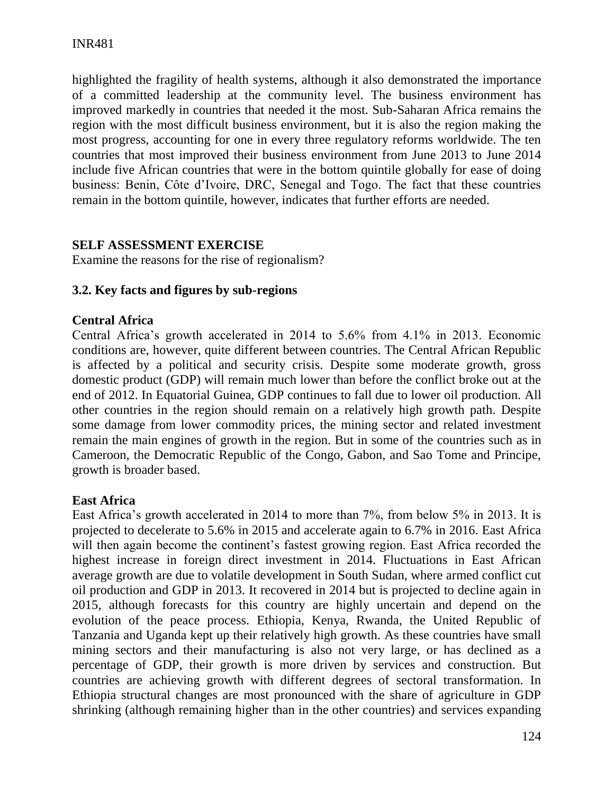highlighted the fragility of health systems, although it also demonstrated the importance of a committed leadership at the community level. The business environment has improved markedly in countries that needed it the most. Sub-Saharan Africa remains the region with the most difficult business environment, but it is also the region making the most progress, accounting for one in every three regulatory reforms worldwide. The ten countries that most improved their business environment from June 2013 to June 2014 include five African countries that were in the bottom quintile globally for ease of doing business: Benin, Côte d'Ivoire, DRC, Senegal and Togo. The fact that these countries remain in the bottom quintile, however, indicates that further efforts are needed.

#### **SELF ASSESSMENT EXERCISE**

Examine the reasons for the rise of regionalism?

#### **3.2. Key facts and figures by sub-regions**

#### **Central Africa**

Central Africa's growth accelerated in 2014 to 5.6% from 4.1% in 2013. Economic conditions are, however, quite different between countries. The Central African Republic is affected by a political and security crisis. Despite some moderate growth, gross domestic product (GDP) will remain much lower than before the conflict broke out at the end of 2012. In Equatorial Guinea, GDP continues to fall due to lower oil production. All other countries in the region should remain on a relatively high growth path. Despite some damage from lower commodity prices, the mining sector and related investment remain the main engines of growth in the region. But in some of the countries such as in Cameroon, the Democratic Republic of the Congo, Gabon, and Sao Tome and Principe, growth is broader based.

#### **East Africa**

East Africa's growth accelerated in 2014 to more than 7%, from below 5% in 2013. It is projected to decelerate to 5.6% in 2015 and accelerate again to 6.7% in 2016. East Africa will then again become the continent's fastest growing region. East Africa recorded the highest increase in foreign direct investment in 2014. Fluctuations in East African average growth are due to volatile development in South Sudan, where armed conflict cut oil production and GDP in 2013. It recovered in 2014 but is projected to decline again in 2015, although forecasts for this country are highly uncertain and depend on the evolution of the peace process. Ethiopia, Kenya, Rwanda, the United Republic of Tanzania and Uganda kept up their relatively high growth. As these countries have small mining sectors and their manufacturing is also not very large, or has declined as a percentage of GDP, their growth is more driven by services and construction. But countries are achieving growth with different degrees of sectoral transformation. In Ethiopia structural changes are most pronounced with the share of agriculture in GDP shrinking (although remaining higher than in the other countries) and services expanding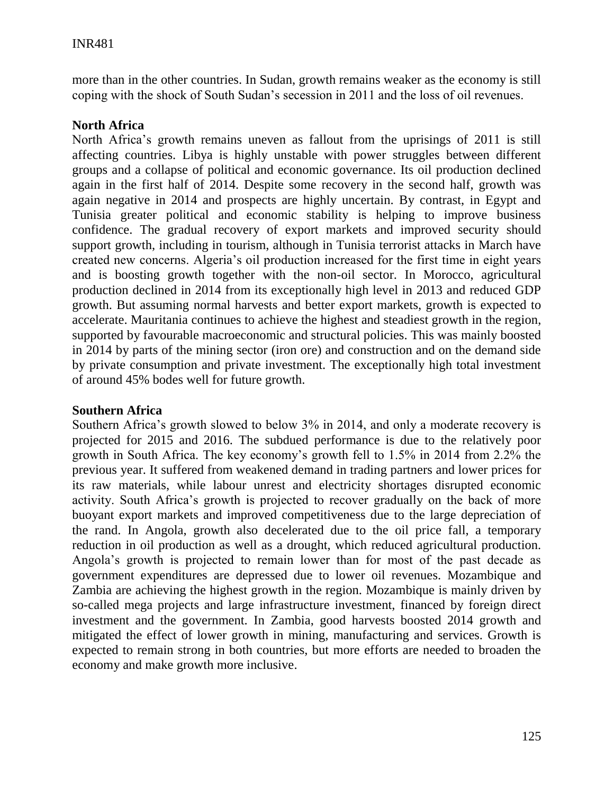more than in the other countries. In Sudan, growth remains weaker as the economy is still coping with the shock of South Sudan's secession in 2011 and the loss of oil revenues.

#### **North Africa**

North Africa's growth remains uneven as fallout from the uprisings of 2011 is still affecting countries. Libya is highly unstable with power struggles between different groups and a collapse of political and economic governance. Its oil production declined again in the first half of 2014. Despite some recovery in the second half, growth was again negative in 2014 and prospects are highly uncertain. By contrast, in Egypt and Tunisia greater political and economic stability is helping to improve business confidence. The gradual recovery of export markets and improved security should support growth, including in tourism, although in Tunisia terrorist attacks in March have created new concerns. Algeria's oil production increased for the first time in eight years and is boosting growth together with the non-oil sector. In Morocco, agricultural production declined in 2014 from its exceptionally high level in 2013 and reduced GDP growth. But assuming normal harvests and better export markets, growth is expected to accelerate. Mauritania continues to achieve the highest and steadiest growth in the region, supported by favourable macroeconomic and structural policies. This was mainly boosted in 2014 by parts of the mining sector (iron ore) and construction and on the demand side by private consumption and private investment. The exceptionally high total investment of around 45% bodes well for future growth.

#### **Southern Africa**

Southern Africa's growth slowed to below 3% in 2014, and only a moderate recovery is projected for 2015 and 2016. The subdued performance is due to the relatively poor growth in South Africa. The key economy's growth fell to 1.5% in 2014 from 2.2% the previous year. It suffered from weakened demand in trading partners and lower prices for its raw materials, while labour unrest and electricity shortages disrupted economic activity. South Africa's growth is projected to recover gradually on the back of more buoyant export markets and improved competitiveness due to the large depreciation of the rand. In Angola, growth also decelerated due to the oil price fall, a temporary reduction in oil production as well as a drought, which reduced agricultural production. Angola's growth is projected to remain lower than for most of the past decade as government expenditures are depressed due to lower oil revenues. Mozambique and Zambia are achieving the highest growth in the region. Mozambique is mainly driven by so-called mega projects and large infrastructure investment, financed by foreign direct investment and the government. In Zambia, good harvests boosted 2014 growth and mitigated the effect of lower growth in mining, manufacturing and services. Growth is expected to remain strong in both countries, but more efforts are needed to broaden the economy and make growth more inclusive.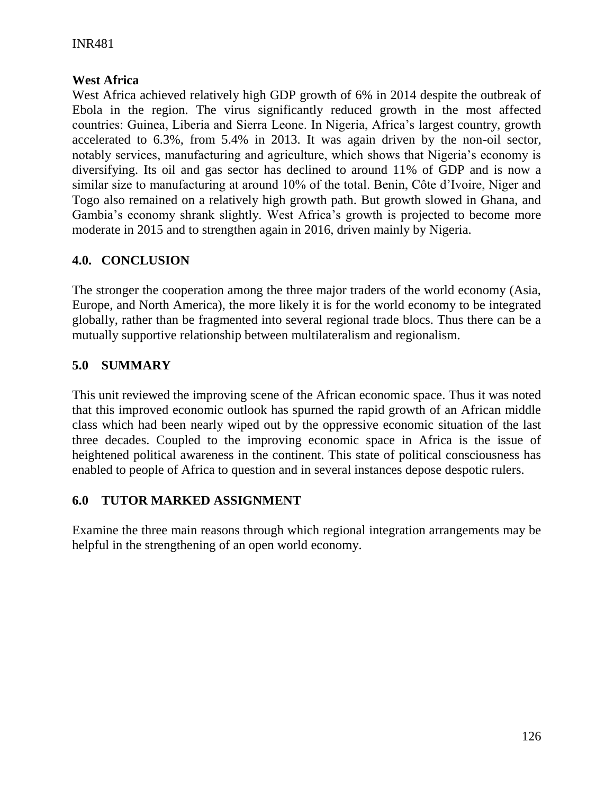# **West Africa**

West Africa achieved relatively high GDP growth of 6% in 2014 despite the outbreak of Ebola in the region. The virus significantly reduced growth in the most affected countries: Guinea, Liberia and Sierra Leone. In Nigeria, Africa's largest country, growth accelerated to 6.3%, from 5.4% in 2013. It was again driven by the non-oil sector, notably services, manufacturing and agriculture, which shows that Nigeria's economy is diversifying. Its oil and gas sector has declined to around 11% of GDP and is now a similar size to manufacturing at around 10% of the total. Benin, Côte d'Ivoire, Niger and Togo also remained on a relatively high growth path. But growth slowed in Ghana, and Gambia's economy shrank slightly. West Africa's growth is projected to become more moderate in 2015 and to strengthen again in 2016, driven mainly by Nigeria.

# **4.0. CONCLUSION**

The stronger the cooperation among the three major traders of the world economy (Asia, Europe, and North America), the more likely it is for the world economy to be integrated globally, rather than be fragmented into several regional trade blocs. Thus there can be a mutually supportive relationship between multilateralism and regionalism.

# **5.0 SUMMARY**

This unit reviewed the improving scene of the African economic space. Thus it was noted that this improved economic outlook has spurned the rapid growth of an African middle class which had been nearly wiped out by the oppressive economic situation of the last three decades. Coupled to the improving economic space in Africa is the issue of heightened political awareness in the continent. This state of political consciousness has enabled to people of Africa to question and in several instances depose despotic rulers.

# **6.0 TUTOR MARKED ASSIGNMENT**

Examine the three main reasons through which regional integration arrangements may be helpful in the strengthening of an open world economy.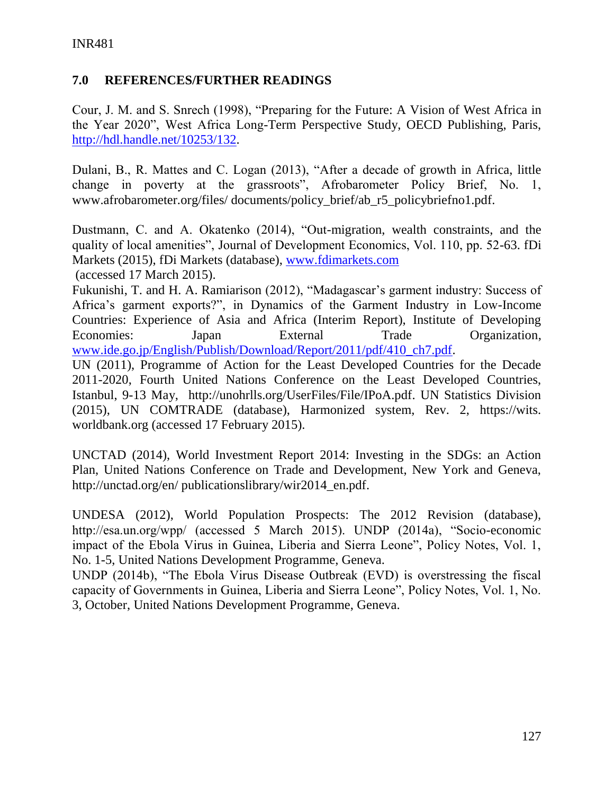### **7.0 REFERENCES/FURTHER READINGS**

Cour, J. M. and S. Snrech (1998), "Preparing for the Future: A Vision of West Africa in the Year 2020", West Africa Long-Term Perspective Study, OECD Publishing, Paris, [http://hdl.handle.net/10253/132.](http://hdl.handle.net/10253/132)

Dulani, B., R. Mattes and C. Logan (2013), "After a decade of growth in Africa, little change in poverty at the grassroots", Afrobarometer Policy Brief, No. 1, www.afrobarometer.org/files/ documents/policy\_brief/ab\_r5\_policybriefno1.pdf.

Dustmann, C. and A. Okatenko (2014), "Out-migration, wealth constraints, and the quality of local amenities", Journal of Development Economics, Vol. 110, pp. 52-63. fDi Markets (2015), fDi Markets (database), [www.fdimarkets.com](http://www.fdimarkets.com/) (accessed 17 March 2015).

Fukunishi, T. and H. A. Ramiarison (2012), "Madagascar's garment industry: Success of Africa's garment exports?", in Dynamics of the Garment Industry in Low-Income Countries: Experience of Asia and Africa (Interim Report), Institute of Developing Economies: Japan External Trade Organization, [www.ide.go.jp/English/Publish/Download/Report/2011/pdf/410\\_ch7.pdf.](http://www.ide.go.jp/English/Publish/Download/Report/2011/pdf/410_ch7.pdf)

UN (2011), Programme of Action for the Least Developed Countries for the Decade 2011-2020, Fourth United Nations Conference on the Least Developed Countries, Istanbul, 9-13 May, http://unohrlls.org/UserFiles/File/IPoA.pdf. UN Statistics Division (2015), UN COMTRADE (database), Harmonized system, Rev. 2, https://wits. worldbank.org (accessed 17 February 2015).

UNCTAD (2014), World Investment Report 2014: Investing in the SDGs: an Action Plan, United Nations Conference on Trade and Development, New York and Geneva, http://unctad.org/en/ publicationslibrary/wir2014\_en.pdf.

UNDESA (2012), World Population Prospects: The 2012 Revision (database), http://esa.un.org/wpp/ (accessed 5 March 2015). UNDP (2014a), "Socio-economic impact of the Ebola Virus in Guinea, Liberia and Sierra Leone", Policy Notes, Vol. 1, No. 1-5, United Nations Development Programme, Geneva.

UNDP (2014b), "The Ebola Virus Disease Outbreak (EVD) is overstressing the fiscal capacity of Governments in Guinea, Liberia and Sierra Leone", Policy Notes, Vol. 1, No. 3, October, United Nations Development Programme, Geneva.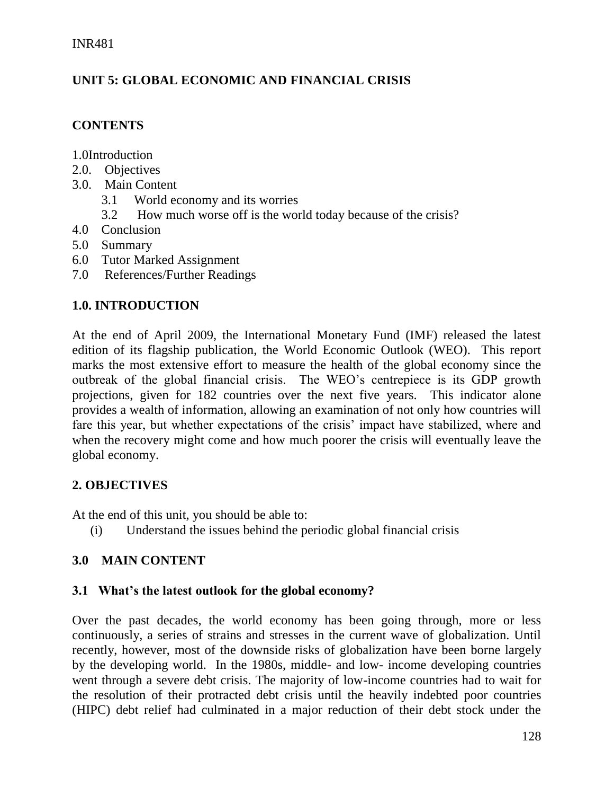# **UNIT 5: GLOBAL ECONOMIC AND FINANCIAL CRISIS**

## **CONTENTS**

1.0Introduction

- 2.0. Objectives
- 3.0. Main Content
	- 3.1 World economy and its worries
	- 3.2 How much worse off is the world today because of the crisis?
- 4.0 Conclusion
- 5.0 Summary
- 6.0 Tutor Marked Assignment
- 7.0 References/Further Readings

# **1.0. INTRODUCTION**

At the end of April 2009, the International Monetary Fund (IMF) released the latest edition of its flagship publication, the World Economic Outlook (WEO). This report marks the most extensive effort to measure the health of the global economy since the outbreak of the global financial crisis. The WEO's centrepiece is its GDP growth projections, given for 182 countries over the next five years. This indicator alone provides a wealth of information, allowing an examination of not only how countries will fare this year, but whether expectations of the crisis' impact have stabilized, where and when the recovery might come and how much poorer the crisis will eventually leave the global economy.

# **2. OBJECTIVES**

At the end of this unit, you should be able to:

(i) Understand the issues behind the periodic global financial crisis

# **3.0 MAIN CONTENT**

# **3.1 What's the latest outlook for the global economy?**

Over the past decades, the world economy has been going through, more or less continuously, a series of strains and stresses in the current wave of globalization. Until recently, however, most of the downside risks of globalization have been borne largely by the developing world. In the 1980s, middle- and low- income developing countries went through a severe debt crisis. The majority of low-income countries had to wait for the resolution of their protracted debt crisis until the heavily indebted poor countries (HIPC) debt relief had culminated in a major reduction of their debt stock under the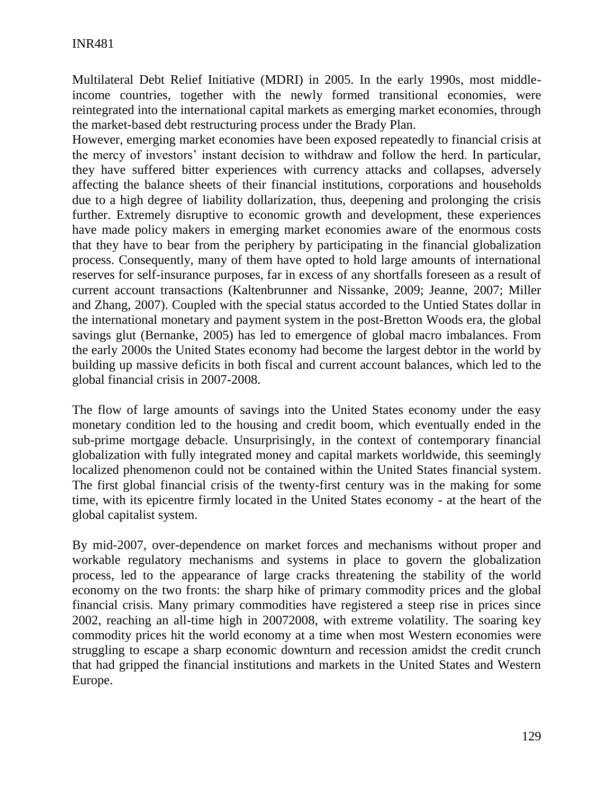Multilateral Debt Relief Initiative (MDRI) in 2005. In the early 1990s, most middleincome countries, together with the newly formed transitional economies, were reintegrated into the international capital markets as emerging market economies, through the market-based debt restructuring process under the Brady Plan.

However, emerging market economies have been exposed repeatedly to financial crisis at the mercy of investors' instant decision to withdraw and follow the herd. In particular, they have suffered bitter experiences with currency attacks and collapses, adversely affecting the balance sheets of their financial institutions, corporations and households due to a high degree of liability dollarization, thus, deepening and prolonging the crisis further. Extremely disruptive to economic growth and development, these experiences have made policy makers in emerging market economies aware of the enormous costs that they have to bear from the periphery by participating in the financial globalization process. Consequently, many of them have opted to hold large amounts of international reserves for self-insurance purposes, far in excess of any shortfalls foreseen as a result of current account transactions (Kaltenbrunner and Nissanke, 2009; Jeanne, 2007; Miller and Zhang, 2007). Coupled with the special status accorded to the Untied States dollar in the international monetary and payment system in the post-Bretton Woods era, the global savings glut (Bernanke, 2005) has led to emergence of global macro imbalances. From the early 2000s the United States economy had become the largest debtor in the world by building up massive deficits in both fiscal and current account balances, which led to the global financial crisis in 2007-2008.

The flow of large amounts of savings into the United States economy under the easy monetary condition led to the housing and credit boom, which eventually ended in the sub-prime mortgage debacle. Unsurprisingly, in the context of contemporary financial globalization with fully integrated money and capital markets worldwide, this seemingly localized phenomenon could not be contained within the United States financial system. The first global financial crisis of the twenty-first century was in the making for some time, with its epicentre firmly located in the United States economy - at the heart of the global capitalist system.

By mid-2007, over-dependence on market forces and mechanisms without proper and workable regulatory mechanisms and systems in place to govern the globalization process, led to the appearance of large cracks threatening the stability of the world economy on the two fronts: the sharp hike of primary commodity prices and the global financial crisis. Many primary commodities have registered a steep rise in prices since 2002, reaching an all-time high in 20072008, with extreme volatility. The soaring key commodity prices hit the world economy at a time when most Western economies were struggling to escape a sharp economic downturn and recession amidst the credit crunch that had gripped the financial institutions and markets in the United States and Western Europe.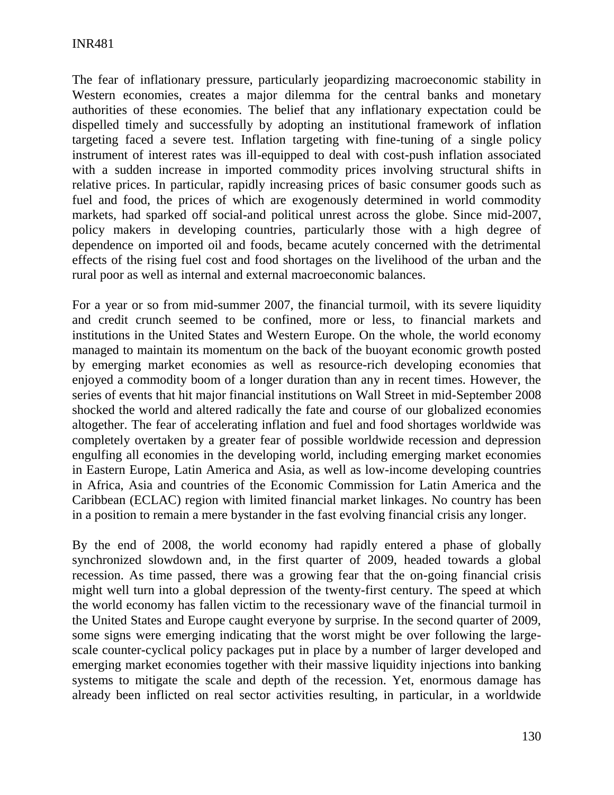The fear of inflationary pressure, particularly jeopardizing macroeconomic stability in Western economies, creates a major dilemma for the central banks and monetary authorities of these economies. The belief that any inflationary expectation could be dispelled timely and successfully by adopting an institutional framework of inflation targeting faced a severe test. Inflation targeting with fine-tuning of a single policy instrument of interest rates was ill-equipped to deal with cost-push inflation associated with a sudden increase in imported commodity prices involving structural shifts in relative prices. In particular, rapidly increasing prices of basic consumer goods such as fuel and food, the prices of which are exogenously determined in world commodity markets, had sparked off social-and political unrest across the globe. Since mid-2007, policy makers in developing countries, particularly those with a high degree of dependence on imported oil and foods, became acutely concerned with the detrimental effects of the rising fuel cost and food shortages on the livelihood of the urban and the rural poor as well as internal and external macroeconomic balances.

For a year or so from mid-summer 2007, the financial turmoil, with its severe liquidity and credit crunch seemed to be confined, more or less, to financial markets and institutions in the United States and Western Europe. On the whole, the world economy managed to maintain its momentum on the back of the buoyant economic growth posted by emerging market economies as well as resource-rich developing economies that enjoyed a commodity boom of a longer duration than any in recent times. However, the series of events that hit major financial institutions on Wall Street in mid-September 2008 shocked the world and altered radically the fate and course of our globalized economies altogether. The fear of accelerating inflation and fuel and food shortages worldwide was completely overtaken by a greater fear of possible worldwide recession and depression engulfing all economies in the developing world, including emerging market economies in Eastern Europe, Latin America and Asia, as well as low-income developing countries in Africa, Asia and countries of the Economic Commission for Latin America and the Caribbean (ECLAC) region with limited financial market linkages. No country has been in a position to remain a mere bystander in the fast evolving financial crisis any longer.

By the end of 2008, the world economy had rapidly entered a phase of globally synchronized slowdown and, in the first quarter of 2009, headed towards a global recession. As time passed, there was a growing fear that the on-going financial crisis might well turn into a global depression of the twenty-first century. The speed at which the world economy has fallen victim to the recessionary wave of the financial turmoil in the United States and Europe caught everyone by surprise. In the second quarter of 2009, some signs were emerging indicating that the worst might be over following the largescale counter-cyclical policy packages put in place by a number of larger developed and emerging market economies together with their massive liquidity injections into banking systems to mitigate the scale and depth of the recession. Yet, enormous damage has already been inflicted on real sector activities resulting, in particular, in a worldwide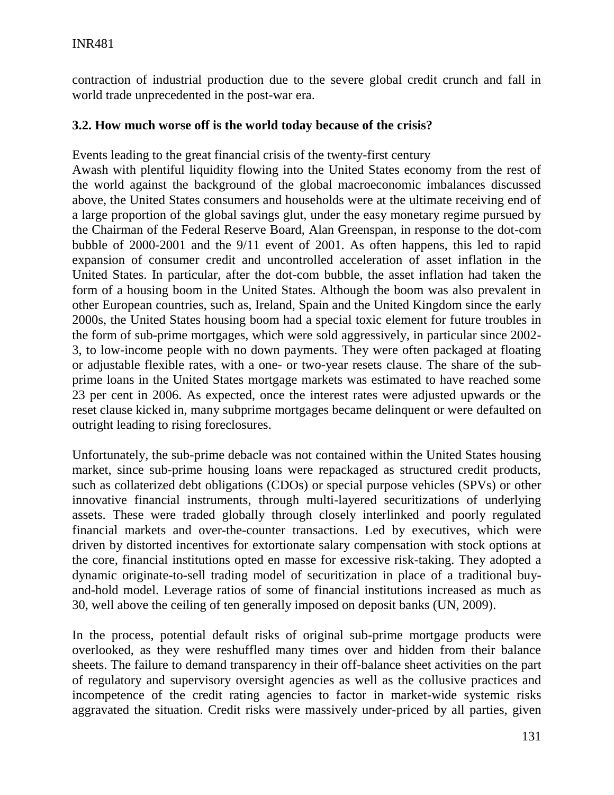contraction of industrial production due to the severe global credit crunch and fall in world trade unprecedented in the post-war era.

### **3.2. How much worse off is the world today because of the crisis?**

Events leading to the great financial crisis of the twenty-first century

Awash with plentiful liquidity flowing into the United States economy from the rest of the world against the background of the global macroeconomic imbalances discussed above, the United States consumers and households were at the ultimate receiving end of a large proportion of the global savings glut, under the easy monetary regime pursued by the Chairman of the Federal Reserve Board, Alan Greenspan, in response to the dot-com bubble of 2000-2001 and the 9/11 event of 2001. As often happens, this led to rapid expansion of consumer credit and uncontrolled acceleration of asset inflation in the United States. In particular, after the dot-com bubble, the asset inflation had taken the form of a housing boom in the United States. Although the boom was also prevalent in other European countries, such as, Ireland, Spain and the United Kingdom since the early 2000s, the United States housing boom had a special toxic element for future troubles in the form of sub-prime mortgages, which were sold aggressively, in particular since 2002- 3, to low-income people with no down payments. They were often packaged at floating or adjustable flexible rates, with a one- or two-year resets clause. The share of the subprime loans in the United States mortgage markets was estimated to have reached some 23 per cent in 2006. As expected, once the interest rates were adjusted upwards or the reset clause kicked in, many subprime mortgages became delinquent or were defaulted on outright leading to rising foreclosures.

Unfortunately, the sub-prime debacle was not contained within the United States housing market, since sub-prime housing loans were repackaged as structured credit products, such as collaterized debt obligations (CDOs) or special purpose vehicles (SPVs) or other innovative financial instruments, through multi-layered securitizations of underlying assets. These were traded globally through closely interlinked and poorly regulated financial markets and over-the-counter transactions. Led by executives, which were driven by distorted incentives for extortionate salary compensation with stock options at the core, financial institutions opted en masse for excessive risk-taking. They adopted a dynamic originate-to-sell trading model of securitization in place of a traditional buyand-hold model. Leverage ratios of some of financial institutions increased as much as 30, well above the ceiling of ten generally imposed on deposit banks (UN, 2009).

In the process, potential default risks of original sub-prime mortgage products were overlooked, as they were reshuffled many times over and hidden from their balance sheets. The failure to demand transparency in their off-balance sheet activities on the part of regulatory and supervisory oversight agencies as well as the collusive practices and incompetence of the credit rating agencies to factor in market-wide systemic risks aggravated the situation. Credit risks were massively under-priced by all parties, given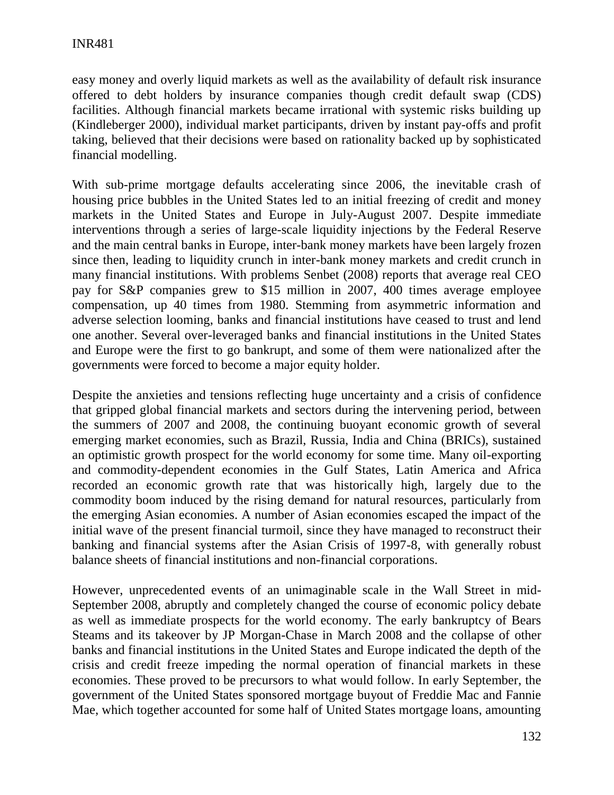easy money and overly liquid markets as well as the availability of default risk insurance offered to debt holders by insurance companies though credit default swap (CDS) facilities. Although financial markets became irrational with systemic risks building up (Kindleberger 2000), individual market participants, driven by instant pay-offs and profit taking, believed that their decisions were based on rationality backed up by sophisticated financial modelling.

With sub-prime mortgage defaults accelerating since 2006, the inevitable crash of housing price bubbles in the United States led to an initial freezing of credit and money markets in the United States and Europe in July-August 2007. Despite immediate interventions through a series of large-scale liquidity injections by the Federal Reserve and the main central banks in Europe, inter-bank money markets have been largely frozen since then, leading to liquidity crunch in inter-bank money markets and credit crunch in many financial institutions. With problems Senbet (2008) reports that average real CEO pay for S&P companies grew to \$15 million in 2007, 400 times average employee compensation, up 40 times from 1980. Stemming from asymmetric information and adverse selection looming, banks and financial institutions have ceased to trust and lend one another. Several over-leveraged banks and financial institutions in the United States and Europe were the first to go bankrupt, and some of them were nationalized after the governments were forced to become a major equity holder.

Despite the anxieties and tensions reflecting huge uncertainty and a crisis of confidence that gripped global financial markets and sectors during the intervening period, between the summers of 2007 and 2008, the continuing buoyant economic growth of several emerging market economies, such as Brazil, Russia, India and China (BRICs), sustained an optimistic growth prospect for the world economy for some time. Many oil-exporting and commodity-dependent economies in the Gulf States, Latin America and Africa recorded an economic growth rate that was historically high, largely due to the commodity boom induced by the rising demand for natural resources, particularly from the emerging Asian economies. A number of Asian economies escaped the impact of the initial wave of the present financial turmoil, since they have managed to reconstruct their banking and financial systems after the Asian Crisis of 1997-8, with generally robust balance sheets of financial institutions and non-financial corporations.

However, unprecedented events of an unimaginable scale in the Wall Street in mid-September 2008, abruptly and completely changed the course of economic policy debate as well as immediate prospects for the world economy. The early bankruptcy of Bears Steams and its takeover by JP Morgan-Chase in March 2008 and the collapse of other banks and financial institutions in the United States and Europe indicated the depth of the crisis and credit freeze impeding the normal operation of financial markets in these economies. These proved to be precursors to what would follow. In early September, the government of the United States sponsored mortgage buyout of Freddie Mac and Fannie Mae, which together accounted for some half of United States mortgage loans, amounting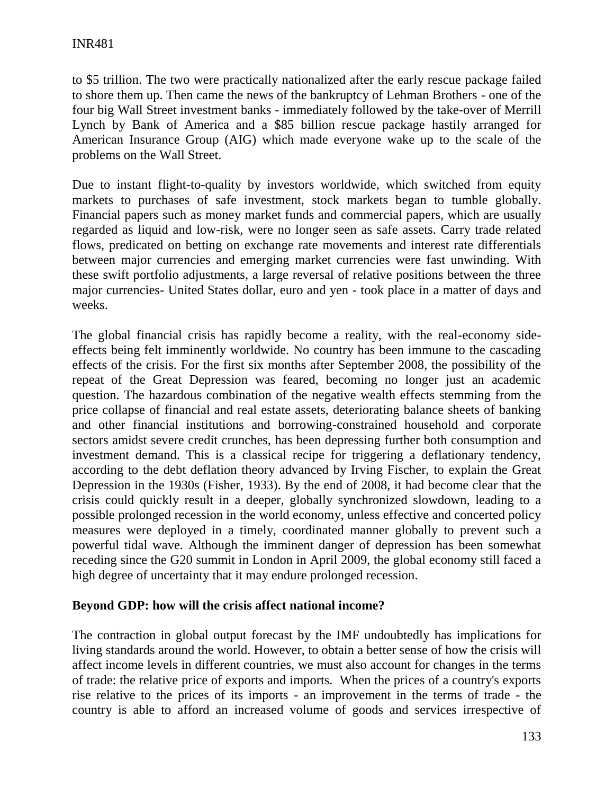to \$5 trillion. The two were practically nationalized after the early rescue package failed to shore them up. Then came the news of the bankruptcy of Lehman Brothers - one of the four big Wall Street investment banks - immediately followed by the take-over of Merrill Lynch by Bank of America and a \$85 billion rescue package hastily arranged for American Insurance Group (AIG) which made everyone wake up to the scale of the problems on the Wall Street.

Due to instant flight-to-quality by investors worldwide, which switched from equity markets to purchases of safe investment, stock markets began to tumble globally. Financial papers such as money market funds and commercial papers, which are usually regarded as liquid and low-risk, were no longer seen as safe assets. Carry trade related flows, predicated on betting on exchange rate movements and interest rate differentials between major currencies and emerging market currencies were fast unwinding. With these swift portfolio adjustments, a large reversal of relative positions between the three major currencies- United States dollar, euro and yen - took place in a matter of days and weeks.

The global financial crisis has rapidly become a reality, with the real-economy sideeffects being felt imminently worldwide. No country has been immune to the cascading effects of the crisis. For the first six months after September 2008, the possibility of the repeat of the Great Depression was feared, becoming no longer just an academic question. The hazardous combination of the negative wealth effects stemming from the price collapse of financial and real estate assets, deteriorating balance sheets of banking and other financial institutions and borrowing-constrained household and corporate sectors amidst severe credit crunches, has been depressing further both consumption and investment demand. This is a classical recipe for triggering a deflationary tendency, according to the debt deflation theory advanced by Irving Fischer, to explain the Great Depression in the 1930s (Fisher, 1933). By the end of 2008, it had become clear that the crisis could quickly result in a deeper, globally synchronized slowdown, leading to a possible prolonged recession in the world economy, unless effective and concerted policy measures were deployed in a timely, coordinated manner globally to prevent such a powerful tidal wave. Although the imminent danger of depression has been somewhat receding since the G20 summit in London in April 2009, the global economy still faced a high degree of uncertainty that it may endure prolonged recession.

#### **Beyond GDP: how will the crisis affect national income?**

The contraction in global output forecast by the IMF undoubtedly has implications for living standards around the world. However, to obtain a better sense of how the crisis will affect income levels in different countries, we must also account for changes in the terms of trade: the relative price of exports and imports. When the prices of a country's exports rise relative to the prices of its imports - an improvement in the terms of trade - the country is able to afford an increased volume of goods and services irrespective of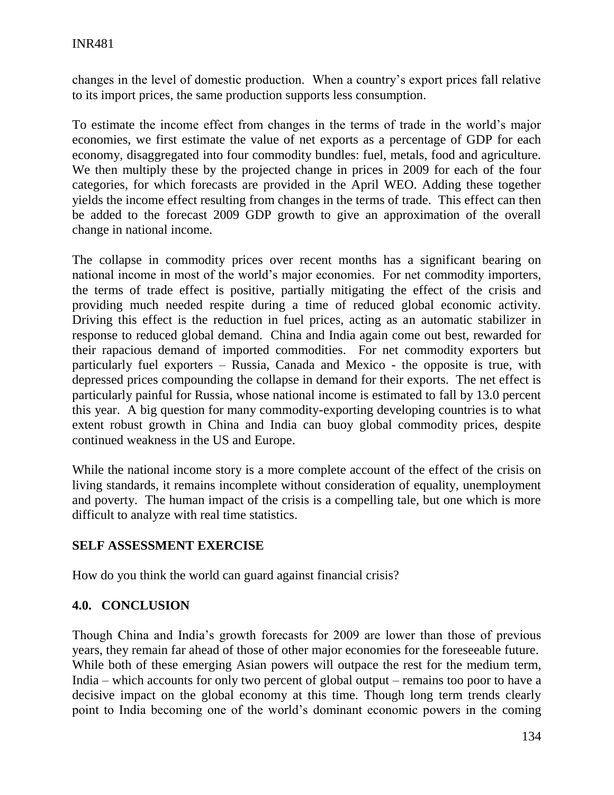changes in the level of domestic production. When a country's export prices fall relative to its import prices, the same production supports less consumption.

To estimate the income effect from changes in the terms of trade in the world's major economies, we first estimate the value of net exports as a percentage of GDP for each economy, disaggregated into four commodity bundles: fuel, metals, food and agriculture. We then multiply these by the projected change in prices in 2009 for each of the four categories, for which forecasts are provided in the April WEO. Adding these together yields the income effect resulting from changes in the terms of trade. This effect can then be added to the forecast 2009 GDP growth to give an approximation of the overall change in national income.

The collapse in commodity prices over recent months has a significant bearing on national income in most of the world's major economies. For net commodity importers, the terms of trade effect is positive, partially mitigating the effect of the crisis and providing much needed respite during a time of reduced global economic activity. Driving this effect is the reduction in fuel prices, acting as an automatic stabilizer in response to reduced global demand. China and India again come out best, rewarded for their rapacious demand of imported commodities. For net commodity exporters but particularly fuel exporters – Russia, Canada and Mexico - the opposite is true, with depressed prices compounding the collapse in demand for their exports. The net effect is particularly painful for Russia, whose national income is estimated to fall by 13.0 percent this year. A big question for many commodity-exporting developing countries is to what extent robust growth in China and India can buoy global commodity prices, despite continued weakness in the US and Europe.

While the national income story is a more complete account of the effect of the crisis on living standards, it remains incomplete without consideration of equality, unemployment and poverty. The human impact of the crisis is a compelling tale, but one which is more difficult to analyze with real time statistics.

# **SELF ASSESSMENT EXERCISE**

How do you think the world can guard against financial crisis?

# **4.0. CONCLUSION**

Though China and India's growth forecasts for 2009 are lower than those of previous years, they remain far ahead of those of other major economies for the foreseeable future. While both of these emerging Asian powers will outpace the rest for the medium term, India – which accounts for only two percent of global output – remains too poor to have a decisive impact on the global economy at this time. Though long term trends clearly point to India becoming one of the world's dominant economic powers in the coming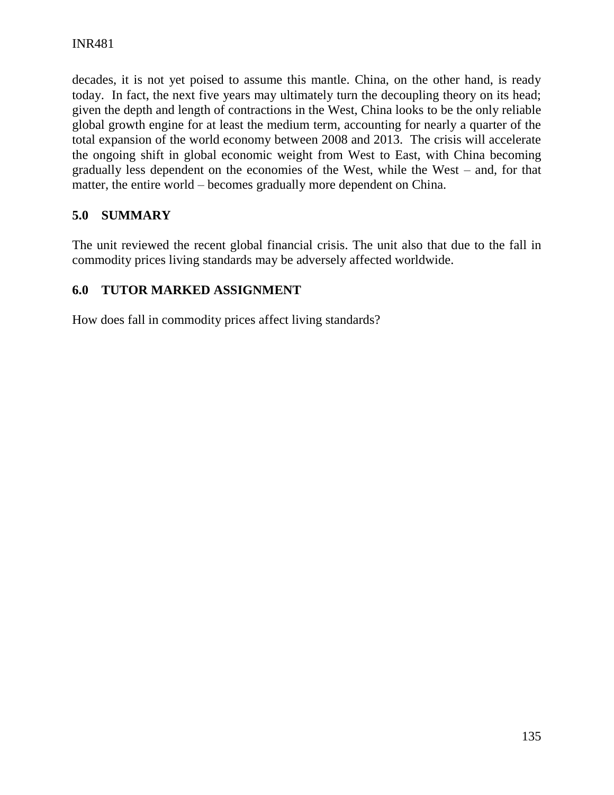decades, it is not yet poised to assume this mantle. China, on the other hand, is ready today. In fact, the next five years may ultimately turn the decoupling theory on its head; given the depth and length of contractions in the West, China looks to be the only reliable global growth engine for at least the medium term, accounting for nearly a quarter of the total expansion of the world economy between 2008 and 2013. The crisis will accelerate the ongoing shift in global economic weight from West to East, with China becoming gradually less dependent on the economies of the West, while the West – and, for that matter, the entire world – becomes gradually more dependent on China.

# **5.0 SUMMARY**

The unit reviewed the recent global financial crisis. The unit also that due to the fall in commodity prices living standards may be adversely affected worldwide.

# **6.0 TUTOR MARKED ASSIGNMENT**

How does fall in commodity prices affect living standards?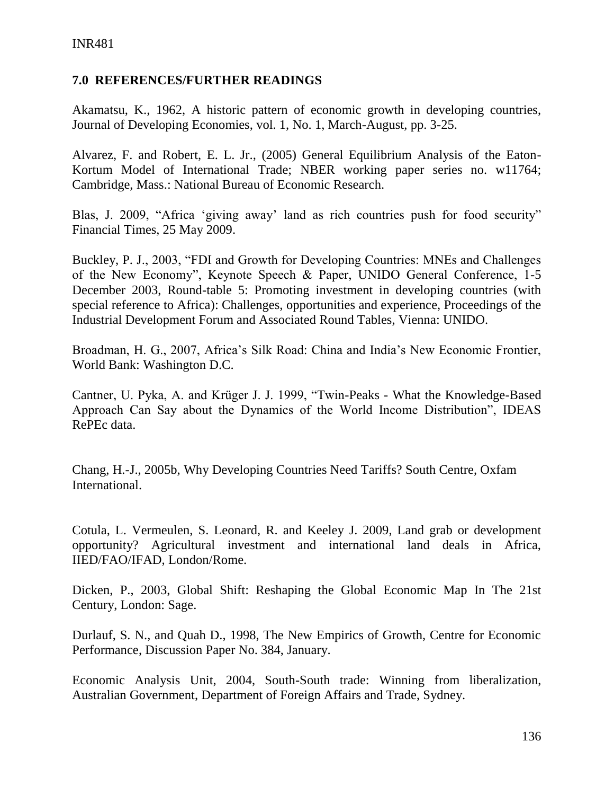### **7.0 REFERENCES/FURTHER READINGS**

Akamatsu, K., 1962, A historic pattern of economic growth in developing countries, Journal of Developing Economies, vol. 1, No. 1, March-August, pp. 3-25.

Alvarez, F. and Robert, E. L. Jr., (2005) General Equilibrium Analysis of the Eaton-Kortum Model of International Trade; NBER working paper series no. w11764; Cambridge, Mass.: National Bureau of Economic Research.

Blas, J. 2009, "Africa 'giving away' land as rich countries push for food security" Financial Times, 25 May 2009.

Buckley, P. J., 2003, "FDI and Growth for Developing Countries: MNEs and Challenges of the New Economy", Keynote Speech & Paper, UNIDO General Conference, 1-5 December 2003, Round-table 5: Promoting investment in developing countries (with special reference to Africa): Challenges, opportunities and experience, Proceedings of the Industrial Development Forum and Associated Round Tables, Vienna: UNIDO.

Broadman, H. G., 2007, Africa's Silk Road: China and India's New Economic Frontier, World Bank: Washington D.C.

Cantner, U. Pyka, A. and Krüger J. J. 1999, "Twin-Peaks - What the Knowledge-Based Approach Can Say about the Dynamics of the World Income Distribution", IDEAS RePEc data.

Chang, H.-J., 2005b, Why Developing Countries Need Tariffs? South Centre, Oxfam International.

Cotula, L. Vermeulen, S. Leonard, R. and Keeley J. 2009, Land grab or development opportunity? Agricultural investment and international land deals in Africa, IIED/FAO/IFAD, London/Rome.

Dicken, P., 2003, Global Shift: Reshaping the Global Economic Map In The 21st Century, London: Sage.

Durlauf, S. N., and Quah D., 1998, The New Empirics of Growth, Centre for Economic Performance, Discussion Paper No. 384, January.

Economic Analysis Unit, 2004, South-South trade: Winning from liberalization, Australian Government, Department of Foreign Affairs and Trade, Sydney.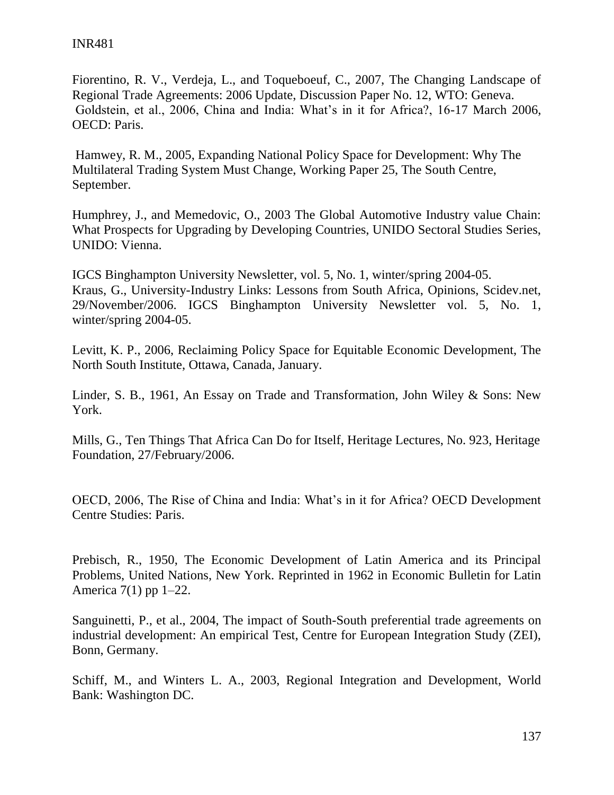#### INR481

Fiorentino, R. V., Verdeja, L., and Toqueboeuf, C., 2007, The Changing Landscape of Regional Trade Agreements: 2006 Update, Discussion Paper No. 12, WTO: Geneva. Goldstein, et al., 2006, China and India: What's in it for Africa?, 16-17 March 2006, OECD: Paris.

Hamwey, R. M., 2005, Expanding National Policy Space for Development: Why The Multilateral Trading System Must Change, Working Paper 25, The South Centre, September.

Humphrey, J., and Memedovic, O., 2003 The Global Automotive Industry value Chain: What Prospects for Upgrading by Developing Countries, UNIDO Sectoral Studies Series, UNIDO: Vienna.

IGCS Binghampton University Newsletter, vol. 5, No. 1, winter/spring 2004-05. Kraus, G., University-Industry Links: Lessons from South Africa, Opinions, Scidev.net, 29/November/2006. IGCS Binghampton University Newsletter vol. 5, No. 1, winter/spring 2004-05.

Levitt, K. P., 2006, Reclaiming Policy Space for Equitable Economic Development, The North South Institute, Ottawa, Canada, January.

Linder, S. B., 1961, An Essay on Trade and Transformation, John Wiley & Sons: New York.

Mills, G., Ten Things That Africa Can Do for Itself, Heritage Lectures, No. 923, Heritage Foundation, 27/February/2006.

OECD, 2006, The Rise of China and India: What's in it for Africa? OECD Development Centre Studies: Paris.

Prebisch, R., 1950, The Economic Development of Latin America and its Principal Problems, United Nations, New York. Reprinted in 1962 in Economic Bulletin for Latin America 7(1) pp 1–22.

Sanguinetti, P., et al., 2004, The impact of South-South preferential trade agreements on industrial development: An empirical Test, Centre for European Integration Study (ZEI), Bonn, Germany.

Schiff, M., and Winters L. A., 2003, Regional Integration and Development, World Bank: Washington DC.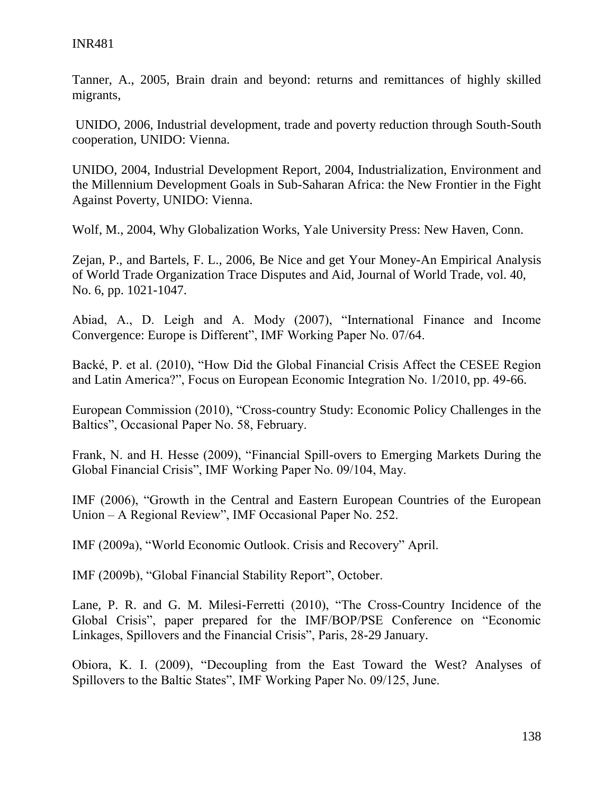Tanner, A., 2005, Brain drain and beyond: returns and remittances of highly skilled migrants,

UNIDO, 2006, Industrial development, trade and poverty reduction through South-South cooperation, UNIDO: Vienna.

UNIDO, 2004, Industrial Development Report, 2004, Industrialization, Environment and the Millennium Development Goals in Sub-Saharan Africa: the New Frontier in the Fight Against Poverty, UNIDO: Vienna.

Wolf, M., 2004, Why Globalization Works, Yale University Press: New Haven, Conn.

Zejan, P., and Bartels, F. L., 2006, Be Nice and get Your Money-An Empirical Analysis of World Trade Organization Trace Disputes and Aid, Journal of World Trade, vol. 40, No. 6, pp. 1021-1047.

Abiad, A., D. Leigh and A. Mody (2007), "International Finance and Income Convergence: Europe is Different", IMF Working Paper No. 07/64.

Backé, P. et al. (2010), "How Did the Global Financial Crisis Affect the CESEE Region and Latin America?", Focus on European Economic Integration No. 1/2010, pp. 49-66.

European Commission (2010), "Cross-country Study: Economic Policy Challenges in the Baltics", Occasional Paper No. 58, February.

Frank, N. and H. Hesse (2009), "Financial Spill-overs to Emerging Markets During the Global Financial Crisis", IMF Working Paper No. 09/104, May.

IMF (2006), "Growth in the Central and Eastern European Countries of the European Union – A Regional Review", IMF Occasional Paper No. 252.

IMF (2009a), "World Economic Outlook. Crisis and Recovery" April.

IMF (2009b), "Global Financial Stability Report", October.

Lane, P. R. and G. M. Milesi-Ferretti (2010), "The Cross-Country Incidence of the Global Crisis", paper prepared for the IMF/BOP/PSE Conference on "Economic Linkages, Spillovers and the Financial Crisis", Paris, 28-29 January.

Obiora, K. I. (2009), "Decoupling from the East Toward the West? Analyses of Spillovers to the Baltic States", IMF Working Paper No. 09/125, June.